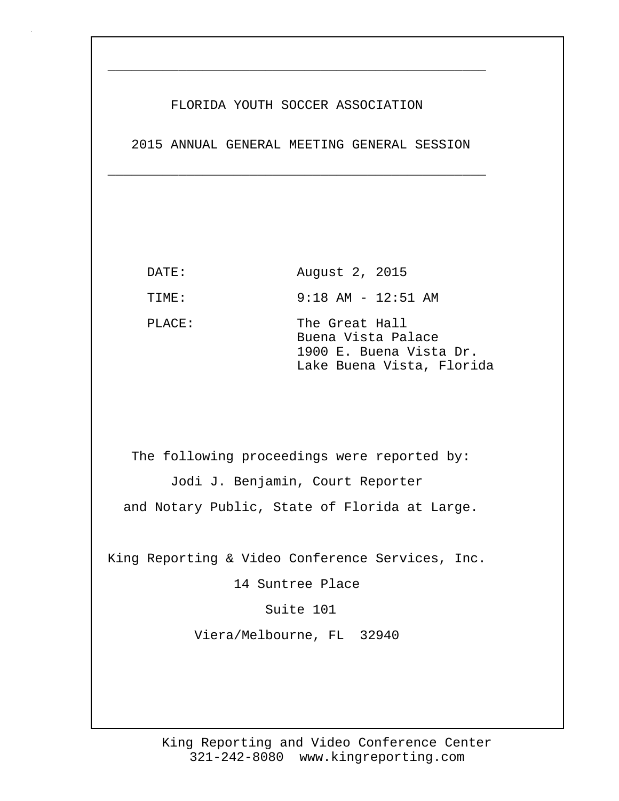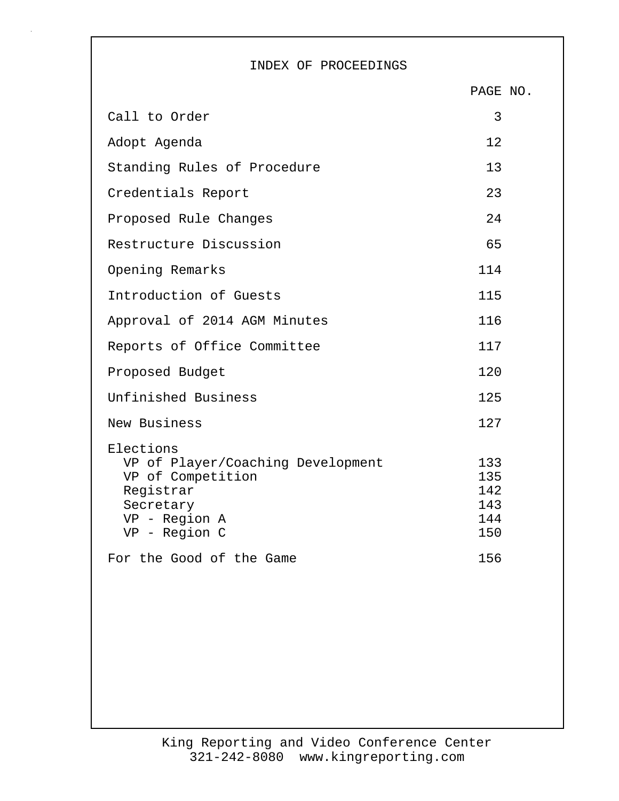## INDEX OF PROCEEDINGS

|                                                                                                                                                             | PAGE NO.                                      |  |
|-------------------------------------------------------------------------------------------------------------------------------------------------------------|-----------------------------------------------|--|
| Call to Order                                                                                                                                               | 3                                             |  |
| Adopt Agenda                                                                                                                                                | 12                                            |  |
| Standing Rules of Procedure                                                                                                                                 | 13                                            |  |
| Credentials Report                                                                                                                                          | 23                                            |  |
| Proposed Rule Changes                                                                                                                                       | 24                                            |  |
| Restructure Discussion                                                                                                                                      | 65                                            |  |
| Opening Remarks                                                                                                                                             | 114                                           |  |
| Introduction of Guests                                                                                                                                      | 115                                           |  |
| Approval of 2014 AGM Minutes                                                                                                                                | 116                                           |  |
| Reports of Office Committee                                                                                                                                 | 117                                           |  |
| Proposed Budget                                                                                                                                             | 120                                           |  |
| Unfinished Business                                                                                                                                         | 125                                           |  |
| New Business                                                                                                                                                | 127                                           |  |
| Elections<br>VP of Player/Coaching Development<br>VP of Competition<br>Registrar<br>Secretary<br>VP - Region A<br>VP - Region C<br>For the Good of the Game | 133<br>135<br>142<br>143<br>144<br>150<br>156 |  |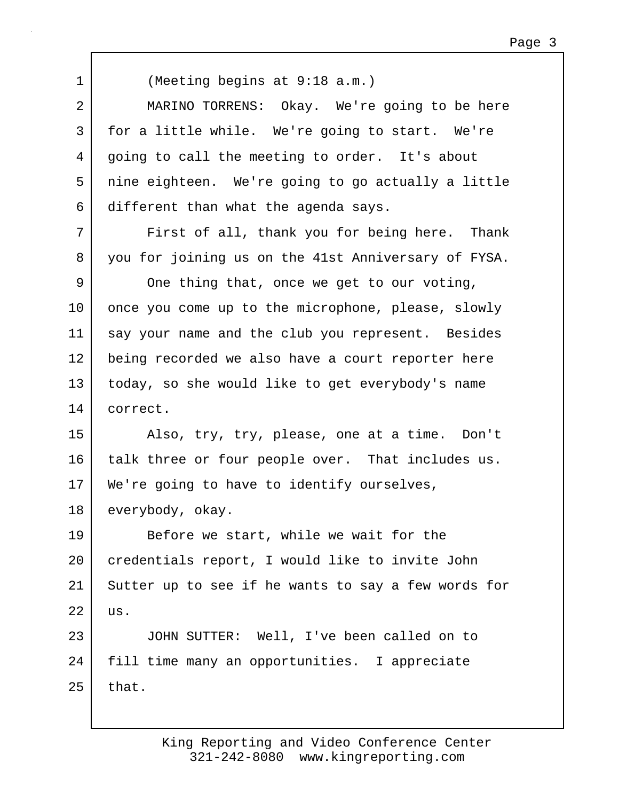1 (Meeting begins at 9:18 a.m.)

2 MARINO TORRENS: Okay. We're going to be here 3 for a little while. We're going to start. We're 4 going to call the meeting to order. It's about 5 nine eighteen. We're going to go actually a little 6 different than what the agenda says.

7 | First of all, thank you for being here. Thank 8 you for joining us on the 41st Anniversary of FYSA.

9 One thing that, once we get to our voting, 10 once you come up to the microphone, please, slowly 11 | say your name and the club you represent. Besides 12 being recorded we also have a court reporter here 13 today, so she would like to get everybody's name 14 correct.

15 Also, try, try, please, one at a time. Don't 16 talk three or four people over. That includes us. 17 | We're going to have to identify ourselves, 18 everybody, okay.

19 Before we start, while we wait for the 20 | credentials report, I would like to invite John 21 Sutter up to see if he wants to say a few words for  $22$  us.

23 JOHN SUTTER: Well, I've been called on to 24 fill time many an opportunities. I appreciate  $25$  that.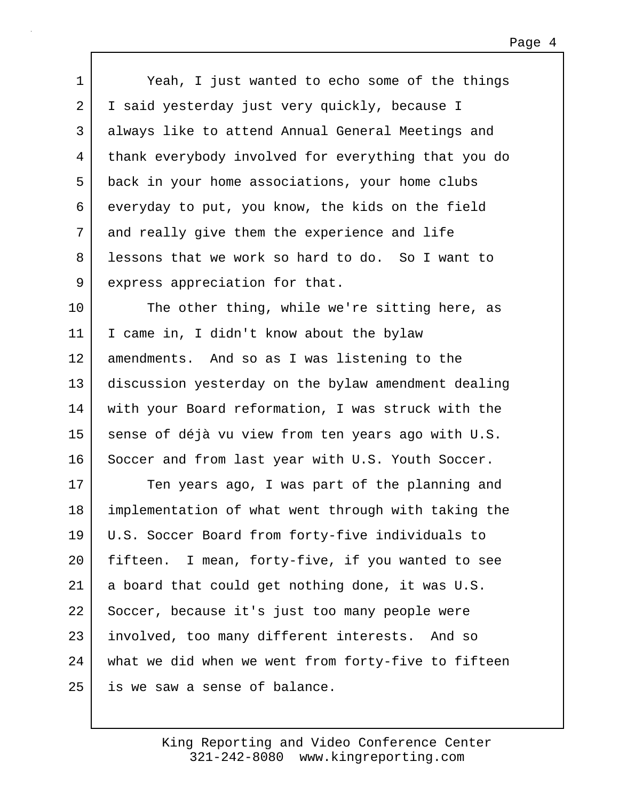| $\mathbf 1$ | Yeah, I just wanted to echo some of the things      |
|-------------|-----------------------------------------------------|
| 2           | I said yesterday just very quickly, because I       |
| 3           | always like to attend Annual General Meetings and   |
| 4           | thank everybody involved for everything that you do |
| 5           | back in your home associations, your home clubs     |
| 6           | everyday to put, you know, the kids on the field    |
| 7           | and really give them the experience and life        |
| 8           | lessons that we work so hard to do. So I want to    |
| 9           | express appreciation for that.                      |
| 10          | The other thing, while we're sitting here, as       |
| 11          | I came in, I didn't know about the bylaw            |
| 12          | amendments. And so as I was listening to the        |
| 13          | discussion yesterday on the bylaw amendment dealing |
| 14          | with your Board reformation, I was struck with the  |
| 15          | sense of déjà vu view from ten years ago with U.S.  |
| 16          | Soccer and from last year with U.S. Youth Soccer.   |
| 17          | Ten years ago, I was part of the planning and       |
| 18          | implementation of what went through with taking the |
| 19          | U.S. Soccer Board from forty-five individuals to    |
| 20          | fifteen. I mean, forty-five, if you wanted to see   |
| 21          | a board that could get nothing done, it was U.S.    |
| 22          | Soccer, because it's just too many people were      |
| 23          | involved, too many different interests. And so      |
| 24          | what we did when we went from forty-five to fifteen |
| 25          | is we saw a sense of balance.                       |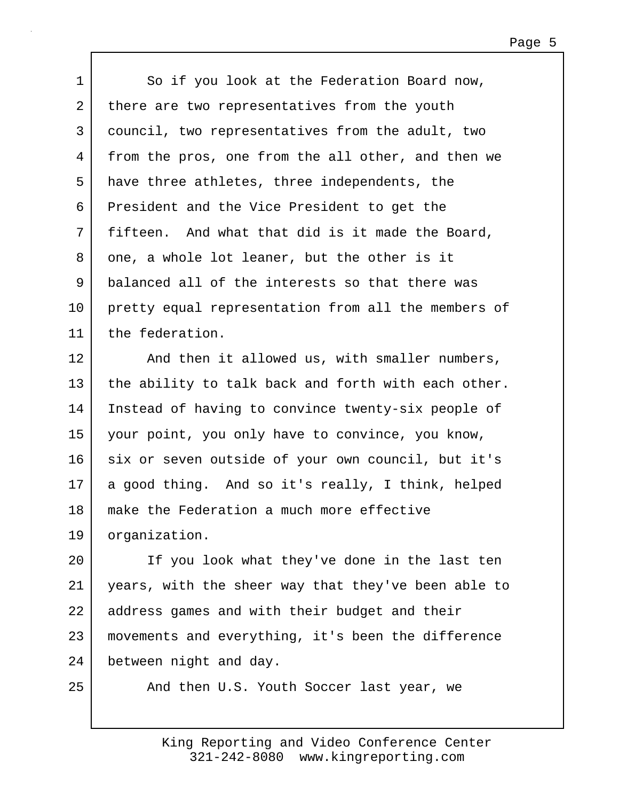| $\mathbf{1}$    | So if you look at the Federation Board now,         |
|-----------------|-----------------------------------------------------|
| 2               | there are two representatives from the youth        |
| 3               | council, two representatives from the adult, two    |
| 4               | from the pros, one from the all other, and then we  |
| 5               | have three athletes, three independents, the        |
| 6               | President and the Vice President to get the         |
| 7               | fifteen. And what that did is it made the Board,    |
| 8               | one, a whole lot leaner, but the other is it        |
| 9               | balanced all of the interests so that there was     |
| $10 \,$         | pretty equal representation from all the members of |
| 11              | the federation.                                     |
| 12 <sub>1</sub> | And then it allowed us, with smaller numbers,       |
| 13              | the ability to talk back and forth with each other. |
| 14              | Instead of having to convince twenty-six people of  |
| 15              | your point, you only have to convince, you know,    |
| 16              | six or seven outside of your own council, but it's  |
| 17              | a good thing. And so it's really, I think, helped   |
| 18              | make the Federation a much more effective           |
| 19              | organization.                                       |
| 20              | If you look what they've done in the last ten       |
| 21              | years, with the sheer way that they've been able to |
| 22              | address games and with their budget and their       |
| 23              | movements and everything, it's been the difference  |
| 24              | between night and day.                              |
|                 |                                                     |

25 And then U.S. Youth Soccer last year, we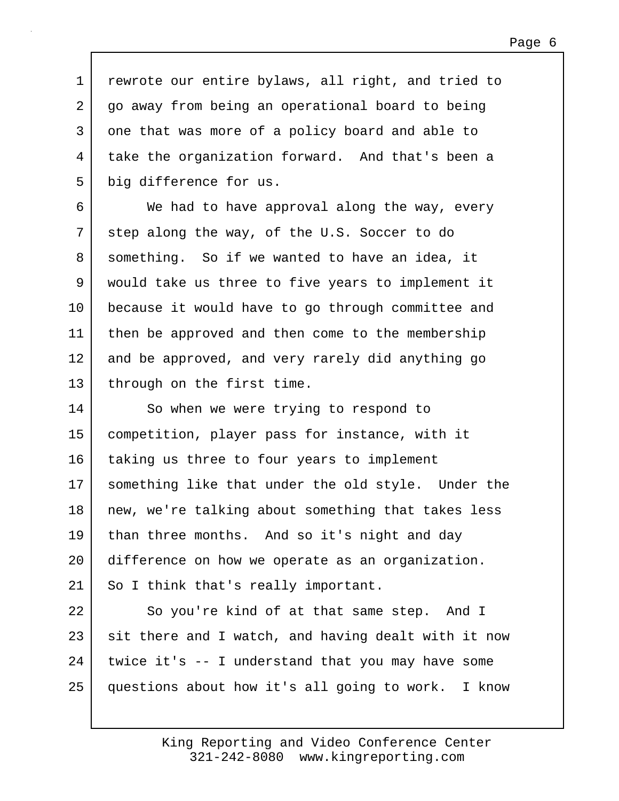1 rewrote our entire bylaws, all right, and tried to 2 go away from being an operational board to being 3 one that was more of a policy board and able to 4 take the organization forward. And that's been a 5 big difference for us.

6 We had to have approval along the way, every 7 step along the way, of the U.S. Soccer to do 8 something. So if we wanted to have an idea, it 9 would take us three to five years to implement it 10 because it would have to go through committee and 11 | then be approved and then come to the membership 12 and be approved, and very rarely did anything go 13 | through on the first time.

14 So when we were trying to respond to 15 competition, player pass for instance, with it 16 | taking us three to four years to implement 17 something like that under the old style. Under the 18 | new, we're talking about something that takes less 19 than three months. And so it's night and day 20 difference on how we operate as an organization. 21 | So I think that's really important.

22 So you're kind of at that same step. And I 23 sit there and I watch, and having dealt with it now  $24$  twice it's  $-$  I understand that you may have some 25 questions about how it's all going to work. I know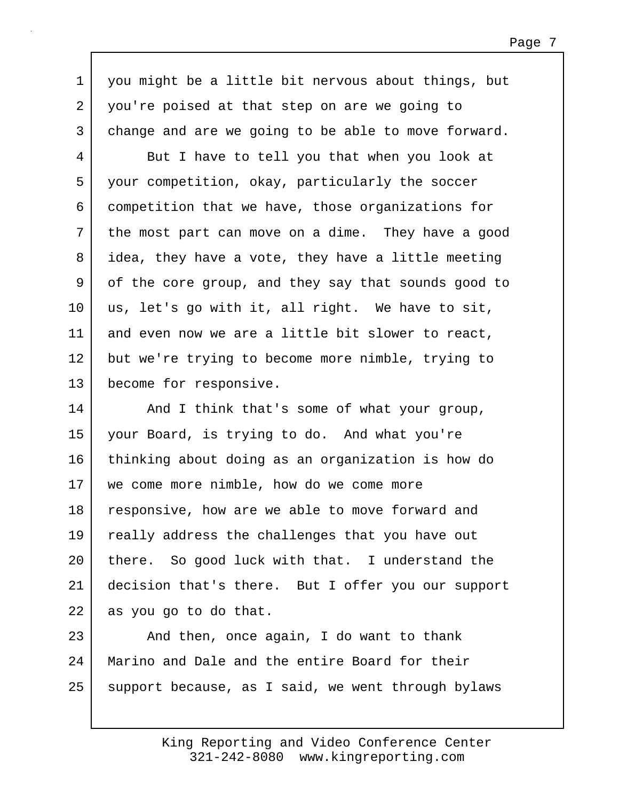1 you might be a little bit nervous about things, but 2 you're poised at that step on are we going to 3 change and are we going to be able to move forward.

4 But I have to tell you that when you look at 5 your competition, okay, particularly the soccer 6 competition that we have, those organizations for 7 the most part can move on a dime. They have a good 8 idea, they have a vote, they have a little meeting 9 of the core group, and they say that sounds good to 10 us, let's go with it, all right. We have to sit, 11 and even now we are a little bit slower to react, 12 but we're trying to become more nimble, trying to 13 become for responsive.

14 And I think that's some of what your group, 15 your Board, is trying to do. And what you're 16 thinking about doing as an organization is how do 17 we come more nimble, how do we come more 18 responsive, how are we able to move forward and 19 really address the challenges that you have out 20 there. So good luck with that. I understand the 21 decision that's there. But I offer you our support 22 as you go to do that.

 $23$   $\sim$  And then, once again, I do want to thank 24 Marino and Dale and the entire Board for their 25 support because, as I said, we went through bylaws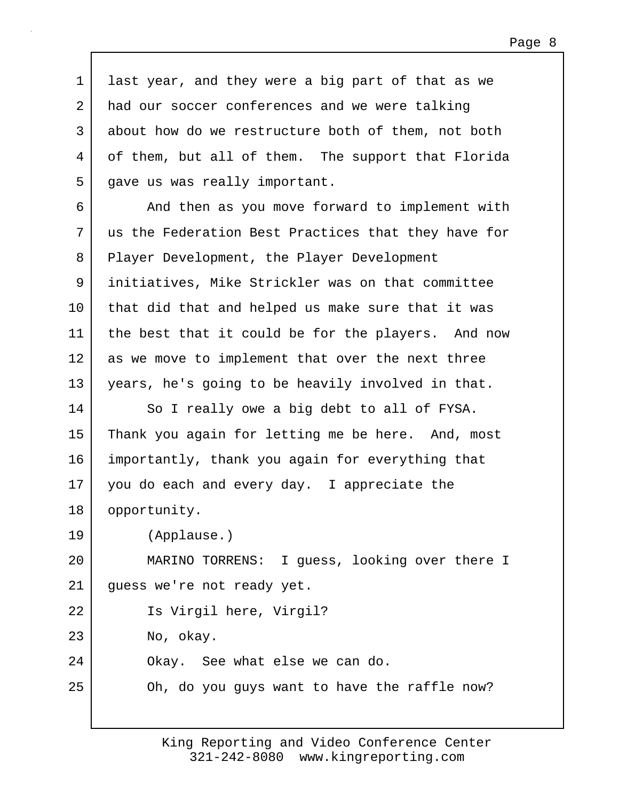1 last year, and they were a big part of that as we 2 had our soccer conferences and we were talking 3 about how do we restructure both of them, not both 4 of them, but all of them. The support that Florida 5 gave us was really important.

6 And then as you move forward to implement with 7 us the Federation Best Practices that they have for 8 Player Development, the Player Development 9 initiatives, Mike Strickler was on that committee 10 that did that and helped us make sure that it was 11 | the best that it could be for the players. And now 12 as we move to implement that over the next three 13 years, he's going to be heavily involved in that.

14 So I really owe a big debt to all of FYSA. 15 Thank you again for letting me be here. And, most 16 importantly, thank you again for everything that 17 you do each and every day. I appreciate the 18 opportunity.

19 (Applause.)

20 MARINO TORRENS: I guess, looking over there I 21 guess we're not ready yet.

22 Is Virgil here, Virgil?

23 No, okay.

24 Okay. See what else we can do.

25 Oh, do you guys want to have the raffle now?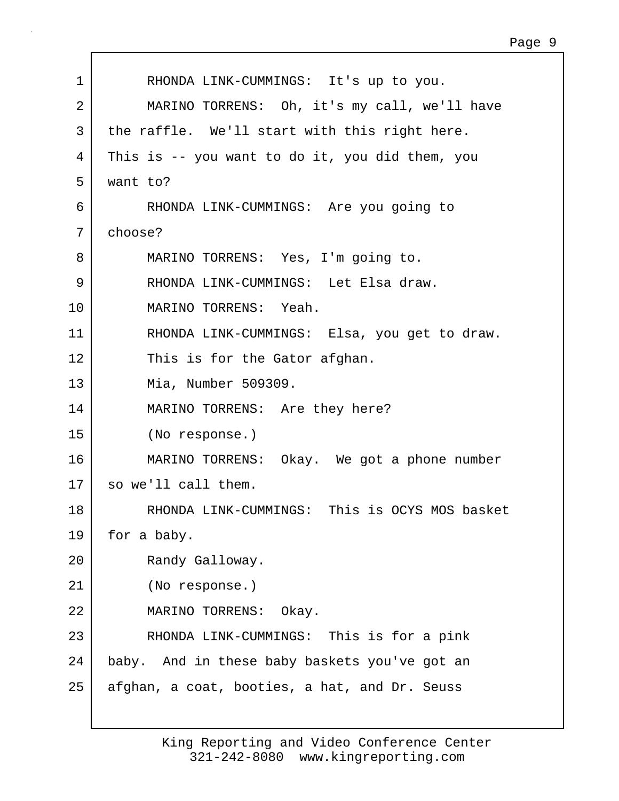| 1  | RHONDA LINK-CUMMINGS: It's up to you.           |
|----|-------------------------------------------------|
| 2  | MARINO TORRENS: Oh, it's my call, we'll have    |
| 3  | the raffle. We'll start with this right here.   |
| 4  | This is -- you want to do it, you did them, you |
| 5  | want to?                                        |
| 6  | RHONDA LINK-CUMMINGS: Are you going to          |
| 7  | choose?                                         |
| 8  | MARINO TORRENS: Yes, I'm going to.              |
| 9  | RHONDA LINK-CUMMINGS: Let Elsa draw.            |
| 10 | MARINO TORRENS: Yeah.                           |
| 11 | RHONDA LINK-CUMMINGS: Elsa, you get to draw.    |
| 12 | This is for the Gator afghan.                   |
| 13 | Mia, Number 509309.                             |
| 14 | MARINO TORRENS: Are they here?                  |
| 15 | (No response.)                                  |
| 16 | MARINO TORRENS: Okay. We got a phone number     |
| 17 | so we'll call them.                             |
| 18 | RHONDA LINK-CUMMINGS: This is OCYS MOS basket   |
| 19 | for a baby.                                     |
| 20 | Randy Galloway.                                 |
| 21 | (No response.)                                  |
| 22 | MARINO TORRENS: Okay.                           |
| 23 | RHONDA LINK-CUMMINGS: This is for a pink        |
| 24 | baby. And in these baby baskets you've got an   |
| 25 | afghan, a coat, booties, a hat, and Dr. Seuss   |
|    |                                                 |

Г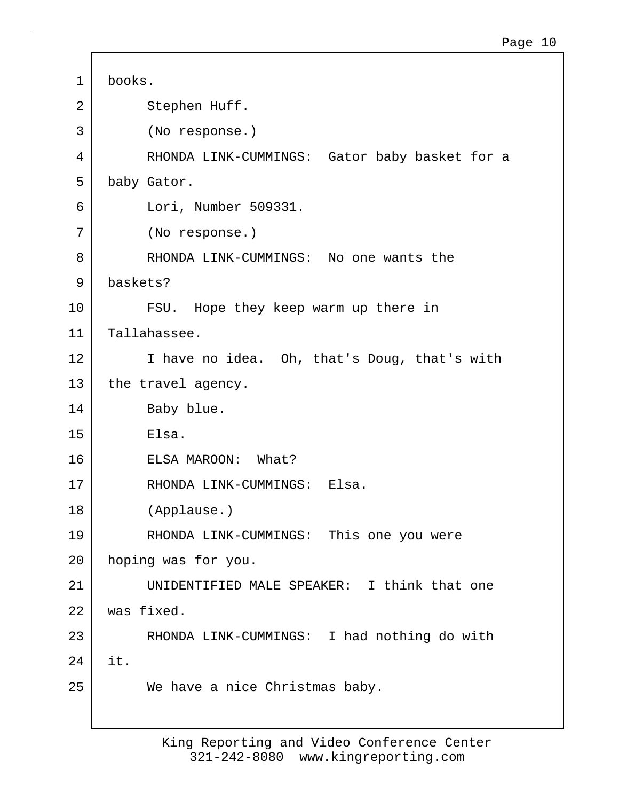1 books. 2 Stephen Huff. 3 (No response.) 4 RHONDA LINK-CUMMINGS: Gator baby basket for a 5 baby Gator. 6 Lori, Number 509331. 7 (No response.) 8 RHONDA LINK-CUMMINGS: No one wants the 9 baskets? 10 FSU. Hope they keep warm up there in 11 Tallahassee. 12 I have no idea. Oh, that's Doug, that's with 13 the travel agency. 14 Baby blue. 15 Elsa. 16 ELSA MAROON: What? 17 RHONDA LINK-CUMMINGS: Elsa. 18 (Applause.) 19 | RHONDA LINK-CUMMINGS: This one you were 20 hoping was for you. 21 UNIDENTIFIED MALE SPEAKER: I think that one 22 was fixed. 23 RHONDA LINK-CUMMINGS: I had nothing do with 24 it. 25 We have a nice Christmas baby.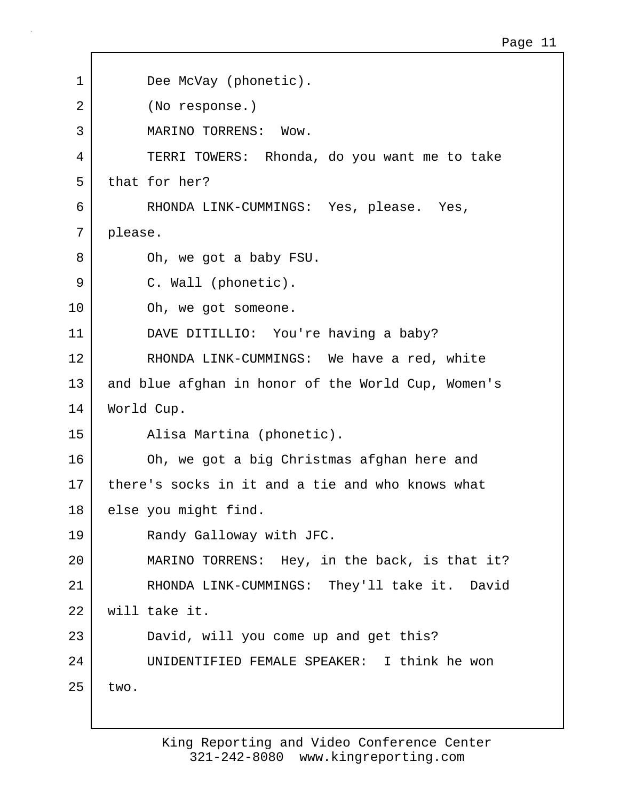| $\mathbf 1$ | Dee McVay (phonetic).                              |
|-------------|----------------------------------------------------|
| 2           | (No response.)                                     |
| 3           | MARINO TORRENS: Wow.                               |
| 4           | TERRI TOWERS: Rhonda, do you want me to take       |
| 5           | that for her?                                      |
| 6           | RHONDA LINK-CUMMINGS: Yes, please. Yes,            |
| 7           | please.                                            |
| 8           | Oh, we got a baby FSU.                             |
| 9           | C. Wall (phonetic).                                |
| 10          | Oh, we got someone.                                |
| 11          | DAVE DITILLIO: You're having a baby?               |
| 12          | RHONDA LINK-CUMMINGS: We have a red, white         |
| 13          | and blue afghan in honor of the World Cup, Women's |
| 14          | World Cup.                                         |
| 15          | Alisa Martina (phonetic).                          |
| 16          | Oh, we got a big Christmas afghan here and         |
| 17          | there's socks in it and a tie and who knows what   |
| 18          | else you might find.                               |
| 19          | Randy Galloway with JFC.                           |
| 20          | MARINO TORRENS: Hey, in the back, is that it?      |
| 21          | RHONDA LINK-CUMMINGS: They'll take it. David       |
| 22          | will take it.                                      |
| 23          | David, will you come up and get this?              |
| 24          | UNIDENTIFIED FEMALE SPEAKER: I think he won        |
| 25          | two.                                               |
|             |                                                    |

Г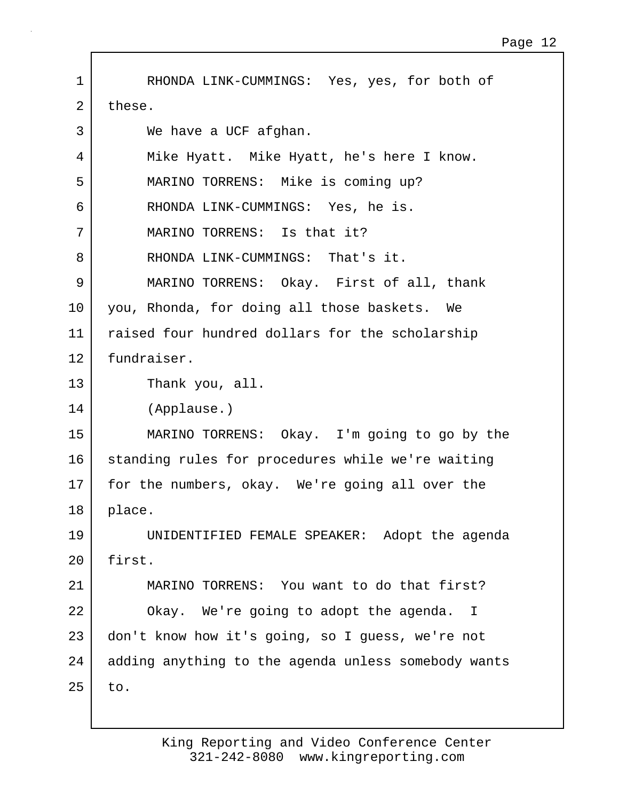1 | RHONDA LINK-CUMMINGS: Yes, yes, for both of 2 these. 3 We have a UCF afghan. 4 Mike Hyatt. Mike Hyatt, he's here I know. 5 MARINO TORRENS: Mike is coming up? 6 RHONDA LINK-CUMMINGS: Yes, he is. 7 MARINO TORRENS: Is that it? 8 RHONDA LINK-CUMMINGS: That's it. 9 MARINO TORRENS: Okay. First of all, thank 10 you, Rhonda, for doing all those baskets. We 11 raised four hundred dollars for the scholarship 12 fundraiser. 13 Thank you, all. 14 (Applause.) 15 MARINO TORRENS: Okay. I'm going to go by the 16 standing rules for procedures while we're waiting 17 for the numbers, okay. We're going all over the 18 place. 19 UNIDENTIFIED FEMALE SPEAKER: Adopt the agenda 20 first. 21 MARINO TORRENS: You want to do that first? 22 Okay. We're going to adopt the agenda. I 23 don't know how it's going, so I guess, we're not 24 adding anything to the agenda unless somebody wants  $25$  to.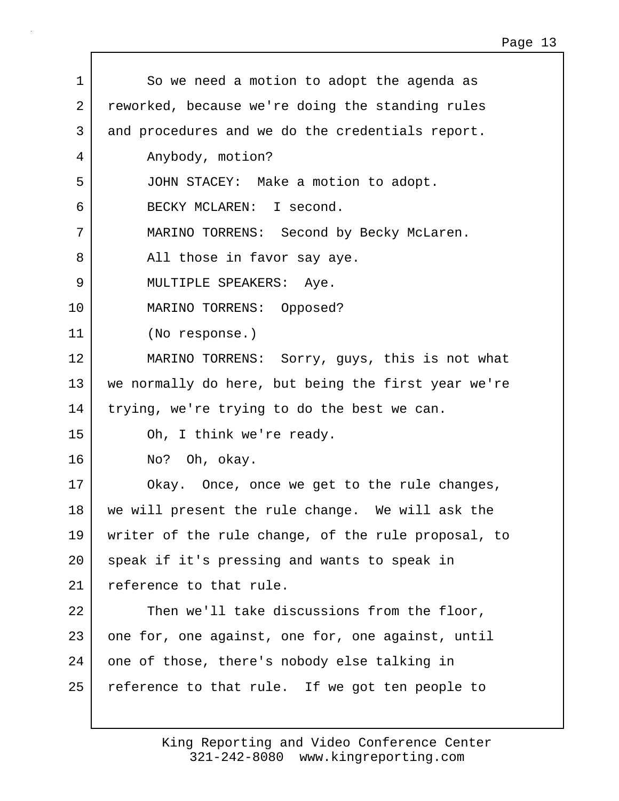| $\mathbf 1$ | So we need a motion to adopt the agenda as          |
|-------------|-----------------------------------------------------|
| 2           | reworked, because we're doing the standing rules    |
| 3           | and procedures and we do the credentials report.    |
| 4           | Anybody, motion?                                    |
| 5           | JOHN STACEY: Make a motion to adopt.                |
| 6           | BECKY MCLAREN: I second.                            |
| 7           | MARINO TORRENS: Second by Becky McLaren.            |
| 8           | All those in favor say aye.                         |
| 9           | MULTIPLE SPEAKERS: Aye.                             |
| 10          | MARINO TORRENS: Opposed?                            |
| 11          | (No response.)                                      |
| 12          | MARINO TORRENS: Sorry, guys, this is not what       |
| 13          | we normally do here, but being the first year we're |
| 14          | trying, we're trying to do the best we can.         |
| 15          | Oh, I think we're ready.                            |
| 16          | No? Oh, okay.                                       |
| 17          | Okay. Once, once we get to the rule changes,        |
| 18          | we will present the rule change. We will ask the    |
| 19          | writer of the rule change, of the rule proposal, to |
| 20          | speak if it's pressing and wants to speak in        |
| 21          | reference to that rule.                             |
| 22          | Then we'll take discussions from the floor,         |
| 23          | one for, one against, one for, one against, until   |
| 24          | one of those, there's nobody else talking in        |
| 25          | reference to that rule. If we got ten people to     |
|             |                                                     |

 $\mathbf{I}$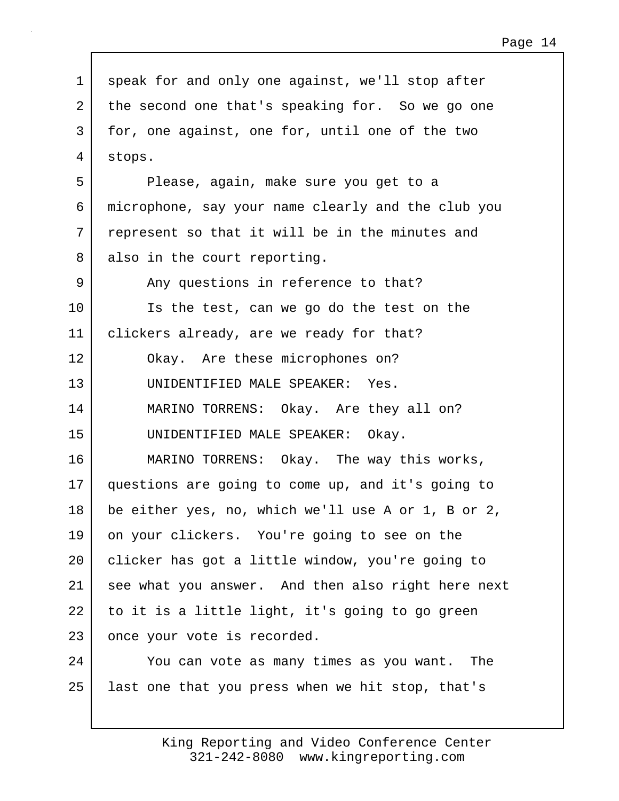1 speak for and only one against, we'll stop after 2 the second one that's speaking for. So we go one 3 for, one against, one for, until one of the two 4 stops. 5 Please, again, make sure you get to a 6 microphone, say your name clearly and the club you 7 represent so that it will be in the minutes and 8 also in the court reporting. 9 Any questions in reference to that? 10 Is the test, can we go do the test on the 11 clickers already, are we ready for that? 12 Okay. Are these microphones on? 13 UNIDENTIFIED MALE SPEAKER: Yes. 14 MARINO TORRENS: Okay. Are they all on? 15 UNIDENTIFIED MALE SPEAKER: Okay. 16 MARINO TORRENS: Okay. The way this works, 17 questions are going to come up, and it's going to 18 be either yes, no, which we'll use A or 1, B or 2, 19 on your clickers. You're going to see on the 20 | clicker has got a little window, you're going to 21 see what you answer. And then also right here next 22 to it is a little light, it's going to go green 23 once your vote is recorded. 24 You can vote as many times as you want. The 25 last one that you press when we hit stop, that's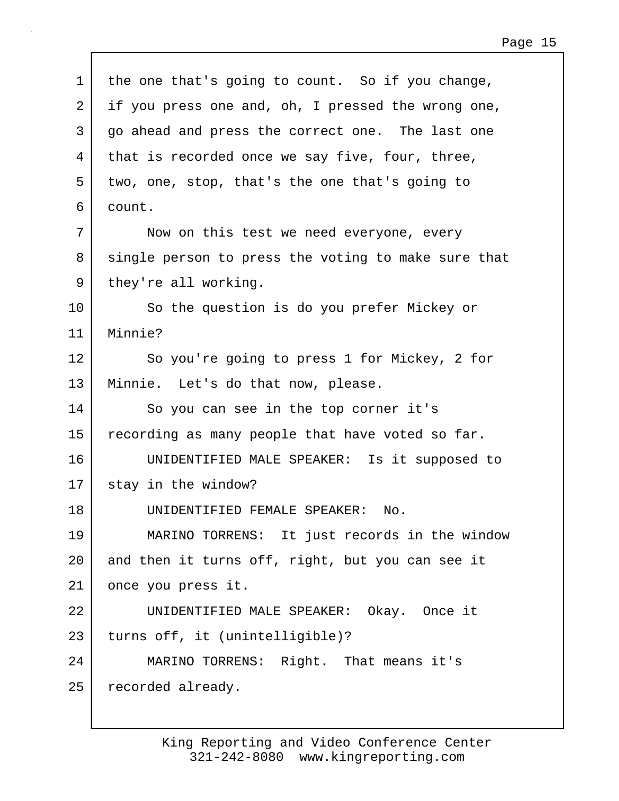| $\mathbf 1$ | the one that's going to count. So if you change,    |
|-------------|-----------------------------------------------------|
| 2           | if you press one and, oh, I pressed the wrong one,  |
| 3           | go ahead and press the correct one. The last one    |
| 4           | that is recorded once we say five, four, three,     |
| 5           | two, one, stop, that's the one that's going to      |
| 6           | count.                                              |
| 7           | Now on this test we need everyone, every            |
| 8           | single person to press the voting to make sure that |
| 9           | they're all working.                                |
| 10          | So the question is do you prefer Mickey or          |
| 11          | Minnie?                                             |
| 12          | So you're going to press 1 for Mickey, 2 for        |
| 13          | Minnie. Let's do that now, please.                  |
| 14          | So you can see in the top corner it's               |
| 15          | recording as many people that have voted so far.    |
| 16          | UNIDENTIFIED MALE SPEAKER: Is it supposed to        |
| 17          | stay in the window?                                 |
| 18          | UNIDENTIFIED FEMALE SPEAKER:<br>No.                 |
| 19          | MARINO TORRENS: It just records in the window       |
| 20          | and then it turns off, right, but you can see it    |
| 21          | once you press it.                                  |
| 22          | UNIDENTIFIED MALE SPEAKER: Okay. Once it            |
| 23          | turns off, it (unintelligible)?                     |
| 24          | MARINO TORRENS: Right. That means it's              |
| 25          | recorded already.                                   |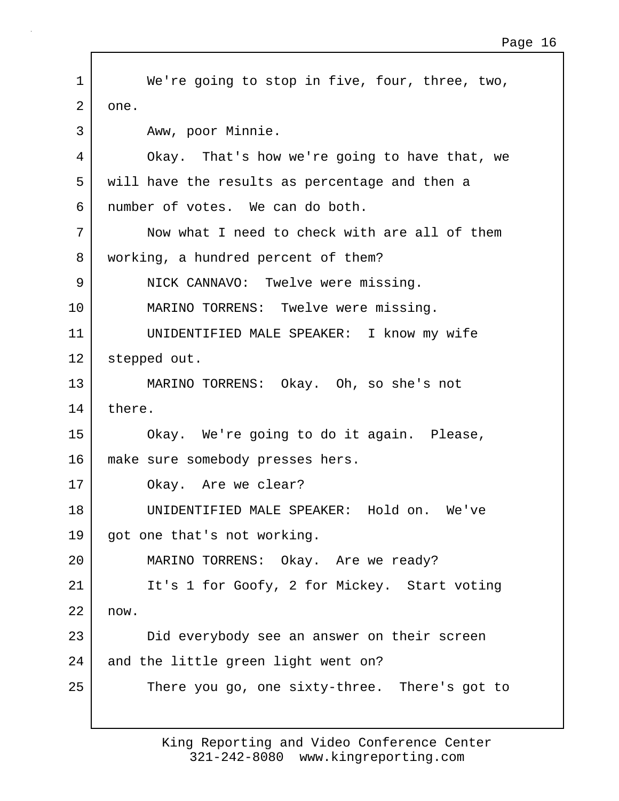1 We're going to stop in five, four, three, two, 2 one. 3 Aww, poor Minnie. 4 Okay. That's how we're going to have that, we 5 will have the results as percentage and then a 6 number of votes. We can do both. 7 Now what I need to check with are all of them 8 working, a hundred percent of them? 9 NICK CANNAVO: Twelve were missing. 10 MARINO TORRENS: Twelve were missing. 11 UNIDENTIFIED MALE SPEAKER: I know my wife 12 stepped out. 13 MARINO TORRENS: Okay. Oh, so she's not 14 there. 15 Okay. We're going to do it again. Please, 16 | make sure somebody presses hers. 17 Okay. Are we clear? 18 UNIDENTIFIED MALE SPEAKER: Hold on. We've 19 | got one that's not working. 20 MARINO TORRENS: Okay. Are we ready? 21 | It's 1 for Goofy, 2 for Mickey. Start voting 22 now. 23 Did everybody see an answer on their screen 24 and the little green light went on? 25 There you go, one sixty-three. There's got to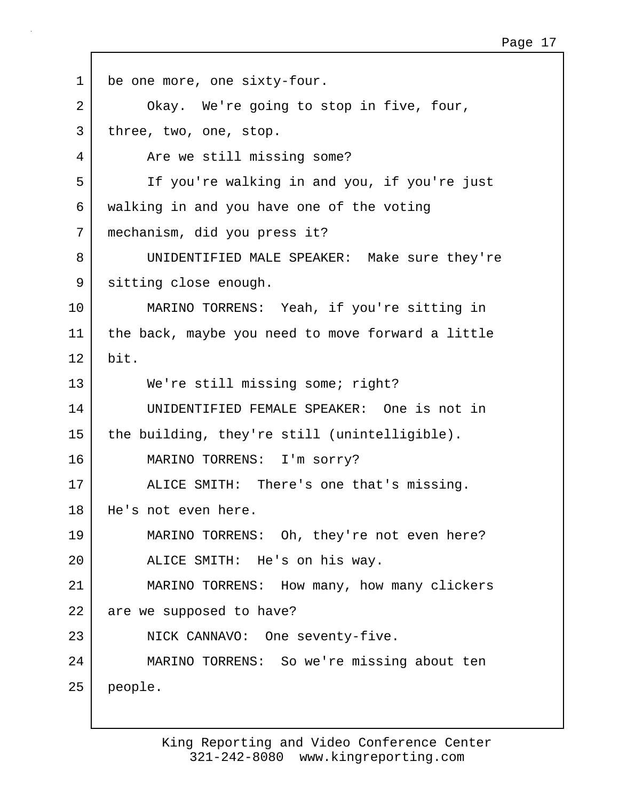| $\mathbf 1$ | be one more, one sixty-four.                      |
|-------------|---------------------------------------------------|
| 2           | Okay. We're going to stop in five, four,          |
| 3           | three, two, one, stop.                            |
| 4           | Are we still missing some?                        |
| 5           | If you're walking in and you, if you're just      |
| 6           | walking in and you have one of the voting         |
| 7           | mechanism, did you press it?                      |
| 8           | UNIDENTIFIED MALE SPEAKER: Make sure they're      |
| 9           | sitting close enough.                             |
| 10          | MARINO TORRENS: Yeah, if you're sitting in        |
| 11          | the back, maybe you need to move forward a little |
| 12          | bit.                                              |
| 13          | We're still missing some; right?                  |
| 14          | UNIDENTIFIED FEMALE SPEAKER: One is not in        |
| 15          | the building, they're still (unintelligible).     |
| 16          | MARINO TORRENS: I'm sorry?                        |
| 17          | ALICE SMITH: There's one that's missing.          |
| 18          | He's not even here.                               |
| 19          | MARINO TORRENS: Oh, they're not even here?        |
| 20          | ALICE SMITH: He's on his way.                     |
| 21          | MARINO TORRENS: How many, how many clickers       |
| 22          | are we supposed to have?                          |
| 23          | NICK CANNAVO: One seventy-five.                   |
| 24          | MARINO TORRENS: So we're missing about ten        |
| 25          | people.                                           |

 $\Gamma$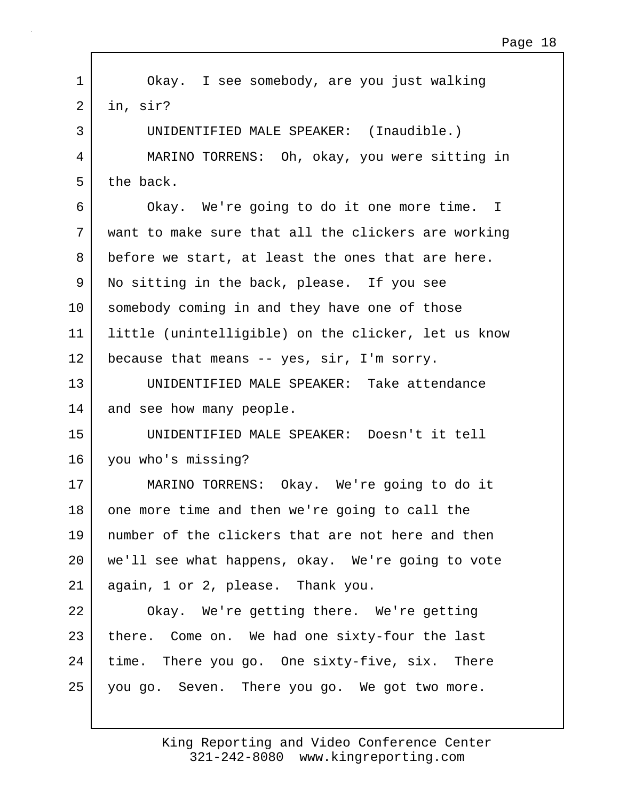1 Okay. I see somebody, are you just walking  $2$  in, sir? 3 UNIDENTIFIED MALE SPEAKER: (Inaudible.) 4 MARINO TORRENS: Oh, okay, you were sitting in  $5$  the back. 6 Okay. We're going to do it one more time. I 7 want to make sure that all the clickers are working 8 before we start, at least the ones that are here. 9 No sitting in the back, please. If you see 10 somebody coming in and they have one of those 11 little (unintelligible) on the clicker, let us know 12 because that means -- yes, sir, I'm sorry. 13 UNIDENTIFIED MALE SPEAKER: Take attendance 14 and see how many people. 15 UNIDENTIFIED MALE SPEAKER: Doesn't it tell 16 you who's missing? 17 MARINO TORRENS: Okay. We're going to do it 18 one more time and then we're going to call the 19 number of the clickers that are not here and then 20 we'll see what happens, okay. We're going to vote 21 again, 1 or 2, please. Thank you. 22 Okay. We're getting there. We're getting 23 there. Come on. We had one sixty-four the last 24 time. There you go. One sixty-five, six. There 25 you go. Seven. There you go. We got two more.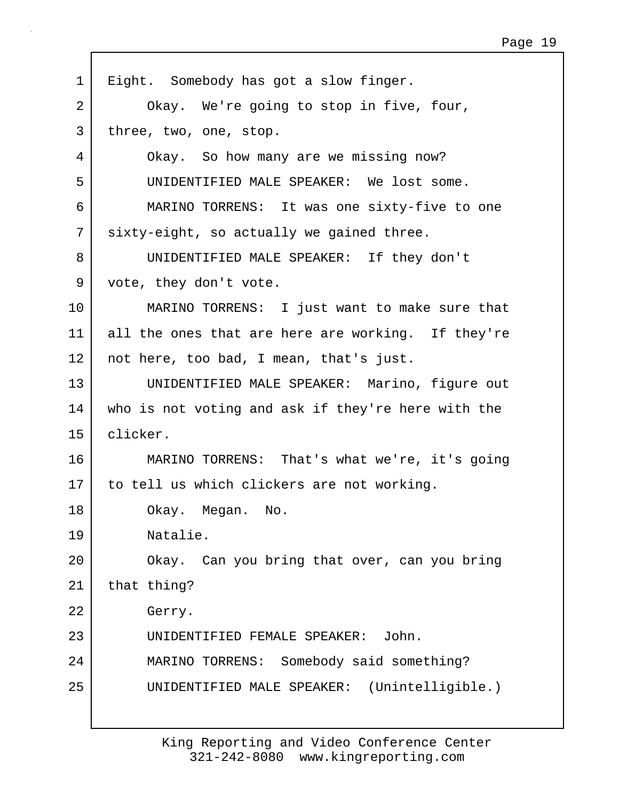| $\mathbf 1$ | Eight. Somebody has got a slow finger.             |
|-------------|----------------------------------------------------|
| 2           | Okay. We're going to stop in five, four,           |
| 3           | three, two, one, stop.                             |
| 4           | Okay. So how many are we missing now?              |
| 5           | UNIDENTIFIED MALE SPEAKER: We lost some.           |
| 6           | MARINO TORRENS: It was one sixty-five to one       |
| 7           | sixty-eight, so actually we gained three.          |
| 8           | UNIDENTIFIED MALE SPEAKER: If they don't           |
| 9           | vote, they don't vote.                             |
| 10          | MARINO TORRENS: I just want to make sure that      |
| 11          | all the ones that are here are working. If they're |
| 12          | not here, too bad, I mean, that's just.            |
| 13          | UNIDENTIFIED MALE SPEAKER: Marino, figure out      |
| 14          | who is not voting and ask if they're here with the |
| 15          | clicker.                                           |
| 16          | MARINO TORRENS: That's what we're, it's going      |
| 17          | to tell us which clickers are not working.         |
| 18          | Okay. Megan. No.                                   |
| 19          | Natalie.                                           |
| 20          | Okay. Can you bring that over, can you bring       |
| 21          | that thing?                                        |
| 22          | Gerry.                                             |
| 23          | UNIDENTIFIED FEMALE SPEAKER: John.                 |
| 24          | MARINO TORRENS: Somebody said something?           |
| 25          | UNIDENTIFIED MALE SPEAKER: (Unintelligible.)       |
|             |                                                    |

Г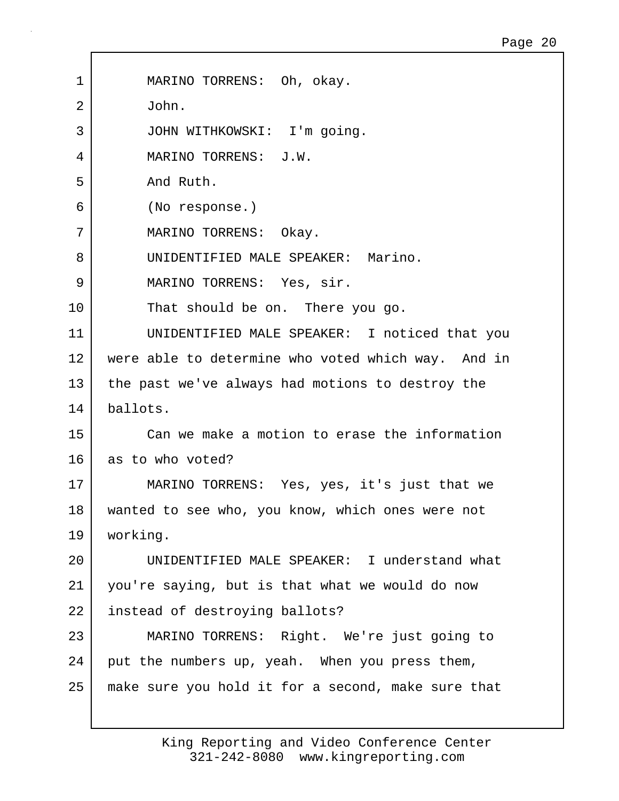| 1  | MARINO TORRENS: Oh, okay.                          |
|----|----------------------------------------------------|
| 2  | John.                                              |
| 3  | JOHN WITHKOWSKI: I'm going.                        |
| 4  | MARINO TORRENS: J.W.                               |
| 5  | And Ruth.                                          |
| 6  | (No response.)                                     |
| 7  | MARINO TORRENS: Okay.                              |
| 8  | UNIDENTIFIED MALE SPEAKER: Marino.                 |
| 9  | MARINO TORRENS: Yes, sir.                          |
| 10 | That should be on. There you go.                   |
| 11 | UNIDENTIFIED MALE SPEAKER: I noticed that you      |
| 12 | were able to determine who voted which way. And in |
| 13 | the past we've always had motions to destroy the   |
| 14 | ballots.                                           |
| 15 | Can we make a motion to erase the information      |
| 16 | as to who voted?                                   |
| 17 | MARINO TORRENS: Yes, yes, it's just that we        |
| 18 | wanted to see who, you know, which ones were not   |
| 19 | working.                                           |
| 20 | UNIDENTIFIED MALE SPEAKER: I understand what       |
| 21 | you're saying, but is that what we would do now    |
| 22 | instead of destroying ballots?                     |
| 23 | MARINO TORRENS: Right. We're just going to         |
| 24 | put the numbers up, yeah. When you press them,     |
| 25 | make sure you hold it for a second, make sure that |
|    |                                                    |

Г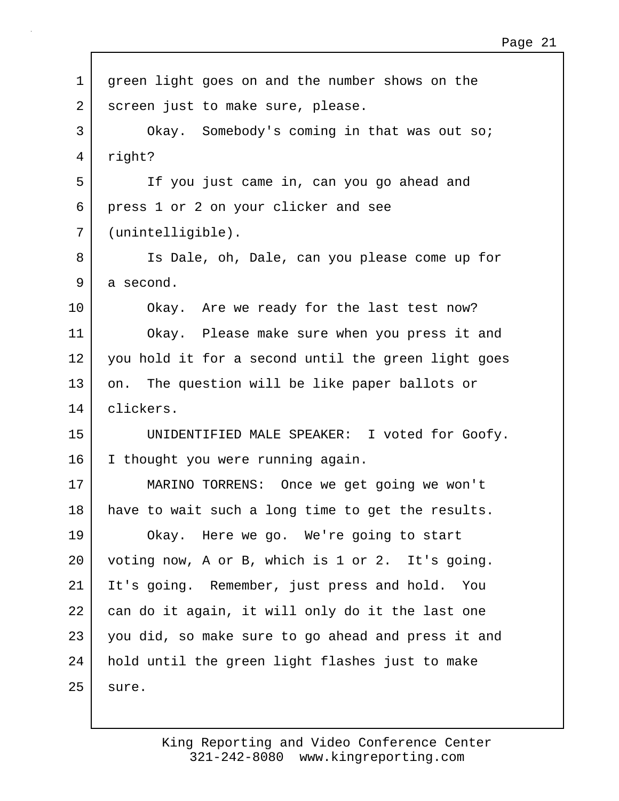1 green light goes on and the number shows on the 2 | screen just to make sure, please. 3 Okay. Somebody's coming in that was out so; 4 right? 5 If you just came in, can you go ahead and 6 press 1 or 2 on your clicker and see 7 (unintelligible). 8 Is Dale, oh, Dale, can you please come up for 9 a second. 10 Okay. Are we ready for the last test now? 11 Okay. Please make sure when you press it and 12 you hold it for a second until the green light goes 13 on. The question will be like paper ballots or 14 clickers. 15 UNIDENTIFIED MALE SPEAKER: I voted for Goofy. 16 I thought you were running again. 17 MARINO TORRENS: Once we get going we won't 18 have to wait such a long time to get the results. 19 Okay. Here we go. We're going to start 20 voting now, A or B, which is 1 or 2. It's going. 21 It's going. Remember, just press and hold. You 22 can do it again, it will only do it the last one 23 you did, so make sure to go ahead and press it and 24 hold until the green light flashes just to make  $25$  sure.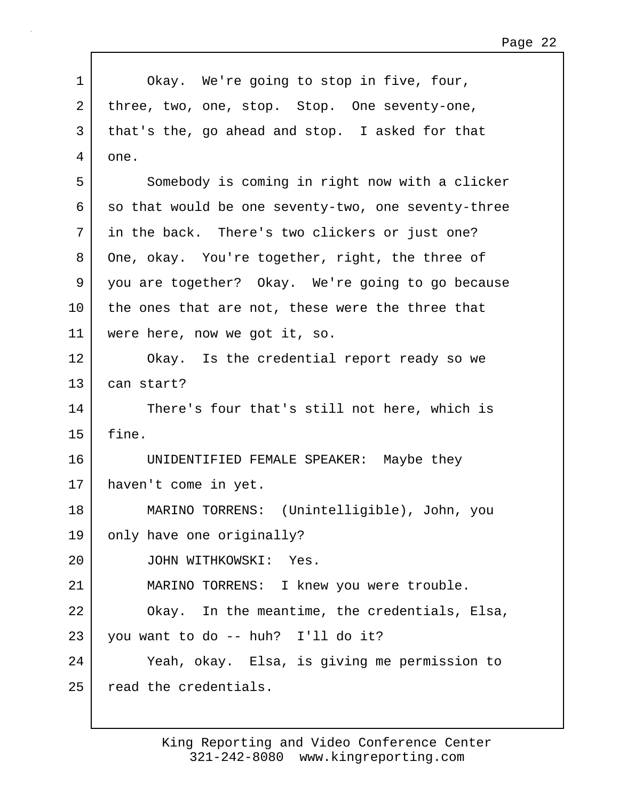| $\mathbf 1$ | Okay. We're going to stop in five, four,            |
|-------------|-----------------------------------------------------|
| 2           | three, two, one, stop. Stop. One seventy-one,       |
| 3           | that's the, go ahead and stop. I asked for that     |
| 4           | one.                                                |
| 5           | Somebody is coming in right now with a clicker      |
| 6           | so that would be one seventy-two, one seventy-three |
| 7           | in the back. There's two clickers or just one?      |
| 8           | One, okay. You're together, right, the three of     |
| 9           | you are together? Okay. We're going to go because   |
| 10          | the ones that are not, these were the three that    |
| 11          | were here, now we got it, so.                       |
| 12          | Okay. Is the credential report ready so we          |
| 13          | can start?                                          |
| 14          | There's four that's still not here, which is        |
| 15          | fine.                                               |
| 16          | UNIDENTIFIED FEMALE SPEAKER: Maybe they             |
| 17          | haven't come in yet.                                |
| 18          | MARINO TORRENS: (Unintelligible), John, you         |
| 19          | only have one originally?                           |
| 20          | JOHN WITHKOWSKI: Yes.                               |
| 21          | MARINO TORRENS: I knew you were trouble.            |
| 22          | Okay. In the meantime, the credentials, Elsa,       |
| 23          | you want to do -- huh? I'll do it?                  |
| 24          | Yeah, okay. Elsa, is giving me permission to        |
| 25          | read the credentials.                               |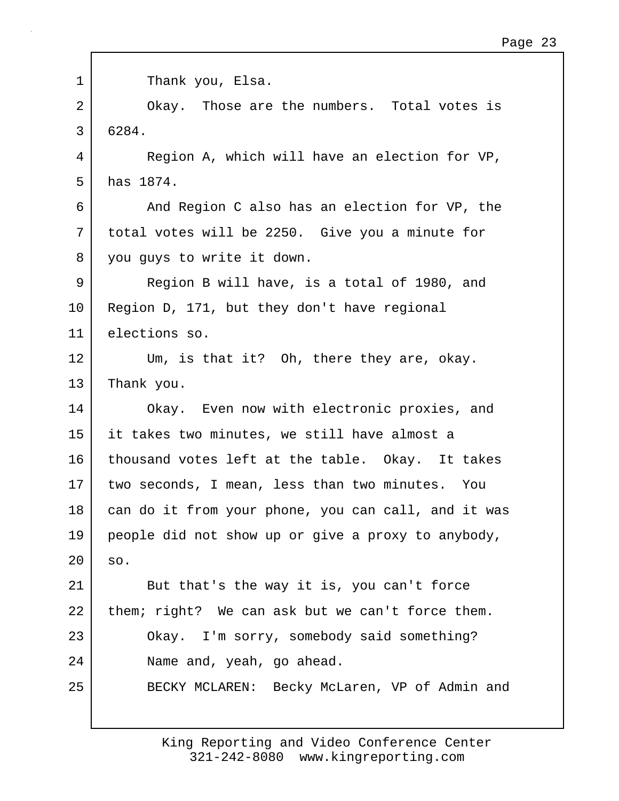| $\mathbf 1$ | Thank you, Elsa.                                    |
|-------------|-----------------------------------------------------|
| 2           | Okay. Those are the numbers. Total votes is         |
|             |                                                     |
| 3           | 6284.                                               |
| 4           | Region A, which will have an election for VP,       |
| 5           | has 1874.                                           |
| 6           | And Region C also has an election for VP, the       |
| 7           | total votes will be 2250. Give you a minute for     |
| 8           | you guys to write it down.                          |
| 9           | Region B will have, is a total of 1980, and         |
| 10          | Region D, 171, but they don't have regional         |
| 11          | elections so.                                       |
| 12          | Um, is that it? Oh, there they are, okay.           |
| 13          | Thank you.                                          |
| 14          | Okay. Even now with electronic proxies, and         |
| 15          | it takes two minutes, we still have almost a        |
| 16          | thousand votes left at the table. Okay. It takes    |
| 17          | two seconds, I mean, less than two minutes. You     |
| 18          | can do it from your phone, you can call, and it was |
| 19          | people did not show up or give a proxy to anybody,  |
| 20          | SO.                                                 |
| 21          | But that's the way it is, you can't force           |
| 22          | them; right? We can ask but we can't force them.    |
| 23          | Okay. I'm sorry, somebody said something?           |
| 24          | Name and, yeah, go ahead.                           |
| 25          | BECKY MCLAREN: Becky McLaren, VP of Admin and       |
|             |                                                     |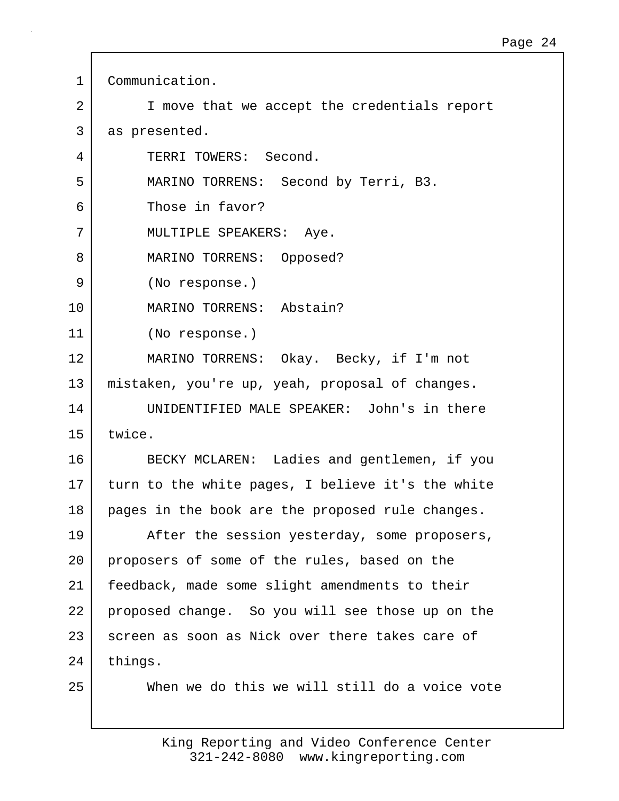1 Communication. 2 I move that we accept the credentials report 3 as presented. 4 TERRI TOWERS: Second. 5 MARINO TORRENS: Second by Terri, B3. 6 Those in favor? 7 | MULTIPLE SPEAKERS: Aye. 8 | MARINO TORRENS: Opposed? 9 (No response.) 10 MARINO TORRENS: Abstain? 11 (No response.) 12 MARINO TORRENS: Okay. Becky, if I'm not 13 mistaken, you're up, yeah, proposal of changes. 14 UNIDENTIFIED MALE SPEAKER: John's in there 15 twice. 16 BECKY MCLAREN: Ladies and gentlemen, if you 17 turn to the white pages, I believe it's the white 18 pages in the book are the proposed rule changes. 19 After the session yesterday, some proposers, 20 proposers of some of the rules, based on the 21 feedback, made some slight amendments to their 22 proposed change. So you will see those up on the 23 screen as soon as Nick over there takes care of 24 | things. 25 When we do this we will still do a voice vote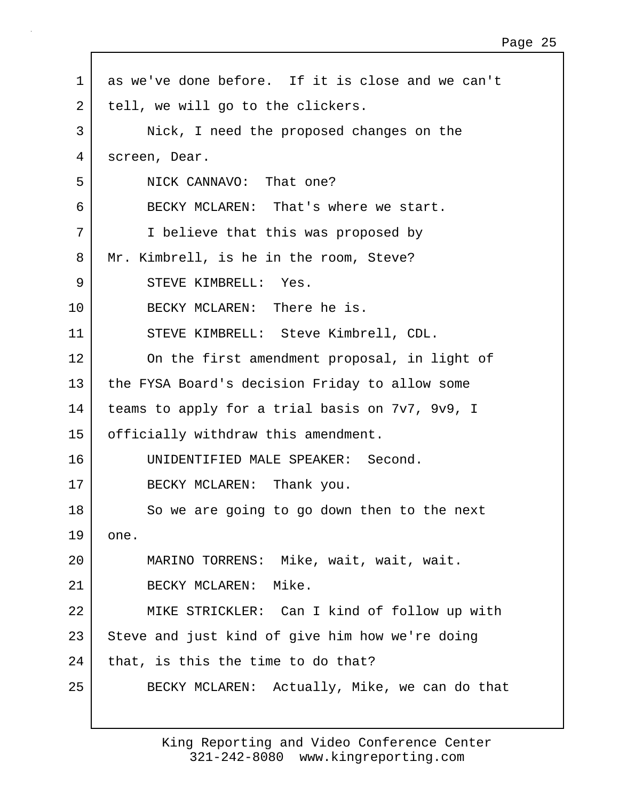1 as we've done before. If it is close and we can't 2 | tell, we will go to the clickers. 3 Nick, I need the proposed changes on the 4 screen, Dear. 5 NICK CANNAVO: That one? 6 BECKY MCLAREN: That's where we start. 7 I believe that this was proposed by 8 Mr. Kimbrell, is he in the room, Steve? 9 STEVE KIMBRELL: Yes. 10 BECKY MCLAREN: There he is. 11 STEVE KIMBRELL: Steve Kimbrell, CDL. 12 On the first amendment proposal, in light of 13 the FYSA Board's decision Friday to allow some 14 teams to apply for a trial basis on 7v7, 9v9, I 15 | officially withdraw this amendment. 16 UNIDENTIFIED MALE SPEAKER: Second. 17 BECKY MCLAREN: Thank you. 18 So we are going to go down then to the next  $19$  one. 20 MARINO TORRENS: Mike, wait, wait, wait. 21 BECKY MCLAREN: Mike. 22 MIKE STRICKLER: Can I kind of follow up with 23 Steve and just kind of give him how we're doing  $24$  that, is this the time to do that? 25 BECKY MCLAREN: Actually, Mike, we can do that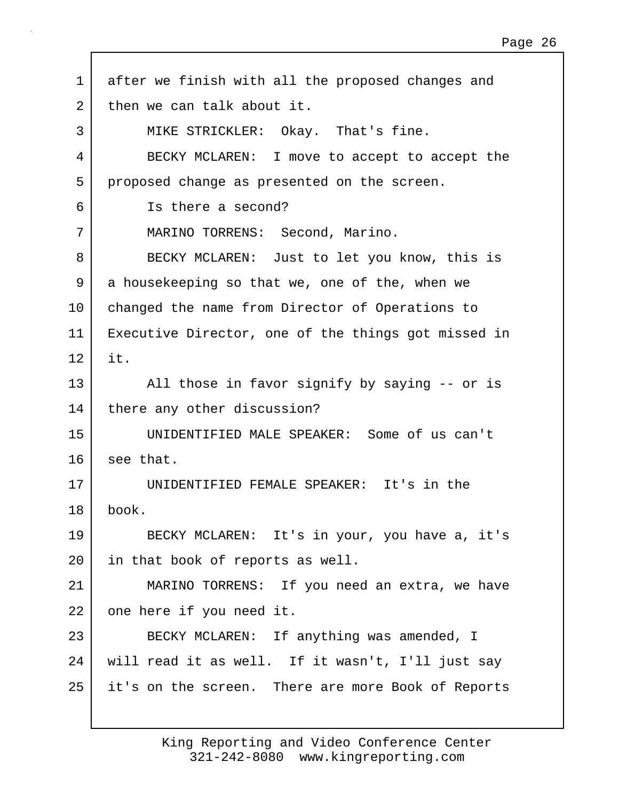1 after we finish with all the proposed changes and 2 then we can talk about it. 3 MIKE STRICKLER: Okay. That's fine. 4 BECKY MCLAREN: I move to accept to accept the 5 proposed change as presented on the screen. 6 Is there a second? 7 MARINO TORRENS: Second, Marino. 8 BECKY MCLAREN: Just to let you know, this is 9 a housekeeping so that we, one of the, when we 10 | changed the name from Director of Operations to 11 Executive Director, one of the things got missed in  $12$  it. 13 All those in favor signify by saying -- or is 14 | there any other discussion? 15 UNIDENTIFIED MALE SPEAKER: Some of us can't 16 see that. 17 UNIDENTIFIED FEMALE SPEAKER: It's in the 18 book. 19 BECKY MCLAREN: It's in your, you have a, it's 20 in that book of reports as well. 21 MARINO TORRENS: If you need an extra, we have 22 one here if you need it. 23 BECKY MCLAREN: If anything was amended, I 24 will read it as well. If it wasn't, I'll just say 25 it's on the screen. There are more Book of Reports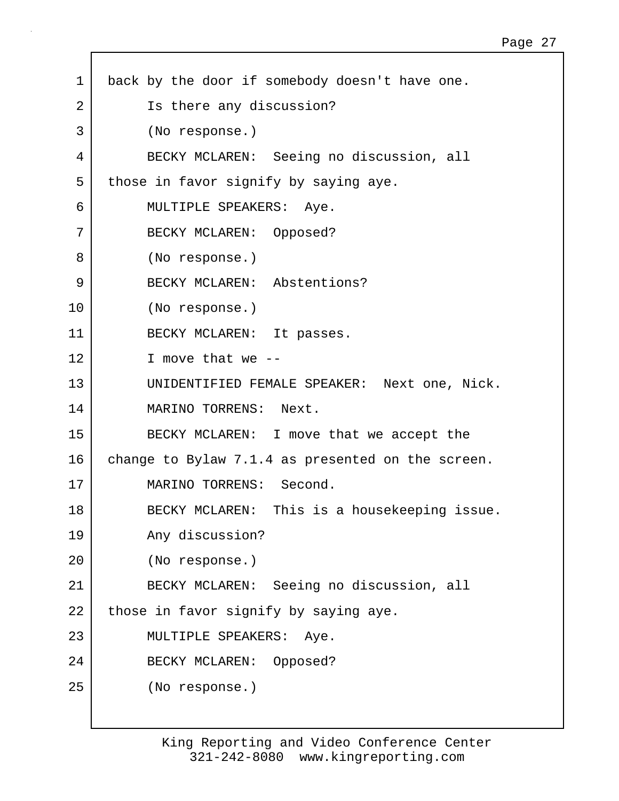| $\mathbf 1$ | back by the door if somebody doesn't have one.    |
|-------------|---------------------------------------------------|
| 2           | Is there any discussion?                          |
| 3           | (No response.)                                    |
| 4           | BECKY MCLAREN: Seeing no discussion, all          |
| 5           | those in favor signify by saying aye.             |
| 6           | MULTIPLE SPEAKERS: Aye.                           |
| 7           | BECKY MCLAREN: Opposed?                           |
| 8           | (No response.)                                    |
| 9           | BECKY MCLAREN: Abstentions?                       |
| 10          | (No response.)                                    |
| 11          | BECKY MCLAREN: It passes.                         |
| 12          | I move that we $-$                                |
| 13          | UNIDENTIFIED FEMALE SPEAKER: Next one, Nick.      |
| 14          | MARINO TORRENS: Next.                             |
| 15          | BECKY MCLAREN: I move that we accept the          |
| 16          | change to Bylaw 7.1.4 as presented on the screen. |
| 17          | MARINO TORRENS: Second.                           |
| 18          | This is a housekeeping issue.<br>BECKY MCLAREN:   |
| 19          | Any discussion?                                   |
| 20          | (No response.)                                    |
| 21          | BECKY MCLAREN: Seeing no discussion, all          |
| 22          | those in favor signify by saying aye.             |
| 23          | MULTIPLE SPEAKERS: Aye.                           |
| 24          | BECKY MCLAREN: Opposed?                           |
| 25          | (No response.)                                    |
|             |                                                   |

Г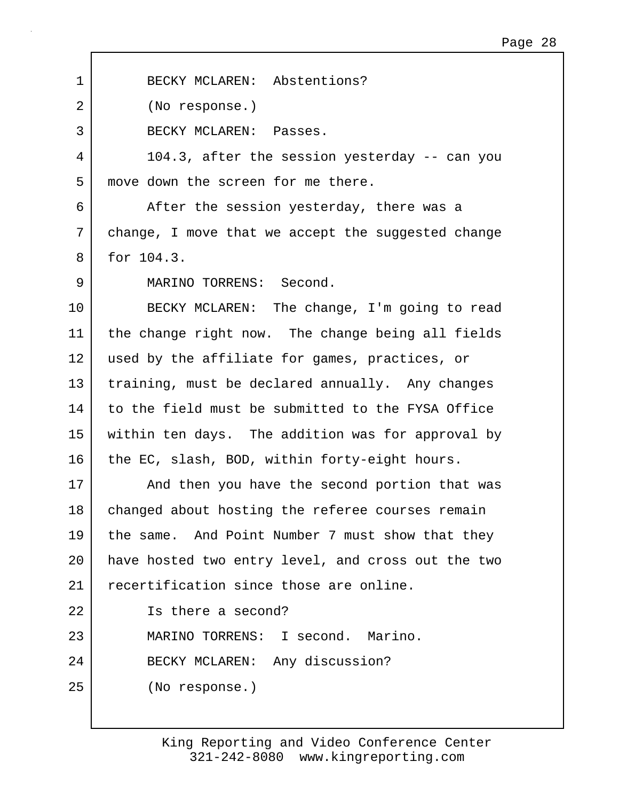1 BECKY MCLAREN: Abstentions? 2 (No response.) 3 BECKY MCLAREN: Passes. 4 104.3, after the session yesterday -- can you 5 move down the screen for me there. 6 After the session yesterday, there was a 7 change, I move that we accept the suggested change 8 for 104.3. 9 MARINO TORRENS: Second. 10 BECKY MCLAREN: The change, I'm going to read 11 the change right now. The change being all fields 12 used by the affiliate for games, practices, or 13 training, must be declared annually. Any changes 14 to the field must be submitted to the FYSA Office 15 within ten days. The addition was for approval by 16 the EC, slash, BOD, within forty-eight hours. 17 | And then you have the second portion that was 18 | changed about hosting the referee courses remain 19 the same. And Point Number 7 must show that they 20 have hosted two entry level, and cross out the two 21 recertification since those are online. 22 Is there a second? 23 MARINO TORRENS: I second. Marino. 24 BECKY MCLAREN: Any discussion? 25 (No response.)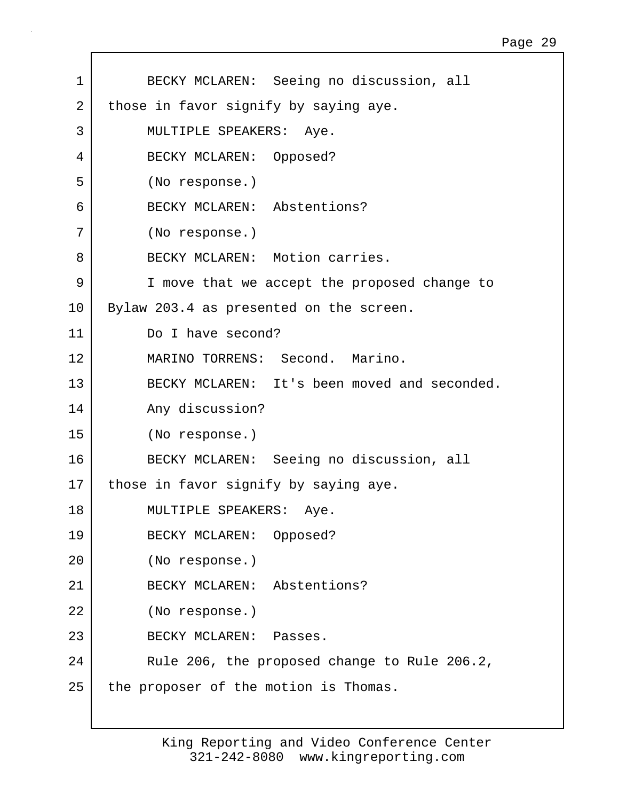| 1               | BECKY MCLAREN: Seeing no discussion, all     |
|-----------------|----------------------------------------------|
| $\overline{2}$  | those in favor signify by saying aye.        |
| 3               | MULTIPLE SPEAKERS: Aye.                      |
| 4               | BECKY MCLAREN: Opposed?                      |
| 5               | (No response.)                               |
| 6               | BECKY MCLAREN: Abstentions?                  |
| 7               | (No response.)                               |
| 8               | BECKY MCLAREN: Motion carries.               |
| 9               | I move that we accept the proposed change to |
| 10              | Bylaw 203.4 as presented on the screen.      |
| 11              | Do I have second?                            |
| 12              | MARINO TORRENS: Second. Marino.              |
| 13              | BECKY MCLAREN: It's been moved and seconded. |
| 14              | Any discussion?                              |
| 15              | (No response.)                               |
| 16              | BECKY MCLAREN: Seeing no discussion, all     |
| 17 <sub>2</sub> | those in favor signify by saying aye.        |
| 18              | MULTIPLE SPEAKERS:<br>Aye.                   |
| 19              | BECKY MCLAREN: Opposed?                      |
| 20              | (No response.)                               |
| 21              | BECKY MCLAREN: Abstentions?                  |
| 22              | (No response.)                               |
| 23              | BECKY MCLAREN: Passes.                       |
| 24              | Rule 206, the proposed change to Rule 206.2, |
| 25              | the proposer of the motion is Thomas.        |
|                 |                                              |

 $\mathbf{I}$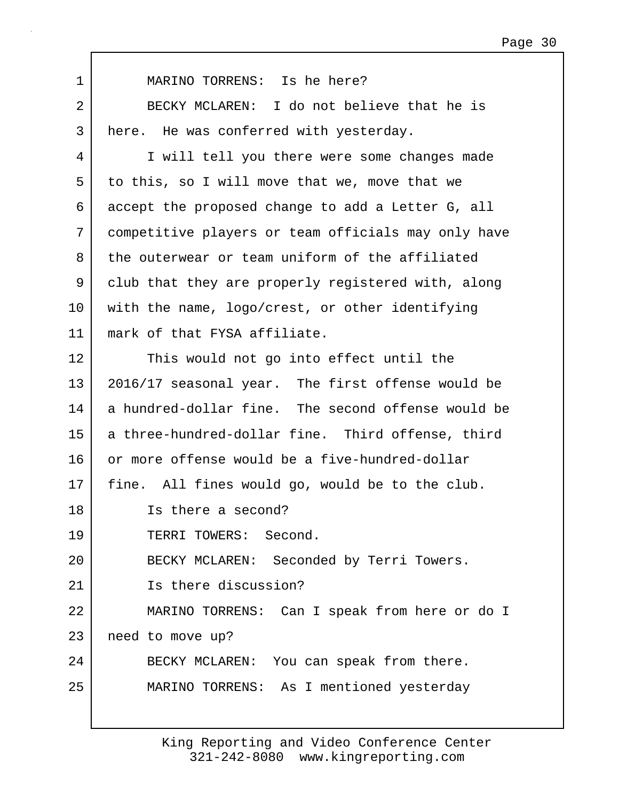| $\mathbf 1$ | MARINO TORRENS: Is he here?                         |
|-------------|-----------------------------------------------------|
| 2           | BECKY MCLAREN: I do not believe that he is          |
| 3           | here. He was conferred with yesterday.              |
| 4           | I will tell you there were some changes made        |
| 5           | to this, so I will move that we, move that we       |
| 6           | accept the proposed change to add a Letter G, all   |
| 7           | competitive players or team officials may only have |
| 8           | the outerwear or team uniform of the affiliated     |
| 9           | club that they are properly registered with, along  |
| 10          | with the name, logo/crest, or other identifying     |
| 11          | mark of that FYSA affiliate.                        |
| 12          | This would not go into effect until the             |
| 13          | 2016/17 seasonal year. The first offense would be   |
| 14          | a hundred-dollar fine. The second offense would be  |
| 15          | a three-hundred-dollar fine. Third offense, third   |
| 16          | or more offense would be a five-hundred-dollar      |
| 17          | fine. All fines would go, would be to the club.     |
| 18          | Is there a second?                                  |
| 19          | TERRI TOWERS: Second.                               |
| 20          | BECKY MCLAREN: Seconded by Terri Towers.            |
| 21          | Is there discussion?                                |
| 22          | MARINO TORRENS: Can I speak from here or do I       |
| 23          | need to move up?                                    |
| 24          | BECKY MCLAREN: You can speak from there.            |
| 25          | MARINO TORRENS: As I mentioned yesterday            |
|             |                                                     |

 $\mathbf{I}$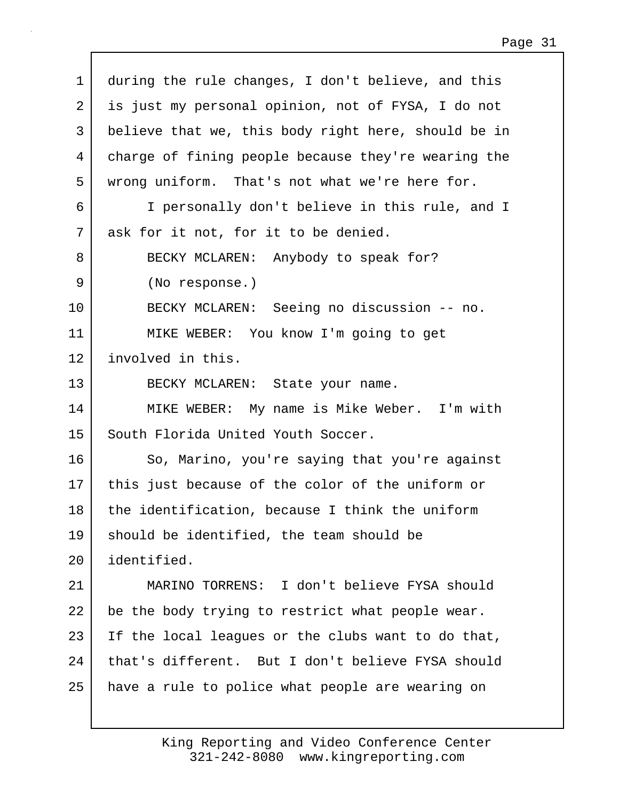| 1  | during the rule changes, I don't believe, and this  |
|----|-----------------------------------------------------|
| 2  | is just my personal opinion, not of FYSA, I do not  |
| 3  | believe that we, this body right here, should be in |
| 4  | charge of fining people because they're wearing the |
| 5  | wrong uniform. That's not what we're here for.      |
| 6  | I personally don't believe in this rule, and I      |
| 7  | ask for it not, for it to be denied.                |
| 8  | BECKY MCLAREN: Anybody to speak for?                |
| 9  | (No response.)                                      |
| 10 | BECKY MCLAREN: Seeing no discussion -- no.          |
| 11 | MIKE WEBER: You know I'm going to get               |
| 12 | involved in this.                                   |
| 13 | BECKY MCLAREN: State your name.                     |
| 14 | MIKE WEBER: My name is Mike Weber. I'm with         |
| 15 | South Florida United Youth Soccer.                  |
| 16 | So, Marino, you're saying that you're against       |
| 17 | this just because of the color of the uniform or    |
| 18 | the identification, because I think the uniform     |
| 19 | should be identified, the team should be            |
| 20 | identified.                                         |
| 21 | MARINO TORRENS: I don't believe FYSA should         |
| 22 | be the body trying to restrict what people wear.    |
| 23 | If the local leagues or the clubs want to do that,  |
| 24 | that's different. But I don't believe FYSA should   |
| 25 | have a rule to police what people are wearing on    |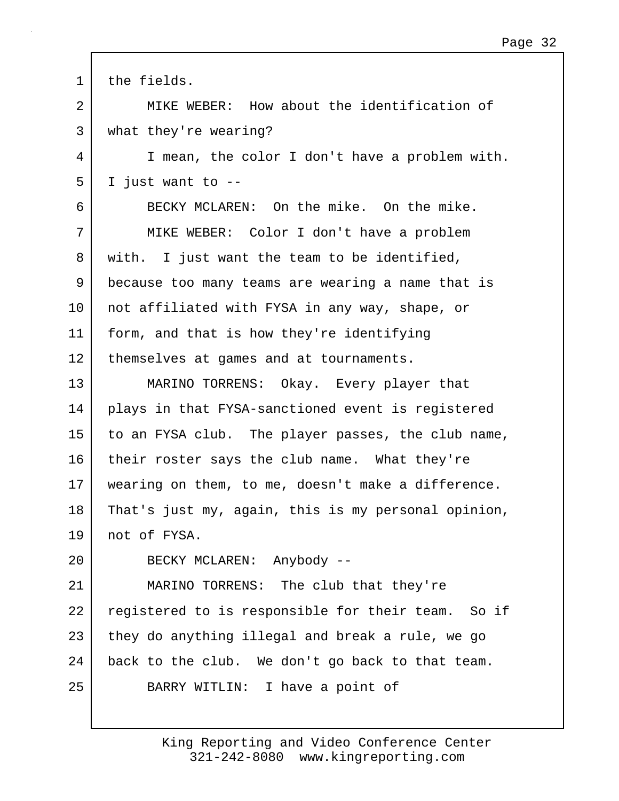| 1  | the fields.                                         |
|----|-----------------------------------------------------|
| 2  | MIKE WEBER: How about the identification of         |
| 3  | what they're wearing?                               |
| 4  | I mean, the color I don't have a problem with.      |
| 5  | I just want to --                                   |
| 6  | BECKY MCLAREN: On the mike. On the mike.            |
| 7  | MIKE WEBER: Color I don't have a problem            |
| 8  | with. I just want the team to be identified,        |
| 9  | because too many teams are wearing a name that is   |
| 10 | not affiliated with FYSA in any way, shape, or      |
| 11 | form, and that is how they're identifying           |
| 12 | themselves at games and at tournaments.             |
| 13 | MARINO TORRENS: Okay. Every player that             |
| 14 | plays in that FYSA-sanctioned event is registered   |
| 15 | to an FYSA club. The player passes, the club name,  |
| 16 | their roster says the club name. What they're       |
| 17 | wearing on them, to me, doesn't make a difference.  |
| 18 | That's just my, again, this is my personal opinion, |
| 19 | not of FYSA.                                        |
| 20 | BECKY MCLAREN: Anybody --                           |
| 21 | MARINO TORRENS: The club that they're               |
| 22 | registered to is responsible for their team. So if  |
| 23 | they do anything illegal and break a rule, we go    |
| 24 | back to the club. We don't go back to that team.    |
| 25 | BARRY WITLIN: I have a point of                     |
|    |                                                     |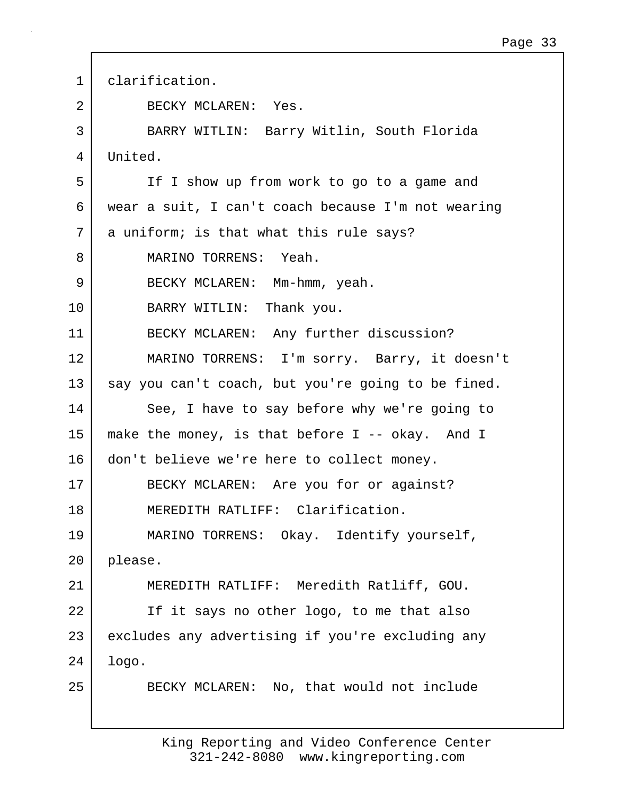| $\mathbf 1$ | clarification.                                     |
|-------------|----------------------------------------------------|
| 2           | BECKY MCLAREN: Yes.                                |
| 3           | BARRY WITLIN: Barry Witlin, South Florida          |
| 4           | United.                                            |
| 5           | If I show up from work to go to a game and         |
| 6           | wear a suit, I can't coach because I'm not wearing |
| 7           | a uniform; is that what this rule says?            |
| 8           | MARINO TORRENS: Yeah.                              |
| 9           | BECKY MCLAREN: Mm-hmm, yeah.                       |
| 10          | BARRY WITLIN: Thank you.                           |
| 11          | BECKY MCLAREN: Any further discussion?             |
| 12          | MARINO TORRENS: I'm sorry. Barry, it doesn't       |
| 13          | say you can't coach, but you're going to be fined. |
| 14          | See, I have to say before why we're going to       |
| 15          | make the money, is that before I -- okay. And I    |
| 16          | don't believe we're here to collect money.         |
| 17          | BECKY MCLAREN: Are you for or against?             |
| 18          | MEREDITH RATLIFF: Clarification.                   |
| 19          | MARINO TORRENS: Okay. Identify yourself,           |
| 20          | please.                                            |
| 21          | MEREDITH RATLIFF: Meredith Ratliff, GOU.           |
| 22          | If it says no other logo, to me that also          |
| 23          | excludes any advertising if you're excluding any   |
| 24          | logo.                                              |
| 25          | BECKY MCLAREN: No, that would not include          |
|             |                                                    |

 $\Gamma$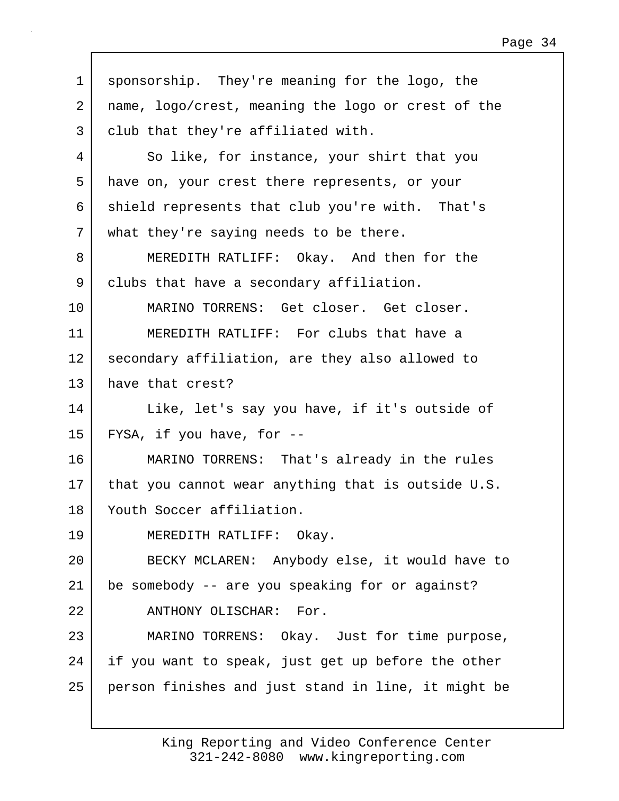| 1  | sponsorship. They're meaning for the logo, the      |
|----|-----------------------------------------------------|
| 2  | name, logo/crest, meaning the logo or crest of the  |
| 3  | club that they're affiliated with.                  |
| 4  | So like, for instance, your shirt that you          |
| 5  | have on, your crest there represents, or your       |
| 6  | shield represents that club you're with. That's     |
| 7  | what they're saying needs to be there.              |
| 8  | MEREDITH RATLIFF: Okay. And then for the            |
| 9  | clubs that have a secondary affiliation.            |
| 10 | MARINO TORRENS: Get closer. Get closer.             |
| 11 | MEREDITH RATLIFF: For clubs that have a             |
| 12 | secondary affiliation, are they also allowed to     |
| 13 | have that crest?                                    |
| 14 | Like, let's say you have, if it's outside of        |
| 15 | FYSA, if you have, for --                           |
| 16 | MARINO TORRENS: That's already in the rules         |
| 17 | that you cannot wear anything that is outside U.S.  |
| 18 | Youth Soccer affiliation.                           |
| 19 | MEREDITH RATLIFF: Okay.                             |
| 20 | BECKY MCLAREN: Anybody else, it would have to       |
| 21 | be somebody -- are you speaking for or against?     |
| 22 | ANTHONY OLISCHAR: For.                              |
| 23 | MARINO TORRENS: Okay. Just for time purpose,        |
| 24 | if you want to speak, just get up before the other  |
| 25 | person finishes and just stand in line, it might be |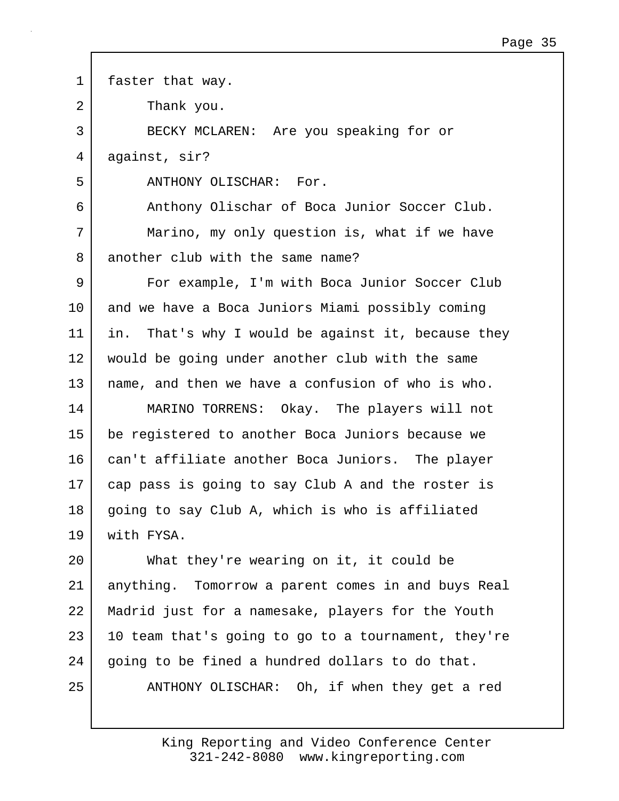1 | faster that way. 2 Thank you. 3 BECKY MCLAREN: Are you speaking for or 4 against, sir? 5 ANTHONY OLISCHAR: For. 6 Anthony Olischar of Boca Junior Soccer Club. 7 Marino, my only question is, what if we have 8 another club with the same name? 9 | For example, I'm with Boca Junior Soccer Club 10 and we have a Boca Juniors Miami possibly coming 11 in. That's why I would be against it, because they 12 would be going under another club with the same 13 name, and then we have a confusion of who is who. 14 MARINO TORRENS: Okay. The players will not 15 be registered to another Boca Juniors because we 16 can't affiliate another Boca Juniors. The player 17 cap pass is going to say Club A and the roster is 18 qoing to say Club A, which is who is affiliated 19 with FYSA. 20 What they're wearing on it, it could be 21 anything. Tomorrow a parent comes in and buys Real 22 Madrid just for a namesake, players for the Youth  $23$  10 team that's going to go to a tournament, they're 24 going to be fined a hundred dollars to do that. 25 | ANTHONY OLISCHAR: Oh, if when they get a red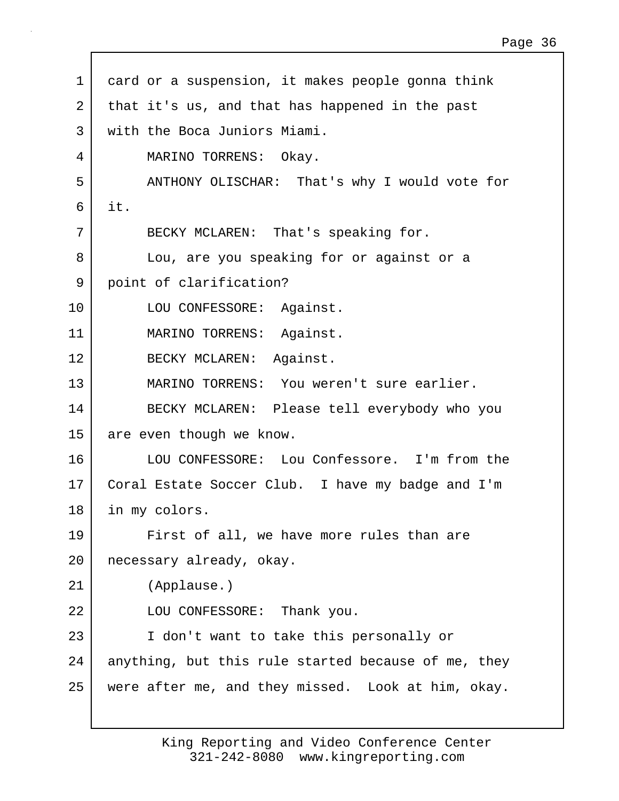| $\mathbf 1$ | card or a suspension, it makes people gonna think   |
|-------------|-----------------------------------------------------|
| 2           | that it's us, and that has happened in the past     |
| 3           | with the Boca Juniors Miami.                        |
| 4           | MARINO TORRENS: Okay.                               |
| 5           | ANTHONY OLISCHAR: That's why I would vote for       |
| 6           | it.                                                 |
| 7           | BECKY MCLAREN: That's speaking for.                 |
| 8           | Lou, are you speaking for or against or a           |
| 9           | point of clarification?                             |
| 10          | LOU CONFESSORE: Against.                            |
| 11          | MARINO TORRENS: Against.                            |
| 12          | BECKY MCLAREN: Against.                             |
| 13          | MARINO TORRENS: You weren't sure earlier.           |
| 14          | BECKY MCLAREN: Please tell everybody who you        |
| 15          | are even though we know.                            |
| 16          | LOU CONFESSORE: Lou Confessore. I'm from the        |
| 17          | Coral Estate Soccer Club. I have my badge and I'm   |
| 18          | in my colors.                                       |
| 19          | First of all, we have more rules than are           |
| 20          | necessary already, okay.                            |
| 21          | (Applause.)                                         |
| 22          | LOU CONFESSORE: Thank you.                          |
| 23          | I don't want to take this personally or             |
| 24          | anything, but this rule started because of me, they |
| 25          | were after me, and they missed. Look at him, okay.  |
|             |                                                     |

Г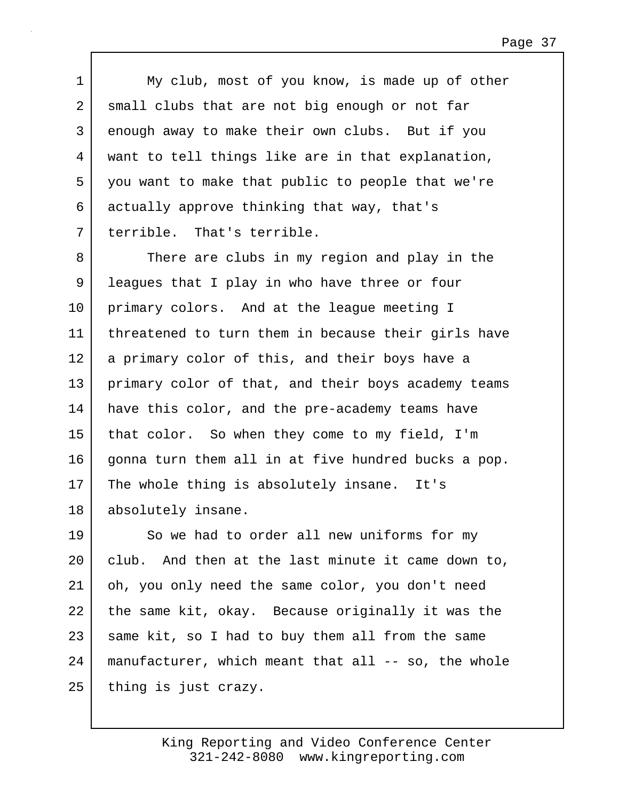1 My club, most of you know, is made up of other 2 small clubs that are not big enough or not far 3 enough away to make their own clubs. But if you 4 want to tell things like are in that explanation, 5 you want to make that public to people that we're 6 actually approve thinking that way, that's 7 terrible. That's terrible.

8 There are clubs in my region and play in the 9 | leagues that I play in who have three or four 10 primary colors. And at the league meeting I 11 threatened to turn them in because their girls have 12 a primary color of this, and their boys have a 13 primary color of that, and their boys academy teams 14 | have this color, and the pre-academy teams have 15 that color. So when they come to my field, I'm 16 gonna turn them all in at five hundred bucks a pop. 17 The whole thing is absolutely insane. It's 18 absolutely insane.

19 So we had to order all new uniforms for my 20 club. And then at the last minute it came down to, 21 oh, you only need the same color, you don't need 22 the same kit, okay. Because originally it was the 23 same kit, so I had to buy them all from the same 24 manufacturer, which meant that all -- so, the whole 25 thing is just crazy.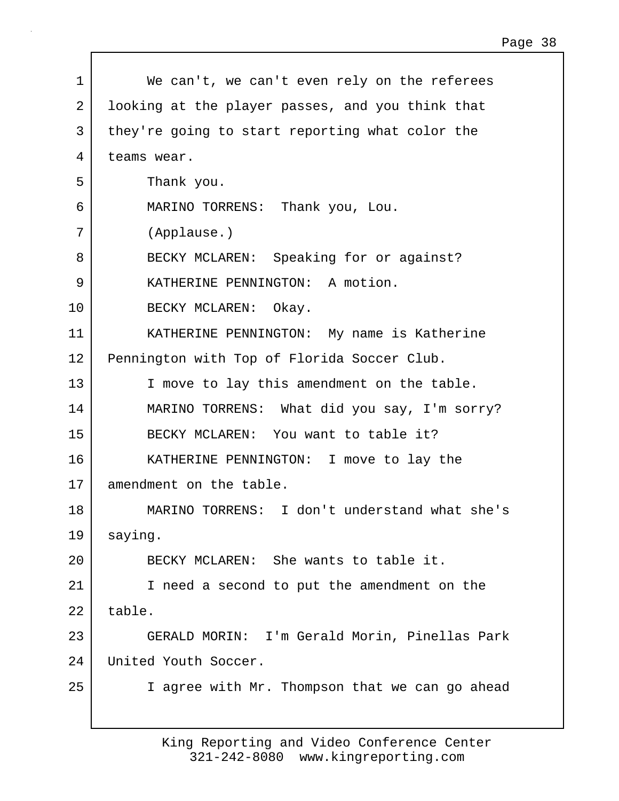| 1  | We can't, we can't even rely on the referees     |
|----|--------------------------------------------------|
| 2  | looking at the player passes, and you think that |
| 3  | they're going to start reporting what color the  |
| 4  | teams wear.                                      |
| 5  | Thank you.                                       |
| 6  | MARINO TORRENS: Thank you, Lou.                  |
| 7  | (Applause.)                                      |
| 8  | BECKY MCLAREN: Speaking for or against?          |
| 9  | KATHERINE PENNINGTON: A motion.                  |
| 10 | BECKY MCLAREN: Okay.                             |
| 11 | KATHERINE PENNINGTON: My name is Katherine       |
| 12 | Pennington with Top of Florida Soccer Club.      |
| 13 | I move to lay this amendment on the table.       |
| 14 | MARINO TORRENS: What did you say, I'm sorry?     |
| 15 | BECKY MCLAREN: You want to table it?             |
| 16 | KATHERINE PENNINGTON: I move to lay the          |
| 17 | amendment on the table.                          |
| 18 | MARINO TORRENS: I don't understand what she's    |
| 19 | saying.                                          |
| 20 | BECKY MCLAREN: She wants to table it.            |
| 21 | I need a second to put the amendment on the      |
| 22 | table.                                           |
| 23 | GERALD MORIN: I'm Gerald Morin, Pinellas Park    |
| 24 | United Youth Soccer.                             |
| 25 | I agree with Mr. Thompson that we can go ahead   |
|    |                                                  |

 $\Gamma$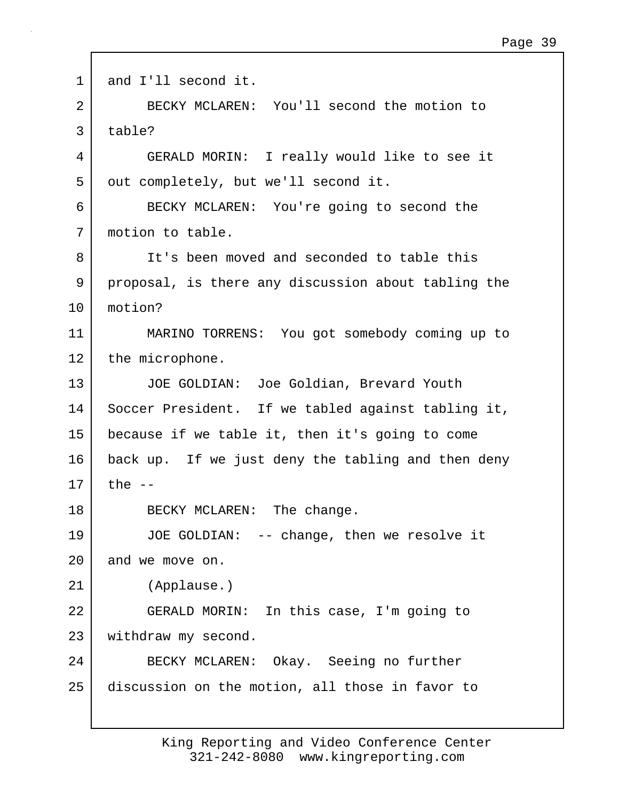```
1 and I'll second it.
2 BECKY MCLAREN: You'll second the motion to
3 table?
4 GERALD MORIN: I really would like to see it
5 | out completely, but we'll second it.
6 BECKY MCLAREN: You're going to second the
7 motion to table.
8 It's been moved and seconded to table this
9 proposal, is there any discussion about tabling the
10 motion?
11 MARINO TORRENS: You got somebody coming up to
12 the microphone.
13 JOE GOLDIAN: Joe Goldian, Brevard Youth
14 Soccer President. If we tabled against tabling it,
15 because if we table it, then it's going to come
16 back up. If we just deny the tabling and then deny
17 the -18 BECKY MCLAREN: The change.
19 JOE GOLDIAN: -- change, then we resolve it
20 and we move on.
21 (Applause.)
22 GERALD MORIN: In this case, I'm going to
23 | withdraw my second.
24 BECKY MCLAREN: Okay. Seeing no further
25 discussion on the motion, all those in favor to
```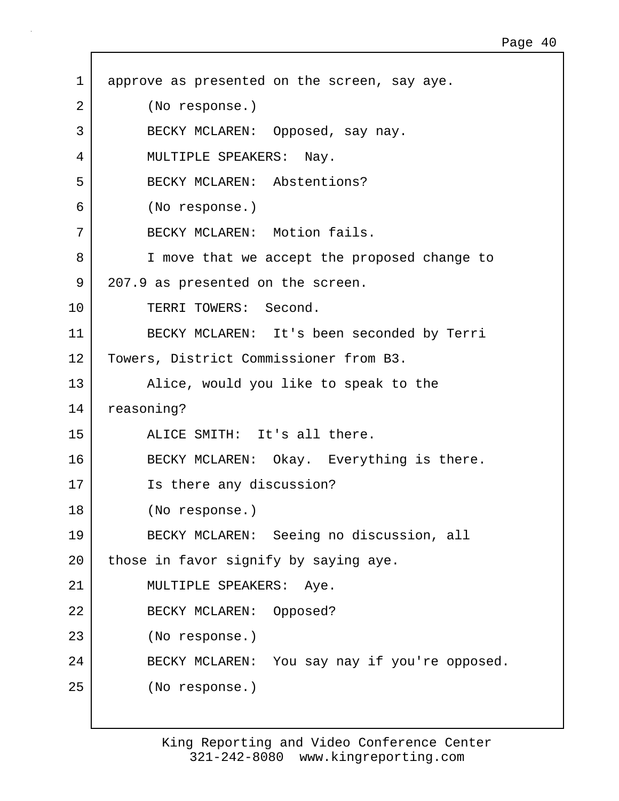1 approve as presented on the screen, say aye. 2 (No response.) 3 BECKY MCLAREN: Opposed, say nay. 4 MULTIPLE SPEAKERS: Nay. 5 BECKY MCLAREN: Abstentions? 6 (No response.) 7 | BECKY MCLAREN: Motion fails. 8 I move that we accept the proposed change to 9 207.9 as presented on the screen. 10 TERRI TOWERS: Second. 11 BECKY MCLAREN: It's been seconded by Terri 12 Towers, District Commissioner from B3. 13 | Alice, would you like to speak to the 14 reasoning? 15 ALICE SMITH: It's all there. 16 BECKY MCLAREN: Okay. Everything is there. 17 Is there any discussion? 18 (No response.) 19 BECKY MCLAREN: Seeing no discussion, all 20 | those in favor signify by saying aye. 21 | MULTIPLE SPEAKERS: Aye. 22 BECKY MCLAREN: Opposed? 23 (No response.) 24 BECKY MCLAREN: You say nay if you're opposed. 25 (No response.)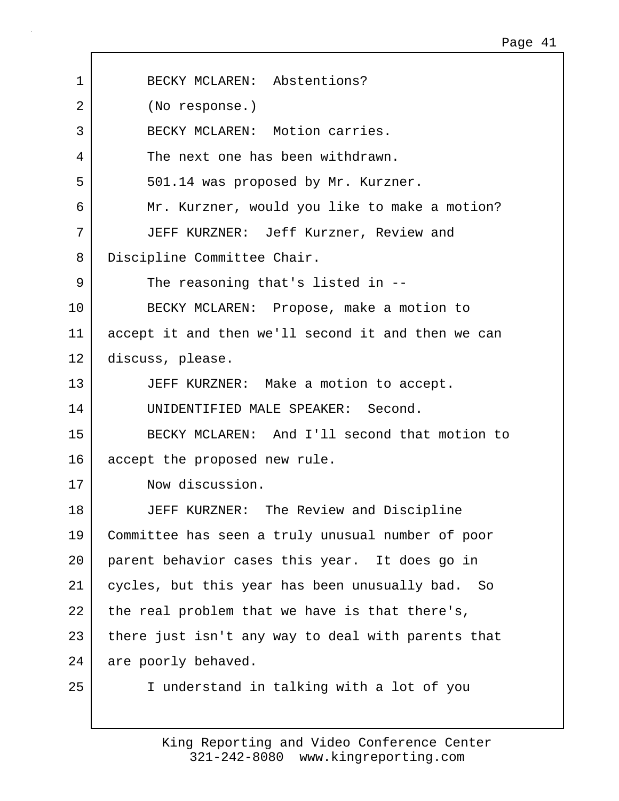| $\mathbf 1$ | BECKY MCLAREN: Abstentions?                        |
|-------------|----------------------------------------------------|
|             |                                                    |
| 2           | (No response.)                                     |
| 3           | BECKY MCLAREN: Motion carries.                     |
| 4           | The next one has been withdrawn.                   |
| 5           | 501.14 was proposed by Mr. Kurzner.                |
| 6           | Mr. Kurzner, would you like to make a motion?      |
| 7           | JEFF KURZNER: Jeff Kurzner, Review and             |
| 8           | Discipline Committee Chair.                        |
| 9           | The reasoning that's listed in --                  |
| 10          | BECKY MCLAREN: Propose, make a motion to           |
| 11          | accept it and then we'll second it and then we can |
| 12          | discuss, please.                                   |
| 13          | JEFF KURZNER: Make a motion to accept.             |
| 14          | UNIDENTIFIED MALE SPEAKER: Second.                 |
| 15          | BECKY MCLAREN: And I'll second that motion to      |
| 16          | accept the proposed new rule.                      |
| 17          | Now discussion.                                    |
| 18          | JEFF KURZNER:<br>The Review and Discipline         |
| 19          | Committee has seen a truly unusual number of poor  |
| 20          | parent behavior cases this year. It does go in     |
| 21          | cycles, but this year has been unusually bad. So   |
| 22          | the real problem that we have is that there's,     |
| 23          | there just isn't any way to deal with parents that |
| 24          | are poorly behaved.                                |
| 25          | I understand in talking with a lot of you          |

 $\Gamma$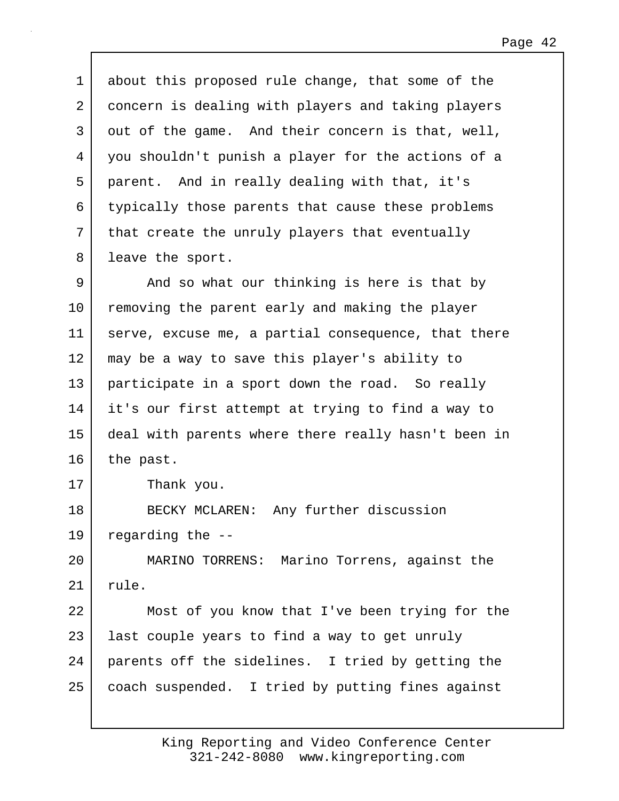1 about this proposed rule change, that some of the 2 concern is dealing with players and taking players 3 out of the game. And their concern is that, well, 4 you shouldn't punish a player for the actions of a 5 parent. And in really dealing with that, it's 6 typically those parents that cause these problems 7 | that create the unruly players that eventually 8 | leave the sport. 9 And so what our thinking is here is that by 10 removing the parent early and making the player 11 serve, excuse me, a partial consequence, that there 12 may be a way to save this player's ability to 13 participate in a sport down the road. So really 14 it's our first attempt at trying to find a way to 15 deal with parents where there really hasn't been in  $16$  the past. 17 Thank you. 18 BECKY MCLAREN: Any further discussion 19 regarding the -- 20 MARINO TORRENS: Marino Torrens, against the 21 rule. 22 Most of you know that I've been trying for the 23 | last couple years to find a way to get unruly 24 parents off the sidelines. I tried by getting the 25 | coach suspended. I tried by putting fines against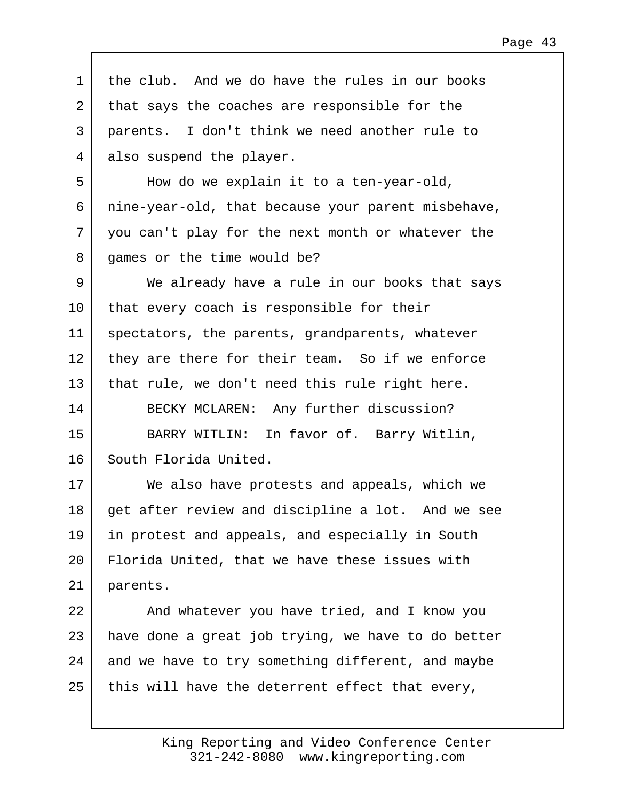1 the club. And we do have the rules in our books 2 that says the coaches are responsible for the 3 parents. I don't think we need another rule to 4 also suspend the player. 5 How do we explain it to a ten-year-old, 6 nine-year-old, that because your parent misbehave, 7 you can't play for the next month or whatever the 8 games or the time would be? 9 We already have a rule in our books that says 10 that every coach is responsible for their 11 spectators, the parents, grandparents, whatever 12 they are there for their team. So if we enforce 13 that rule, we don't need this rule right here. 14 BECKY MCLAREN: Any further discussion? 15 BARRY WITLIN: In favor of. Barry Witlin, 16 South Florida United. 17 We also have protests and appeals, which we 18 get after review and discipline a lot. And we see 19 in protest and appeals, and especially in South 20 Florida United, that we have these issues with 21 parents. 22 | And whatever you have tried, and I know you  $23$  have done a great job trying, we have to do better 24 and we have to try something different, and maybe  $25$  this will have the deterrent effect that every,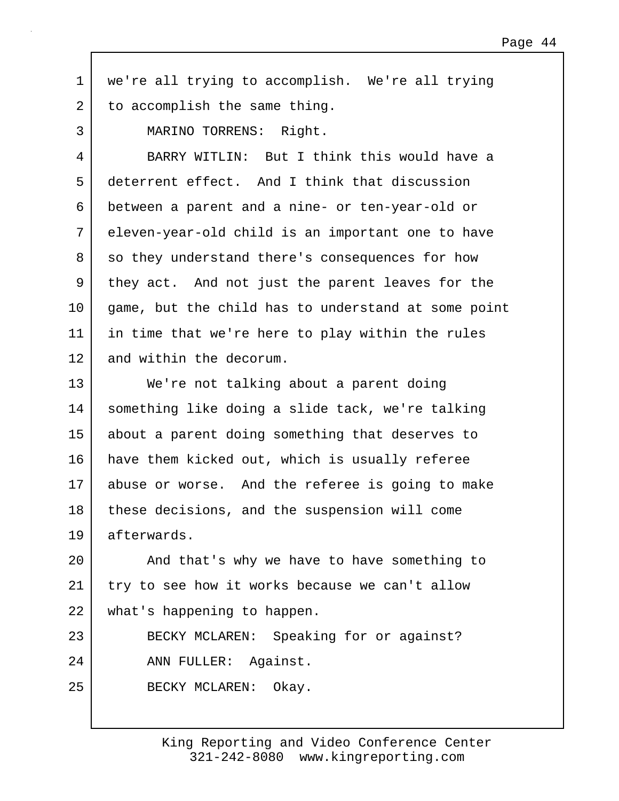1 we're all trying to accomplish. We're all trying 2 to accomplish the same thing.

3 MARINO TORRENS: Right.

4 BARRY WITLIN: But I think this would have a 5 deterrent effect. And I think that discussion 6 between a parent and a nine- or ten-year-old or 7 eleven-year-old child is an important one to have 8 so they understand there's consequences for how 9 they act. And not just the parent leaves for the 10 game, but the child has to understand at some point 11 in time that we're here to play within the rules 12 and within the decorum.

13 We're not talking about a parent doing 14 something like doing a slide tack, we're talking 15 about a parent doing something that deserves to 16 have them kicked out, which is usually referee 17 abuse or worse. And the referee is going to make 18 | these decisions, and the suspension will come 19 afterwards.

20 | And that's why we have to have something to 21 try to see how it works because we can't allow 22 what's happening to happen.

23 BECKY MCLAREN: Speaking for or against? 24 ANN FULLER: Against.

25 BECKY MCLAREN: Okay.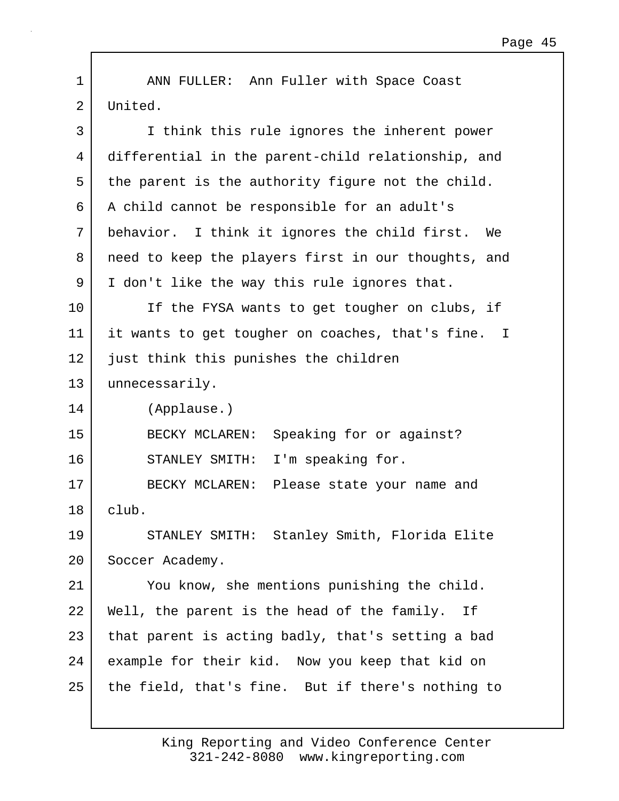1 | ANN FULLER: Ann Fuller with Space Coast 2 United.

| 3  | I think this rule ignores the inherent power        |
|----|-----------------------------------------------------|
| 4  | differential in the parent-child relationship, and  |
| 5  | the parent is the authority figure not the child.   |
| 6  | A child cannot be responsible for an adult's        |
| 7  | behavior. I think it ignores the child first. We    |
| 8  | need to keep the players first in our thoughts, and |
| 9  | I don't like the way this rule ignores that.        |
| 10 | If the FYSA wants to get tougher on clubs, if       |
| 11 | it wants to get tougher on coaches, that's fine. I  |
| 12 | just think this punishes the children               |
| 13 | unnecessarily.                                      |
| 14 | (Applause.)                                         |
| 15 | BECKY MCLAREN:<br>Speaking for or against?          |
| 16 | I'm speaking for.<br>STANLEY SMITH:                 |
| 17 | BECKY MCLAREN: Please state your name and           |
| 18 | club.                                               |
| 19 | STANLEY SMITH: Stanley Smith, Florida Elite         |
| 20 | Soccer Academy.                                     |
| 21 | You know, she mentions punishing the child.         |
| 22 | Well, the parent is the head of the family.<br>Ιf   |
| 23 | that parent is acting badly, that's setting a bad   |
| 24 | example for their kid. Now you keep that kid on     |
| 25 | the field, that's fine. But if there's nothing to   |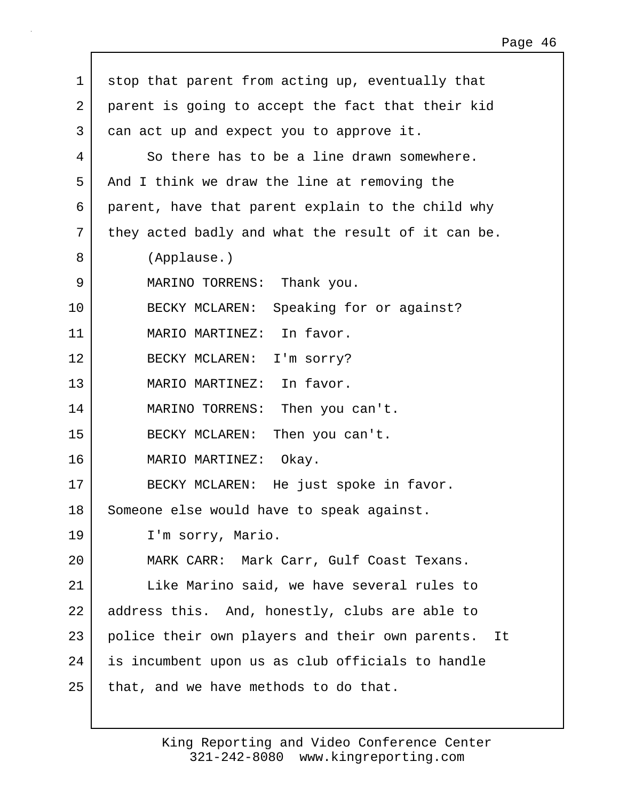| $\mathbf 1$ | stop that parent from acting up, eventually that      |
|-------------|-------------------------------------------------------|
| 2           | parent is going to accept the fact that their kid     |
| 3           | can act up and expect you to approve it.              |
| 4           | So there has to be a line drawn somewhere.            |
| 5           | And I think we draw the line at removing the          |
| 6           | parent, have that parent explain to the child why     |
| 7           | they acted badly and what the result of it can be.    |
| 8           | (Applause.)                                           |
| 9           | MARINO TORRENS: Thank you.                            |
| 10          | BECKY MCLAREN: Speaking for or against?               |
| 11          | MARIO MARTINEZ: In favor.                             |
| 12          | BECKY MCLAREN: I'm sorry?                             |
| 13          | MARIO MARTINEZ: In favor.                             |
| 14          | MARINO TORRENS: Then you can't.                       |
| 15          | BECKY MCLAREN:<br>Then you can't.                     |
| 16          | MARIO MARTINEZ: Okay.                                 |
| 17          | BECKY MCLAREN: He just spoke in favor.                |
| 18          | Someone else would have to speak against.             |
| 19          | I'm sorry, Mario.                                     |
| 20          | MARK CARR: Mark Carr, Gulf Coast Texans.              |
| 21          | Like Marino said, we have several rules to            |
| 22          | address this. And, honestly, clubs are able to        |
| 23          | police their own players and their own parents.<br>It |
| 24          | is incumbent upon us as club officials to handle      |
| 25          | that, and we have methods to do that.                 |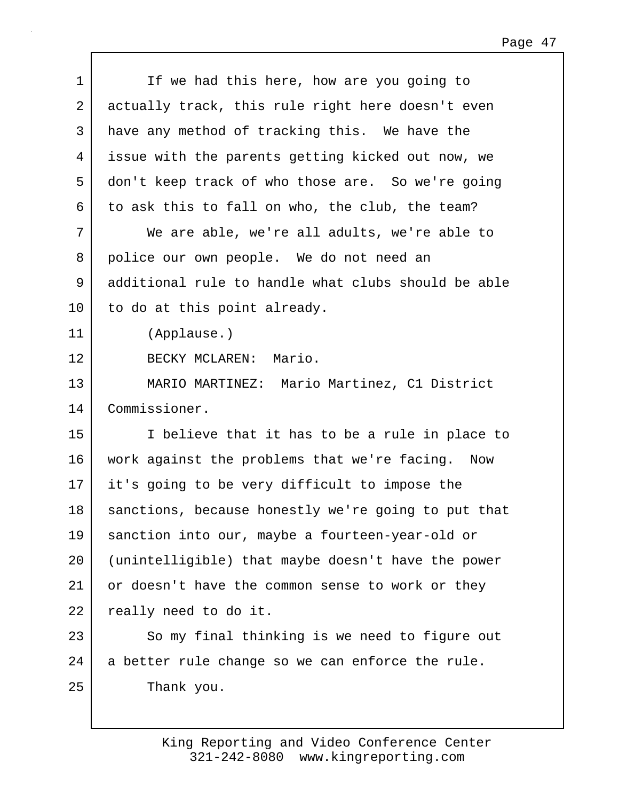| $\mathbf 1$ | If we had this here, how are you going to           |
|-------------|-----------------------------------------------------|
| 2           | actually track, this rule right here doesn't even   |
| 3           | have any method of tracking this. We have the       |
| 4           | issue with the parents getting kicked out now, we   |
| 5           | don't keep track of who those are. So we're going   |
| 6           | to ask this to fall on who, the club, the team?     |
| 7           | We are able, we're all adults, we're able to        |
| 8           | police our own people. We do not need an            |
| 9           | additional rule to handle what clubs should be able |
| 10          | to do at this point already.                        |
| 11          | (Applause.)                                         |
| 12          | BECKY MCLAREN: Mario.                               |
| 13          | MARIO MARTINEZ: Mario Martinez, C1 District         |
| 14          | Commissioner.                                       |
| 15          | I believe that it has to be a rule in place to      |
| 16          | work against the problems that we're facing. Now    |
| 17          | it's going to be very difficult to impose the       |
| 18          | sanctions, because honestly we're going to put that |
| 19          | sanction into our, maybe a fourteen-year-old or     |
| 20          | (unintelligible) that maybe doesn't have the power  |
| 21          | or doesn't have the common sense to work or they    |
| 22          | really need to do it.                               |
| 23          | So my final thinking is we need to figure out       |
| 24          | a better rule change so we can enforce the rule.    |
| 25          | Thank you.                                          |
|             |                                                     |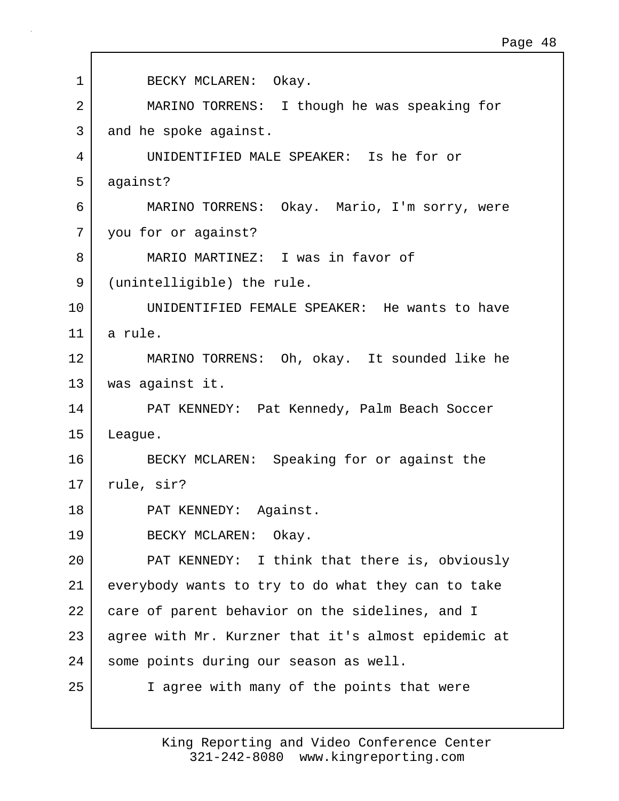| 1  | BECKY MCLAREN: Okay.                                |
|----|-----------------------------------------------------|
| 2  | MARINO TORRENS: I though he was speaking for        |
| 3  | and he spoke against.                               |
| 4  | UNIDENTIFIED MALE SPEAKER: Is he for or             |
| 5  | against?                                            |
| 6  | MARINO TORRENS: Okay. Mario, I'm sorry, were        |
| 7  | you for or against?                                 |
| 8  | MARIO MARTINEZ: I was in favor of                   |
| 9  | (unintelligible) the rule.                          |
| 10 | UNIDENTIFIED FEMALE SPEAKER: He wants to have       |
| 11 | a rule.                                             |
| 12 | MARINO TORRENS: Oh, okay. It sounded like he        |
| 13 | was against it.                                     |
| 14 | PAT KENNEDY: Pat Kennedy, Palm Beach Soccer         |
| 15 | League.                                             |
| 16 | BECKY MCLAREN: Speaking for or against the          |
| 17 | rule, sir?                                          |
| 18 | PAT KENNEDY: Against.                               |
| 19 | BECKY MCLAREN: Okay.                                |
| 20 | PAT KENNEDY: I think that there is, obviously       |
| 21 | everybody wants to try to do what they can to take  |
| 22 | care of parent behavior on the sidelines, and I     |
| 23 | agree with Mr. Kurzner that it's almost epidemic at |
| 24 | some points during our season as well.              |
| 25 | I agree with many of the points that were           |
|    |                                                     |

Г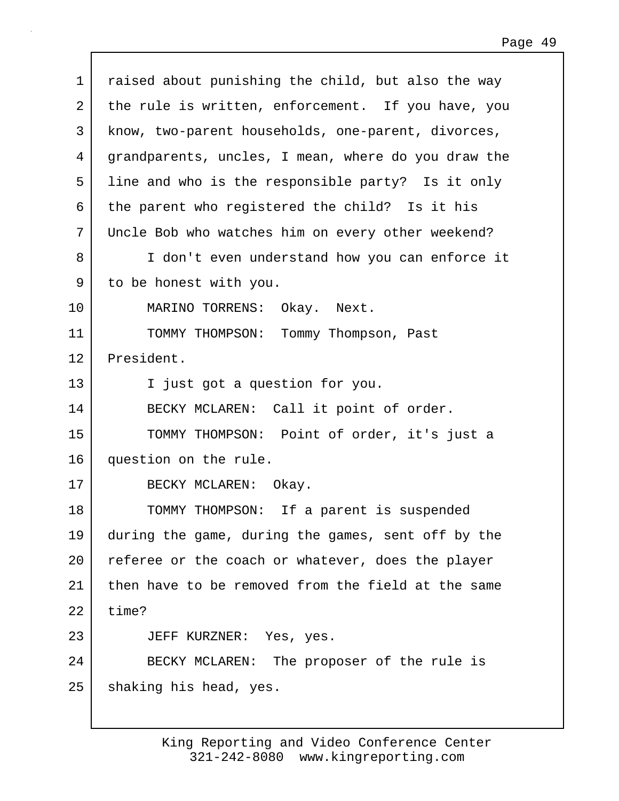| $\mathbf 1$ | raised about punishing the child, but also the way  |
|-------------|-----------------------------------------------------|
| 2           | the rule is written, enforcement. If you have, you  |
| 3           | know, two-parent households, one-parent, divorces,  |
| 4           | grandparents, uncles, I mean, where do you draw the |
| 5           | line and who is the responsible party? Is it only   |
| 6           | the parent who registered the child? Is it his      |
| 7           | Uncle Bob who watches him on every other weekend?   |
| 8           | I don't even understand how you can enforce it      |
| 9           | to be honest with you.                              |
| 10          | MARINO TORRENS: Okay. Next.                         |
| 11          | TOMMY THOMPSON: Tommy Thompson, Past                |
| 12          | President.                                          |
| 13          | I just got a question for you.                      |
| 14          | BECKY MCLAREN: Call it point of order.              |
| 15          | TOMMY THOMPSON: Point of order, it's just a         |
| 16          | question on the rule.                               |
| 17          | BECKY MCLAREN: Okay.                                |
| 18          | TOMMY THOMPSON: If a parent is suspended            |
| 19          | during the game, during the games, sent off by the  |
| 20          | referee or the coach or whatever, does the player   |
| 21          | then have to be removed from the field at the same  |
| 22          | time?                                               |
| 23          | JEFF KURZNER: Yes, yes.                             |
| 24          | BECKY MCLAREN: The proposer of the rule is          |
| 25          | shaking his head, yes.                              |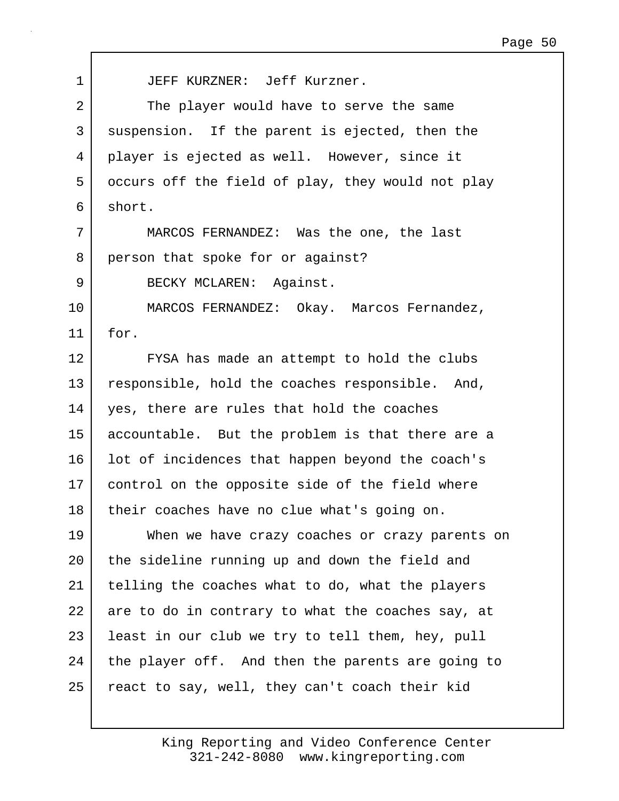1 JEFF KURZNER: Jeff Kurzner. 2 The player would have to serve the same 3 suspension. If the parent is ejected, then the 4 player is ejected as well. However, since it 5 occurs off the field of play, they would not play 6 short. 7 MARCOS FERNANDEZ: Was the one, the last 8 person that spoke for or against? 9 BECKY MCLAREN: Against. 10 MARCOS FERNANDEZ: Okay. Marcos Fernandez, 11 for. 12 | FYSA has made an attempt to hold the clubs 13 responsible, hold the coaches responsible. And, 14 yes, there are rules that hold the coaches 15 accountable. But the problem is that there are a 16 | lot of incidences that happen beyond the coach's 17 control on the opposite side of the field where 18 their coaches have no clue what's going on. 19 When we have crazy coaches or crazy parents on 20 | the sideline running up and down the field and 21 telling the coaches what to do, what the players 22 are to do in contrary to what the coaches say, at 23 | least in our club we try to tell them, hey, pull 24 the player off. And then the parents are going to 25 | react to say, well, they can't coach their kid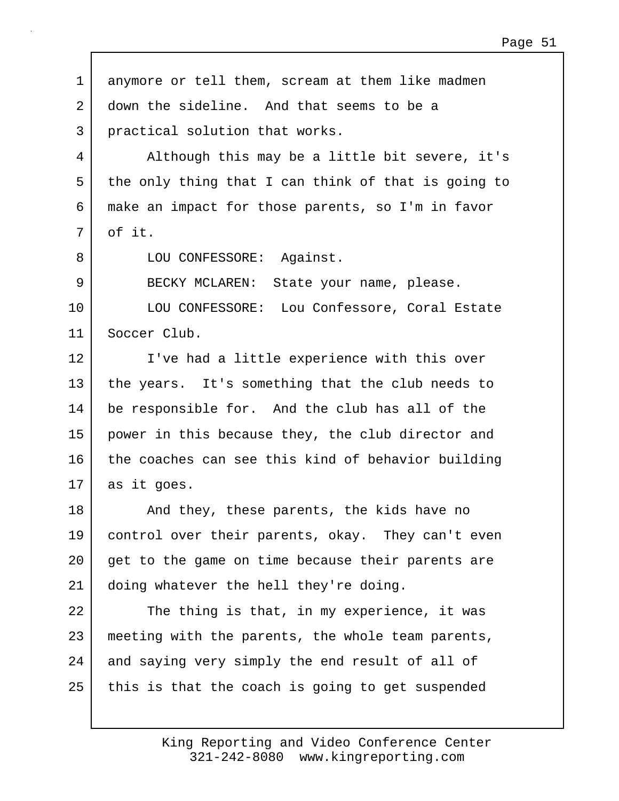1 anymore or tell them, scream at them like madmen 2 down the sideline. And that seems to be a 3 practical solution that works. 4 Although this may be a little bit severe, it's 5 the only thing that I can think of that is going to 6 make an impact for those parents, so I'm in favor  $7 \mid$  of it. 8 | LOU CONFESSORE: Against. 9 BECKY MCLAREN: State your name, please. 10 | LOU CONFESSORE: Lou Confessore, Coral Estate 11 Soccer Club. 12 I've had a little experience with this over 13 the years. It's something that the club needs to 14 be responsible for. And the club has all of the 15 power in this because they, the club director and 16 the coaches can see this kind of behavior building 17 as it goes. 18 And they, these parents, the kids have no 19 control over their parents, okay. They can't even 20 get to the game on time because their parents are 21 doing whatever the hell they're doing. 22 The thing is that, in my experience, it was 23 meeting with the parents, the whole team parents, 24 and saying very simply the end result of all of 25 this is that the coach is going to get suspended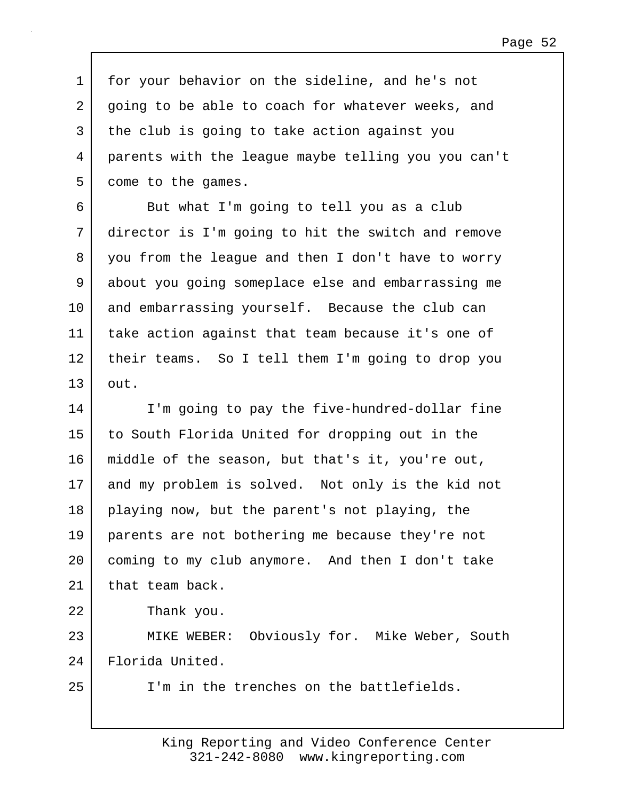1 for your behavior on the sideline, and he's not 2 going to be able to coach for whatever weeks, and 3 the club is going to take action against you 4 parents with the league maybe telling you you can't 5 come to the games.

6 But what I'm going to tell you as a club 7 director is I'm going to hit the switch and remove 8 you from the league and then I don't have to worry 9 about you going someplace else and embarrassing me 10 and embarrassing yourself. Because the club can 11 take action against that team because it's one of 12 their teams. So I tell them I'm going to drop you 13 out.

14 I'm going to pay the five-hundred-dollar fine 15 to South Florida United for dropping out in the 16 middle of the season, but that's it, you're out, 17 and my problem is solved. Not only is the kid not 18 playing now, but the parent's not playing, the 19 parents are not bothering me because they're not 20 coming to my club anymore. And then I don't take 21 | that team back. 22 Thank you. 23 MIKE WEBER: Obviously for. Mike Weber, South

24 Florida United.

25 I'm in the trenches on the battlefields.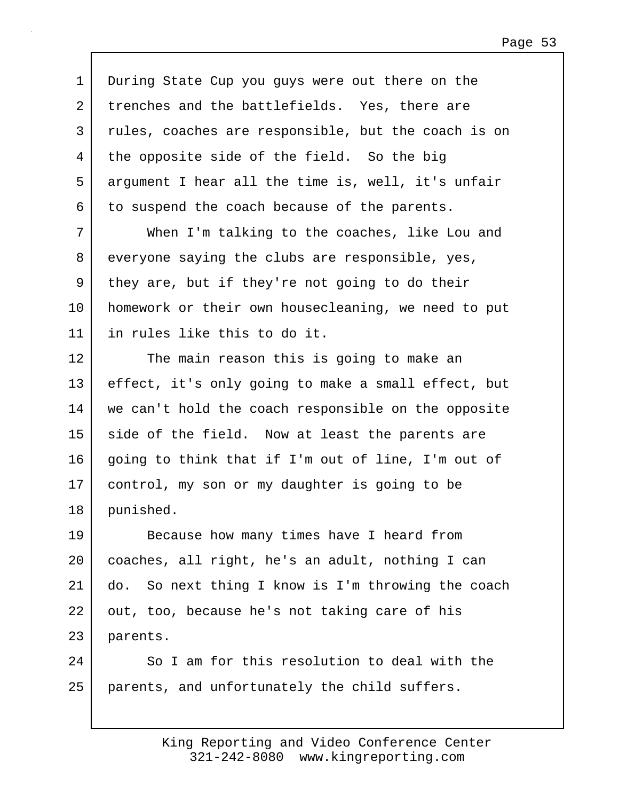1 During State Cup you guys were out there on the 2 trenches and the battlefields. Yes, there are 3 rules, coaches are responsible, but the coach is on 4 the opposite side of the field. So the big 5 argument I hear all the time is, well, it's unfair 6 to suspend the coach because of the parents.

7 When I'm talking to the coaches, like Lou and 8 everyone saying the clubs are responsible, yes,  $9$  they are, but if they're not going to do their 10 homework or their own housecleaning, we need to put 11 in rules like this to do it.

12 The main reason this is going to make an 13 effect, it's only going to make a small effect, but 14 we can't hold the coach responsible on the opposite 15 side of the field. Now at least the parents are 16 going to think that if I'm out of line, I'm out of 17 control, my son or my daughter is going to be 18 punished.

19 Because how many times have I heard from 20 coaches, all right, he's an adult, nothing I can 21 do. So next thing I know is I'm throwing the coach 22 out, too, because he's not taking care of his 23 parents.

24 So I am for this resolution to deal with the 25 parents, and unfortunately the child suffers.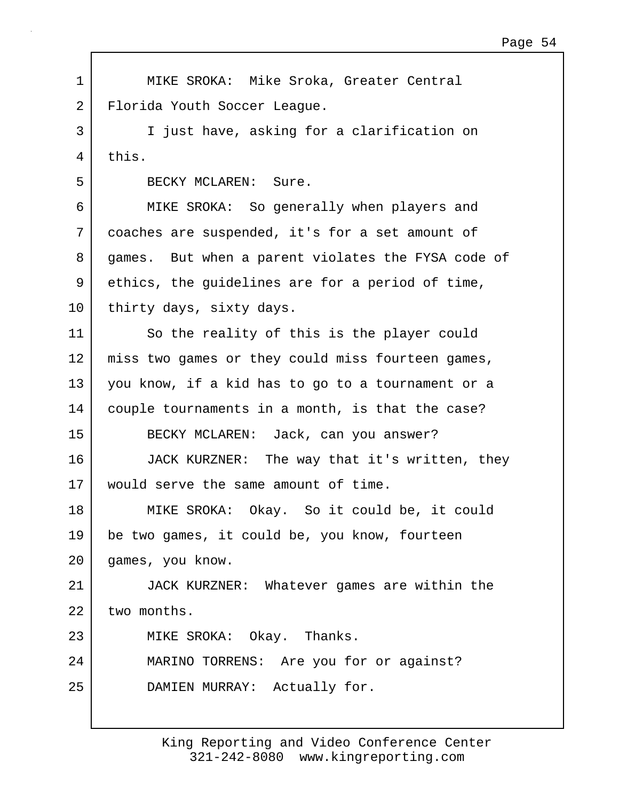1 MIKE SROKA: Mike Sroka, Greater Central 2 Florida Youth Soccer League. 3 I just have, asking for a clarification on 4 this. 5 BECKY MCLAREN: Sure. 6 MIKE SROKA: So generally when players and 7 coaches are suspended, it's for a set amount of 8 games. But when a parent violates the FYSA code of 9 ethics, the guidelines are for a period of time, 10 thirty days, sixty days. 11 So the reality of this is the player could 12 | miss two games or they could miss fourteen games, 13 you know, if a kid has to go to a tournament or a 14 | couple tournaments in a month, is that the case? 15 BECKY MCLAREN: Jack, can you answer? 16 JACK KURZNER: The way that it's written, they 17 would serve the same amount of time. 18 MIKE SROKA: Okay. So it could be, it could 19 be two games, it could be, you know, fourteen 20 games, you know. 21 JACK KURZNER: Whatever games are within the  $22$  two months. 23 MIKE SROKA: Okay. Thanks. 24 MARINO TORRENS: Are you for or against? 25 DAMIEN MURRAY: Actually for.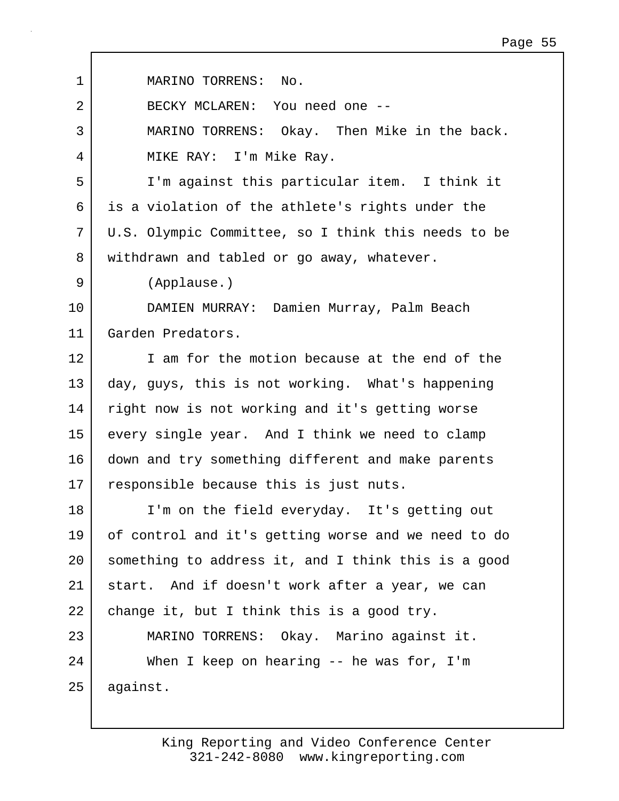| MARINO TORRENS: No.                                 |
|-----------------------------------------------------|
| BECKY MCLAREN: You need one --                      |
| MARINO TORRENS: Okay. Then Mike in the back.        |
| MIKE RAY: I'm Mike Ray.                             |
| I'm against this particular item. I think it        |
| is a violation of the athlete's rights under the    |
| U.S. Olympic Committee, so I think this needs to be |
| withdrawn and tabled or go away, whatever.          |
| (Applause.)                                         |
| DAMIEN MURRAY: Damien Murray, Palm Beach            |
| Garden Predators.                                   |
| I am for the motion because at the end of the       |
| day, guys, this is not working. What's happening    |
| right now is not working and it's getting worse     |
| every single year. And I think we need to clamp     |
| down and try something different and make parents   |
| responsible because this is just nuts.              |
| I'm on the field everyday. It's getting out         |
| of control and it's getting worse and we need to do |
| something to address it, and I think this is a good |
| start. And if doesn't work after a year, we can     |
| change it, but I think this is a good try.          |
| MARINO TORRENS: Okay. Marino against it.            |
| When I keep on hearing $-$ he was for, I'm          |
| against.                                            |
|                                                     |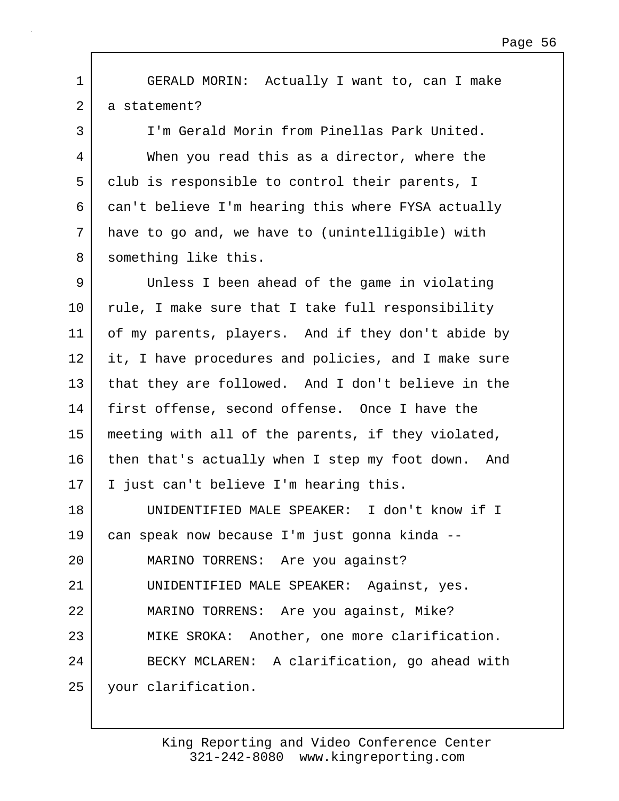1 GERALD MORIN: Actually I want to, can I make 2 a statement?

3 I'm Gerald Morin from Pinellas Park United. 4 When you read this as a director, where the 5 club is responsible to control their parents, I 6 can't believe I'm hearing this where FYSA actually 7 have to go and, we have to (unintelligible) with 8 something like this.

9 Unless I been ahead of the game in violating 10 rule, I make sure that I take full responsibility 11 of my parents, players. And if they don't abide by 12 it, I have procedures and policies, and I make sure 13 that they are followed. And I don't believe in the 14 first offense, second offense. Once I have the 15 meeting with all of the parents, if they violated, 16 then that's actually when I step my foot down. And 17 I just can't believe I'm hearing this.

18 UNIDENTIFIED MALE SPEAKER: I don't know if I 19 can speak now because I'm just gonna kinda -- 20 MARINO TORRENS: Are you against? 21 UNIDENTIFIED MALE SPEAKER: Against, yes. 22 MARINO TORRENS: Are you against, Mike? 23 MIKE SROKA: Another, one more clarification. 24 BECKY MCLAREN: A clarification, go ahead with 25 your clarification.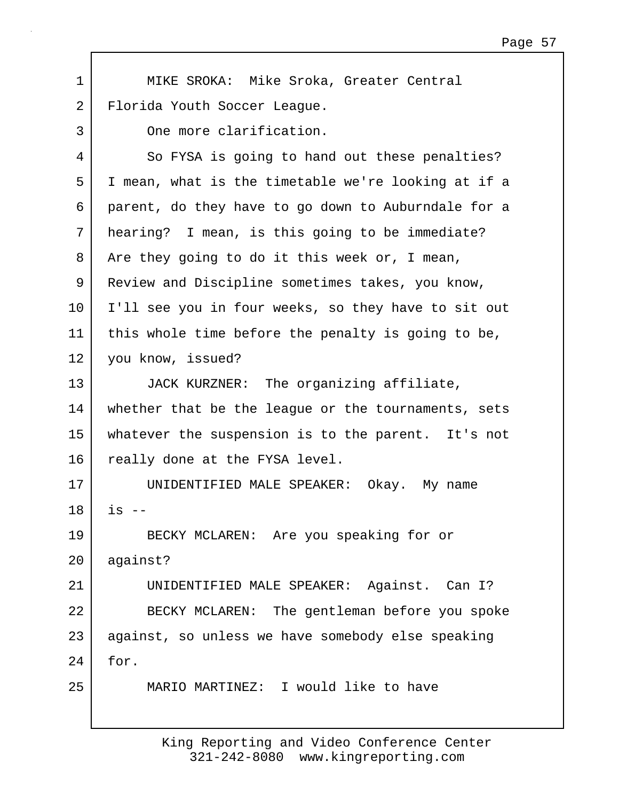1 MIKE SROKA: Mike Sroka, Greater Central 2 | Florida Youth Soccer League. 3 One more clarification. 4 So FYSA is going to hand out these penalties? 5 I mean, what is the timetable we're looking at if a 6 parent, do they have to go down to Auburndale for a 7 hearing? I mean, is this going to be immediate? 8 Are they going to do it this week or, I mean, 9 Review and Discipline sometimes takes, you know, 10 I'll see you in four weeks, so they have to sit out 11 this whole time before the penalty is going to be, 12 you know, issued? 13 JACK KURZNER: The organizing affiliate, 14 | whether that be the league or the tournaments, sets 15 whatever the suspension is to the parent. It's not 16 really done at the FYSA level. 17 UNIDENTIFIED MALE SPEAKER: Okay. My name  $18$  is  $-$ 19 BECKY MCLAREN: Are you speaking for or 20 against? 21 UNIDENTIFIED MALE SPEAKER: Against. Can I? 22 BECKY MCLAREN: The gentleman before you spoke 23 against, so unless we have somebody else speaking 24 for. 25 MARIO MARTINEZ: I would like to have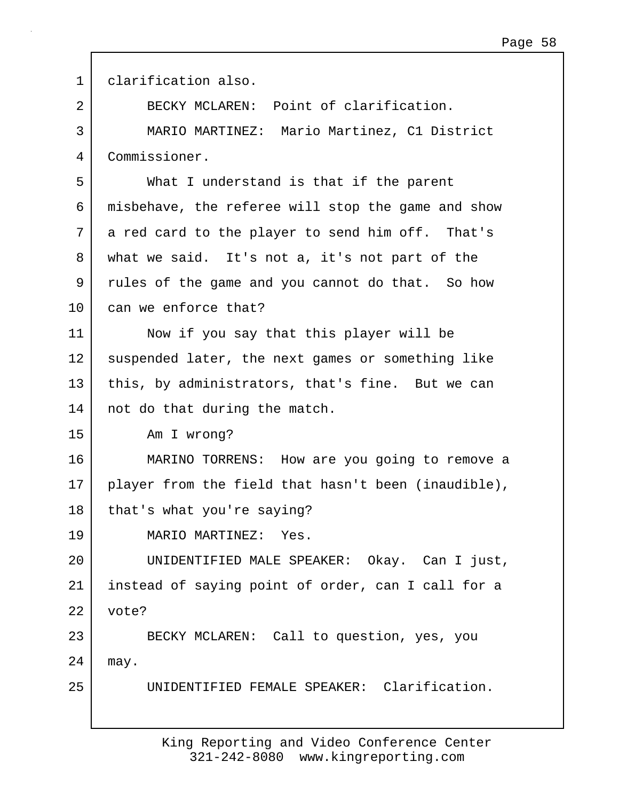| $\mathbf 1$    | clarification also.                                 |
|----------------|-----------------------------------------------------|
| $\overline{2}$ | BECKY MCLAREN: Point of clarification.              |
| 3              | MARIO MARTINEZ: Mario Martinez, C1 District         |
| 4              | Commissioner.                                       |
| 5              | What I understand is that if the parent             |
| 6              | misbehave, the referee will stop the game and show  |
| 7              | a red card to the player to send him off. That's    |
| 8              | what we said. It's not a, it's not part of the      |
| 9              | rules of the game and you cannot do that. So how    |
| 10             | can we enforce that?                                |
| 11             | Now if you say that this player will be             |
| 12             | suspended later, the next games or something like   |
| 13             | this, by administrators, that's fine. But we can    |
| 14             | not do that during the match.                       |
| 15             | Am I wrong?                                         |
| 16             | MARINO TORRENS: How are you going to remove a       |
| 17             | player from the field that hasn't been (inaudible), |
| 18             | that's what you're saying?                          |
| 19             | MARIO MARTINEZ: Yes.                                |
| 20             | UNIDENTIFIED MALE SPEAKER: Okay. Can I just,        |
| 21             | instead of saying point of order, can I call for a  |
| 22             | vote?                                               |
| 23             | BECKY MCLAREN: Call to question, yes, you           |
| 24             | may.                                                |
| 25             | UNIDENTIFIED FEMALE SPEAKER: Clarification.         |
|                |                                                     |

 $\Gamma$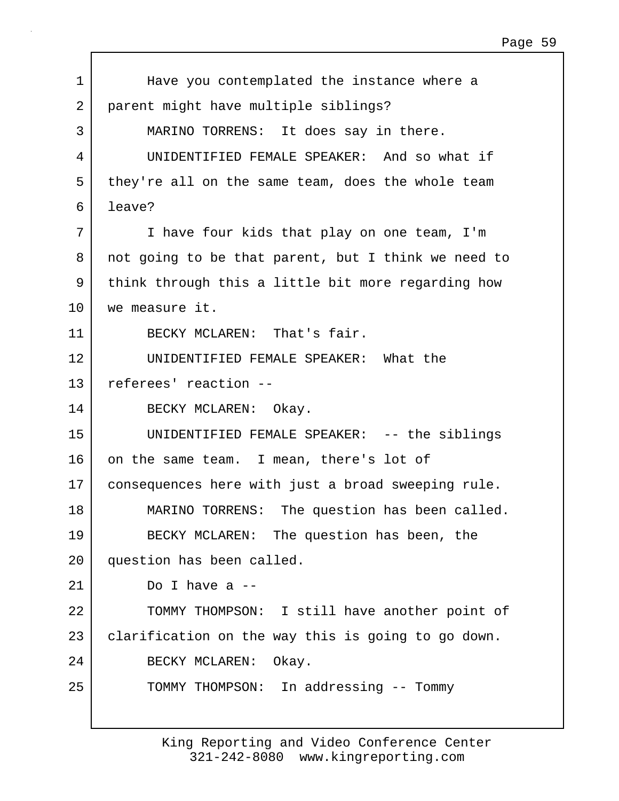1 | Have you contemplated the instance where a 2 parent might have multiple siblings? 3 MARINO TORRENS: It does say in there. 4 UNIDENTIFIED FEMALE SPEAKER: And so what if 5 they're all on the same team, does the whole team 6 leave? 7 I have four kids that play on one team, I'm 8 not going to be that parent, but I think we need to 9 think through this a little bit more regarding how 10 we measure it. 11 BECKY MCLAREN: That's fair. 12 UNIDENTIFIED FEMALE SPEAKER: What the 13 referees' reaction -- 14 BECKY MCLAREN: Okay. 15 UNIDENTIFIED FEMALE SPEAKER: -- the siblings 16 on the same team. I mean, there's lot of 17 consequences here with just a broad sweeping rule. 18 | MARINO TORRENS: The question has been called. 19 BECKY MCLAREN: The question has been, the 20 question has been called.  $21$  Do I have a  $-$ 22 | TOMMY THOMPSON: I still have another point of 23 clarification on the way this is going to go down. 24 BECKY MCLAREN: Okay. 25 | TOMMY THOMPSON: In addressing -- Tommy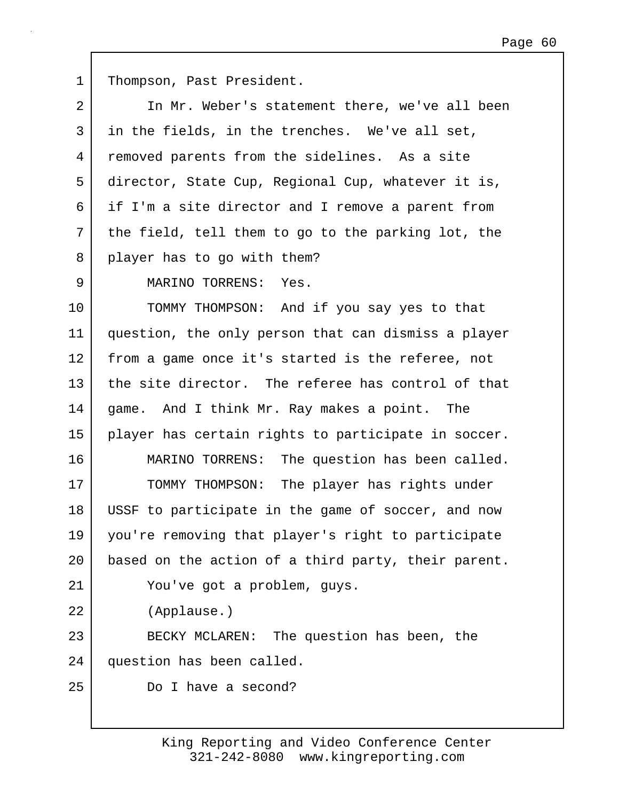1 | Thompson, Past President. 2 In Mr. Weber's statement there, we've all been 3 in the fields, in the trenches. We've all set, 4 removed parents from the sidelines. As a site 5 director, State Cup, Regional Cup, whatever it is, 6 if I'm a site director and I remove a parent from 7 | the field, tell them to go to the parking lot, the 8 player has to go with them? 9 MARINO TORRENS: Yes. 10 TOMMY THOMPSON: And if you say yes to that 11 question, the only person that can dismiss a player 12 from a game once it's started is the referee, not 13 the site director. The referee has control of that 14 | game. And I think Mr. Ray makes a point. The 15 player has certain rights to participate in soccer. 16 MARINO TORRENS: The question has been called. 17 TOMMY THOMPSON: The player has rights under 18 USSF to participate in the game of soccer, and now 19 you're removing that player's right to participate 20 | based on the action of a third party, their parent. 21 You've got a problem, guys. 22 (Applause.) 23 BECKY MCLAREN: The question has been, the 24 question has been called. 25 Do I have a second?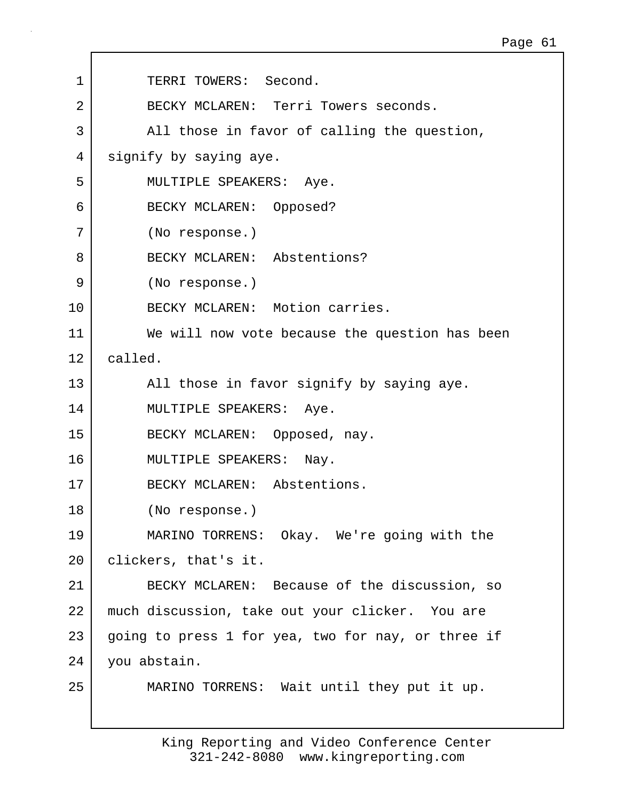| 1              | TERRI TOWERS: Second.                              |
|----------------|----------------------------------------------------|
| $\overline{2}$ | BECKY MCLAREN: Terri Towers seconds.               |
| 3              | All those in favor of calling the question,        |
| 4              | signify by saying aye.                             |
| 5              | MULTIPLE SPEAKERS: Aye.                            |
| 6              | BECKY MCLAREN: Opposed?                            |
| 7              | (No response.)                                     |
| 8              | BECKY MCLAREN: Abstentions?                        |
| 9              | (No response.)                                     |
| 10             | BECKY MCLAREN: Motion carries.                     |
| 11             | We will now vote because the question has been     |
| 12             | called.                                            |
| 13             | All those in favor signify by saying aye.          |
| 14             | MULTIPLE SPEAKERS: Aye.                            |
| 15             | BECKY MCLAREN: Opposed, nay.                       |
| 16             | MULTIPLE SPEAKERS: Nay.                            |
| 17             | BECKY MCLAREN: Abstentions.                        |
| 18             | (No response.)                                     |
| 19             | MARINO TORRENS: Okay. We're going with the         |
| 20             | clickers, that's it.                               |
| 21             | BECKY MCLAREN: Because of the discussion, so       |
| 22             | much discussion, take out your clicker. You are    |
| 23             | going to press 1 for yea, two for nay, or three if |
| 24             | you abstain.                                       |
| 25             | MARINO TORRENS: Wait until they put it up.         |
|                |                                                    |

 $\Gamma$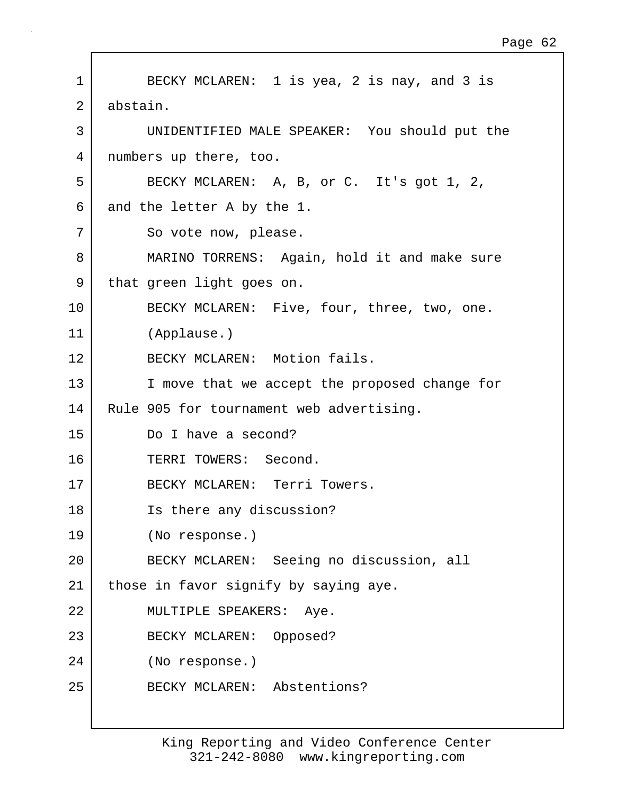1 BECKY MCLAREN: 1 is yea, 2 is nay, and 3 is 2 abstain. 3 UNIDENTIFIED MALE SPEAKER: You should put the 4 numbers up there, too. 5 BECKY MCLAREN: A, B, or C. It's got 1, 2, 6 and the letter A by the 1. 7 So vote now, please. 8 MARINO TORRENS: Again, hold it and make sure 9 that green light goes on. 10 BECKY MCLAREN: Five, four, three, two, one. 11 (Applause.) 12 BECKY MCLAREN: Motion fails. 13 | I move that we accept the proposed change for 14 | Rule 905 for tournament web advertising. 15 Do I have a second? 16 TERRI TOWERS: Second. 17 BECKY MCLAREN: Terri Towers. 18 Is there any discussion? 19 (No response.) 20 BECKY MCLAREN: Seeing no discussion, all 21 | those in favor signify by saying aye. 22 MULTIPLE SPEAKERS: Aye. 23 BECKY MCLAREN: Opposed? 24 (No response.) 25 BECKY MCLAREN: Abstentions?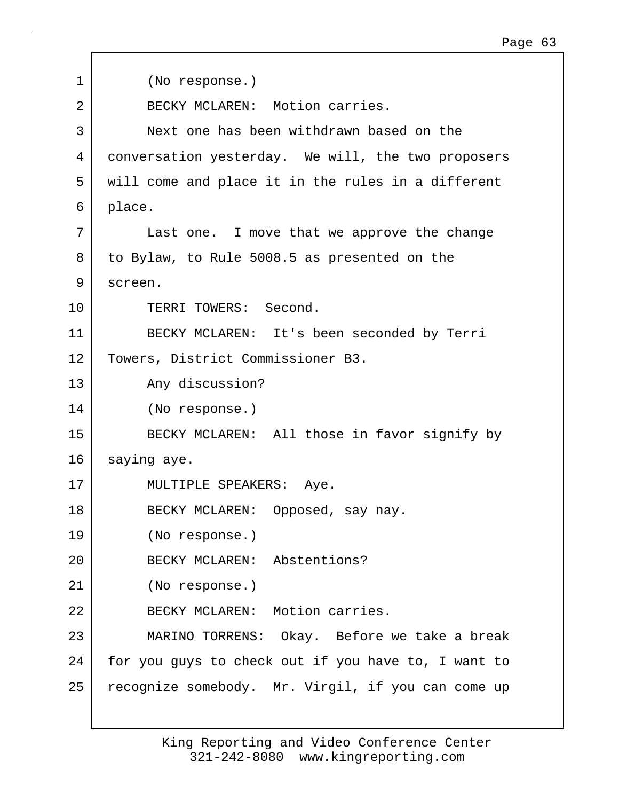1 (No response.) 2 BECKY MCLAREN: Motion carries. 3 Next one has been withdrawn based on the 4 conversation yesterday. We will, the two proposers 5 will come and place it in the rules in a different 6 place. 7 Last one. I move that we approve the change 8 to Bylaw, to Rule 5008.5 as presented on the 9 screen. 10 TERRI TOWERS: Second. 11 BECKY MCLAREN: It's been seconded by Terri 12 Towers, District Commissioner B3. 13 Any discussion? 14 (No response.) 15 BECKY MCLAREN: All those in favor signify by 16 saying aye. 17 | MULTIPLE SPEAKERS: Aye. 18 BECKY MCLAREN: Opposed, say nay. 19 (No response.) 20 BECKY MCLAREN: Abstentions? 21 (No response.) 22 BECKY MCLAREN: Motion carries. 23 MARINO TORRENS: Okay. Before we take a break 24 | for you guys to check out if you have to, I want to 25 recognize somebody. Mr. Virgil, if you can come up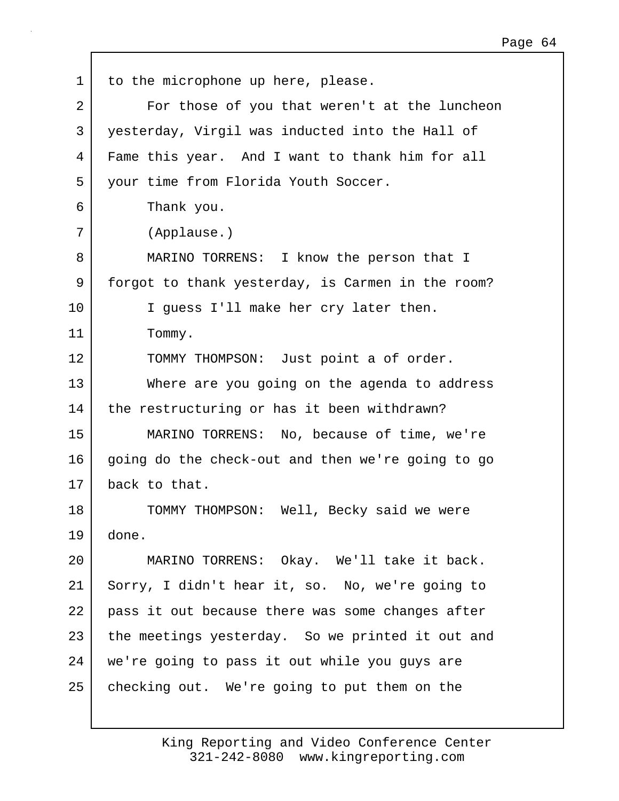| $\mathbf 1$    | to the microphone up here, please.                |
|----------------|---------------------------------------------------|
| $\overline{2}$ | For those of you that weren't at the luncheon     |
| 3              | yesterday, Virgil was inducted into the Hall of   |
| 4              | Fame this year. And I want to thank him for all   |
| 5              | your time from Florida Youth Soccer.              |
| 6              | Thank you.                                        |
| 7              | (Applause.)                                       |
| 8              | MARINO TORRENS: I know the person that I          |
| 9              | forgot to thank yesterday, is Carmen in the room? |
| 10             | I guess I'll make her cry later then.             |
| 11             | Tommy.                                            |
| 12             | TOMMY THOMPSON: Just point a of order.            |
| 13             | Where are you going on the agenda to address      |
| 14             | the restructuring or has it been withdrawn?       |
| 15             | MARINO TORRENS: No, because of time, we're        |
| 16             | going do the check-out and then we're going to go |
| 17             | back to that.                                     |
| 18             | TOMMY THOMPSON: Well, Becky said we were          |
| 19             | done.                                             |
| 20             | MARINO TORRENS: Okay. We'll take it back.         |
| 21             | Sorry, I didn't hear it, so. No, we're going to   |
| 22             | pass it out because there was some changes after  |
| 23             | the meetings yesterday. So we printed it out and  |
| 24             | we're going to pass it out while you guys are     |
| 25             | checking out. We're going to put them on the      |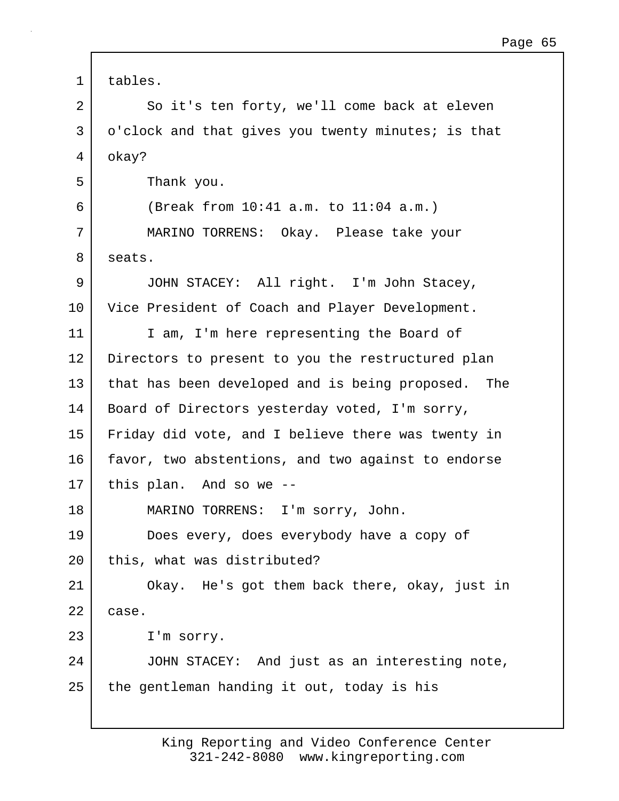| $\mathbf 1$ | tables.                                               |
|-------------|-------------------------------------------------------|
| 2           | So it's ten forty, we'll come back at eleven          |
| 3           | o'clock and that gives you twenty minutes; is that    |
| 4           | okay?                                                 |
| 5           | Thank you.                                            |
| 6           | (Break from 10:41 a.m. to 11:04 a.m.)                 |
| 7           | MARINO TORRENS: Okay. Please take your                |
| 8           | seats.                                                |
| 9           | JOHN STACEY: All right. I'm John Stacey,              |
| 10          | Vice President of Coach and Player Development.       |
| 11          | I am, I'm here representing the Board of              |
| 12          | Directors to present to you the restructured plan     |
| 13          | that has been developed and is being proposed.<br>The |
| 14          | Board of Directors yesterday voted, I'm sorry,        |
| 15          | Friday did vote, and I believe there was twenty in    |
| 16          | favor, two abstentions, and two against to endorse    |
| $17 \,$     | this plan. And so we --                               |
| 18          | MARINO TORRENS:<br>I'm sorry, John.                   |
| 19          | Does every, does everybody have a copy of             |
| 20          | this, what was distributed?                           |
| 21          | Okay. He's got them back there, okay, just in         |
| 22          | case.                                                 |
| 23          | I'm sorry.                                            |
| 24          | JOHN STACEY: And just as an interesting note,         |
| 25          | the gentleman handing it out, today is his            |
|             |                                                       |

 $\Gamma$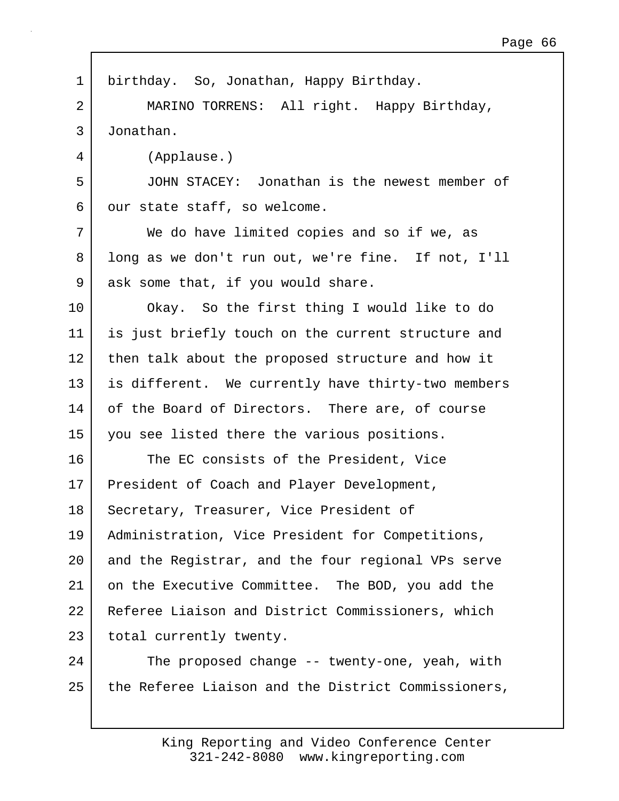| $\mathbf 1$ | birthday. So, Jonathan, Happy Birthday.             |
|-------------|-----------------------------------------------------|
| 2           | MARINO TORRENS: All right. Happy Birthday,          |
| 3           | Jonathan.                                           |
| 4           | (Applause.)                                         |
| 5           | JOHN STACEY: Jonathan is the newest member of       |
| 6           | our state staff, so welcome.                        |
| 7           | We do have limited copies and so if we, as          |
| 8           | long as we don't run out, we're fine. If not, I'll  |
| 9           | ask some that, if you would share.                  |
| 10          | Okay. So the first thing I would like to do         |
| 11          | is just briefly touch on the current structure and  |
| 12          | then talk about the proposed structure and how it   |
| 13          | is different. We currently have thirty-two members  |
| 14          | of the Board of Directors. There are, of course     |
| 15          | you see listed there the various positions.         |
| 16          | The EC consists of the President, Vice              |
| 17          | President of Coach and Player Development,          |
| 18          | Secretary, Treasurer, Vice President of             |
| 19          | Administration, Vice President for Competitions,    |
| $20 \,$     | and the Registrar, and the four regional VPs serve  |
| 21          | on the Executive Committee. The BOD, you add the    |
| 22          | Referee Liaison and District Commissioners, which   |
| 23          | total currently twenty.                             |
| 24          | The proposed change -- twenty-one, yeah, with       |
| 25          | the Referee Liaison and the District Commissioners, |
|             |                                                     |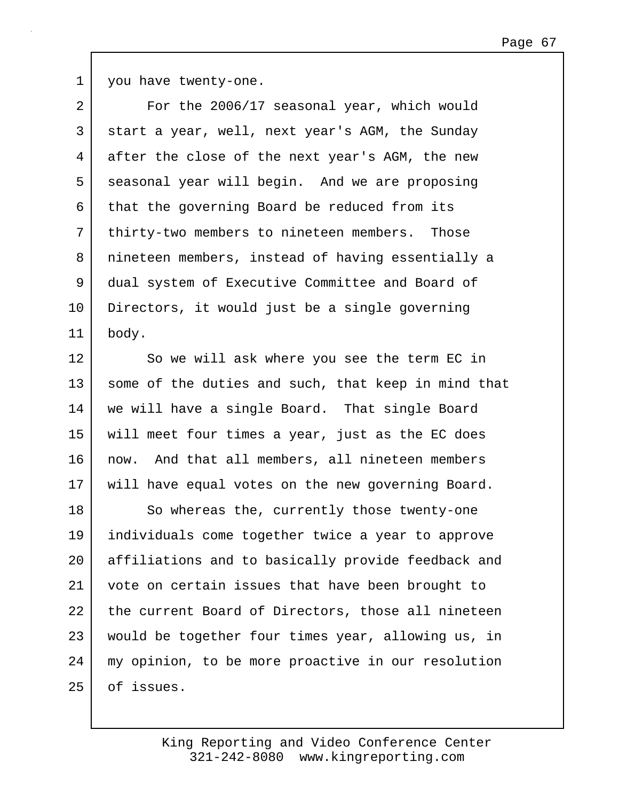1 you have twenty-one.

| $\overline{a}$ | For the 2006/17 seasonal year, which would          |
|----------------|-----------------------------------------------------|
| 3              | start a year, well, next year's AGM, the Sunday     |
| 4              | after the close of the next year's AGM, the new     |
| 5              | seasonal year will begin. And we are proposing      |
| 6              | that the governing Board be reduced from its        |
| 7              | thirty-two members to nineteen members. Those       |
| 8              | nineteen members, instead of having essentially a   |
| 9              | dual system of Executive Committee and Board of     |
| 10             | Directors, it would just be a single governing      |
| 11             | body.                                               |
| 12             | So we will ask where you see the term EC in         |
| 13             | some of the duties and such, that keep in mind that |
| 14             | we will have a single Board. That single Board      |
| 15             | will meet four times a year, just as the EC does    |
| 16             | now. And that all members, all nineteen members     |
| 17             | will have equal votes on the new governing Board.   |
| 18             | So whereas the, currently those twenty-one          |
| 19             | individuals come together twice a year to approve   |
| 20             | affiliations and to basically provide feedback and  |
| 21             | vote on certain issues that have been brought to    |
| 22             | the current Board of Directors, those all nineteen  |
| 23             | would be together four times year, allowing us, in  |
| 24             | my opinion, to be more proactive in our resolution  |
| 25             | of issues.                                          |
|                |                                                     |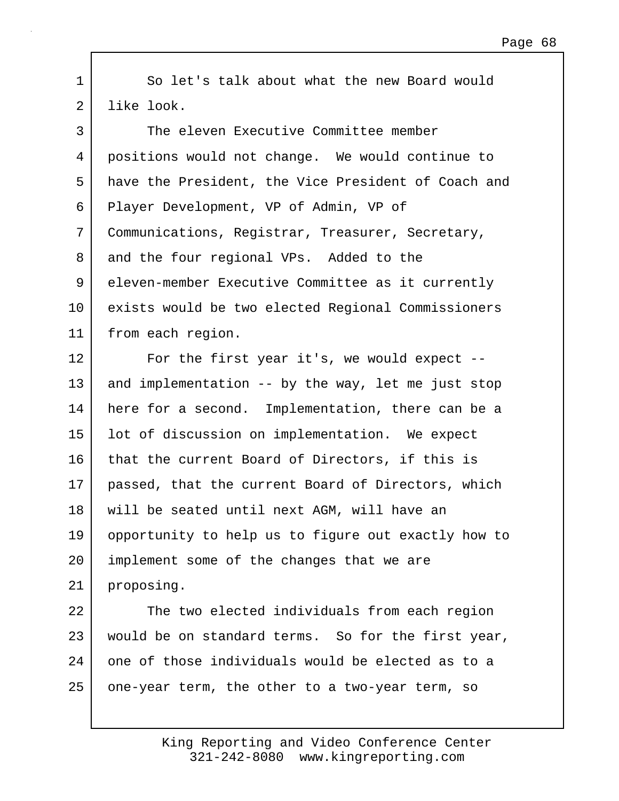1 So let's talk about what the new Board would 2 like look.

| $\mathsf{3}$ | The eleven Executive Committee member               |
|--------------|-----------------------------------------------------|
| 4            | positions would not change. We would continue to    |
| 5            | have the President, the Vice President of Coach and |
| 6            | Player Development, VP of Admin, VP of              |
| 7            | Communications, Registrar, Treasurer, Secretary,    |
| 8            | and the four regional VPs. Added to the             |
| 9            | eleven-member Executive Committee as it currently   |
| $10 \,$      | exists would be two elected Regional Commissioners  |
| 11           | from each region.                                   |
| 12           | For the first year it's, we would expect $-$ -      |
| 13           | and implementation -- by the way, let me just stop  |
| 14           | here for a second. Implementation, there can be a   |
| 15           | lot of discussion on implementation. We expect      |
| 16           | that the current Board of Directors, if this is     |
| 17           | passed, that the current Board of Directors, which  |
| 18           | will be seated until next AGM, will have an         |
| 19           | opportunity to help us to figure out exactly how to |
| 20           | implement some of the changes that we are           |
| 21           | proposing.                                          |
| 22           | The two elected individuals from each region        |
| 23           | would be on standard terms. So for the first year,  |
| 24           | one of those individuals would be elected as to a   |
| 25           | one-year term, the other to a two-year term, so     |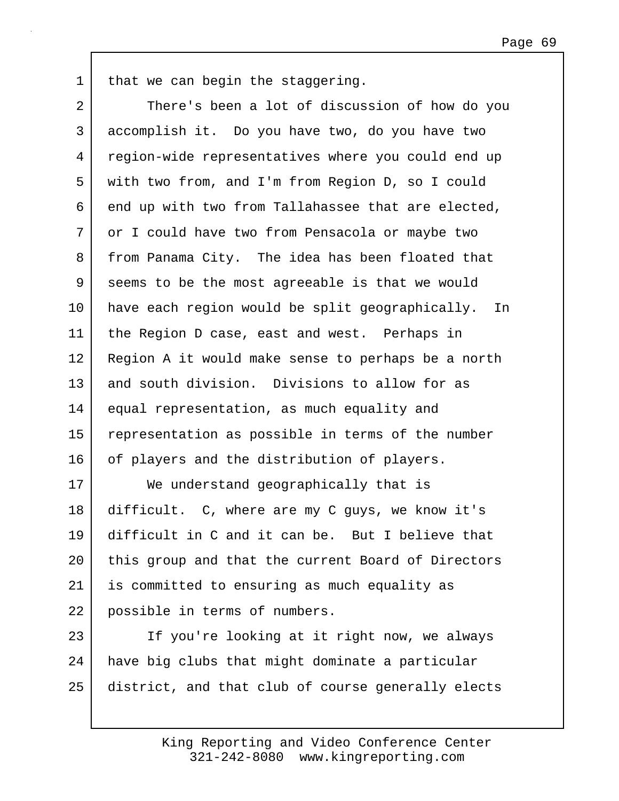1 | that we can begin the staggering.

2 There's been a lot of discussion of how do you 3 accomplish it. Do you have two, do you have two 4 region-wide representatives where you could end up 5 with two from, and I'm from Region D, so I could 6 end up with two from Tallahassee that are elected, 7 or I could have two from Pensacola or maybe two 8 from Panama City. The idea has been floated that 9 seems to be the most agreeable is that we would 10 have each region would be split geographically. In 11 | the Region D case, east and west. Perhaps in 12 | Region A it would make sense to perhaps be a north 13 and south division. Divisions to allow for as 14 equal representation, as much equality and 15 representation as possible in terms of the number 16 of players and the distribution of players. 17 We understand geographically that is 18 difficult. C, where are my C guys, we know it's 19 difficult in C and it can be. But I believe that 20 | this group and that the current Board of Directors 21 is committed to ensuring as much equality as 22 possible in terms of numbers. 23 If you're looking at it right now, we always 24 have big clubs that might dominate a particular

25 district, and that club of course generally elects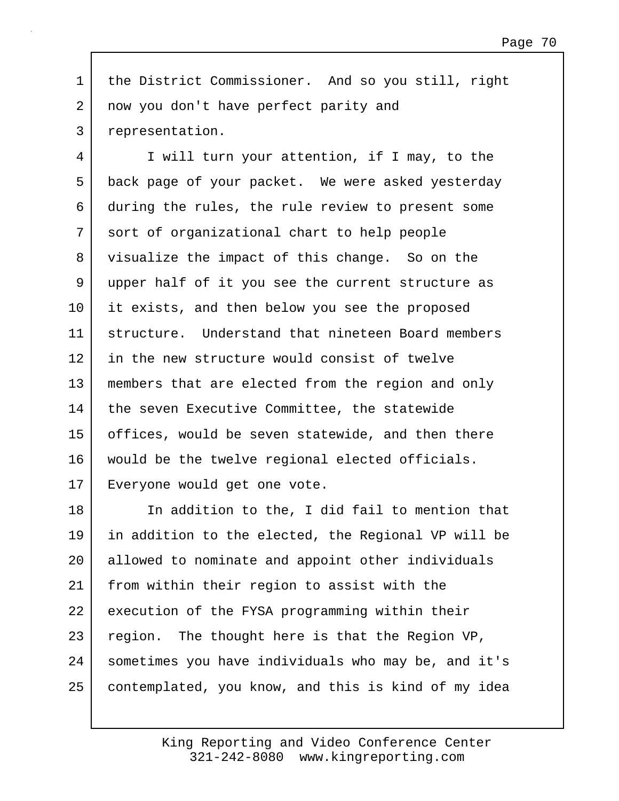1 the District Commissioner. And so you still, right 2 now you don't have perfect parity and 3 representation.

4 I will turn your attention, if I may, to the 5 back page of your packet. We were asked yesterday 6 during the rules, the rule review to present some 7 sort of organizational chart to help people 8 visualize the impact of this change. So on the 9 upper half of it you see the current structure as 10 it exists, and then below you see the proposed 11 structure. Understand that nineteen Board members 12 in the new structure would consist of twelve 13 members that are elected from the region and only 14 the seven Executive Committee, the statewide 15 offices, would be seven statewide, and then there 16 would be the twelve regional elected officials. 17 Everyone would get one vote.

18 In addition to the, I did fail to mention that 19 in addition to the elected, the Regional VP will be 20 allowed to nominate and appoint other individuals 21 from within their region to assist with the 22 execution of the FYSA programming within their 23 region. The thought here is that the Region VP, 24 sometimes you have individuals who may be, and it's 25 contemplated, you know, and this is kind of my idea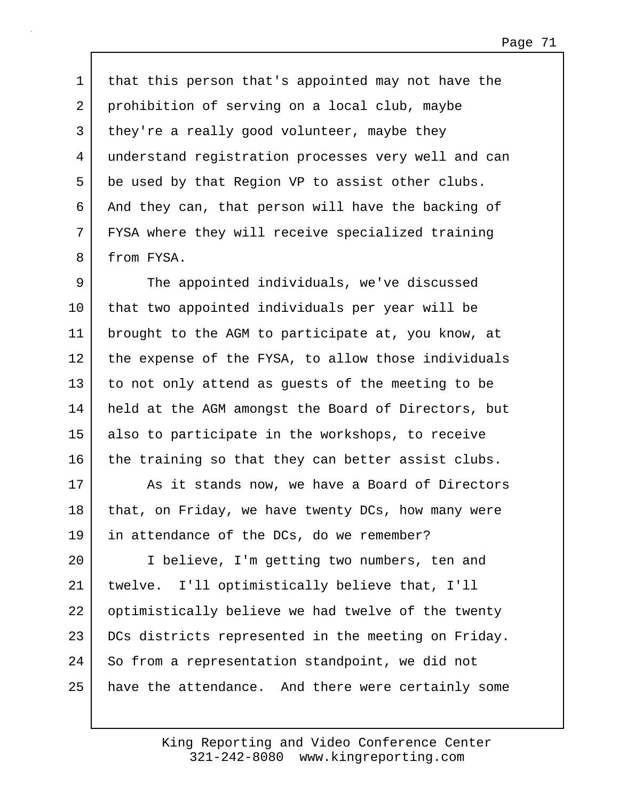1 | that this person that's appointed may not have the 2 prohibition of serving on a local club, maybe 3 they're a really good volunteer, maybe they 4 understand registration processes very well and can 5 be used by that Region VP to assist other clubs. 6 And they can, that person will have the backing of 7 FYSA where they will receive specialized training 8 from FYSA.

9 The appointed individuals, we've discussed 10 that two appointed individuals per year will be 11 brought to the AGM to participate at, you know, at 12 the expense of the FYSA, to allow those individuals 13 to not only attend as guests of the meeting to be 14 held at the AGM amongst the Board of Directors, but 15 also to participate in the workshops, to receive 16 the training so that they can better assist clubs.

17 | As it stands now, we have a Board of Directors 18 | that, on Friday, we have twenty DCs, how many were 19 in attendance of the DCs, do we remember?

20 I believe, I'm getting two numbers, ten and 21 twelve. I'll optimistically believe that, I'll 22 | optimistically believe we had twelve of the twenty 23 DCs districts represented in the meeting on Friday. 24 So from a representation standpoint, we did not 25 | have the attendance. And there were certainly some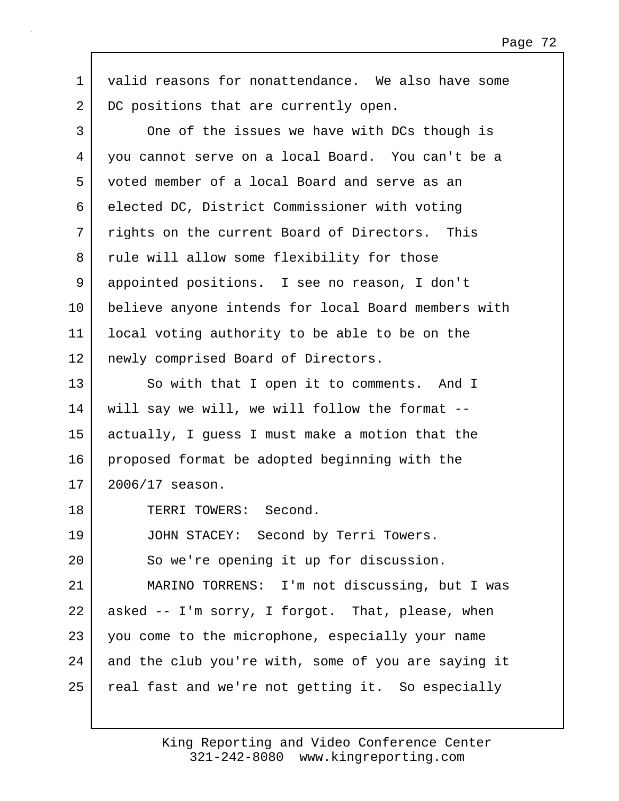1 valid reasons for nonattendance. We also have some 2 DC positions that are currently open.

3 One of the issues we have with DCs though is 4 you cannot serve on a local Board. You can't be a 5 voted member of a local Board and serve as an 6 elected DC, District Commissioner with voting 7 | rights on the current Board of Directors. This 8 rule will allow some flexibility for those 9 appointed positions. I see no reason, I don't 10 believe anyone intends for local Board members with 11 local voting authority to be able to be on the 12 | newly comprised Board of Directors. 13 So with that I open it to comments. And I 14 | will say we will, we will follow the format --15 actually, I guess I must make a motion that the 16 proposed format be adopted beginning with the 17 2006/17 season. 18 TERRI TOWERS: Second. 19 JOHN STACEY: Second by Terri Towers. 20 So we're opening it up for discussion. 21 MARINO TORRENS: I'm not discussing, but I was 22 asked -- I'm sorry, I forgot. That, please, when 23 you come to the microphone, especially your name 24 and the club you're with, some of you are saying it 25 | real fast and we're not getting it. So especially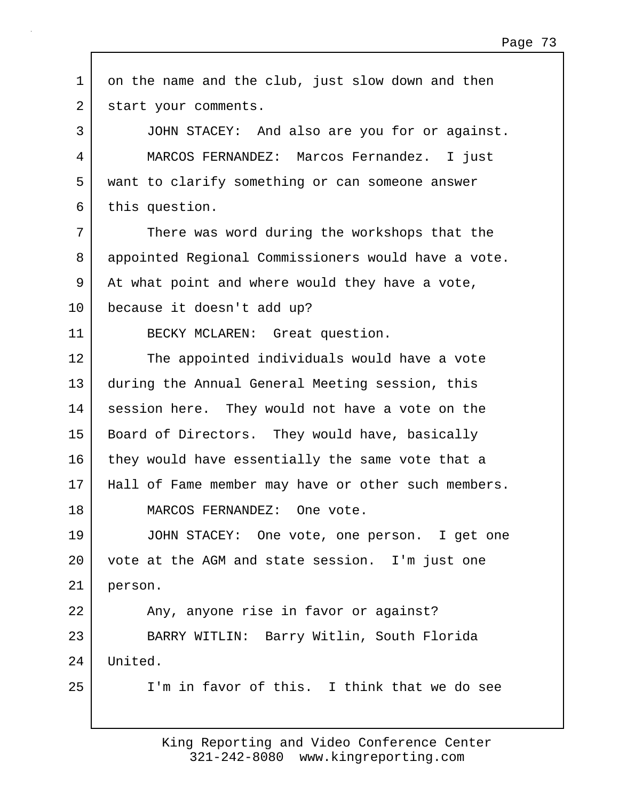1 on the name and the club, just slow down and then 2 | start your comments. 3 JOHN STACEY: And also are you for or against. 4 MARCOS FERNANDEZ: Marcos Fernandez. I just 5 want to clarify something or can someone answer 6 this question. 7 There was word during the workshops that the 8 appointed Regional Commissioners would have a vote. 9 At what point and where would they have a vote, 10 because it doesn't add up? 11 | BECKY MCLAREN: Great question. 12 The appointed individuals would have a vote 13 during the Annual General Meeting session, this 14 session here. They would not have a vote on the 15 | Board of Directors. They would have, basically 16 they would have essentially the same vote that a 17 Hall of Fame member may have or other such members. 18 MARCOS FERNANDEZ: One vote. 19 JOHN STACEY: One vote, one person. I get one 20 vote at the AGM and state session. I'm just one 21 person. 22 Any, anyone rise in favor or against? 23 BARRY WITLIN: Barry Witlin, South Florida 24 United. 25 I'm in favor of this. I think that we do see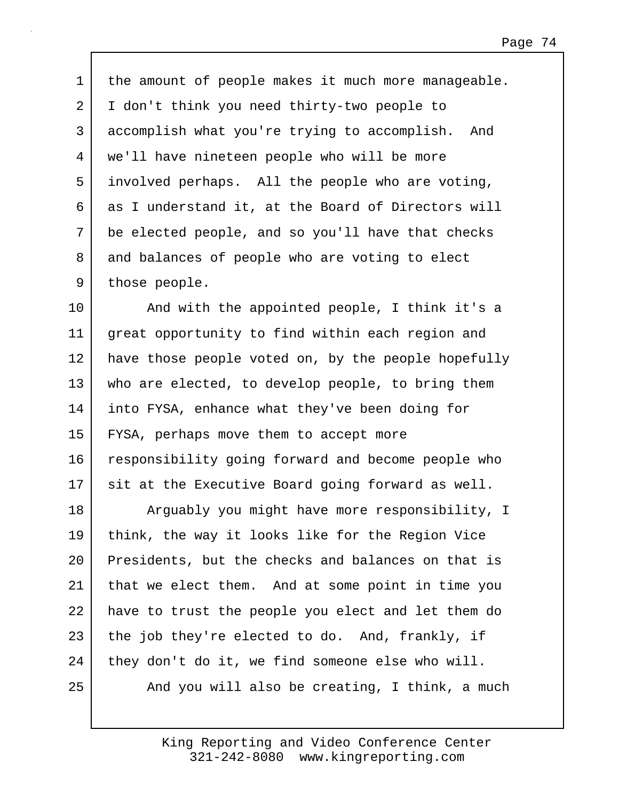1 | the amount of people makes it much more manageable. 2 I don't think you need thirty-two people to 3 accomplish what you're trying to accomplish. And 4 we'll have nineteen people who will be more 5 involved perhaps. All the people who are voting,  $6$  as I understand it, at the Board of Directors will 7 be elected people, and so you'll have that checks 8 and balances of people who are voting to elect 9 those people.

10 | And with the appointed people, I think it's a 11 great opportunity to find within each region and 12 have those people voted on, by the people hopefully 13 who are elected, to develop people, to bring them 14 into FYSA, enhance what they've been doing for 15 FYSA, perhaps move them to accept more 16 responsibility going forward and become people who 17 sit at the Executive Board going forward as well.

18 | Arguably you might have more responsibility, I 19 think, the way it looks like for the Region Vice 20 Presidents, but the checks and balances on that is 21 that we elect them. And at some point in time you 22 have to trust the people you elect and let them do 23 the job they're elected to do. And, frankly, if 24 they don't do it, we find someone else who will. 25 And you will also be creating, I think, a much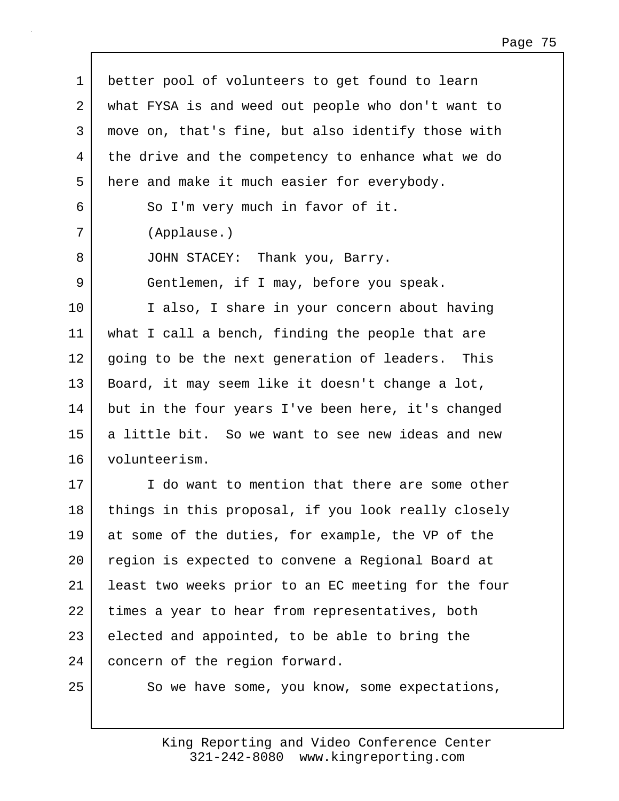| $\mathbf 1$ | better pool of volunteers to get found to learn     |
|-------------|-----------------------------------------------------|
| 2           | what FYSA is and weed out people who don't want to  |
| 3           | move on, that's fine, but also identify those with  |
| 4           | the drive and the competency to enhance what we do  |
| 5           | here and make it much easier for everybody.         |
| 6           | So I'm very much in favor of it.                    |
| 7           | (Applause.)                                         |
| 8           | JOHN STACEY: Thank you, Barry.                      |
| 9           | Gentlemen, if I may, before you speak.              |
| 10          | I also, I share in your concern about having        |
| 11          | what I call a bench, finding the people that are    |
| 12          | going to be the next generation of leaders. This    |
| 13          | Board, it may seem like it doesn't change a lot,    |
| 14          | but in the four years I've been here, it's changed  |
| 15          | a little bit. So we want to see new ideas and new   |
| 16          | volunteerism.                                       |
| 17          | I do want to mention that there are some other      |
| 18          | things in this proposal, if you look really closely |
| 19          | at some of the duties, for example, the VP of the   |
| 20          | region is expected to convene a Regional Board at   |
| 21          | least two weeks prior to an EC meeting for the four |
| 22          | times a year to hear from representatives, both     |
| 23          | elected and appointed, to be able to bring the      |
| 24          | concern of the region forward.                      |
| 25          | So we have some, you know, some expectations,       |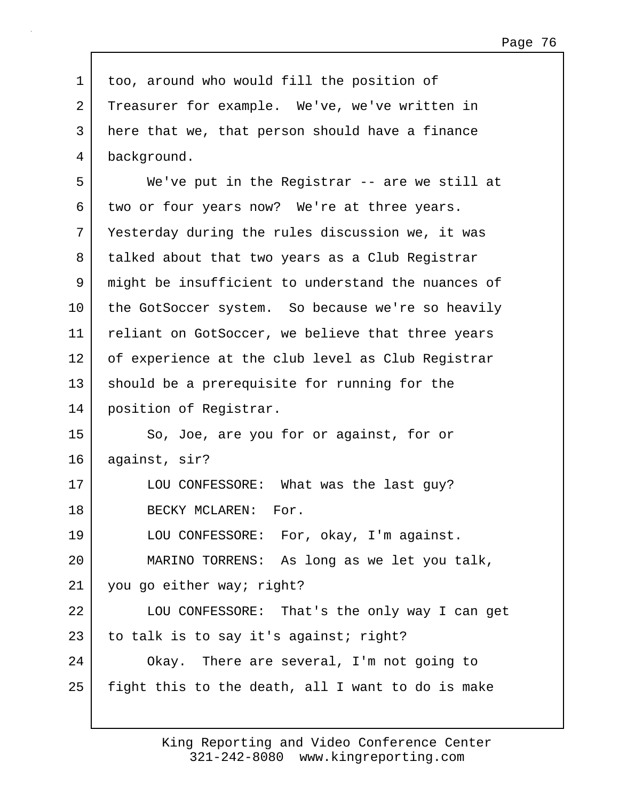1 too, around who would fill the position of 2 Treasurer for example. We've, we've written in 3 here that we, that person should have a finance 4 background. 5 We've put in the Registrar -- are we still at 6 two or four years now? We're at three years. 7 Yesterday during the rules discussion we, it was 8 talked about that two years as a Club Registrar 9 might be insufficient to understand the nuances of 10 the GotSoccer system. So because we're so heavily 11 | reliant on GotSoccer, we believe that three years 12 of experience at the club level as Club Registrar 13 should be a prerequisite for running for the 14 position of Registrar. 15 So, Joe, are you for or against, for or 16 against, sir? 17 | LOU CONFESSORE: What was the last guy? 18 BECKY MCLAREN: For. 19 LOU CONFESSORE: For, okay, I'm against. 20 MARINO TORRENS: As long as we let you talk, 21 you go either way; right? 22 LOU CONFESSORE: That's the only way I can get 23 to talk is to say it's against; right? 24 Okay. There are several, I'm not going to  $25$  fight this to the death, all I want to do is make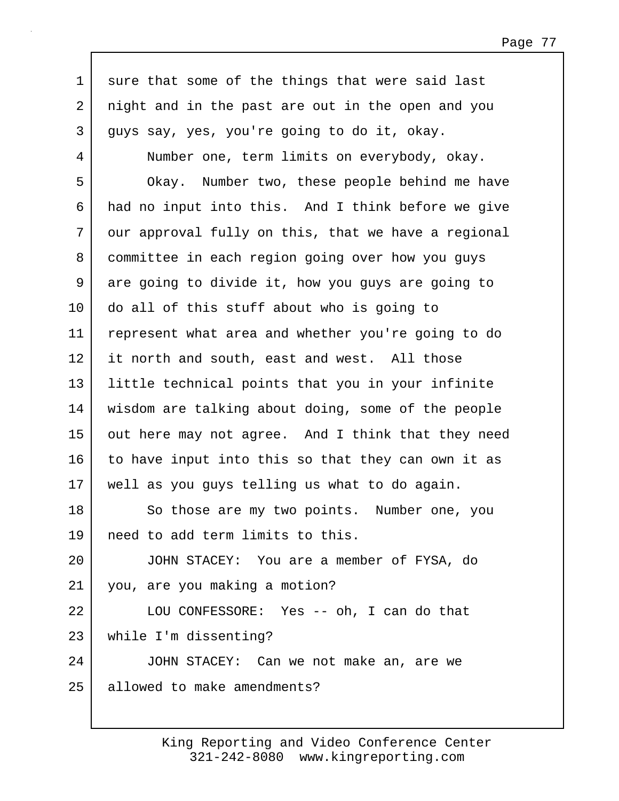1 sure that some of the things that were said last 2 night and in the past are out in the open and you 3 guys say, yes, you're going to do it, okay. 4 Number one, term limits on everybody, okay. 5 Okay. Number two, these people behind me have 6 had no input into this. And I think before we give 7 | our approval fully on this, that we have a regional 8 committee in each region going over how you guys 9 are going to divide it, how you guys are going to 10 do all of this stuff about who is going to 11 represent what area and whether you're going to do 12 it north and south, east and west. All those

13 little technical points that you in your infinite 14 wisdom are talking about doing, some of the people 15 out here may not agree. And I think that they need 16 to have input into this so that they can own it as 17 well as you guys telling us what to do again.

18 So those are my two points. Number one, you 19 need to add term limits to this.

20 JOHN STACEY: You are a member of FYSA, do 21 you, are you making a motion?

22 LOU CONFESSORE: Yes -- oh, I can do that 23 while I'm dissenting?

24 JOHN STACEY: Can we not make an, are we 25 allowed to make amendments?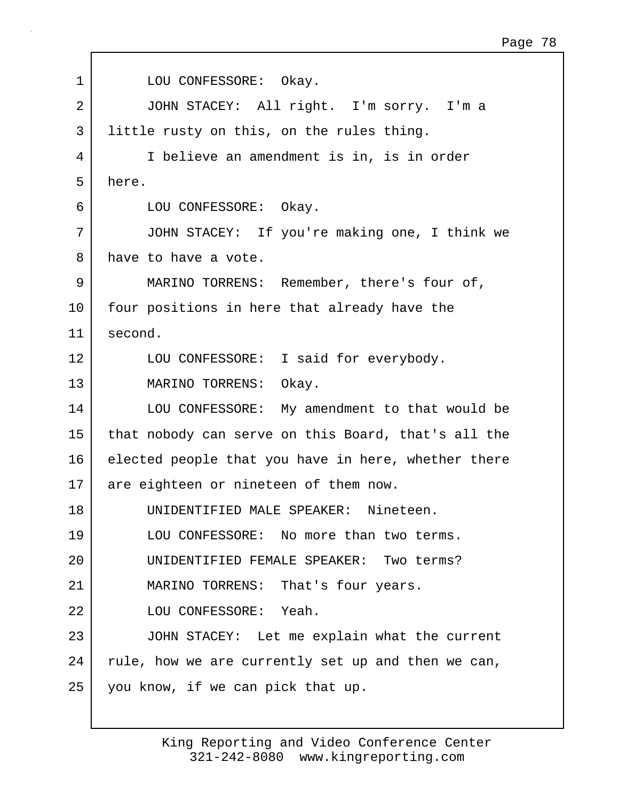1 LOU CONFESSORE: Okay. 2 JOHN STACEY: All right. I'm sorry. I'm a 3 little rusty on this, on the rules thing. 4 I believe an amendment is in, is in order 5 here. 6 LOU CONFESSORE: Okay. 7 JOHN STACEY: If you're making one, I think we 8 have to have a vote. 9 MARINO TORRENS: Remember, there's four of, 10 four positions in here that already have the 11 second. 12 LOU CONFESSORE: I said for everybody. 13 MARINO TORRENS: Okay. 14 LOU CONFESSORE: My amendment to that would be 15 that nobody can serve on this Board, that's all the 16 elected people that you have in here, whether there 17 are eighteen or nineteen of them now. 18 UNIDENTIFIED MALE SPEAKER: Nineteen. 19 LOU CONFESSORE: No more than two terms. 20 UNIDENTIFIED FEMALE SPEAKER: Two terms? 21 | MARINO TORRENS: That's four years. 22 LOU CONFESSORE: Yeah. 23 JOHN STACEY: Let me explain what the current 24 rule, how we are currently set up and then we can, 25 you know, if we can pick that up.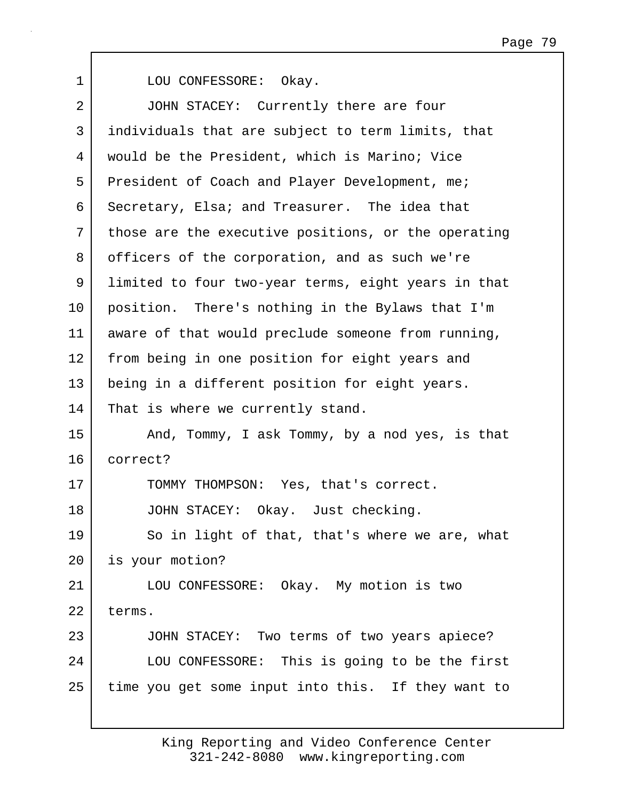1 LOU CONFESSORE: Okay. 2 JOHN STACEY: Currently there are four 3 individuals that are subject to term limits, that 4 would be the President, which is Marino; Vice 5 President of Coach and Player Development, me; 6 Secretary, Elsa; and Treasurer. The idea that 7 those are the executive positions, or the operating 8 officers of the corporation, and as such we're 9 limited to four two-year terms, eight years in that 10 position. There's nothing in the Bylaws that I'm 11 aware of that would preclude someone from running, 12 from being in one position for eight years and 13 being in a different position for eight years. 14 | That is where we currently stand. 15 | And, Tommy, I ask Tommy, by a nod yes, is that 16 correct? 17 TOMMY THOMPSON: Yes, that's correct. 18 JOHN STACEY: Okay. Just checking. 19 So in light of that, that's where we are, what 20 is your motion? 21 LOU CONFESSORE: Okay. My motion is two 22 terms. 23 JOHN STACEY: Two terms of two years apiece? 24 LOU CONFESSORE: This is going to be the first 25 time you get some input into this. If they want to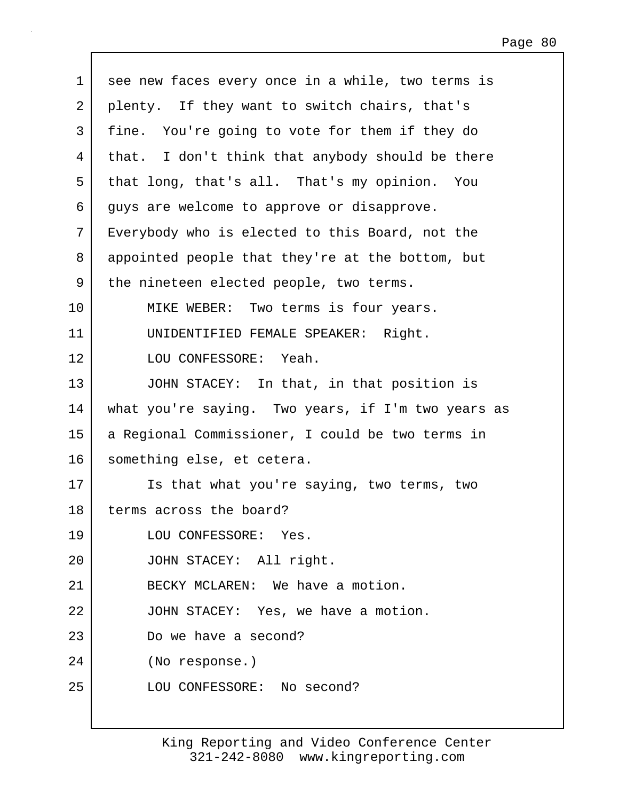| 2<br>plenty. If they want to switch chairs, that's<br>3<br>You're going to vote for them if they do<br>fine.<br>that. I don't think that anybody should be there<br>4<br>5<br>that long, that's all. That's my opinion. You<br>6<br>guys are welcome to approve or disapprove.<br>7<br>Everybody who is elected to this Board, not the<br>8<br>appointed people that they're at the bottom, but<br>9<br>the nineteen elected people, two terms.<br>10<br>MIKE WEBER: Two terms is four years.<br>UNIDENTIFIED FEMALE SPEAKER: Right.<br>11<br>12<br>LOU CONFESSORE: Yeah.<br>13<br>JOHN STACEY: In that, in that position is<br>14<br>what you're saying. Two years, if I'm two years as<br>15<br>a Regional Commissioner, I could be two terms in<br>16<br>something else, et cetera.<br>17<br>Is that what you're saying, two terms, two<br>18<br>terms across the board?<br>19<br>LOU CONFESSORE: Yes.<br>20<br>JOHN STACEY: All right. |  |
|--------------------------------------------------------------------------------------------------------------------------------------------------------------------------------------------------------------------------------------------------------------------------------------------------------------------------------------------------------------------------------------------------------------------------------------------------------------------------------------------------------------------------------------------------------------------------------------------------------------------------------------------------------------------------------------------------------------------------------------------------------------------------------------------------------------------------------------------------------------------------------------------------------------------------------------------|--|
|                                                                                                                                                                                                                                                                                                                                                                                                                                                                                                                                                                                                                                                                                                                                                                                                                                                                                                                                            |  |
|                                                                                                                                                                                                                                                                                                                                                                                                                                                                                                                                                                                                                                                                                                                                                                                                                                                                                                                                            |  |
|                                                                                                                                                                                                                                                                                                                                                                                                                                                                                                                                                                                                                                                                                                                                                                                                                                                                                                                                            |  |
|                                                                                                                                                                                                                                                                                                                                                                                                                                                                                                                                                                                                                                                                                                                                                                                                                                                                                                                                            |  |
|                                                                                                                                                                                                                                                                                                                                                                                                                                                                                                                                                                                                                                                                                                                                                                                                                                                                                                                                            |  |
|                                                                                                                                                                                                                                                                                                                                                                                                                                                                                                                                                                                                                                                                                                                                                                                                                                                                                                                                            |  |
|                                                                                                                                                                                                                                                                                                                                                                                                                                                                                                                                                                                                                                                                                                                                                                                                                                                                                                                                            |  |
|                                                                                                                                                                                                                                                                                                                                                                                                                                                                                                                                                                                                                                                                                                                                                                                                                                                                                                                                            |  |
|                                                                                                                                                                                                                                                                                                                                                                                                                                                                                                                                                                                                                                                                                                                                                                                                                                                                                                                                            |  |
|                                                                                                                                                                                                                                                                                                                                                                                                                                                                                                                                                                                                                                                                                                                                                                                                                                                                                                                                            |  |
|                                                                                                                                                                                                                                                                                                                                                                                                                                                                                                                                                                                                                                                                                                                                                                                                                                                                                                                                            |  |
|                                                                                                                                                                                                                                                                                                                                                                                                                                                                                                                                                                                                                                                                                                                                                                                                                                                                                                                                            |  |
|                                                                                                                                                                                                                                                                                                                                                                                                                                                                                                                                                                                                                                                                                                                                                                                                                                                                                                                                            |  |
|                                                                                                                                                                                                                                                                                                                                                                                                                                                                                                                                                                                                                                                                                                                                                                                                                                                                                                                                            |  |
|                                                                                                                                                                                                                                                                                                                                                                                                                                                                                                                                                                                                                                                                                                                                                                                                                                                                                                                                            |  |
|                                                                                                                                                                                                                                                                                                                                                                                                                                                                                                                                                                                                                                                                                                                                                                                                                                                                                                                                            |  |
|                                                                                                                                                                                                                                                                                                                                                                                                                                                                                                                                                                                                                                                                                                                                                                                                                                                                                                                                            |  |
|                                                                                                                                                                                                                                                                                                                                                                                                                                                                                                                                                                                                                                                                                                                                                                                                                                                                                                                                            |  |
|                                                                                                                                                                                                                                                                                                                                                                                                                                                                                                                                                                                                                                                                                                                                                                                                                                                                                                                                            |  |
| 21<br>BECKY MCLAREN: We have a motion.                                                                                                                                                                                                                                                                                                                                                                                                                                                                                                                                                                                                                                                                                                                                                                                                                                                                                                     |  |
| 22<br>JOHN STACEY: Yes, we have a motion.                                                                                                                                                                                                                                                                                                                                                                                                                                                                                                                                                                                                                                                                                                                                                                                                                                                                                                  |  |
| 23<br>Do we have a second?                                                                                                                                                                                                                                                                                                                                                                                                                                                                                                                                                                                                                                                                                                                                                                                                                                                                                                                 |  |
| 24<br>(No response.)                                                                                                                                                                                                                                                                                                                                                                                                                                                                                                                                                                                                                                                                                                                                                                                                                                                                                                                       |  |
| 25<br>LOU CONFESSORE: No second?                                                                                                                                                                                                                                                                                                                                                                                                                                                                                                                                                                                                                                                                                                                                                                                                                                                                                                           |  |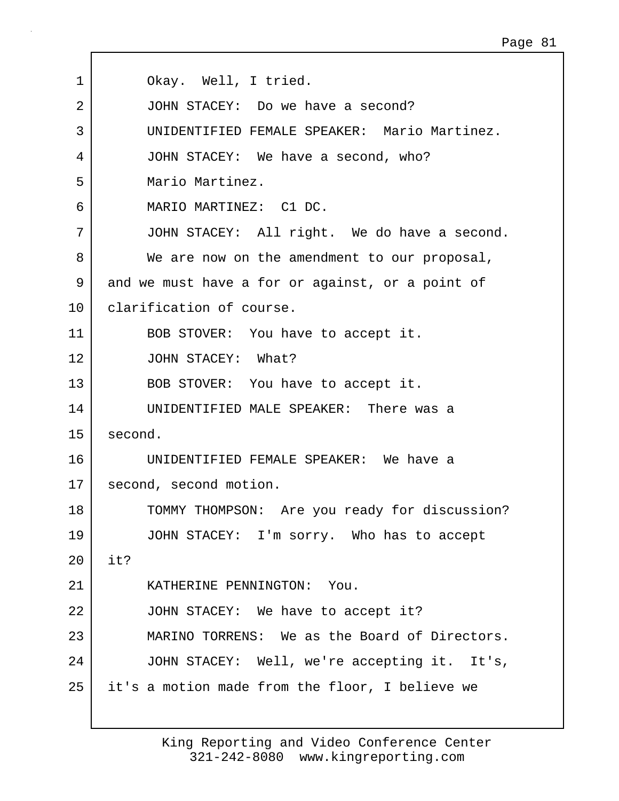| 1               | Okay. Well, I tried.                             |
|-----------------|--------------------------------------------------|
| 2               | JOHN STACEY: Do we have a second?                |
| 3               | UNIDENTIFIED FEMALE SPEAKER: Mario Martinez.     |
| 4               | JOHN STACEY: We have a second, who?              |
| 5               | Mario Martinez.                                  |
| 6               | MARIO MARTINEZ: C1 DC.                           |
| 7               | JOHN STACEY: All right. We do have a second.     |
| 8               | We are now on the amendment to our proposal,     |
| 9               | and we must have a for or against, or a point of |
| 10              | clarification of course.                         |
| 11              | BOB STOVER: You have to accept it.               |
| 12              | JOHN STACEY: What?                               |
| 13              | BOB STOVER: You have to accept it.               |
| 14              | UNIDENTIFIED MALE SPEAKER: There was a           |
| 15              | second.                                          |
| 16              | UNIDENTIFIED FEMALE SPEAKER: We have a           |
| 17 <sub>2</sub> | second, second motion.                           |
| 18              | TOMMY THOMPSON: Are you ready for discussion?    |
| 19              | JOHN STACEY: I'm sorry. Who has to accept        |
| 20              | it?                                              |
| 21              | KATHERINE PENNINGTON: You.                       |
| 22              | JOHN STACEY: We have to accept it?               |
| 23              | MARINO TORRENS: We as the Board of Directors.    |
| 24              | JOHN STACEY: Well, we're accepting it. It's,     |
| 25              | it's a motion made from the floor, I believe we  |
|                 |                                                  |

Г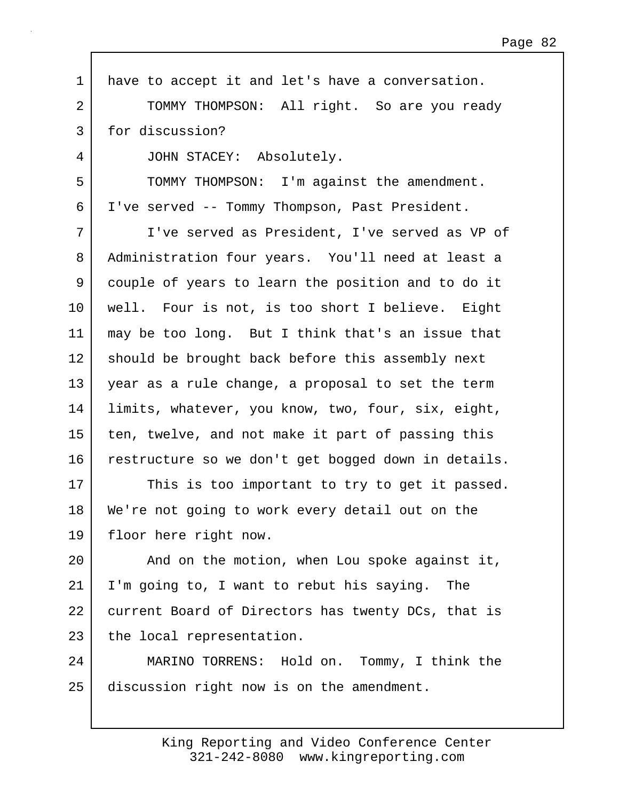1 have to accept it and let's have a conversation. 2 TOMMY THOMPSON: All right. So are you ready 3 for discussion? 4 JOHN STACEY: Absolutely. 5 | TOMMY THOMPSON: I'm against the amendment. 6 I've served -- Tommy Thompson, Past President. 7 I've served as President, I've served as VP of 8 Administration four years. You'll need at least a 9 couple of years to learn the position and to do it 10 | well. Four is not, is too short I believe. Eight 11 may be too long. But I think that's an issue that 12 should be brought back before this assembly next 13 year as a rule change, a proposal to set the term 14 | limits, whatever, you know, two, four, six, eight, 15 ten, twelve, and not make it part of passing this 16 restructure so we don't get bogged down in details. 17 This is too important to try to get it passed. 18 We're not going to work every detail out on the 19 floor here right now. 20 | And on the motion, when Lou spoke against it, 21 I'm going to, I want to rebut his saying. The 22 current Board of Directors has twenty DCs, that is 23 the local representation. 24 MARINO TORRENS: Hold on. Tommy, I think the 25 discussion right now is on the amendment.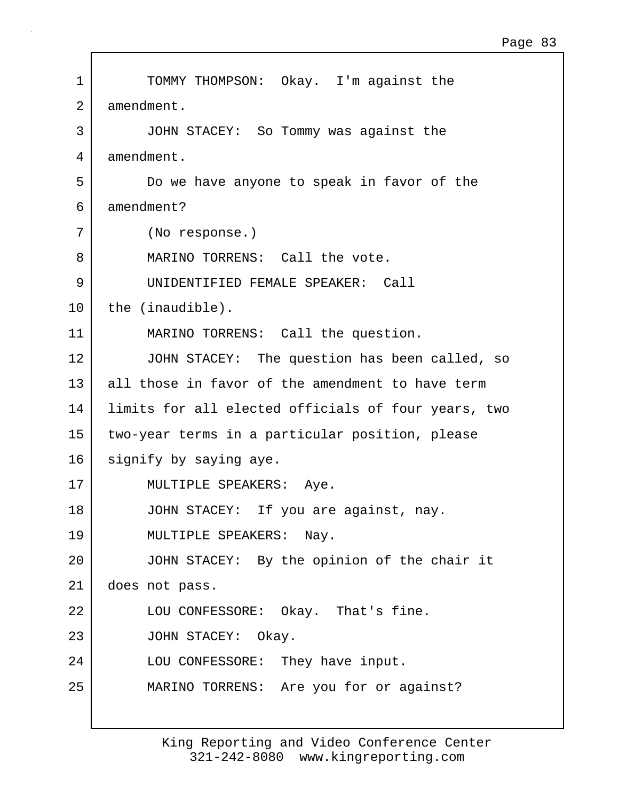| $\mathbf 1$ | TOMMY THOMPSON: Okay. I'm against the               |
|-------------|-----------------------------------------------------|
| 2           | amendment.                                          |
| 3           | JOHN STACEY: So Tommy was against the               |
| 4           | amendment.                                          |
| 5           | Do we have anyone to speak in favor of the          |
| 6           | amendment?                                          |
| 7           | (No response.)                                      |
| 8           | MARINO TORRENS: Call the vote.                      |
| 9           | UNIDENTIFIED FEMALE SPEAKER: Call                   |
| 10          | the (inaudible).                                    |
| 11          | MARINO TORRENS: Call the question.                  |
| 12          | JOHN STACEY: The question has been called, so       |
| 13          | all those in favor of the amendment to have term    |
| 14          | limits for all elected officials of four years, two |
| 15          | two-year terms in a particular position, please     |
| 16          | signify by saying aye.                              |
| 17          | MULTIPLE SPEAKERS: Aye.                             |
| 18          | JOHN STACEY: If you are against, nay.               |
| 19          | MULTIPLE SPEAKERS: Nay.                             |
| 20          | JOHN STACEY: By the opinion of the chair it         |
| 21          | does not pass.                                      |
| 22          | LOU CONFESSORE: Okay. That's fine.                  |
| 23          | JOHN STACEY: Okay.                                  |
| 24          | LOU CONFESSORE: They have input.                    |
| 25          | MARINO TORRENS: Are you for or against?             |
|             |                                                     |
|             |                                                     |

 $\mathbf{I}$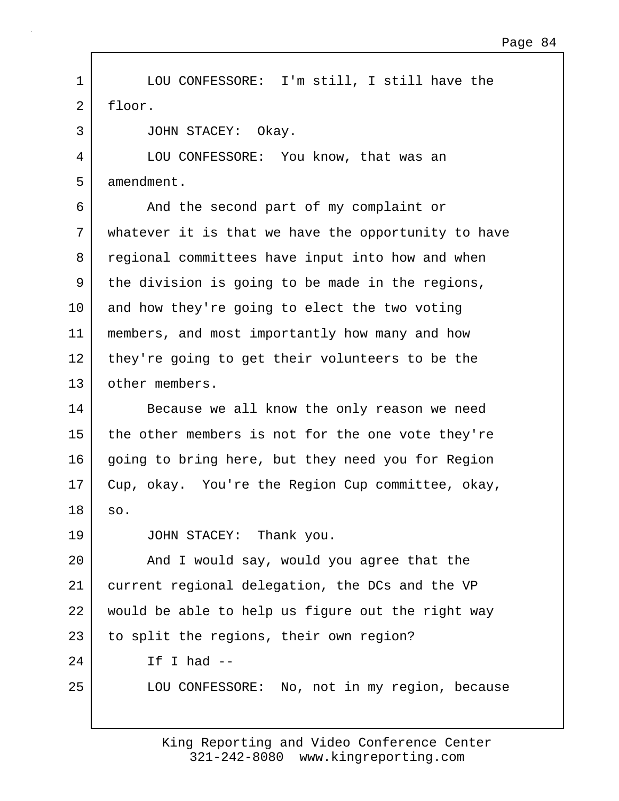1 LOU CONFESSORE: I'm still, I still have the 2 floor.

3 JOHN STACEY: Okay.

4 LOU CONFESSORE: You know, that was an 5 amendment.

6 And the second part of my complaint or 7 whatever it is that we have the opportunity to have 8 regional committees have input into how and when 9 the division is going to be made in the regions, 10 and how they're going to elect the two voting 11 members, and most importantly how many and how 12 they're going to get their volunteers to be the 13 | other members.

14 Because we all know the only reason we need 15 the other members is not for the one vote they're 16 going to bring here, but they need you for Region 17 Cup, okay. You're the Region Cup committee, okay, 18 so.

19 JOHN STACEY: Thank you.

20 | And I would say, would you agree that the 21 current regional delegation, the DCs and the VP 22 would be able to help us figure out the right way 23 to split the regions, their own region?  $24$  If I had  $-$ 

25 LOU CONFESSORE: No, not in my region, because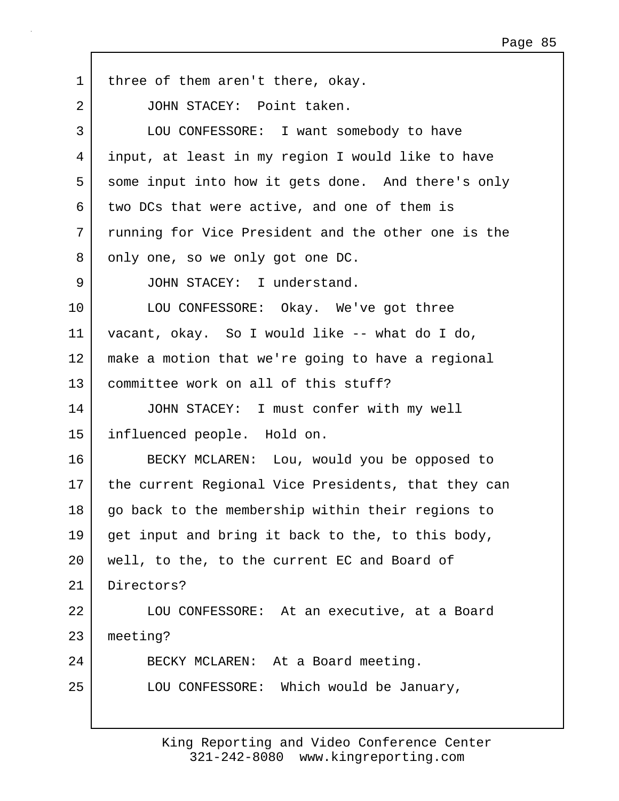1 | three of them aren't there, okay. 2 JOHN STACEY: Point taken. 3 LOU CONFESSORE: I want somebody to have 4 input, at least in my region I would like to have 5 some input into how it gets done. And there's only 6 two DCs that were active, and one of them is 7 running for Vice President and the other one is the 8 | only one, so we only got one DC. 9 JOHN STACEY: I understand. 10 LOU CONFESSORE: Okay. We've got three 11 vacant, okay. So I would like -- what do I do, 12 make a motion that we're going to have a regional 13 committee work on all of this stuff? 14 JOHN STACEY: I must confer with my well 15 influenced people. Hold on. 16 BECKY MCLAREN: Lou, would you be opposed to 17 the current Regional Vice Presidents, that they can 18 go back to the membership within their regions to 19 get input and bring it back to the, to this body, 20 well, to the, to the current EC and Board of 21 Directors? 22 | LOU CONFESSORE: At an executive, at a Board 23 meeting? 24 BECKY MCLAREN: At a Board meeting. 25 LOU CONFESSORE: Which would be January,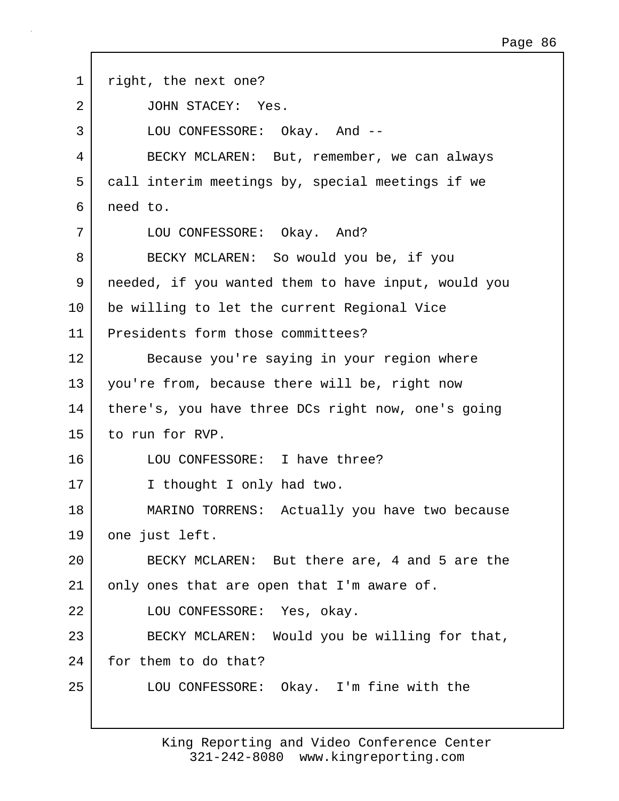1 | right, the next one? 2 JOHN STACEY: Yes. 3 LOU CONFESSORE: Okay. And -- 4 BECKY MCLAREN: But, remember, we can always 5 call interim meetings by, special meetings if we 6 need to. 7 LOU CONFESSORE: Okay. And? 8 BECKY MCLAREN: So would you be, if you 9 needed, if you wanted them to have input, would you 10 be willing to let the current Regional Vice 11 Presidents form those committees? 12 Because you're saying in your region where 13 you're from, because there will be, right now 14 | there's, you have three DCs right now, one's going 15 to run for RVP. 16 LOU CONFESSORE: I have three? 17 I thought I only had two. 18 MARINO TORRENS: Actually you have two because 19 one just left. 20 BECKY MCLAREN: But there are, 4 and 5 are the 21 | only ones that are open that I'm aware of. 22 LOU CONFESSORE: Yes, okay. 23 BECKY MCLAREN: Would you be willing for that, 24 for them to do that? 25 LOU CONFESSORE: Okay. I'm fine with the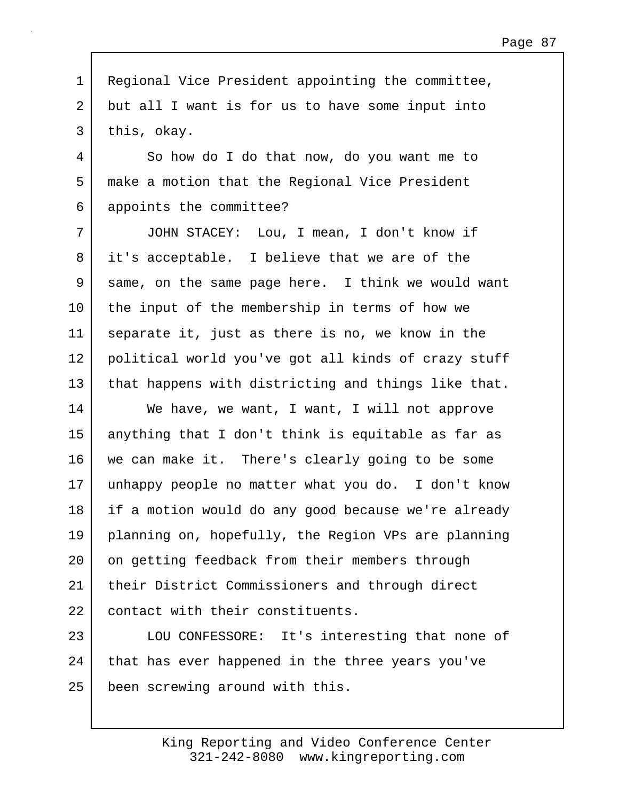1 Regional Vice President appointing the committee, 2 but all I want is for us to have some input into 3 this, okay.

4 So how do I do that now, do you want me to 5 make a motion that the Regional Vice President 6 appoints the committee?

7 JOHN STACEY: Lou, I mean, I don't know if 8 it's acceptable. I believe that we are of the 9 same, on the same page here. I think we would want 10 the input of the membership in terms of how we 11 separate it, just as there is no, we know in the 12 political world you've got all kinds of crazy stuff 13 that happens with districting and things like that.

14 We have, we want, I want, I will not approve 15 anything that I don't think is equitable as far as 16 we can make it. There's clearly going to be some 17 unhappy people no matter what you do. I don't know 18 | if a motion would do any good because we're already 19 planning on, hopefully, the Region VPs are planning 20 | on getting feedback from their members through 21 | their District Commissioners and through direct 22 contact with their constituents.

23 | LOU CONFESSORE: It's interesting that none of 24 that has ever happened in the three years you've 25 been screwing around with this.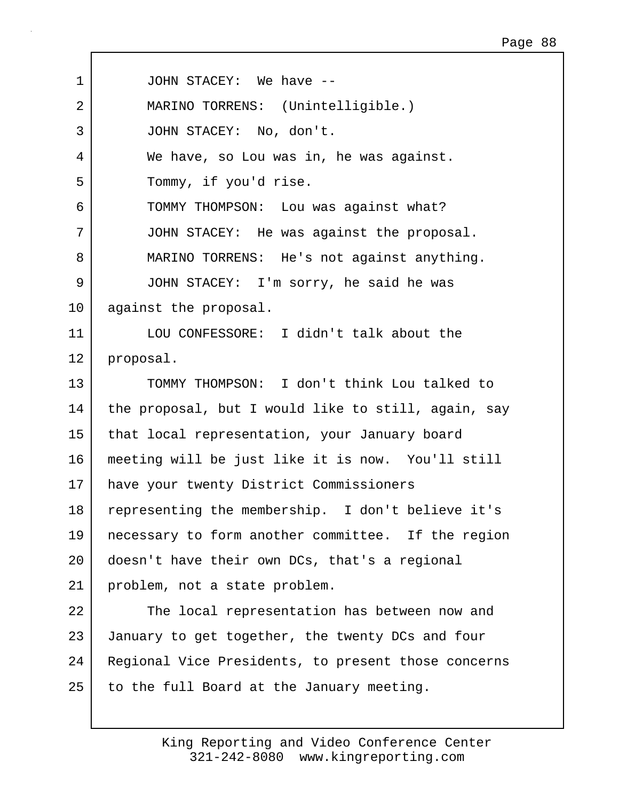| $\mathbf 1$ | JOHN STACEY: We have --                             |
|-------------|-----------------------------------------------------|
| 2           | MARINO TORRENS: (Unintelligible.)                   |
| 3           | JOHN STACEY: No, don't.                             |
| 4           | We have, so Lou was in, he was against.             |
| 5           | Tommy, if you'd rise.                               |
| 6           | TOMMY THOMPSON: Lou was against what?               |
| 7           | JOHN STACEY: He was against the proposal.           |
| 8           | MARINO TORRENS: He's not against anything.          |
| 9           | JOHN STACEY: I'm sorry, he said he was              |
| 10          | against the proposal.                               |
| 11          | LOU CONFESSORE: I didn't talk about the             |
| 12          | proposal.                                           |
| 13          | TOMMY THOMPSON: I don't think Lou talked to         |
| 14          | the proposal, but I would like to still, again, say |
| 15          | that local representation, your January board       |
| 16          | meeting will be just like it is now. You'll still   |
| 17          | have your twenty District Commissioners             |
| 18          | representing the membership. I don't believe it's   |
| 19          | necessary to form another committee. If the region  |
| 20          | doesn't have their own DCs, that's a regional       |
| 21          | problem, not a state problem.                       |
| 22          | The local representation has between now and        |
| 23          | January to get together, the twenty DCs and four    |
| 24          | Regional Vice Presidents, to present those concerns |
| 25          | to the full Board at the January meeting.           |

Г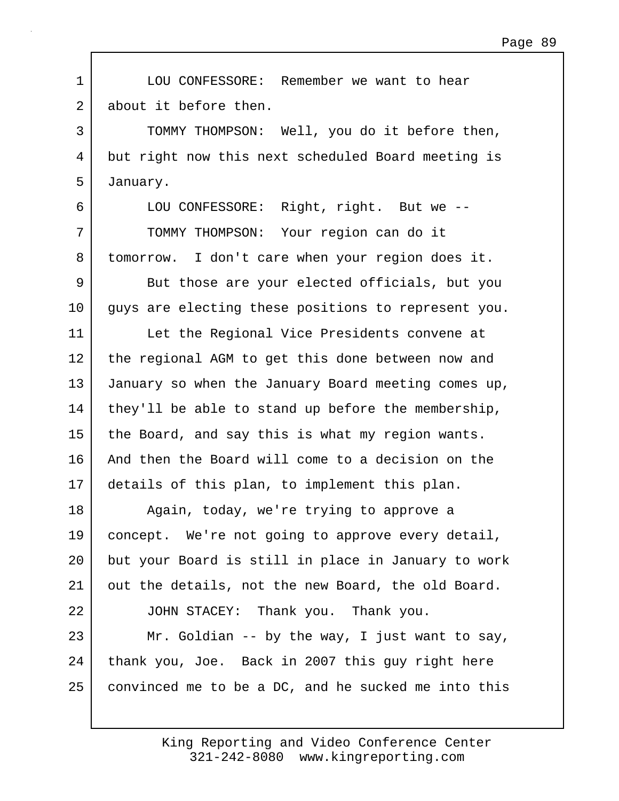1 LOU CONFESSORE: Remember we want to hear 2 about it before then. 3 TOMMY THOMPSON: Well, you do it before then, 4 but right now this next scheduled Board meeting is 5 January. 6 LOU CONFESSORE: Right, right. But we -- 7 TOMMY THOMPSON: Your region can do it 8 tomorrow. I don't care when your region does it. 9 But those are your elected officials, but you 10 quys are electing these positions to represent you. 11 | Let the Regional Vice Presidents convene at 12 the regional AGM to get this done between now and 13 January so when the January Board meeting comes up, 14 | they'll be able to stand up before the membership, 15 the Board, and say this is what my region wants. 16 And then the Board will come to a decision on the 17 details of this plan, to implement this plan. 18 | Again, today, we're trying to approve a 19 concept. We're not going to approve every detail, 20 but your Board is still in place in January to work 21 out the details, not the new Board, the old Board. 22 JOHN STACEY: Thank you. Thank you. 23 Mr. Goldian  $-$  by the way, I just want to say, 24 thank you, Joe. Back in 2007 this guy right here 25 convinced me to be a DC, and he sucked me into this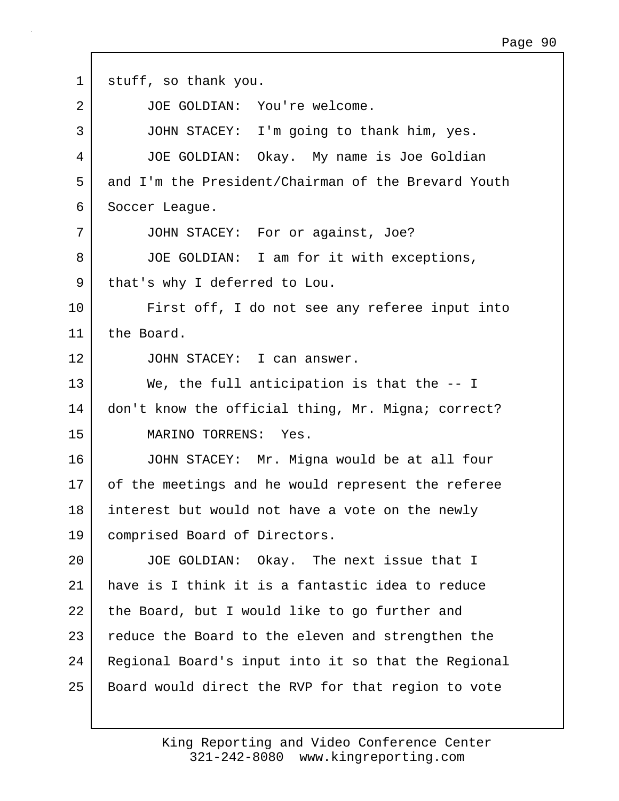| $\mathbf 1$    | stuff, so thank you.                                |
|----------------|-----------------------------------------------------|
| $\overline{2}$ | JOE GOLDIAN: You're welcome.                        |
| 3              | JOHN STACEY: I'm going to thank him, yes.           |
| 4              | JOE GOLDIAN: Okay. My name is Joe Goldian           |
| 5              | and I'm the President/Chairman of the Brevard Youth |
| 6              | Soccer League.                                      |
| 7              | JOHN STACEY: For or against, Joe?                   |
| 8              | JOE GOLDIAN: I am for it with exceptions,           |
| 9              | that's why I deferred to Lou.                       |
| 10             | First off, I do not see any referee input into      |
| 11             | the Board.                                          |
| 12             | JOHN STACEY: I can answer.                          |
| 13             | We, the full anticipation is that the $-$ I         |
| 14             | don't know the official thing, Mr. Migna; correct?  |
| 15             | MARINO TORRENS: Yes.                                |
| 16             | JOHN STACEY: Mr. Migna would be at all four         |
| 17             | of the meetings and he would represent the referee  |
| 18             | interest but would not have a vote on the newly     |
| 19             | comprised Board of Directors.                       |
| 20             | JOE GOLDIAN: Okay. The next issue that I            |
| 21             | have is I think it is a fantastic idea to reduce    |
| 22             | the Board, but I would like to go further and       |
| 23             | reduce the Board to the eleven and strengthen the   |
| 24             | Regional Board's input into it so that the Regional |
| 25             | Board would direct the RVP for that region to vote  |

Г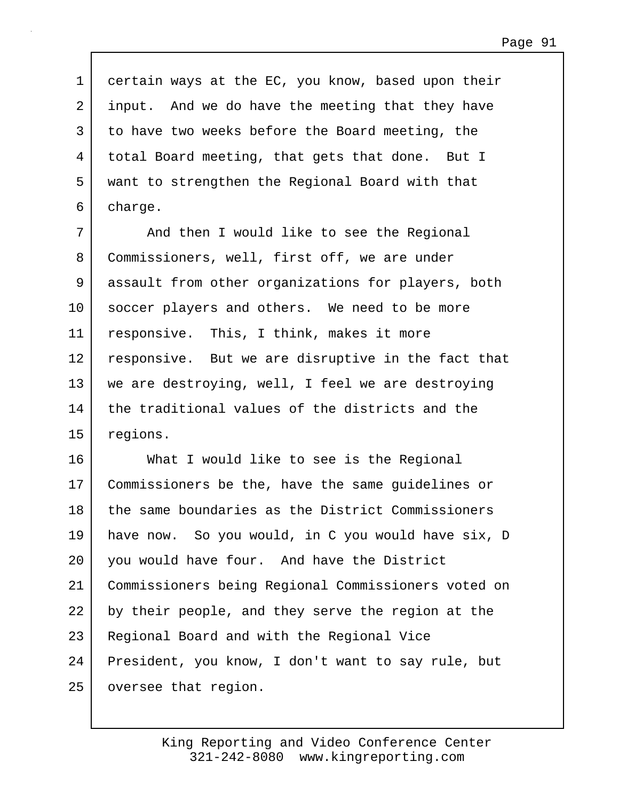1 certain ways at the EC, you know, based upon their 2 input. And we do have the meeting that they have 3 to have two weeks before the Board meeting, the 4 total Board meeting, that gets that done. But I 5 want to strengthen the Regional Board with that 6 charge.

7 | And then I would like to see the Regional 8 Commissioners, well, first off, we are under 9 assault from other organizations for players, both 10 soccer players and others. We need to be more 11 responsive. This, I think, makes it more 12 responsive. But we are disruptive in the fact that 13 we are destroying, well, I feel we are destroying 14 the traditional values of the districts and the 15 regions.

16 What I would like to see is the Regional 17 Commissioners be the, have the same guidelines or 18 the same boundaries as the District Commissioners 19 have now. So you would, in C you would have six, D 20 you would have four. And have the District 21 Commissioners being Regional Commissioners voted on 22 by their people, and they serve the region at the 23 Regional Board and with the Regional Vice 24 President, you know, I don't want to say rule, but 25 oversee that region.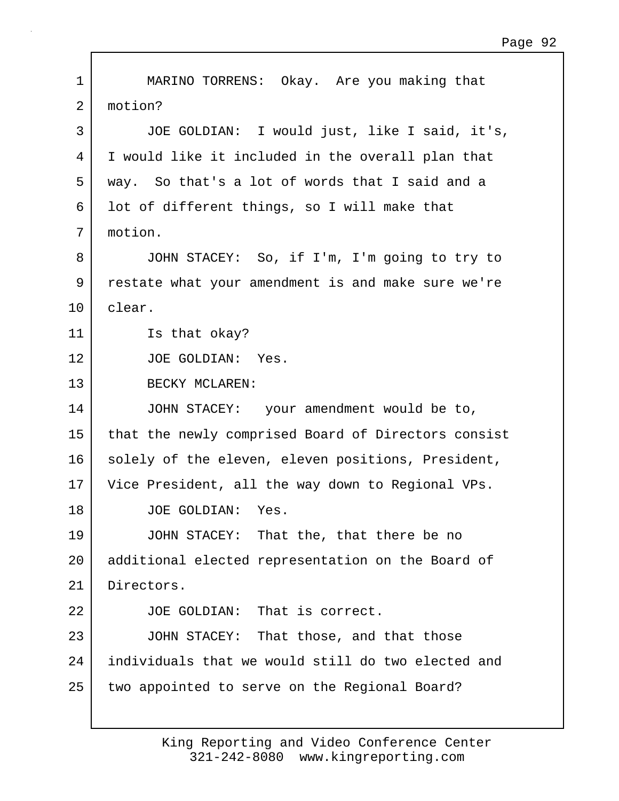1 MARINO TORRENS: Okay. Are you making that 2 motion? 3 JOE GOLDIAN: I would just, like I said, it's, 4 I would like it included in the overall plan that 5 way. So that's a lot of words that I said and a 6 lot of different things, so I will make that 7 motion. 8 JOHN STACEY: So, if I'm, I'm going to try to 9 restate what your amendment is and make sure we're 10 clear. 11 **Is that okay?** 12 JOE GOLDIAN: Yes. 13 BECKY MCLAREN: 14 JOHN STACEY: your amendment would be to, 15 that the newly comprised Board of Directors consist 16 solely of the eleven, eleven positions, President, 17 Vice President, all the way down to Regional VPs. 18 JOE GOLDIAN: Yes. 19 JOHN STACEY: That the, that there be no 20 additional elected representation on the Board of 21 Directors. 22 JOE GOLDIAN: That is correct. 23 JOHN STACEY: That those, and that those 24 individuals that we would still do two elected and 25 two appointed to serve on the Regional Board?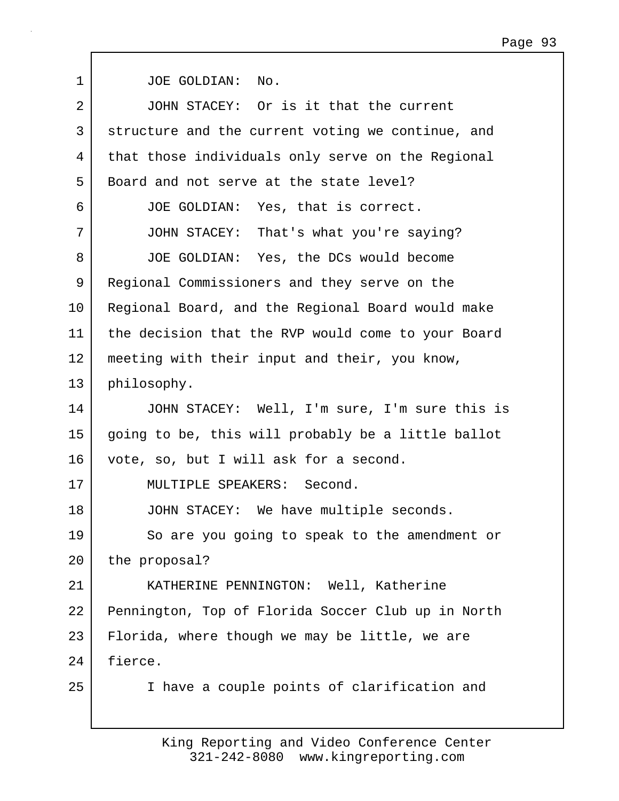| 1  | JOE GOLDIAN: No.                                   |
|----|----------------------------------------------------|
| 2  | JOHN STACEY: Or is it that the current             |
| 3  | structure and the current voting we continue, and  |
| 4  | that those individuals only serve on the Regional  |
| 5  | Board and not serve at the state level?            |
| 6  | JOE GOLDIAN: Yes, that is correct.                 |
| 7  | JOHN STACEY: That's what you're saying?            |
| 8  | JOE GOLDIAN: Yes, the DCs would become             |
| 9  | Regional Commissioners and they serve on the       |
| 10 | Regional Board, and the Regional Board would make  |
| 11 | the decision that the RVP would come to your Board |
| 12 | meeting with their input and their, you know,      |
| 13 | philosophy.                                        |
| 14 | JOHN STACEY: Well, I'm sure, I'm sure this is      |
| 15 | going to be, this will probably be a little ballot |
| 16 | vote, so, but I will ask for a second.             |
| 17 | MULTIPLE SPEAKERS: Second.                         |
| 18 | JOHN STACEY: We have multiple seconds.             |
| 19 | So are you going to speak to the amendment or      |
| 20 | the proposal?                                      |
| 21 | KATHERINE PENNINGTON: Well, Katherine              |
| 22 | Pennington, Top of Florida Soccer Club up in North |
| 23 | Florida, where though we may be little, we are     |
| 24 | fierce.                                            |
| 25 | I have a couple points of clarification and        |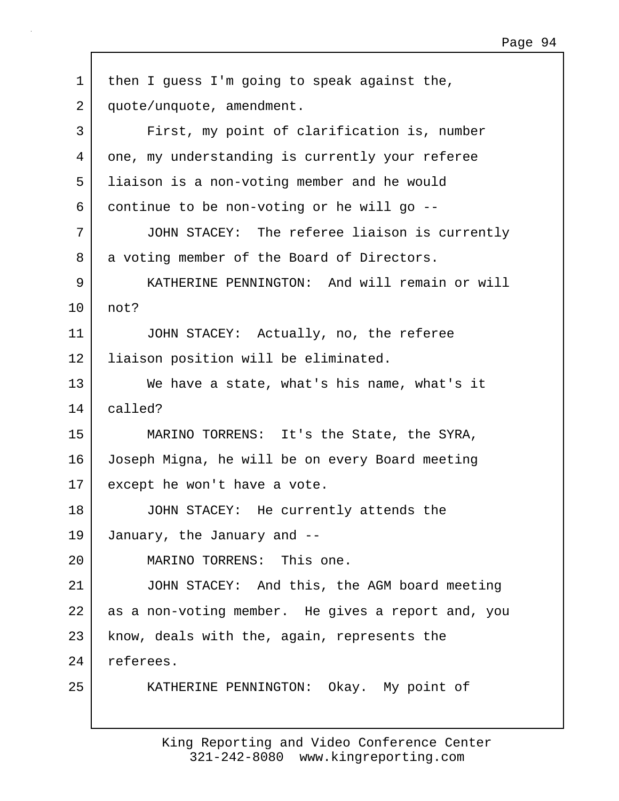| $\mathbf{1}$ | then I guess I'm going to speak against the,       |
|--------------|----------------------------------------------------|
| 2            | quote/unquote, amendment.                          |
| 3            | First, my point of clarification is, number        |
| 4            | one, my understanding is currently your referee    |
| 5            | liaison is a non-voting member and he would        |
| 6            | continue to be non-voting or he will go --         |
| 7            | JOHN STACEY: The referee liaison is currently      |
| 8            | a voting member of the Board of Directors.         |
| 9            | KATHERINE PENNINGTON: And will remain or will      |
| 10           | not?                                               |
| 11           | JOHN STACEY: Actually, no, the referee             |
| 12           | liaison position will be eliminated.               |
| 13           | We have a state, what's his name, what's it        |
| 14           | called?                                            |
| 15           | MARINO TORRENS: It's the State, the SYRA,          |
| 16           | Joseph Migna, he will be on every Board meeting    |
| 17           | except he won't have a vote.                       |
| 18           | JOHN STACEY: He currently attends the              |
| 19           | January, the January and --                        |
| 20           | MARINO TORRENS: This one.                          |
| 21           | JOHN STACEY: And this, the AGM board meeting       |
| 22           | as a non-voting member. He gives a report and, you |
| 23           | know, deals with the, again, represents the        |
| 24           | referees.                                          |
| 25           | KATHERINE PENNINGTON: Okay. My point of            |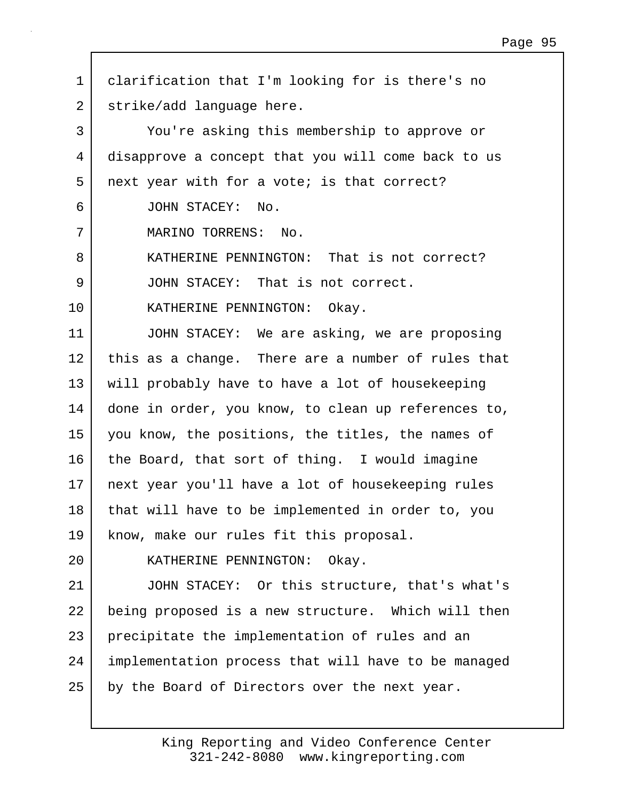1 clarification that I'm looking for is there's no 2 | strike/add language here. 3 You're asking this membership to approve or 4 disapprove a concept that you will come back to us 5 next year with for a vote; is that correct? 6 JOHN STACEY: No. 7 MARINO TORRENS: No. 8 KATHERINE PENNINGTON: That is not correct? 9 JOHN STACEY: That is not correct. 10 | KATHERINE PENNINGTON: Okay. 11 JOHN STACEY: We are asking, we are proposing 12 this as a change. There are a number of rules that 13 will probably have to have a lot of housekeeping 14 | done in order, you know, to clean up references to, 15 you know, the positions, the titles, the names of 16 the Board, that sort of thing. I would imagine 17 next year you'll have a lot of housekeeping rules 18 that will have to be implemented in order to, you 19 know, make our rules fit this proposal. 20 KATHERINE PENNINGTON: Okay. 21 JOHN STACEY: Or this structure, that's what's 22 being proposed is a new structure. Which will then 23 precipitate the implementation of rules and an 24 implementation process that will have to be managed  $25$  by the Board of Directors over the next year.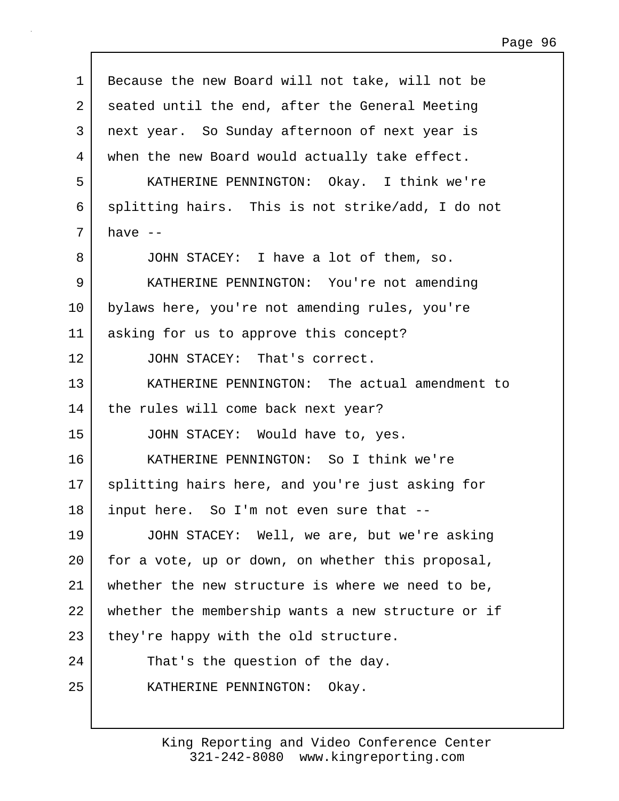| $\mathbf 1$ | Because the new Board will not take, will not be   |
|-------------|----------------------------------------------------|
| 2           | seated until the end, after the General Meeting    |
| 3           | next year. So Sunday afternoon of next year is     |
| 4           | when the new Board would actually take effect.     |
| 5           | KATHERINE PENNINGTON: Okay. I think we're          |
| 6           | splitting hairs. This is not strike/add, I do not  |
| 7           | have $--$                                          |
| 8           | JOHN STACEY: I have a lot of them, so.             |
| 9           | KATHERINE PENNINGTON: You're not amending          |
| 10          | bylaws here, you're not amending rules, you're     |
| 11          | asking for us to approve this concept?             |
| 12          | JOHN STACEY: That's correct.                       |
| 13          | KATHERINE PENNINGTON: The actual amendment to      |
| 14          | the rules will come back next year?                |
| 15          | JOHN STACEY: Would have to, yes.                   |
| 16          | KATHERINE PENNINGTON: So I think we're             |
| 17          | splitting hairs here, and you're just asking for   |
|             |                                                    |
| 18          | input here. So I'm not even sure that --           |
| 19          | JOHN STACEY: Well, we are, but we're asking        |
| 20          | for a vote, up or down, on whether this proposal,  |
| 21          | whether the new structure is where we need to be,  |
| 22          | whether the membership wants a new structure or if |
| 23          | they're happy with the old structure.              |
| 24          | That's the question of the day.                    |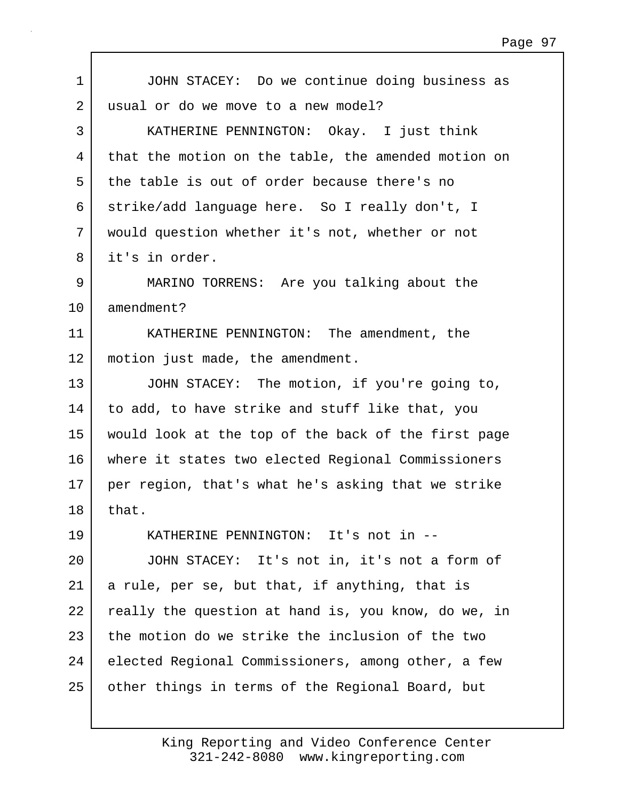| $\mathbf 1$ | JOHN STACEY: Do we continue doing business as       |
|-------------|-----------------------------------------------------|
| 2           | usual or do we move to a new model?                 |
| 3           | KATHERINE PENNINGTON: Okay. I just think            |
| 4           | that the motion on the table, the amended motion on |
| 5           | the table is out of order because there's no        |
| 6           | strike/add language here. So I really don't, I      |
| 7           | would question whether it's not, whether or not     |
| 8           | it's in order.                                      |
| 9           | MARINO TORRENS: Are you talking about the           |
| 10          | amendment?                                          |
| 11          | KATHERINE PENNINGTON: The amendment, the            |
| 12          | motion just made, the amendment.                    |
| 13          | JOHN STACEY: The motion, if you're going to,        |
| 14          | to add, to have strike and stuff like that, you     |
| 15          | would look at the top of the back of the first page |
| 16          | where it states two elected Regional Commissioners  |
| 17          | per region, that's what he's asking that we strike  |
| 18          | that.                                               |
| 19          | KATHERINE PENNINGTON: It's not in --                |
| 20          | JOHN STACEY: It's not in, it's not a form of        |
| 21          | a rule, per se, but that, if anything, that is      |
| 22          | really the question at hand is, you know, do we, in |
| 23          | the motion do we strike the inclusion of the two    |
| 24          | elected Regional Commissioners, among other, a few  |
| 25          | other things in terms of the Regional Board, but    |

 $\Gamma$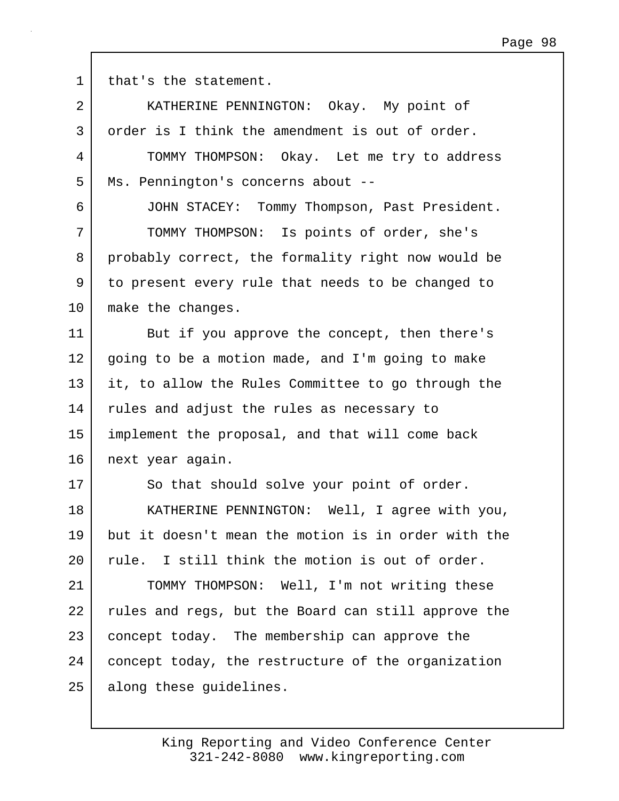1 that's the statement.

| $\overline{2}$ | KATHERINE PENNINGTON: Okay. My point of             |
|----------------|-----------------------------------------------------|
| 3              | order is I think the amendment is out of order.     |
| 4              | TOMMY THOMPSON: Okay. Let me try to address         |
| 5              | Ms. Pennington's concerns about --                  |
| 6              | JOHN STACEY: Tommy Thompson, Past President.        |
| 7              | TOMMY THOMPSON: Is points of order, she's           |
| 8              | probably correct, the formality right now would be  |
| 9              | to present every rule that needs to be changed to   |
| 10             | make the changes.                                   |
| 11             | But if you approve the concept, then there's        |
| 12             | going to be a motion made, and I'm going to make    |
| 13             | it, to allow the Rules Committee to go through the  |
| 14             | rules and adjust the rules as necessary to          |
| 15             | implement the proposal, and that will come back     |
| 16             | next year again.                                    |
| 17             | So that should solve your point of order.           |
| 18             | KATHERINE PENNINGTON: Well, I agree with you,       |
| 19             | but it doesn't mean the motion is in order with the |
| $20 \,$        | rule. I still think the motion is out of order.     |
| 21             | TOMMY THOMPSON: Well, I'm not writing these         |
| 22             | rules and regs, but the Board can still approve the |
| 23             | concept today. The membership can approve the       |
| 24             | concept today, the restructure of the organization  |
| 25             | along these guidelines.                             |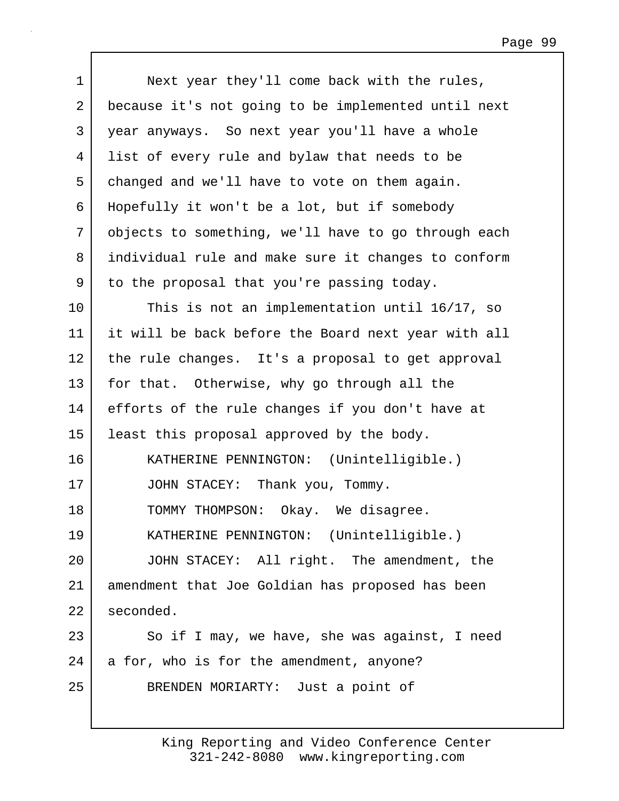| $\mathbf 1$ | Next year they'll come back with the rules,         |
|-------------|-----------------------------------------------------|
| 2           | because it's not going to be implemented until next |
| 3           | year anyways. So next year you'll have a whole      |
| 4           | list of every rule and bylaw that needs to be       |
| 5           | changed and we'll have to vote on them again.       |
| 6           | Hopefully it won't be a lot, but if somebody        |
| 7           | objects to something, we'll have to go through each |
| 8           | individual rule and make sure it changes to conform |
| 9           | to the proposal that you're passing today.          |
| 10          | This is not an implementation until 16/17, so       |
| 11          | it will be back before the Board next year with all |
| 12          | the rule changes. It's a proposal to get approval   |
| 13          | for that. Otherwise, why go through all the         |
| 14          | efforts of the rule changes if you don't have at    |
| 15          | least this proposal approved by the body.           |
| 16          | KATHERINE PENNINGTON: (Unintelligible.)             |
| 17          | JOHN STACEY: Thank you, Tommy.                      |
| 18          | Okay. We disagree.<br>TOMMY THOMPSON:               |
| 19          | KATHERINE PENNINGTON: (Unintelligible.)             |
| 20          | JOHN STACEY: All right. The amendment, the          |
| 21          | amendment that Joe Goldian has proposed has been    |
| 22          | seconded.                                           |
| 23          | So if I may, we have, she was against, I need       |
| 24          | a for, who is for the amendment, anyone?            |
| 25          | BRENDEN MORIARTY: Just a point of                   |
|             |                                                     |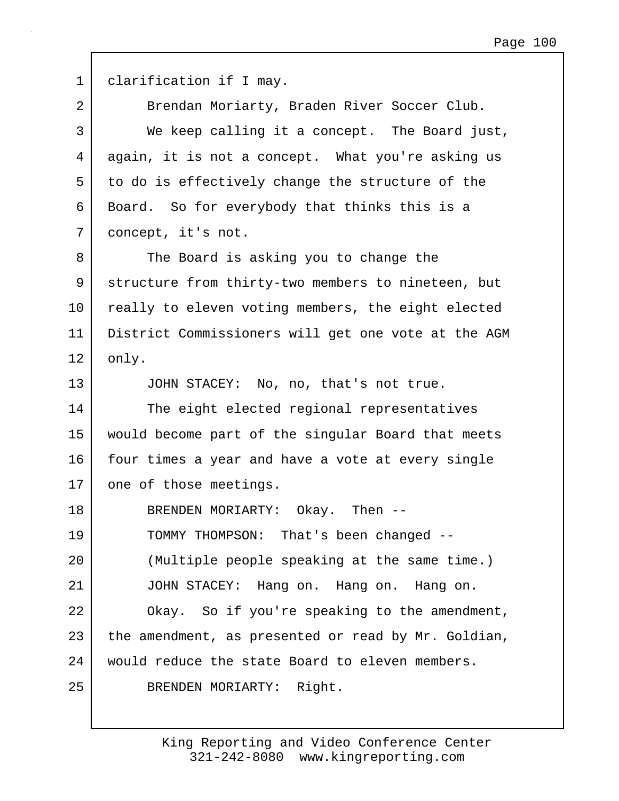1 clarification if I may. 2 Brendan Moriarty, Braden River Soccer Club. 3 We keep calling it a concept. The Board just, 4 again, it is not a concept. What you're asking us 5 to do is effectively change the structure of the 6 Board. So for everybody that thinks this is a 7 concept, it's not. 8 The Board is asking you to change the 9 structure from thirty-two members to nineteen, but 10 really to eleven voting members, the eight elected 11 District Commissioners will get one vote at the AGM 12 | only. 13 JOHN STACEY: No, no, that's not true. 14 The eight elected regional representatives 15 would become part of the singular Board that meets 16 four times a year and have a vote at every single 17 one of those meetings. 18 BRENDEN MORIARTY: Okay. Then -- 19 TOMMY THOMPSON: That's been changed -- 20 (Multiple people speaking at the same time.) 21 JOHN STACEY: Hang on. Hang on. Hang on. 22 | Okay. So if you're speaking to the amendment, 23 the amendment, as presented or read by Mr. Goldian, 24 would reduce the state Board to eleven members. 25 BRENDEN MORIARTY: Right.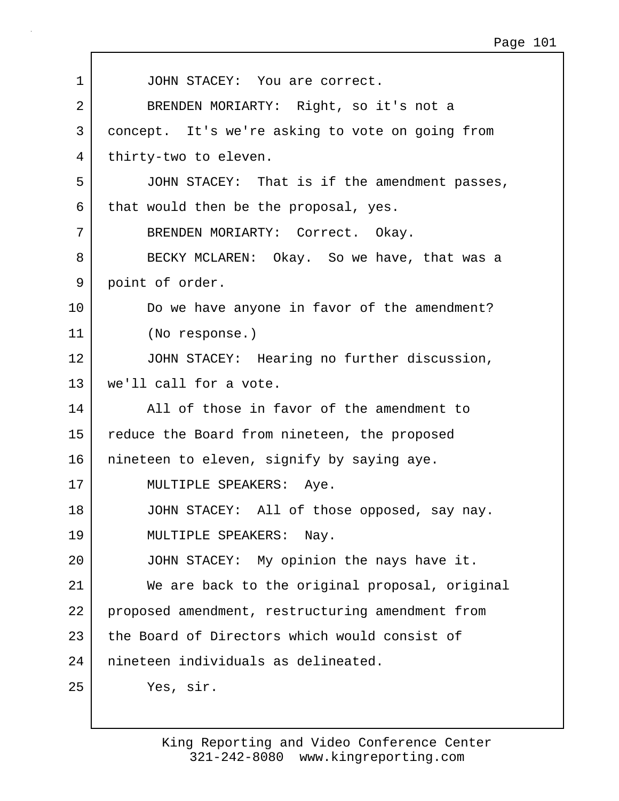| $\mathbf 1$ | JOHN STACEY: You are correct.                    |
|-------------|--------------------------------------------------|
| 2           | BRENDEN MORIARTY: Right, so it's not a           |
| 3           | concept. It's we're asking to vote on going from |
| 4           | thirty-two to eleven.                            |
| 5           | JOHN STACEY: That is if the amendment passes,    |
| 6           | that would then be the proposal, yes.            |
| 7           | BRENDEN MORIARTY: Correct. Okay.                 |
| 8           | BECKY MCLAREN: Okay. So we have, that was a      |
| 9           | point of order.                                  |
| 10          | Do we have anyone in favor of the amendment?     |
| 11          | (No response.)                                   |
| 12          | JOHN STACEY: Hearing no further discussion,      |
| 13          | we'll call for a vote.                           |
| 14          | All of those in favor of the amendment to        |
| 15          | reduce the Board from nineteen, the proposed     |
| 16          | nineteen to eleven, signify by saying aye.       |
| 17          | MULTIPLE SPEAKERS: Aye.                          |
| 18          | JOHN STACEY: All of those opposed, say nay.      |
| 19          | MULTIPLE SPEAKERS: Nay.                          |
| 20          | JOHN STACEY: My opinion the nays have it.        |
| 21          | We are back to the original proposal, original   |
| 22          | proposed amendment, restructuring amendment from |
| 23          | the Board of Directors which would consist of    |
| 24          | nineteen individuals as delineated.              |
| 25          | Yes, sir.                                        |

 $\Gamma$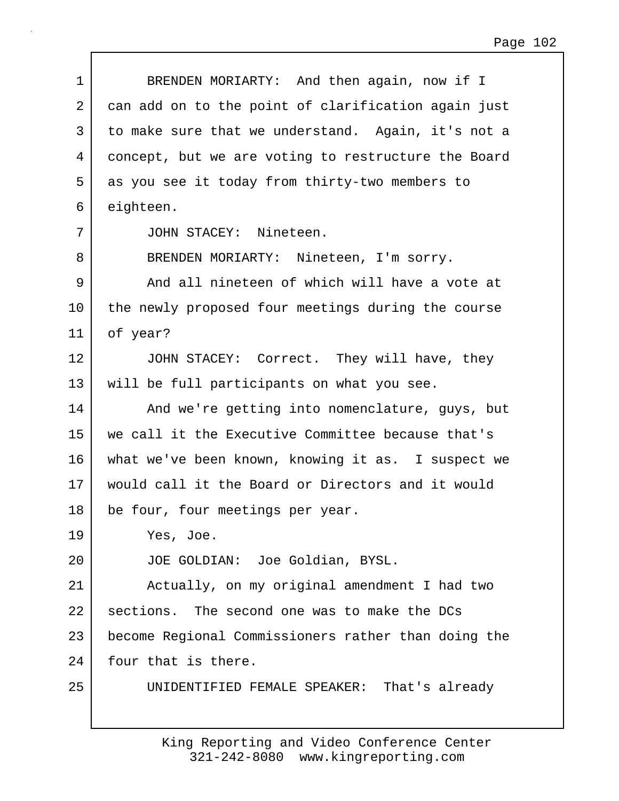| 1  | BRENDEN MORIARTY: And then again, now if I          |
|----|-----------------------------------------------------|
| 2  | can add on to the point of clarification again just |
| 3  | to make sure that we understand. Again, it's not a  |
| 4  | concept, but we are voting to restructure the Board |
| 5  | as you see it today from thirty-two members to      |
| 6  | eighteen.                                           |
| 7  | JOHN STACEY: Nineteen.                              |
| 8  | BRENDEN MORIARTY: Nineteen, I'm sorry.              |
| 9  | And all nineteen of which will have a vote at       |
| 10 | the newly proposed four meetings during the course  |
| 11 | of year?                                            |
| 12 | JOHN STACEY: Correct. They will have, they          |
| 13 | will be full participants on what you see.          |
| 14 | And we're getting into nomenclature, guys, but      |
| 15 | we call it the Executive Committee because that's   |
| 16 | what we've been known, knowing it as. I suspect we  |
| 17 | would call it the Board or Directors and it would   |
| 18 | be four, four meetings per year.                    |
| 19 | Yes, Joe.                                           |
| 20 | JOE GOLDIAN: Joe Goldian, BYSL.                     |
| 21 | Actually, on my original amendment I had two        |
| 22 | sections. The second one was to make the DCs        |
| 23 | become Regional Commissioners rather than doing the |
| 24 | four that is there.                                 |
| 25 | UNIDENTIFIED FEMALE SPEAKER: That's already         |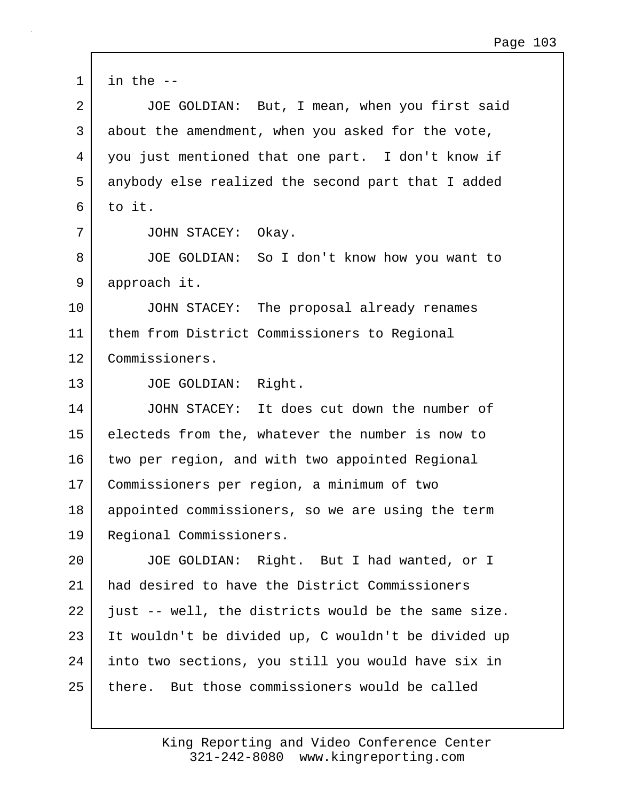| $\mathbf 1$    | in the $-$                                          |
|----------------|-----------------------------------------------------|
| $\overline{2}$ | JOE GOLDIAN: But, I mean, when you first said       |
| 3              | about the amendment, when you asked for the vote,   |
| 4              | you just mentioned that one part. I don't know if   |
| 5              | anybody else realized the second part that I added  |
| 6              | to it.                                              |
| 7              | JOHN STACEY: Okay.                                  |
| 8              | JOE GOLDIAN: So I don't know how you want to        |
| 9              | approach it.                                        |
| 10             | JOHN STACEY: The proposal already renames           |
| 11             | them from District Commissioners to Regional        |
| 12             | Commissioners.                                      |
| 13             | JOE GOLDIAN: Right.                                 |
| 14             | JOHN STACEY: It does cut down the number of         |
| 15             | electeds from the, whatever the number is now to    |
| 16             | two per region, and with two appointed Regional     |
| 17             | Commissioners per region, a minimum of two          |
| 18             | appointed commissioners, so we are using the term   |
| 19             | Regional Commissioners.                             |
| 20             | JOE GOLDIAN: Right. But I had wanted, or I          |
| 21             | had desired to have the District Commissioners      |
| 22             | just -- well, the districts would be the same size. |
| 23             | It wouldn't be divided up, C wouldn't be divided up |
| 24             | into two sections, you still you would have six in  |
| 25             | there. But those commissioners would be called      |

 $\Gamma$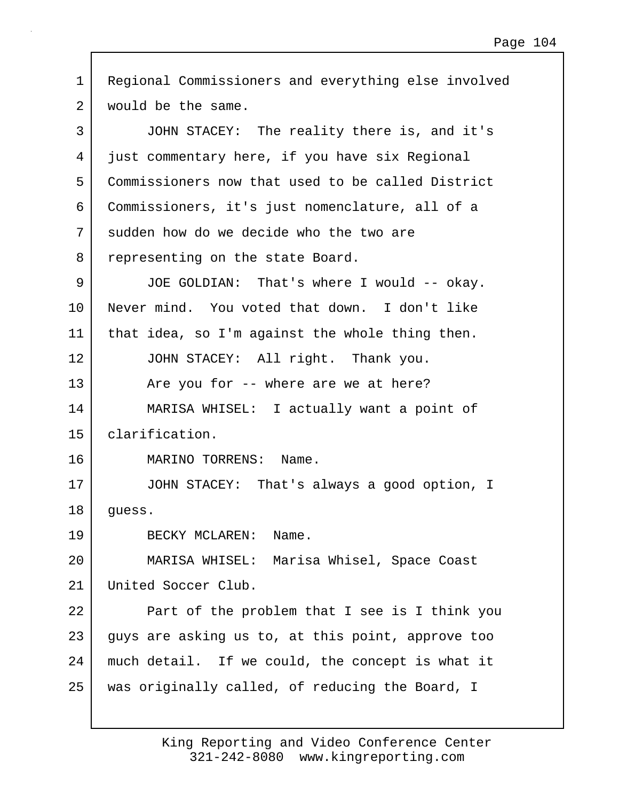| $\mathbf 1$ | Regional Commissioners and everything else involved |
|-------------|-----------------------------------------------------|
| 2           | would be the same.                                  |
| 3           | JOHN STACEY: The reality there is, and it's         |
| 4           | just commentary here, if you have six Regional      |
| 5           | Commissioners now that used to be called District   |
| 6           | Commissioners, it's just nomenclature, all of a     |
| 7           | sudden how do we decide who the two are             |
| 8           | representing on the state Board.                    |
| 9           | JOE GOLDIAN: That's where I would -- okay.          |
| 10          | Never mind. You voted that down. I don't like       |
| 11          | that idea, so I'm against the whole thing then.     |
| 12          | JOHN STACEY: All right. Thank you.                  |
| 13          | Are you for -- where are we at here?                |
| 14          | MARISA WHISEL: I actually want a point of           |
| 15          | clarification.                                      |
| 16          | MARINO TORRENS:<br>Name.                            |
| 17          | JOHN STACEY: That's always a good option, I         |
| 18          | guess.                                              |
| 19          | BECKY MCLAREN: Name.                                |
| 20          | MARISA WHISEL: Marisa Whisel, Space Coast           |
| 21          | United Soccer Club.                                 |
| 22          | Part of the problem that I see is I think you       |
| 23          | guys are asking us to, at this point, approve too   |
| 24          | much detail. If we could, the concept is what it    |
| 25          | was originally called, of reducing the Board, I     |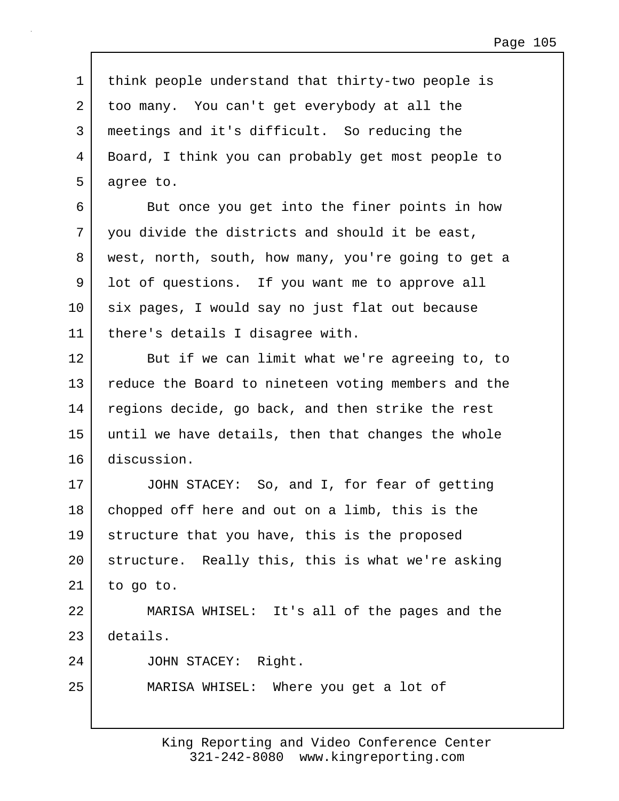1 think people understand that thirty-two people is 2 too many. You can't get everybody at all the 3 meetings and it's difficult. So reducing the 4 Board, I think you can probably get most people to 5 agree to.

6 But once you get into the finer points in how 7 you divide the districts and should it be east, 8 west, north, south, how many, you're going to get a 9 | lot of questions. If you want me to approve all 10 six pages, I would say no just flat out because 11 there's details I disagree with.

12 But if we can limit what we're agreeing to, to 13 reduce the Board to nineteen voting members and the 14 regions decide, go back, and then strike the rest 15 until we have details, then that changes the whole 16 discussion.

17 JOHN STACEY: So, and I, for fear of getting 18 chopped off here and out on a limb, this is the 19 structure that you have, this is the proposed 20 structure. Really this, this is what we're asking  $21$  to go to.

22 MARISA WHISEL: It's all of the pages and the 23 details.

24 JOHN STACEY: Right.

25 MARISA WHISEL: Where you get a lot of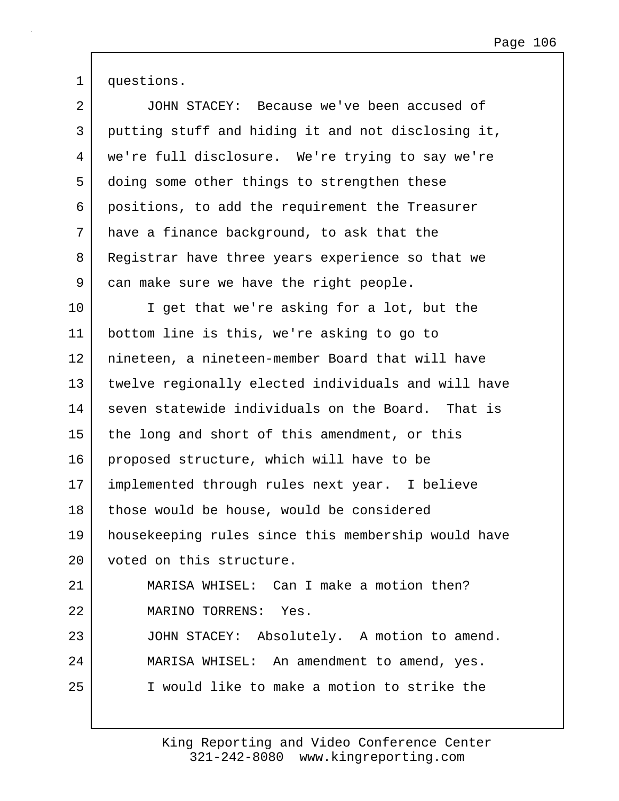1 questions.

| $\overline{2}$ | JOHN STACEY: Because we've been accused of          |
|----------------|-----------------------------------------------------|
| 3              | putting stuff and hiding it and not disclosing it,  |
| 4              | we're full disclosure. We're trying to say we're    |
| 5              | doing some other things to strengthen these         |
| 6              | positions, to add the requirement the Treasurer     |
| 7              | have a finance background, to ask that the          |
| 8              | Registrar have three years experience so that we    |
| 9              | can make sure we have the right people.             |
| $10 \,$        | I get that we're asking for a lot, but the          |
| 11             | bottom line is this, we're asking to go to          |
| 12             | nineteen, a nineteen-member Board that will have    |
| 13             | twelve regionally elected individuals and will have |
| 14             | seven statewide individuals on the Board. That is   |
| 15             | the long and short of this amendment, or this       |
| 16             | proposed structure, which will have to be           |
| 17             | implemented through rules next year. I believe      |
| 18             | those would be house, would be considered           |
| 19             | housekeeping rules since this membership would have |
| $20 \,$        | voted on this structure.                            |
| 21             | MARISA WHISEL: Can I make a motion then?            |
| 22             | MARINO TORRENS: Yes.                                |
| 23             | JOHN STACEY: Absolutely. A motion to amend.         |
| 24             | MARISA WHISEL: An amendment to amend, yes.          |
| 25             | I would like to make a motion to strike the         |
|                |                                                     |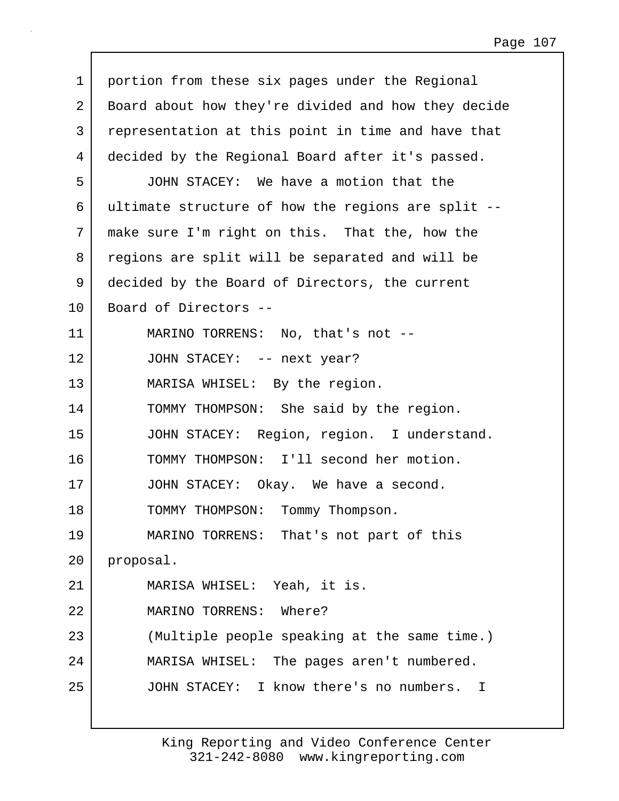| 1  | portion from these six pages under the Regional                  |
|----|------------------------------------------------------------------|
| 2  | Board about how they're divided and how they decide              |
| 3  | representation at this point in time and have that               |
| 4  | decided by the Regional Board after it's passed.                 |
| 5  | JOHN STACEY: We have a motion that the                           |
| 6  | ultimate structure of how the regions are split --               |
| 7  | make sure I'm right on this. That the, how the                   |
| 8  | regions are split will be separated and will be                  |
| 9  | decided by the Board of Directors, the current                   |
| 10 | Board of Directors --                                            |
| 11 | MARINO TORRENS: No, that's not --                                |
| 12 | JOHN STACEY: -- next year?                                       |
| 13 | MARISA WHISEL: By the region.                                    |
| 14 | TOMMY THOMPSON: She said by the region.                          |
| 15 | JOHN STACEY: Region, region. I understand.                       |
| 16 | TOMMY THOMPSON: I'll second her motion.                          |
| 17 | JOHN STACEY: Okay. We have a second.                             |
| 18 | TOMMY THOMPSON: Tommy Thompson.                                  |
| 19 | MARINO TORRENS: That's not part of this                          |
| 20 | proposal.                                                        |
| 21 | MARISA WHISEL: Yeah, it is.                                      |
| 22 | MARINO TORRENS: Where?                                           |
| 23 | (Multiple people speaking at the same time.)                     |
| 24 | MARISA WHISEL: The pages aren't numbered.                        |
| 25 | JOHN STACEY: I know there's no numbers.<br>$\mathbf{\mathsf{I}}$ |
|    |                                                                  |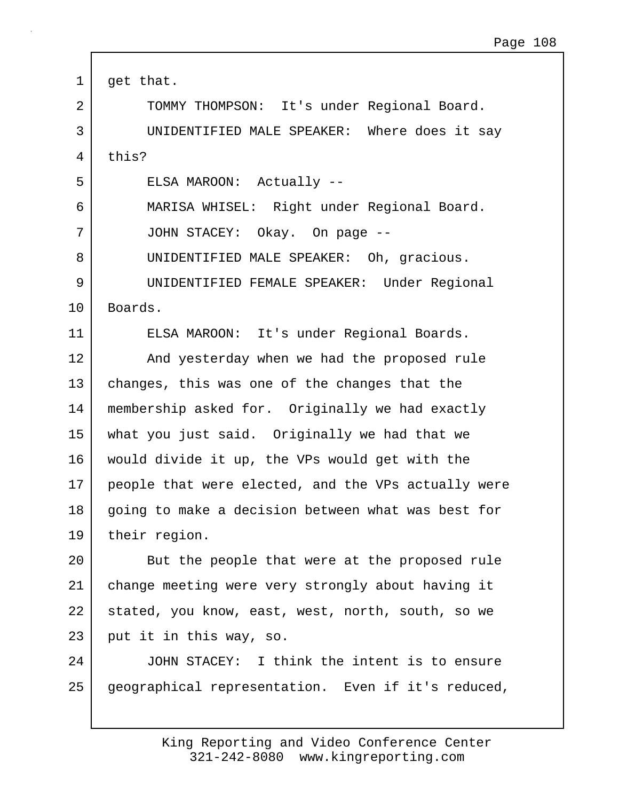1 | get that. 2 | TOMMY THOMPSON: It's under Regional Board. 3 UNIDENTIFIED MALE SPEAKER: Where does it say 4 this? 5 ELSA MAROON: Actually -- 6 MARISA WHISEL: Right under Regional Board. 7 JOHN STACEY: Okay. On page -- 8 UNIDENTIFIED MALE SPEAKER: Oh, gracious. 9 UNIDENTIFIED FEMALE SPEAKER: Under Regional 10 | Boards. 11 ELSA MAROON: It's under Regional Boards. 12 And yesterday when we had the proposed rule 13 changes, this was one of the changes that the 14 membership asked for. Originally we had exactly 15 what you just said. Originally we had that we 16 would divide it up, the VPs would get with the 17 people that were elected, and the VPs actually were 18 going to make a decision between what was best for 19 their region. 20 | But the people that were at the proposed rule 21 change meeting were very strongly about having it 22 stated, you know, east, west, north, south, so we 23 put it in this way, so. 24 JOHN STACEY: I think the intent is to ensure 25 geographical representation. Even if it's reduced,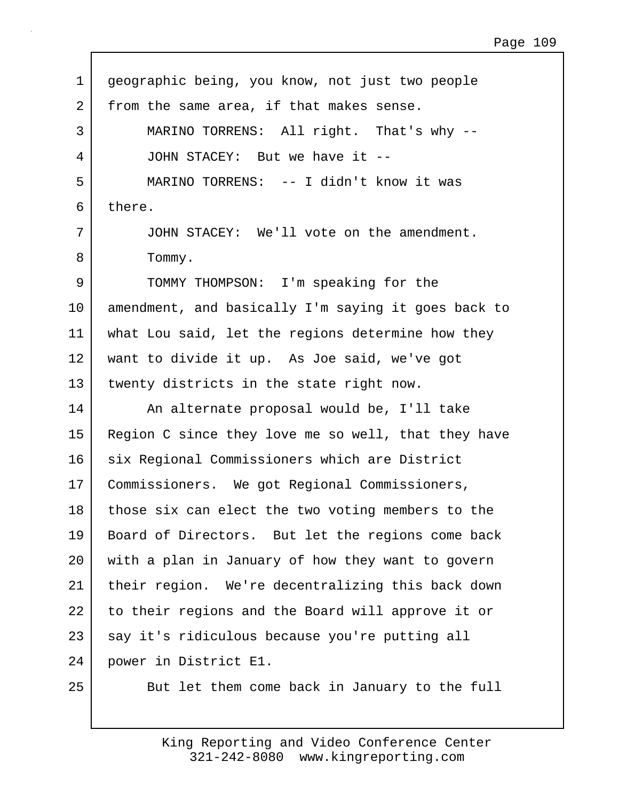| $\mathbf 1$    | geographic being, you know, not just two people     |
|----------------|-----------------------------------------------------|
| $\overline{2}$ | from the same area, if that makes sense.            |
| 3              | MARINO TORRENS: All right. That's why --            |
| 4              | JOHN STACEY: But we have it --                      |
| 5              | MARINO TORRENS: -- I didn't know it was             |
| 6              | there.                                              |
| 7              | JOHN STACEY: We'll vote on the amendment.           |
| 8              | Tommy.                                              |
| 9              | TOMMY THOMPSON: I'm speaking for the                |
| 10             | amendment, and basically I'm saying it goes back to |
| 11             | what Lou said, let the regions determine how they   |
| 12             | want to divide it up. As Joe said, we've got        |
| 13             | twenty districts in the state right now.            |
| 14             | An alternate proposal would be, I'll take           |
| 15             | Region C since they love me so well, that they have |
| 16             | six Regional Commissioners which are District       |
| 17             | Commissioners. We got Regional Commissioners,       |
| 18             | those six can elect the two voting members to the   |
| 19             | Board of Directors. But let the regions come back   |
| 20             | with a plan in January of how they want to govern   |
| 21             | their region. We're decentralizing this back down   |
| 22             | to their regions and the Board will approve it or   |
| 23             | say it's ridiculous because you're putting all      |
| 24             | power in District E1.                               |
| 25             | But let them come back in January to the full       |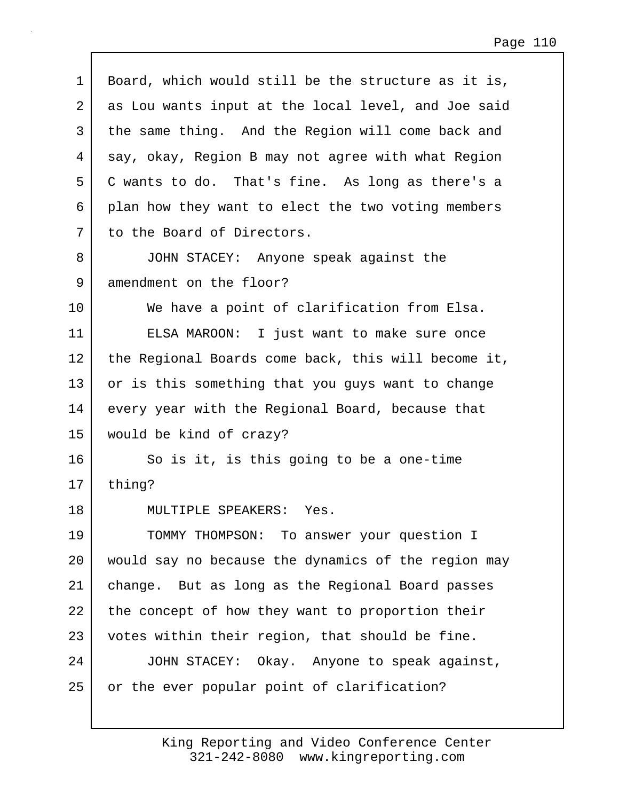| $\mathbf 1$ | Board, which would still be the structure as it is, |
|-------------|-----------------------------------------------------|
| 2           | as Lou wants input at the local level, and Joe said |
| 3           | the same thing. And the Region will come back and   |
| 4           | say, okay, Region B may not agree with what Region  |
| 5           | C wants to do. That's fine. As long as there's a    |
| 6           | plan how they want to elect the two voting members  |
| 7           | to the Board of Directors.                          |
| 8           | JOHN STACEY: Anyone speak against the               |
| 9           | amendment on the floor?                             |
| 10          | We have a point of clarification from Elsa.         |
| 11          | ELSA MAROON: I just want to make sure once          |
| 12          | the Regional Boards come back, this will become it, |
| 13          | or is this something that you guys want to change   |
| 14          | every year with the Regional Board, because that    |
| 15          | would be kind of crazy?                             |
| 16          | So is it, is this going to be a one-time            |
| 17          | thing?                                              |
| 18          | MULTIPLE SPEAKERS: Yes.                             |
| 19          | TOMMY THOMPSON: To answer your question I           |
| 20          | would say no because the dynamics of the region may |
| 21          | change. But as long as the Regional Board passes    |
| 22          | the concept of how they want to proportion their    |
| 23          | votes within their region, that should be fine.     |
| 24          | JOHN STACEY: Okay. Anyone to speak against,         |
| 25          | or the ever popular point of clarification?         |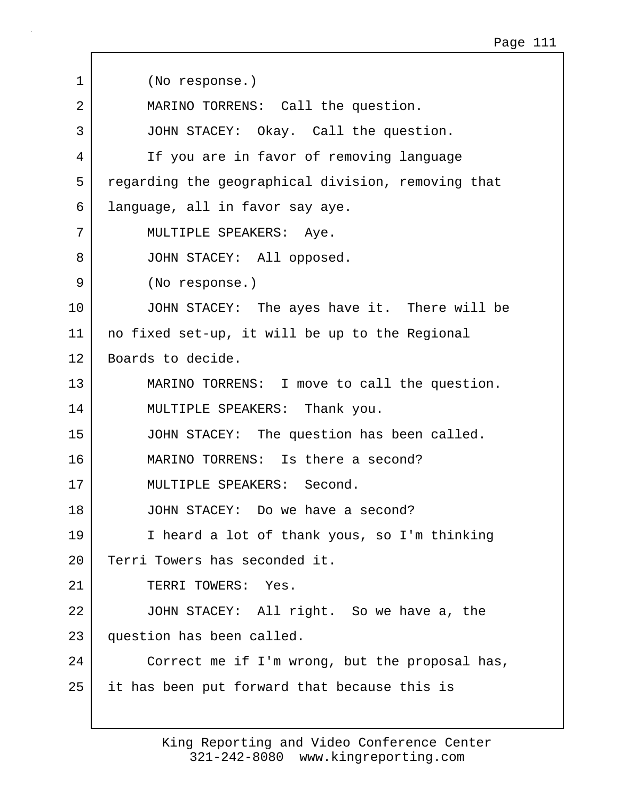1 (No response.) 2 MARINO TORRENS: Call the question. 3 JOHN STACEY: Okay. Call the question. 4 If you are in favor of removing language 5 regarding the geographical division, removing that 6 language, all in favor say aye. 7 MULTIPLE SPEAKERS: Aye. 8 JOHN STACEY: All opposed. 9 (No response.) 10 JOHN STACEY: The ayes have it. There will be 11 no fixed set-up, it will be up to the Regional 12 Boards to decide. 13 MARINO TORRENS: I move to call the question. 14 MULTIPLE SPEAKERS: Thank you. 15 JOHN STACEY: The question has been called. 16 MARINO TORRENS: Is there a second? 17 MULTIPLE SPEAKERS: Second. 18 JOHN STACEY: Do we have a second? 19 I heard a lot of thank yous, so I'm thinking 20 Terri Towers has seconded it. 21 TERRI TOWERS: Yes. 22 JOHN STACEY: All right. So we have a, the 23 question has been called. 24 Correct me if I'm wrong, but the proposal has, 25 it has been put forward that because this is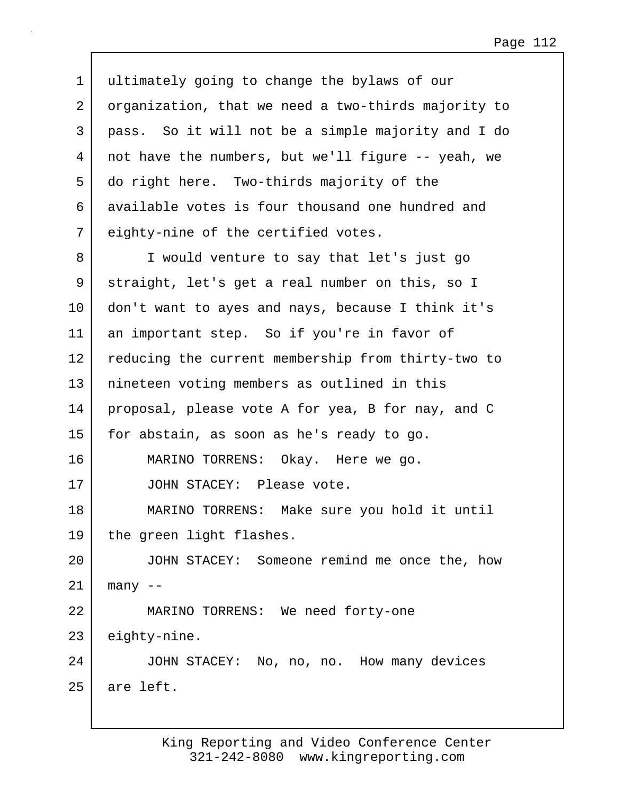| $\mathbf 1$ | ultimately going to change the bylaws of our        |
|-------------|-----------------------------------------------------|
| 2           | organization, that we need a two-thirds majority to |
| 3           | pass. So it will not be a simple majority and I do  |
| 4           | not have the numbers, but we'll figure -- yeah, we  |
| 5           | do right here. Two-thirds majority of the           |
| 6           | available votes is four thousand one hundred and    |
| 7           | eighty-nine of the certified votes.                 |
| 8           | I would venture to say that let's just go           |
| 9           | straight, let's get a real number on this, so I     |
| $10 \,$     | don't want to ayes and nays, because I think it's   |
| 11          | an important step. So if you're in favor of         |
| 12          | reducing the current membership from thirty-two to  |
| 13          | nineteen voting members as outlined in this         |
| 14          | proposal, please vote A for yea, B for nay, and C   |
| 15          | for abstain, as soon as he's ready to go.           |
| 16          | MARINO TORRENS: Okay. Here we go.                   |
| 17          | JOHN STACEY: Please vote.                           |
| 18          | MARINO TORRENS: Make sure you hold it until         |
| 19          | the green light flashes.                            |
| 20          | JOHN STACEY: Someone remind me once the, how        |
| 21          | $many$ --                                           |
| 22          | MARINO TORRENS: We need forty-one                   |
| 23          | eighty-nine.                                        |
| 24          | JOHN STACEY: No, no, no. How many devices           |
| 25          | are left.                                           |
|             |                                                     |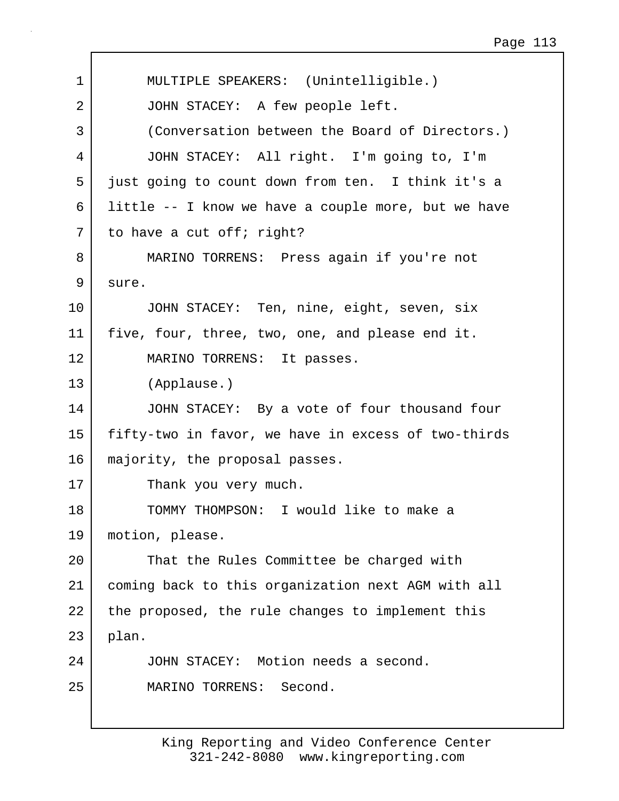| 1  | MULTIPLE SPEAKERS: (Unintelligible.)                |
|----|-----------------------------------------------------|
| 2  | JOHN STACEY: A few people left.                     |
| 3  | (Conversation between the Board of Directors.)      |
| 4  | JOHN STACEY: All right. I'm going to, I'm           |
| 5  | just going to count down from ten. I think it's a   |
| 6  | little -- I know we have a couple more, but we have |
| 7  | to have a cut off; right?                           |
| 8  | MARINO TORRENS: Press again if you're not           |
| 9  | sure.                                               |
| 10 | JOHN STACEY: Ten, nine, eight, seven, six           |
| 11 | five, four, three, two, one, and please end it.     |
| 12 | MARINO TORRENS: It passes.                          |
| 13 | (Applause.)                                         |
| 14 | JOHN STACEY: By a vote of four thousand four        |
| 15 | fifty-two in favor, we have in excess of two-thirds |
| 16 | majority, the proposal passes.                      |
| 17 | Thank you very much.                                |
| 18 | TOMMY THOMPSON: I would like to make a              |
| 19 | motion, please.                                     |
| 20 | That the Rules Committee be charged with            |
| 21 | coming back to this organization next AGM with all  |
| 22 | the proposed, the rule changes to implement this    |
| 23 | plan.                                               |
| 24 | JOHN STACEY: Motion needs a second.                 |
| 25 | Second.<br>MARINO TORRENS:                          |
|    |                                                     |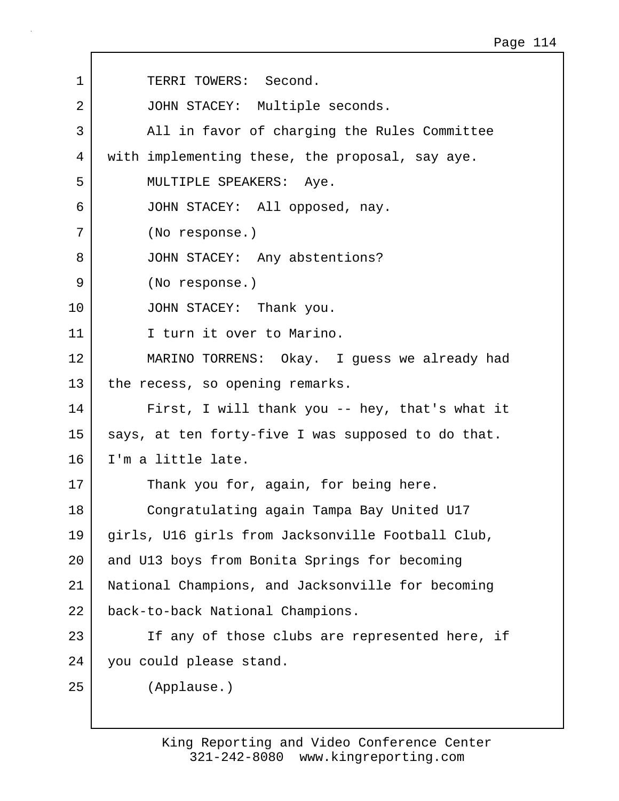| $\mathbf 1$ | TERRI TOWERS: Second.                              |
|-------------|----------------------------------------------------|
| 2           | JOHN STACEY: Multiple seconds.                     |
| 3           | All in favor of charging the Rules Committee       |
| 4           | with implementing these, the proposal, say aye.    |
| 5           | MULTIPLE SPEAKERS: Aye.                            |
| 6           | JOHN STACEY: All opposed, nay.                     |
| 7           | (No response.)                                     |
| 8           | JOHN STACEY: Any abstentions?                      |
| 9           | (No response.)                                     |
| 10          | JOHN STACEY: Thank you.                            |
| 11          | I turn it over to Marino.                          |
| 12          | MARINO TORRENS: Okay. I guess we already had       |
| 13          | the recess, so opening remarks.                    |
| 14          | First, I will thank you -- hey, that's what it     |
| 15          | says, at ten forty-five I was supposed to do that. |
| 16          | I'm a little late.                                 |
| 17          | Thank you for, again, for being here.              |
| 18          | Congratulating again Tampa Bay United U17          |
| 19          | girls, U16 girls from Jacksonville Football Club,  |
| 20          | and U13 boys from Bonita Springs for becoming      |
| 21          | National Champions, and Jacksonville for becoming  |
| 22          | back-to-back National Champions.                   |
| 23          | If any of those clubs are represented here, if     |
| 24          | you could please stand.                            |
| 25          | (Applause.)                                        |
|             |                                                    |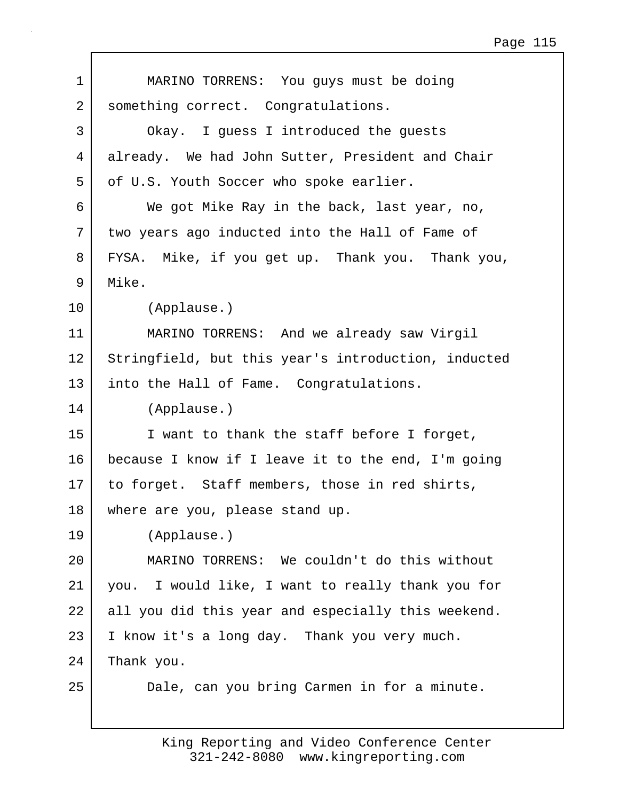| $\mathbf 1$ | MARINO TORRENS: You guys must be doing              |
|-------------|-----------------------------------------------------|
| 2           | something correct. Congratulations.                 |
| 3           | Okay. I guess I introduced the guests               |
| 4           | already. We had John Sutter, President and Chair    |
| 5           | of U.S. Youth Soccer who spoke earlier.             |
| 6           | We got Mike Ray in the back, last year, no,         |
| 7           | two years ago inducted into the Hall of Fame of     |
| 8           | FYSA. Mike, if you get up. Thank you. Thank you,    |
| 9           | Mike.                                               |
| 10          | (Applause.)                                         |
| 11          | MARINO TORRENS: And we already saw Virgil           |
| 12          | Stringfield, but this year's introduction, inducted |
| 13          | into the Hall of Fame. Congratulations.             |
| 14          | (Applause.)                                         |
| 15          | I want to thank the staff before I forget,          |
| 16          | because I know if I leave it to the end, I'm going  |
| 17          | to forget. Staff members, those in red shirts,      |
| 18          | where are you, please stand up.                     |
| 19          | (Applause.)                                         |
| 20          | MARINO TORRENS: We couldn't do this without         |
| 21          | you. I would like, I want to really thank you for   |
| 22          | all you did this year and especially this weekend.  |
| 23          | I know it's a long day. Thank you very much.        |
| 24          | Thank you.                                          |
| 25          | Dale, can you bring Carmen in for a minute.         |
|             |                                                     |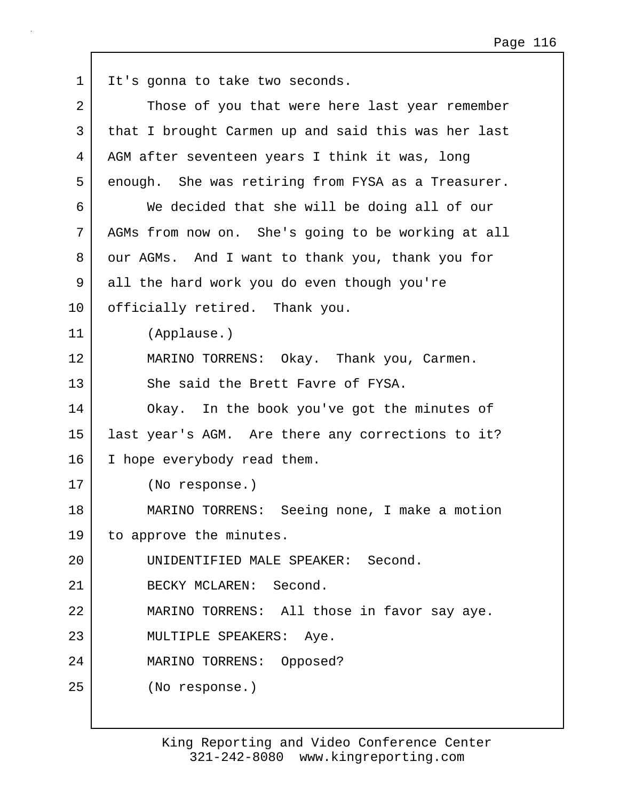| $\mathbf 1$ | It's gonna to take two seconds.                     |
|-------------|-----------------------------------------------------|
| 2           | Those of you that were here last year remember      |
| 3           | that I brought Carmen up and said this was her last |
| 4           | AGM after seventeen years I think it was, long      |
| 5           | enough. She was retiring from FYSA as a Treasurer.  |
| 6           | We decided that she will be doing all of our        |
| 7           | AGMs from now on. She's going to be working at all  |
| 8           | our AGMs. And I want to thank you, thank you for    |
| 9           | all the hard work you do even though you're         |
| 10          | officially retired. Thank you.                      |
| 11          | (Applause.)                                         |
| 12          | MARINO TORRENS: Okay. Thank you, Carmen.            |
| 13          | She said the Brett Favre of FYSA.                   |
| 14          | Okay. In the book you've got the minutes of         |
| 15          | last year's AGM. Are there any corrections to it?   |
| 16          | I hope everybody read them.                         |
| 17          | (No response.)                                      |
| 18          | MARINO TORRENS: Seeing none, I make a motion        |
| 19          | to approve the minutes.                             |
| 20          | UNIDENTIFIED MALE SPEAKER: Second.                  |
| 21          | BECKY MCLAREN: Second.                              |
| 22          | MARINO TORRENS: All those in favor say aye.         |
| 23          | MULTIPLE SPEAKERS: Aye.                             |
| 24          | MARINO TORRENS: Opposed?                            |
| 25          | (No response.)                                      |
|             |                                                     |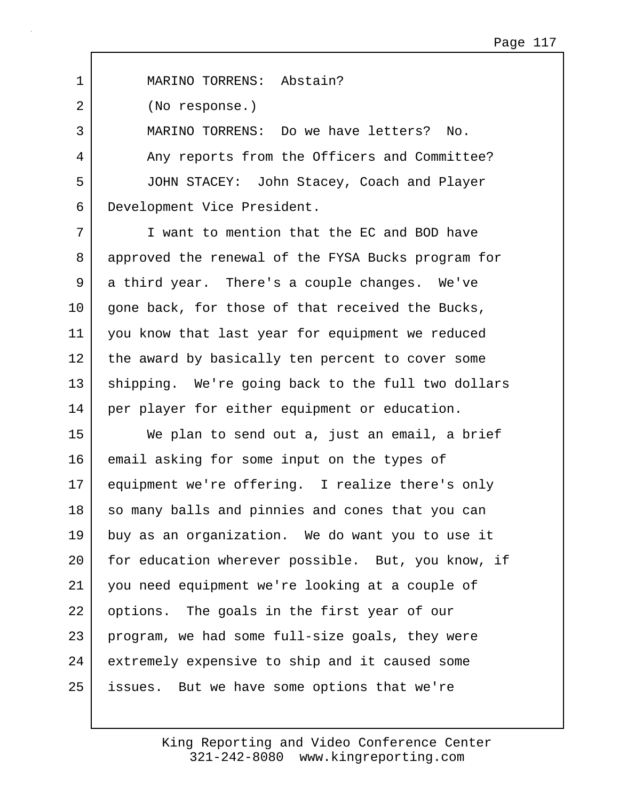1 MARINO TORRENS: Abstain?

2 (No response.)

3 MARINO TORRENS: Do we have letters? No. 4 Any reports from the Officers and Committee? 5 JOHN STACEY: John Stacey, Coach and Player 6 Development Vice President.

7 I want to mention that the EC and BOD have 8 approved the renewal of the FYSA Bucks program for 9 a third year. There's a couple changes. We've 10 | gone back, for those of that received the Bucks, 11 you know that last year for equipment we reduced 12 the award by basically ten percent to cover some 13 | shipping. We're going back to the full two dollars 14 per player for either equipment or education.

15 We plan to send out a, just an email, a brief 16 email asking for some input on the types of 17 equipment we're offering. I realize there's only 18 so many balls and pinnies and cones that you can 19 buy as an organization. We do want you to use it 20 for education wherever possible. But, you know, if 21 you need equipment we're looking at a couple of 22 options. The goals in the first year of our 23 program, we had some full-size goals, they were 24 extremely expensive to ship and it caused some 25 issues. But we have some options that we're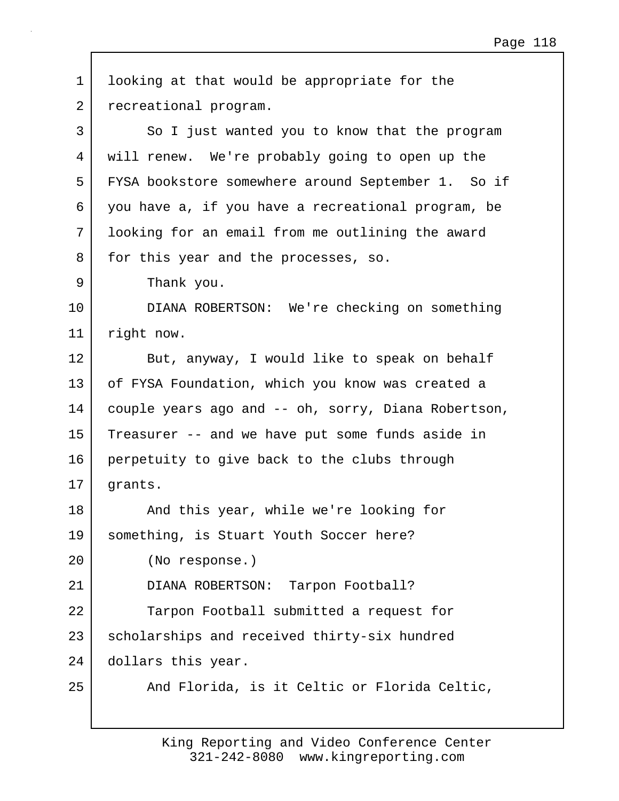| $\mathbf 1$ | looking at that would be appropriate for the        |
|-------------|-----------------------------------------------------|
| 2           | recreational program.                               |
| 3           | So I just wanted you to know that the program       |
| 4           | will renew. We're probably going to open up the     |
| 5           | FYSA bookstore somewhere around September 1. So if  |
| 6           | you have a, if you have a recreational program, be  |
| 7           | looking for an email from me outlining the award    |
| 8           | for this year and the processes, so.                |
| 9           | Thank you.                                          |
| 10          | DIANA ROBERTSON: We're checking on something        |
| 11          | right now.                                          |
| 12          | But, anyway, I would like to speak on behalf        |
| 13          | of FYSA Foundation, which you know was created a    |
| 14          | couple years ago and -- oh, sorry, Diana Robertson, |
| 15          | Treasurer -- and we have put some funds aside in    |
| 16          | perpetuity to give back to the clubs through        |
| 17          | grants.                                             |
| 18          | And this year, while we're looking for              |
| 19          | something, is Stuart Youth Soccer here?             |
| 20          | (No response.)                                      |
| 21          | DIANA ROBERTSON: Tarpon Football?                   |
| 22          | Tarpon Football submitted a request for             |
| 23          | scholarships and received thirty-six hundred        |
| 24          | dollars this year.                                  |
| 25          | And Florida, is it Celtic or Florida Celtic,        |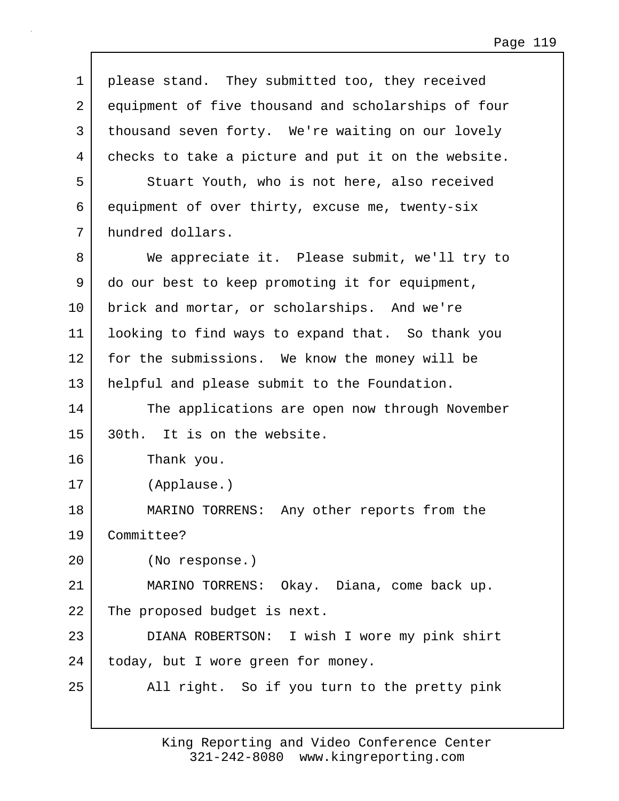| 1  | please stand. They submitted too, they received     |
|----|-----------------------------------------------------|
| 2  | equipment of five thousand and scholarships of four |
| 3  | thousand seven forty. We're waiting on our lovely   |
| 4  | checks to take a picture and put it on the website. |
| 5  | Stuart Youth, who is not here, also received        |
| 6  | equipment of over thirty, excuse me, twenty-six     |
| 7  | hundred dollars.                                    |
| 8  | We appreciate it. Please submit, we'll try to       |
| 9  | do our best to keep promoting it for equipment,     |
| 10 | brick and mortar, or scholarships. And we're        |
| 11 | looking to find ways to expand that. So thank you   |
| 12 | for the submissions. We know the money will be      |
| 13 | helpful and please submit to the Foundation.        |
| 14 | The applications are open now through November      |
| 15 | 30th. It is on the website.                         |
| 16 | Thank you.                                          |
| 17 | (Applause.)                                         |
| 18 | MARINO TORRENS: Any other reports from the          |
| 19 | Committee?                                          |
| 20 | (No response.)                                      |
| 21 | MARINO TORRENS: Okay. Diana, come back up.          |
| 22 | The proposed budget is next.                        |
| 23 | DIANA ROBERTSON: I wish I wore my pink shirt        |
| 24 | today, but I wore green for money.                  |
| 25 | All right. So if you turn to the pretty pink        |
|    |                                                     |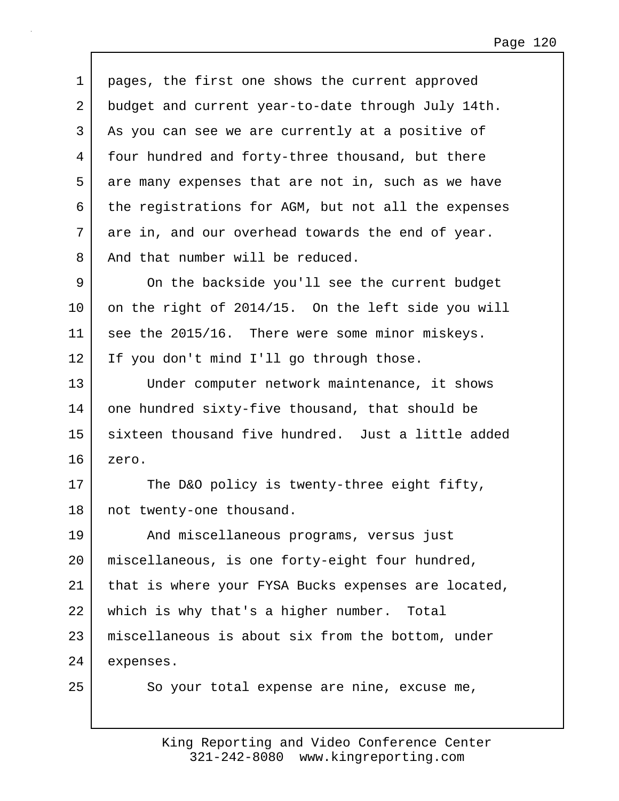1 | pages, the first one shows the current approved 2 budget and current year-to-date through July 14th. 3 | As you can see we are currently at a positive of 4 four hundred and forty-three thousand, but there 5 are many expenses that are not in, such as we have 6 the registrations for AGM, but not all the expenses 7 are in, and our overhead towards the end of year. 8 And that number will be reduced.

9 On the backside you'll see the current budget 10 on the right of 2014/15. On the left side you will 11 see the 2015/16. There were some minor miskeys. 12 If you don't mind I'll go through those.

13 Under computer network maintenance, it shows 14 one hundred sixty-five thousand, that should be 15 sixteen thousand five hundred. Just a little added 16 zero.

17 The D&O policy is twenty-three eight fifty, 18 | not twenty-one thousand.

19 And miscellaneous programs, versus just 20 miscellaneous, is one forty-eight four hundred, 21 | that is where your FYSA Bucks expenses are located, 22 which is why that's a higher number. Total 23 miscellaneous is about six from the bottom, under 24 expenses.

25 So your total expense are nine, excuse me,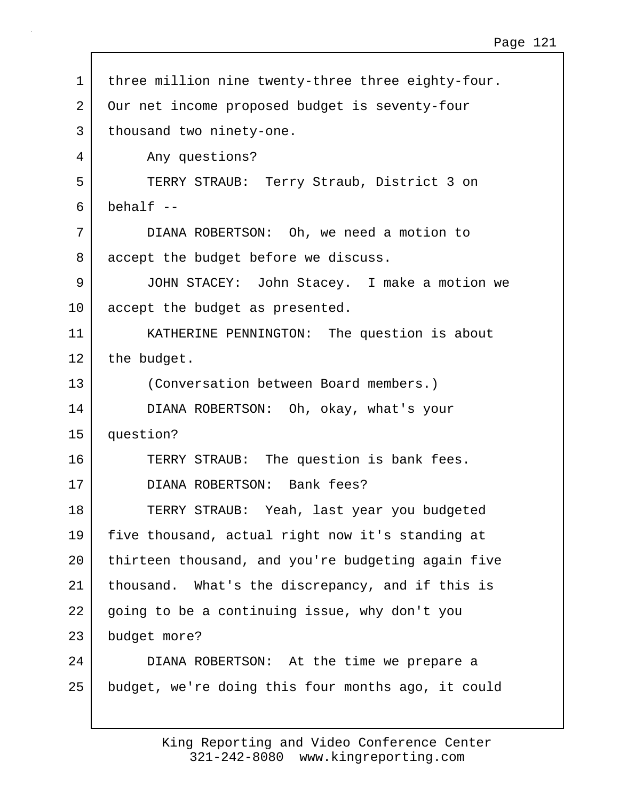1 | three million nine twenty-three three eighty-four. 2 Our net income proposed budget is seventy-four 3 | thousand two ninety-one. 4 Any questions? 5 TERRY STRAUB: Terry Straub, District 3 on  $6$  behalf  $-$ 7 DIANA ROBERTSON: Oh, we need a motion to 8 accept the budget before we discuss. 9 JOHN STACEY: John Stacey. I make a motion we 10 accept the budget as presented. 11 | KATHERINE PENNINGTON: The question is about 12 the budget. 13 (Conversation between Board members.) 14 DIANA ROBERTSON: Oh, okay, what's your 15 question? 16 TERRY STRAUB: The question is bank fees. 17 DIANA ROBERTSON: Bank fees? 18 TERRY STRAUB: Yeah, last year you budgeted 19 five thousand, actual right now it's standing at 20 thirteen thousand, and you're budgeting again five 21 thousand. What's the discrepancy, and if this is 22 going to be a continuing issue, why don't you 23 budget more? 24 DIANA ROBERTSON: At the time we prepare a 25 budget, we're doing this four months ago, it could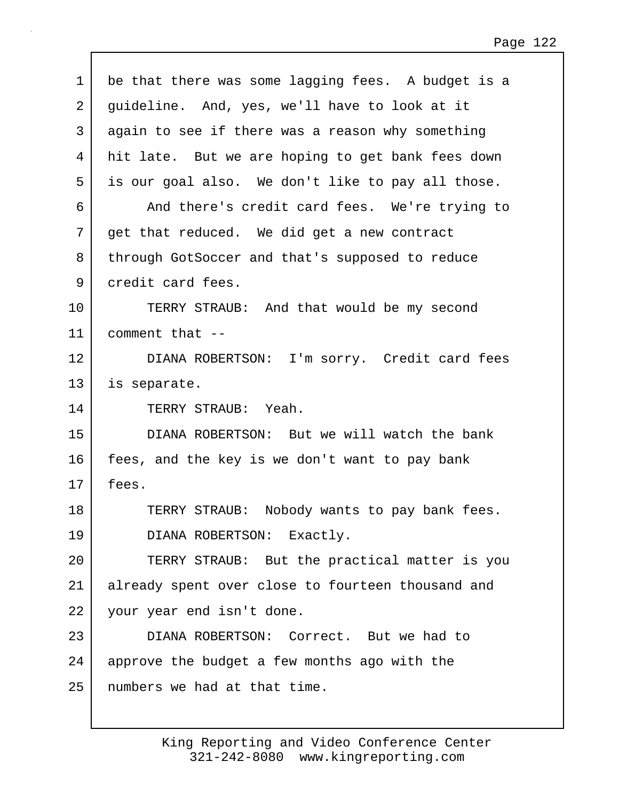| $\mathbf 1$ | be that there was some lagging fees. A budget is a |
|-------------|----------------------------------------------------|
| 2           | guideline. And, yes, we'll have to look at it      |
| 3           | again to see if there was a reason why something   |
| 4           | hit late. But we are hoping to get bank fees down  |
| 5           | is our goal also. We don't like to pay all those.  |
| 6           | And there's credit card fees. We're trying to      |
| 7           | get that reduced. We did get a new contract        |
| 8           | through GotSoccer and that's supposed to reduce    |
| 9           | credit card fees.                                  |
| 10          | TERRY STRAUB: And that would be my second          |
| 11          | comment that --                                    |
| 12          | DIANA ROBERTSON: I'm sorry. Credit card fees       |
| 13          | is separate.                                       |
| 14          | TERRY STRAUB: Yeah.                                |
| 15          | DIANA ROBERTSON: But we will watch the bank        |
| 16          | fees, and the key is we don't want to pay bank     |
| 17          | fees.                                              |
| 18          | TERRY STRAUB: Nobody wants to pay bank fees.       |
| 19          | DIANA ROBERTSON: Exactly.                          |
| 20          | TERRY STRAUB: But the practical matter is you      |
| 21          | already spent over close to fourteen thousand and  |
| 22          | your year end isn't done.                          |
| 23          | DIANA ROBERTSON: Correct. But we had to            |
| 24          | approve the budget a few months ago with the       |
| 25          | numbers we had at that time.                       |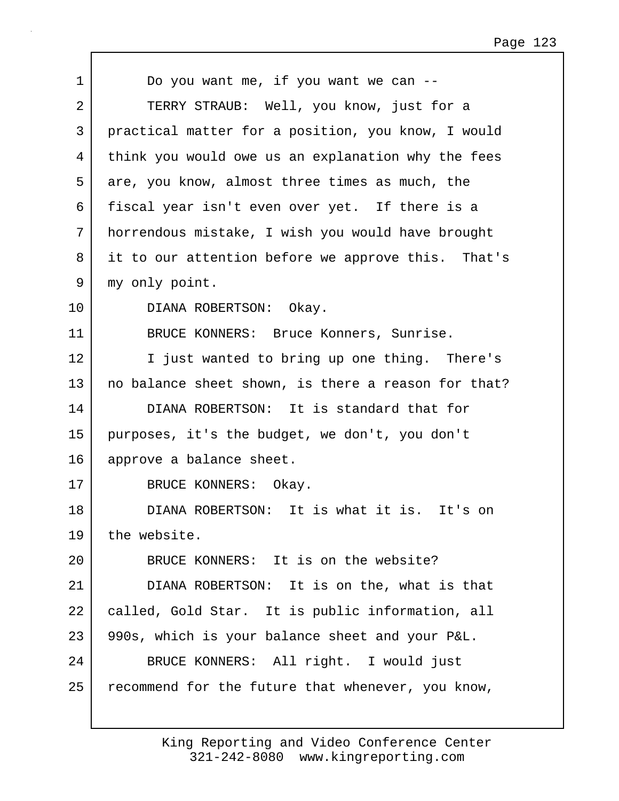| $\mathbf{1}$   | Do you want me, if you want we can --               |
|----------------|-----------------------------------------------------|
| $\overline{2}$ | TERRY STRAUB: Well, you know, just for a            |
| 3              | practical matter for a position, you know, I would  |
| 4              | think you would owe us an explanation why the fees  |
| 5              | are, you know, almost three times as much, the      |
| 6              | fiscal year isn't even over yet. If there is a      |
| 7              | horrendous mistake, I wish you would have brought   |
| 8              | it to our attention before we approve this. That's  |
| 9              | my only point.                                      |
| 10             | DIANA ROBERTSON: Okay.                              |
| 11             | BRUCE KONNERS: Bruce Konners, Sunrise.              |
| 12             | I just wanted to bring up one thing. There's        |
| 13             | no balance sheet shown, is there a reason for that? |
| 14             | DIANA ROBERTSON: It is standard that for            |
| 15             | purposes, it's the budget, we don't, you don't      |
| 16             | approve a balance sheet.                            |
| 17             | BRUCE KONNERS: Okay.                                |
| 18             | DIANA ROBERTSON: It is what it is. It's on          |
| 19             | the website.                                        |
| 20             | BRUCE KONNERS: It is on the website?                |
| 21             | DIANA ROBERTSON: It is on the, what is that         |
| 22             | called, Gold Star. It is public information, all    |
| 23             | 990s, which is your balance sheet and your P&L.     |
| 24             | BRUCE KONNERS: All right. I would just              |
| 25             | recommend for the future that whenever, you know,   |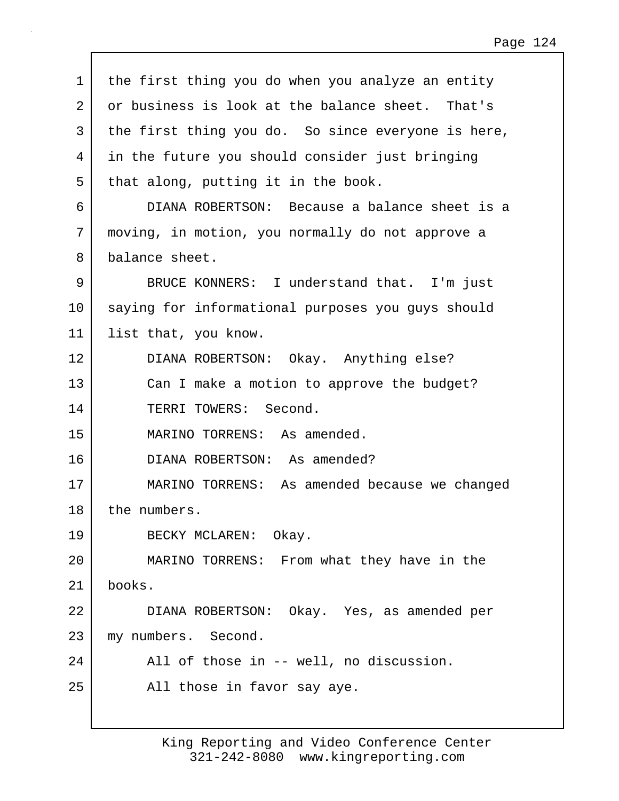| $\mathbf{1}$   | the first thing you do when you analyze an entity  |
|----------------|----------------------------------------------------|
| $\overline{2}$ | or business is look at the balance sheet. That's   |
| 3              | the first thing you do. So since everyone is here, |
| 4              | in the future you should consider just bringing    |
| 5              | that along, putting it in the book.                |
| 6              | DIANA ROBERTSON: Because a balance sheet is a      |
| 7              | moving, in motion, you normally do not approve a   |
| 8              | balance sheet.                                     |
| 9              | BRUCE KONNERS: I understand that. I'm just         |
| 10             | saying for informational purposes you guys should  |
| 11             | list that, you know.                               |
| 12             | DIANA ROBERTSON: Okay. Anything else?              |
| 13             | Can I make a motion to approve the budget?         |
| 14             | TERRI TOWERS: Second.                              |
| 15             | MARINO TORRENS: As amended.                        |
| 16             | DIANA ROBERTSON: As amended?                       |
| 17             | MARINO TORRENS: As amended because we changed      |
| 18             | the numbers.                                       |
| 19             | BECKY MCLAREN: Okay.                               |
| 20             | MARINO TORRENS: From what they have in the         |
| 21             | books.                                             |
| 22             | DIANA ROBERTSON: Okay. Yes, as amended per         |
| 23             | my numbers. Second.                                |
| 24             | All of those in -- well, no discussion.            |
| 25             | All those in favor say aye.                        |
|                |                                                    |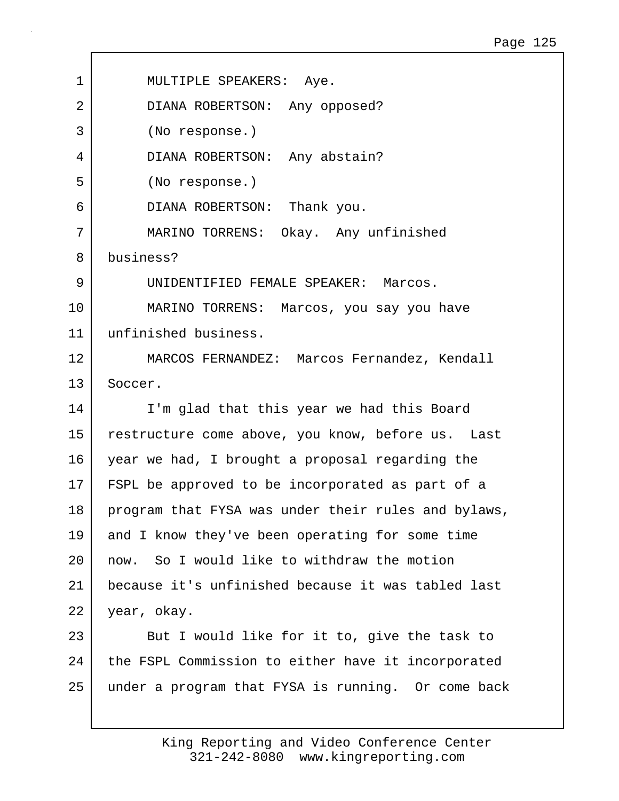| 1  | MULTIPLE SPEAKERS: Aye.                             |
|----|-----------------------------------------------------|
| 2  | DIANA ROBERTSON: Any opposed?                       |
| 3  | (No response.)                                      |
| 4  | DIANA ROBERTSON: Any abstain?                       |
| 5  | (No response.)                                      |
| 6  | DIANA ROBERTSON: Thank you.                         |
| 7  | MARINO TORRENS: Okay. Any unfinished                |
| 8  | business?                                           |
| 9  | UNIDENTIFIED FEMALE SPEAKER: Marcos.                |
| 10 | MARINO TORRENS: Marcos, you say you have            |
| 11 | unfinished business.                                |
| 12 | MARCOS FERNANDEZ: Marcos Fernandez, Kendall         |
| 13 | Soccer.                                             |
| 14 | I'm glad that this year we had this Board           |
| 15 | restructure come above, you know, before us. Last   |
| 16 | year we had, I brought a proposal regarding the     |
| 17 | FSPL be approved to be incorporated as part of a    |
| 18 | program that FYSA was under their rules and bylaws, |
| 19 | and I know they've been operating for some time     |
| 20 | now. So I would like to withdraw the motion         |
| 21 | because it's unfinished because it was tabled last  |
| 22 | year, okay.                                         |
| 23 | But I would like for it to, give the task to        |
| 24 | the FSPL Commission to either have it incorporated  |
| 25 | under a program that FYSA is running. Or come back  |

 $\mathbf{I}$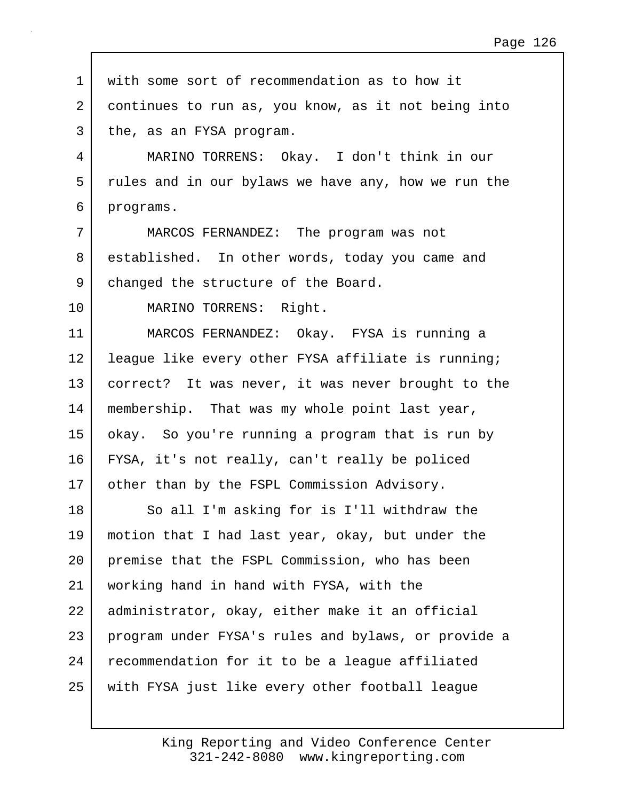| $\mathbf 1$    | with some sort of recommendation as to how it       |
|----------------|-----------------------------------------------------|
| $\overline{2}$ | continues to run as, you know, as it not being into |
| 3              | the, as an FYSA program.                            |
| 4              | MARINO TORRENS: Okay. I don't think in our          |
| 5              | rules and in our bylaws we have any, how we run the |
| 6              | programs.                                           |
| 7              | MARCOS FERNANDEZ: The program was not               |
| 8              | established. In other words, today you came and     |
| 9              | changed the structure of the Board.                 |
| 10             | MARINO TORRENS: Right.                              |
| 11             | MARCOS FERNANDEZ: Okay. FYSA is running a           |
| 12             | league like every other FYSA affiliate is running;  |
| 13             | correct? It was never, it was never brought to the  |
| 14             | membership. That was my whole point last year,      |
| 15             | okay. So you're running a program that is run by    |
| 16             | FYSA, it's not really, can't really be policed      |
| 17             | other than by the FSPL Commission Advisory.         |
| 18             | So all I'm asking for is I'll withdraw the          |
| 19             | motion that I had last year, okay, but under the    |
| 20             | premise that the FSPL Commission, who has been      |
| 21             | working hand in hand with FYSA, with the            |
| 22             | administrator, okay, either make it an official     |
| 23             | program under FYSA's rules and bylaws, or provide a |
| 24             | recommendation for it to be a league affiliated     |
| 25             | with FYSA just like every other football league     |
|                |                                                     |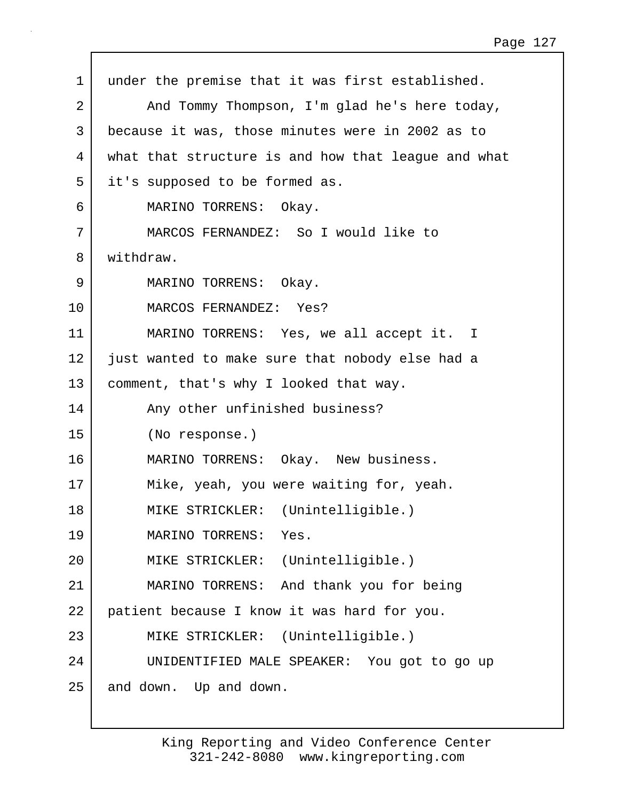| $\mathbf 1$ | under the premise that it was first established.    |
|-------------|-----------------------------------------------------|
| 2           | And Tommy Thompson, I'm glad he's here today,       |
| 3           | because it was, those minutes were in 2002 as to    |
| 4           | what that structure is and how that league and what |
| 5           | it's supposed to be formed as.                      |
| 6           | MARINO TORRENS: Okay.                               |
| 7           | MARCOS FERNANDEZ: So I would like to                |
| 8           | withdraw.                                           |
| 9           | MARINO TORRENS: Okay.                               |
| 10          | MARCOS FERNANDEZ: Yes?                              |
| 11          | MARINO TORRENS: Yes, we all accept it. I            |
| 12          | just wanted to make sure that nobody else had a     |
| 13          | comment, that's why I looked that way.              |
| 14          | Any other unfinished business?                      |
| 15          | (No response.)                                      |
| 16          | MARINO TORRENS: Okay. New business.                 |
| 17          | Mike, yeah, you were waiting for, yeah.             |
| 18          | MIKE STRICKLER: (Unintelligible.)                   |
| 19          | MARINO TORRENS: Yes.                                |
| 20          | MIKE STRICKLER: (Unintelligible.)                   |
| 21          | MARINO TORRENS: And thank you for being             |
| 22          | patient because I know it was hard for you.         |
| 23          | MIKE STRICKLER: (Unintelligible.)                   |
| 24          | UNIDENTIFIED MALE SPEAKER: You got to go up         |
| 25          | and down. Up and down.                              |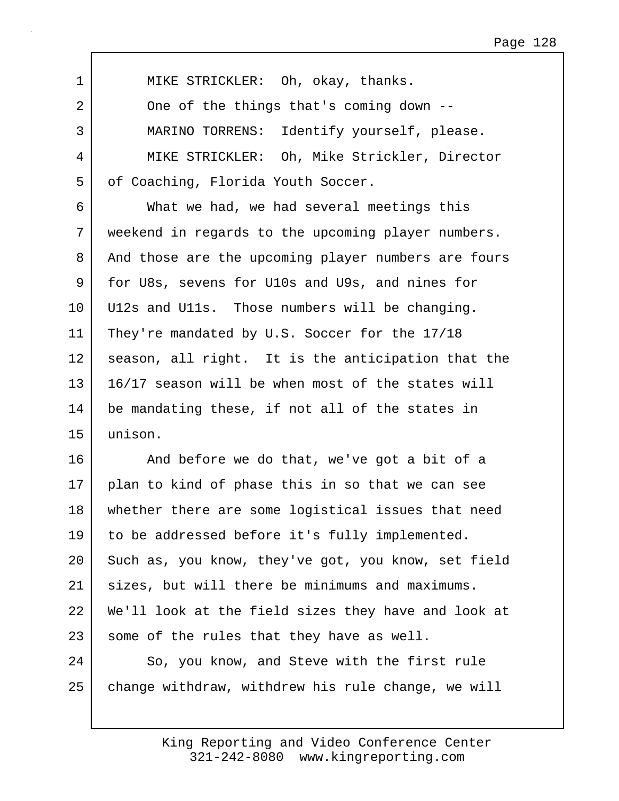1 | MIKE STRICKLER: Oh, okay, thanks. 2 One of the things that's coming down --3 MARINO TORRENS: Identify yourself, please. 4 MIKE STRICKLER: Oh, Mike Strickler, Director 5 | of Coaching, Florida Youth Soccer.

6 What we had, we had several meetings this 7 weekend in regards to the upcoming player numbers. 8 And those are the upcoming player numbers are fours 9 for U8s, sevens for U10s and U9s, and nines for 10 U12s and U11s. Those numbers will be changing. 11 | They're mandated by U.S. Soccer for the 17/18 12 season, all right. It is the anticipation that the 13 16/17 season will be when most of the states will 14 be mandating these, if not all of the states in 15 unison.

16 And before we do that, we've got a bit of a 17 plan to kind of phase this in so that we can see 18 whether there are some logistical issues that need 19 to be addressed before it's fully implemented. 20 Such as, you know, they've got, you know, set field 21 sizes, but will there be minimums and maximums. 22 We'll look at the field sizes they have and look at 23 some of the rules that they have as well.

24 So, you know, and Steve with the first rule 25 change withdraw, withdrew his rule change, we will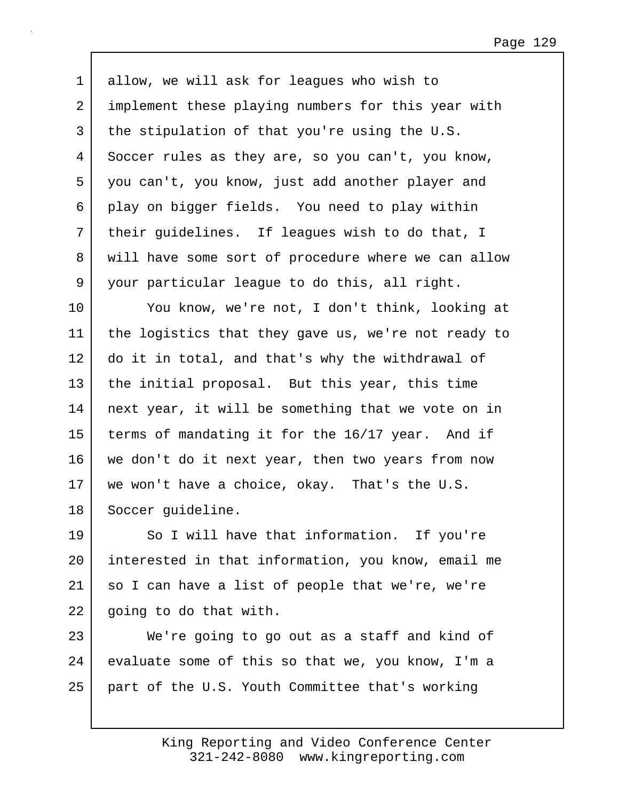Page 129

1 allow, we will ask for leagues who wish to 2 implement these playing numbers for this year with  $3$  the stipulation of that you're using the U.S. 4 Soccer rules as they are, so you can't, you know, 5 you can't, you know, just add another player and 6 play on bigger fields. You need to play within 7 their guidelines. If leagues wish to do that, I 8 will have some sort of procedure where we can allow 9 your particular league to do this, all right.

10 You know, we're not, I don't think, looking at 11 the logistics that they gave us, we're not ready to 12 do it in total, and that's why the withdrawal of 13 the initial proposal. But this year, this time 14 next year, it will be something that we vote on in 15 terms of mandating it for the 16/17 year. And if 16 we don't do it next year, then two years from now 17 we won't have a choice, okay. That's the U.S. 18 | Soccer guideline.

19 So I will have that information. If you're 20 interested in that information, you know, email me 21 so I can have a list of people that we're, we're 22 going to do that with.

23 We're going to go out as a staff and kind of 24 evaluate some of this so that we, you know, I'm a 25 part of the U.S. Youth Committee that's working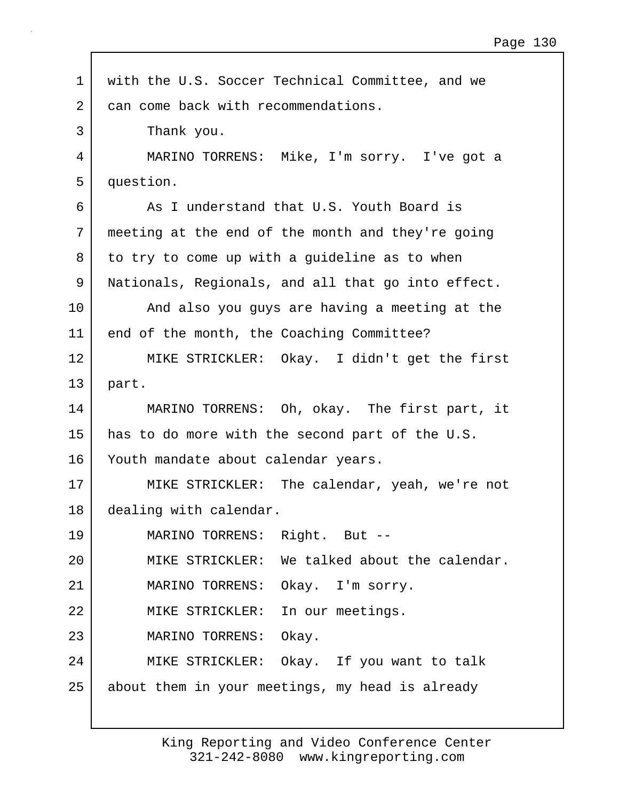| $\mathbf 1$    | with the U.S. Soccer Technical Committee, and we   |
|----------------|----------------------------------------------------|
| $\overline{2}$ | can come back with recommendations.                |
| 3              | Thank you.                                         |
| 4              | MARINO TORRENS: Mike, I'm sorry. I've got a        |
| 5              | question.                                          |
| 6              | As I understand that U.S. Youth Board is           |
| 7              | meeting at the end of the month and they're going  |
| 8              | to try to come up with a guideline as to when      |
| 9              | Nationals, Regionals, and all that go into effect. |
| 10             | And also you guys are having a meeting at the      |
| 11             | end of the month, the Coaching Committee?          |
| 12             | MIKE STRICKLER: Okay. I didn't get the first       |
| 13             | part.                                              |
| 14             | MARINO TORRENS: Oh, okay. The first part, it       |
| 15             | has to do more with the second part of the U.S.    |
| 16             | Youth mandate about calendar years.                |
| 17             | MIKE STRICKLER: The calendar, yeah, we're not      |
| 18             | dealing with calendar.                             |
| 19             | MARINO TORRENS: Right. But --                      |
| 20             | MIKE STRICKLER: We talked about the calendar.      |
| 21             | MARINO TORRENS: Okay. I'm sorry.                   |
| 22             | MIKE STRICKLER: In our meetings.                   |
| 23             | MARINO TORRENS: Okay.                              |
| 24             | MIKE STRICKLER: Okay. If you want to talk          |
| 25             | about them in your meetings, my head is already    |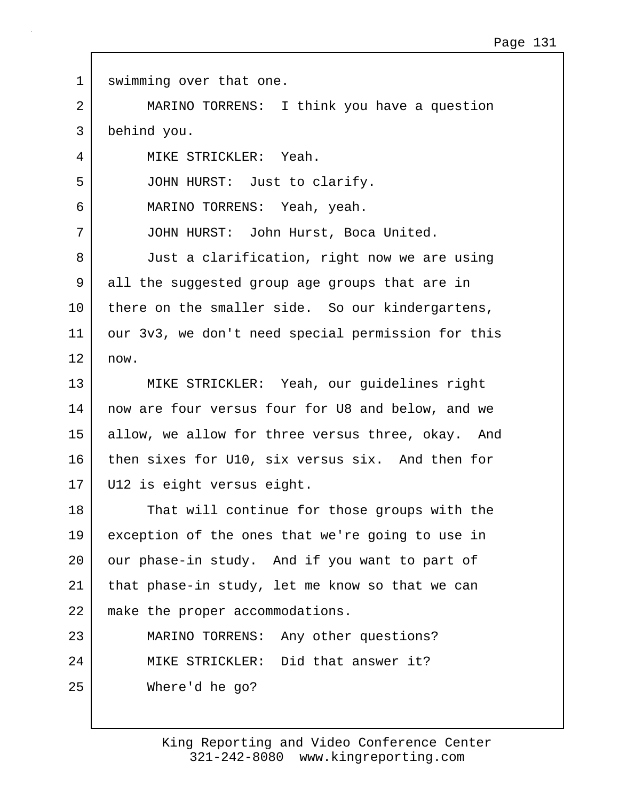| $\mathbf 1$ | swimming over that one.                            |
|-------------|----------------------------------------------------|
| 2           | MARINO TORRENS: I think you have a question        |
| 3           | behind you.                                        |
| 4           | MIKE STRICKLER: Yeah.                              |
| 5           | JOHN HURST: Just to clarify.                       |
| 6           | MARINO TORRENS: Yeah, yeah.                        |
| 7           | JOHN HURST: John Hurst, Boca United.               |
| 8           | Just a clarification, right now we are using       |
| 9           | all the suggested group age groups that are in     |
| 10          | there on the smaller side. So our kindergartens,   |
| 11          | our 3v3, we don't need special permission for this |
| 12          | now.                                               |
| 13          | MIKE STRICKLER: Yeah, our guidelines right         |
| 14          | now are four versus four for U8 and below, and we  |
| 15          | allow, we allow for three versus three, okay. And  |
| 16          | then sixes for U10, six versus six. And then for   |
| 17          | U12 is eight versus eight.                         |
| 18          | That will continue for those groups with the       |
| 19          | exception of the ones that we're going to use in   |
| 20          | our phase-in study. And if you want to part of     |
| 21          | that phase-in study, let me know so that we can    |
| 22          | make the proper accommodations.                    |
| 23          | MARINO TORRENS: Any other questions?               |
| 24          | MIKE STRICKLER: Did that answer it?                |
| 25          | Where'd he go?                                     |
|             |                                                    |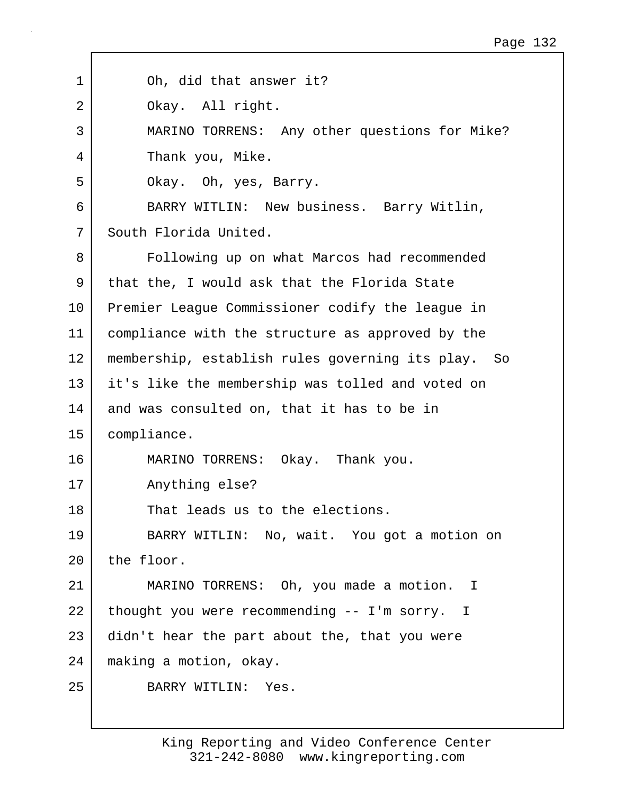| 1  | Oh, did that answer it?                            |
|----|----------------------------------------------------|
| 2  | Okay. All right.                                   |
| 3  | MARINO TORRENS: Any other questions for Mike?      |
| 4  | Thank you, Mike.                                   |
| 5  | Okay. Oh, yes, Barry.                              |
| 6  | BARRY WITLIN: New business. Barry Witlin,          |
| 7  | South Florida United.                              |
| 8  | Following up on what Marcos had recommended        |
| 9  | that the, I would ask that the Florida State       |
| 10 | Premier League Commissioner codify the league in   |
| 11 | compliance with the structure as approved by the   |
| 12 | membership, establish rules governing its play. So |
| 13 | it's like the membership was tolled and voted on   |
| 14 | and was consulted on, that it has to be in         |
| 15 | compliance.                                        |
| 16 | Okay. Thank you.<br>MARINO TORRENS:                |
| 17 | Anything else?                                     |
| 18 | That leads us to the elections.                    |
| 19 | BARRY WITLIN: No, wait. You got a motion on        |
| 20 | the floor.                                         |
| 21 | MARINO TORRENS: Oh, you made a motion. I           |
| 22 | thought you were recommending -- I'm sorry. I      |
| 23 | didn't hear the part about the, that you were      |
| 24 | making a motion, okay.                             |
| 25 | BARRY WITLIN: Yes.                                 |
|    |                                                    |

г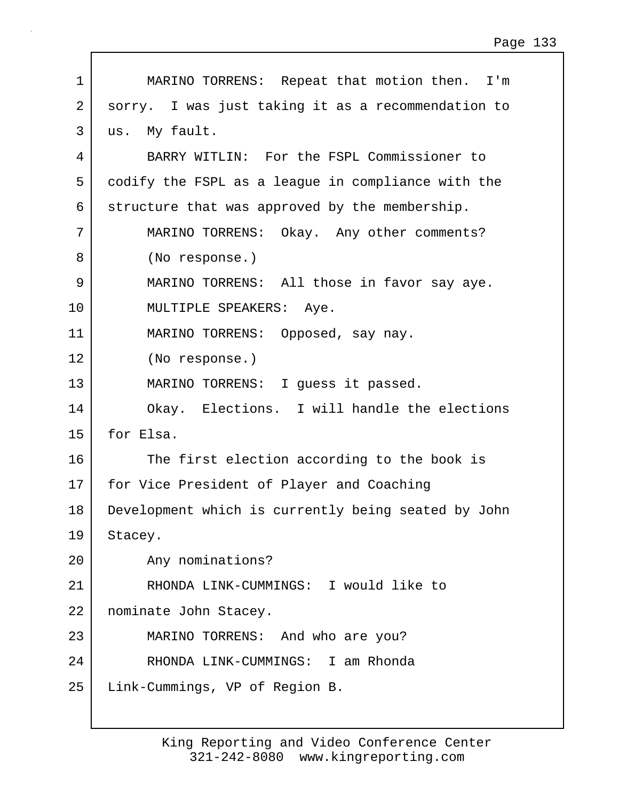| $\mathbf 1$    | MARINO TORRENS: Repeat that motion then. I'm        |
|----------------|-----------------------------------------------------|
| $\overline{2}$ | sorry. I was just taking it as a recommendation to  |
| 3              | us. My fault.                                       |
| 4              | BARRY WITLIN: For the FSPL Commissioner to          |
| 5              | codify the FSPL as a league in compliance with the  |
| 6              | structure that was approved by the membership.      |
| 7              | MARINO TORRENS: Okay. Any other comments?           |
| 8              | (No response.)                                      |
| $\mathsf 9$    | MARINO TORRENS: All those in favor say aye.         |
| 10             | MULTIPLE SPEAKERS: Aye.                             |
| 11             | MARINO TORRENS: Opposed, say nay.                   |
| 12             | (No response.)                                      |
| 13             | MARINO TORRENS: I guess it passed.                  |
| 14             | Okay. Elections. I will handle the elections        |
| 15             | for Elsa.                                           |
| 16             | The first election according to the book is         |
| 17             | for Vice President of Player and Coaching           |
| 18             | Development which is currently being seated by John |
| 19             | Stacey.                                             |
| 20             | Any nominations?                                    |
| 21             | RHONDA LINK-CUMMINGS: I would like to               |
| 22             | nominate John Stacey.                               |
| 23             | MARINO TORRENS: And who are you?                    |
| 24             | RHONDA LINK-CUMMINGS: I am Rhonda                   |
| 25             | Link-Cummings, VP of Region B.                      |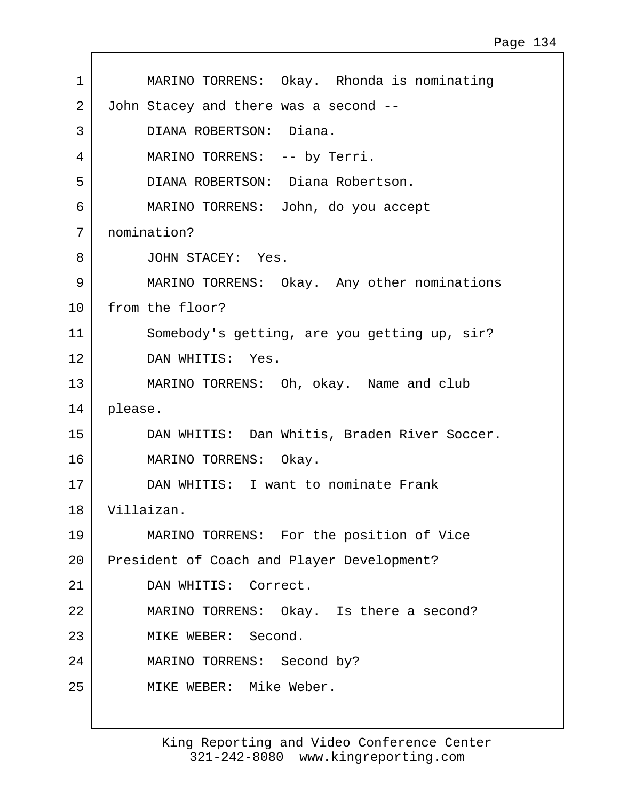| 1  | MARINO TORRENS: Okay. Rhonda is nominating   |
|----|----------------------------------------------|
| 2  | John Stacey and there was a second --        |
| 3  | DIANA ROBERTSON: Diana.                      |
| 4  | MARINO TORRENS: -- by Terri.                 |
| 5  | DIANA ROBERTSON: Diana Robertson.            |
| 6  | MARINO TORRENS: John, do you accept          |
| 7  | nomination?                                  |
| 8  | JOHN STACEY: Yes.                            |
| 9  | MARINO TORRENS: Okay. Any other nominations  |
| 10 | from the floor?                              |
| 11 | Somebody's getting, are you getting up, sir? |
| 12 | DAN WHITIS: Yes.                             |
| 13 | MARINO TORRENS: Oh, okay. Name and club      |
| 14 | please.                                      |
| 15 | DAN WHITIS: Dan Whitis, Braden River Soccer. |
| 16 | MARINO TORRENS: Okay.                        |
| 17 | DAN WHITIS: I want to nominate Frank         |
| 18 | Villaizan.                                   |
| 19 | MARINO TORRENS: For the position of Vice     |
| 20 | President of Coach and Player Development?   |
| 21 | DAN WHITIS: Correct.                         |
| 22 | MARINO TORRENS: Okay. Is there a second?     |
| 23 | MIKE WEBER: Second.                          |
| 24 | MARINO TORRENS: Second by?                   |
| 25 | MIKE WEBER: Mike Weber.                      |
|    |                                              |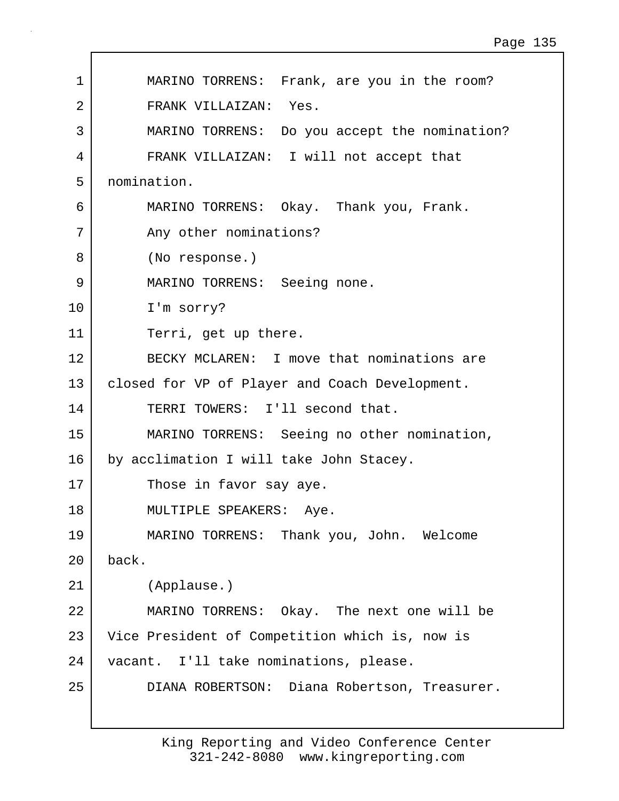| $\mathbf 1$ | MARINO TORRENS: Frank, are you in the room?    |
|-------------|------------------------------------------------|
| 2           | FRANK VILLAIZAN: Yes.                          |
| 3           | MARINO TORRENS: Do you accept the nomination?  |
| 4           | FRANK VILLAIZAN: I will not accept that        |
| 5           | nomination.                                    |
| 6           | MARINO TORRENS: Okay. Thank you, Frank.        |
| 7           | Any other nominations?                         |
| 8           | (No response.)                                 |
| 9           | MARINO TORRENS: Seeing none.                   |
| 10          | I'm sorry?                                     |
| 11          | Terri, get up there.                           |
| 12          | BECKY MCLAREN: I move that nominations are     |
| 13          | closed for VP of Player and Coach Development. |
| 14          | TERRI TOWERS: I'll second that.                |
| 15          | MARINO TORRENS: Seeing no other nomination,    |
| 16          | by acclimation I will take John Stacey.        |
| 17          | Those in favor say aye.                        |
| 18          | MULTIPLE SPEAKERS: Aye.                        |
| 19          | MARINO TORRENS: Thank you, John. Welcome       |
| 20          | back.                                          |
| 21          | (Applause.)                                    |
| 22          | MARINO TORRENS: Okay. The next one will be     |
| 23          | Vice President of Competition which is, now is |
| 24          | vacant. I'll take nominations, please.         |
| 25          | DIANA ROBERTSON: Diana Robertson, Treasurer.   |
|             |                                                |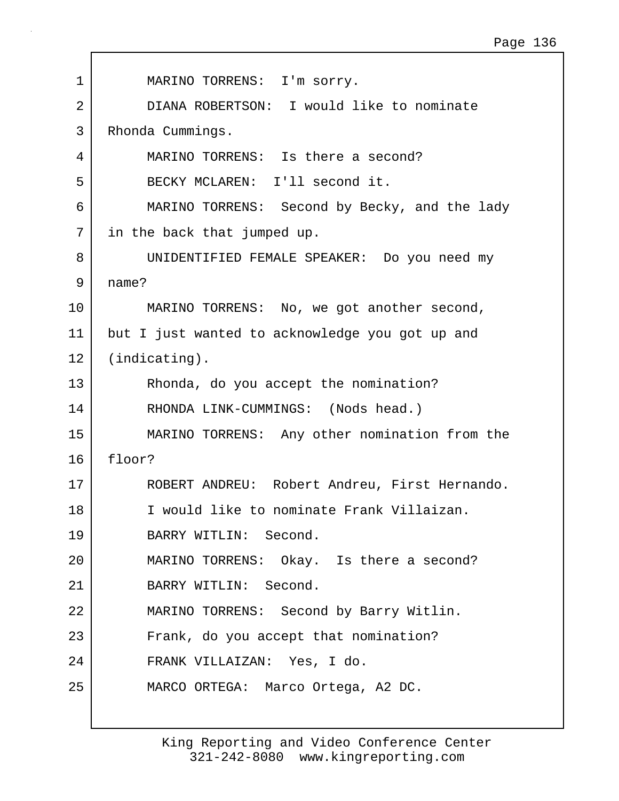| 1  | MARINO TORRENS: I'm sorry.                      |
|----|-------------------------------------------------|
| 2  | DIANA ROBERTSON: I would like to nominate       |
| 3  | Rhonda Cummings.                                |
| 4  | MARINO TORRENS: Is there a second?              |
| 5  | BECKY MCLAREN: I'll second it.                  |
| 6  | MARINO TORRENS: Second by Becky, and the lady   |
| 7  | in the back that jumped up.                     |
| 8  | UNIDENTIFIED FEMALE SPEAKER: Do you need my     |
| 9  | name?                                           |
| 10 | MARINO TORRENS: No, we got another second,      |
| 11 | but I just wanted to acknowledge you got up and |
| 12 | $(indicating)$ .                                |
| 13 | Rhonda, do you accept the nomination?           |
| 14 | RHONDA LINK-CUMMINGS: (Nods head.)              |
| 15 | MARINO TORRENS: Any other nomination from the   |
| 16 | floor?                                          |
| 17 | ROBERT ANDREU: Robert Andreu, First Hernando.   |
| 18 | I would like to nominate Frank Villaizan.       |
| 19 | BARRY WITLIN: Second.                           |
| 20 | MARINO TORRENS: Okay. Is there a second?        |
| 21 | BARRY WITLIN: Second.                           |
| 22 | MARINO TORRENS: Second by Barry Witlin.         |
| 23 | Frank, do you accept that nomination?           |
| 24 | FRANK VILLAIZAN: Yes, I do.                     |
| 25 | MARCO ORTEGA: Marco Ortega, A2 DC.              |
|    |                                                 |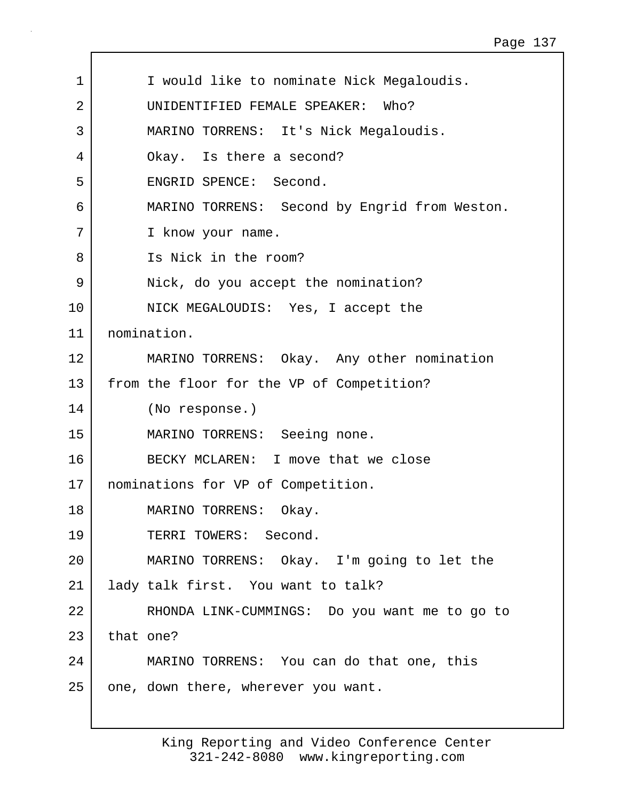| 1               | I would like to nominate Nick Megaloudis.     |
|-----------------|-----------------------------------------------|
| 2               | UNIDENTIFIED FEMALE SPEAKER: Who?             |
| 3               | MARINO TORRENS: It's Nick Megaloudis.         |
| 4               | Okay. Is there a second?                      |
| 5               | ENGRID SPENCE: Second.                        |
| 6               | MARINO TORRENS: Second by Engrid from Weston. |
| 7               | I know your name.                             |
| 8               | Is Nick in the room?                          |
| 9               | Nick, do you accept the nomination?           |
| 10              | NICK MEGALOUDIS: Yes, I accept the            |
| 11              | nomination.                                   |
| 12 <sub>1</sub> | MARINO TORRENS: Okay. Any other nomination    |
| 13              | from the floor for the VP of Competition?     |
| 14              | (No response.)                                |
| 15              | MARINO TORRENS: Seeing none.                  |
| 16              | BECKY MCLAREN: I move that we close           |
| 17              | nominations for VP of Competition.            |
| 18              | Okay.<br>MARINO TORRENS:                      |
| 19              | TERRI TOWERS: Second.                         |
| 20              | MARINO TORRENS: Okay. I'm going to let the    |
| 21              | lady talk first. You want to talk?            |
| 22              | RHONDA LINK-CUMMINGS: Do you want me to go to |
| 23              | that one?                                     |
| 24              | MARINO TORRENS: You can do that one, this     |
| 25              | one, down there, wherever you want.           |

 $\mathbf{I}$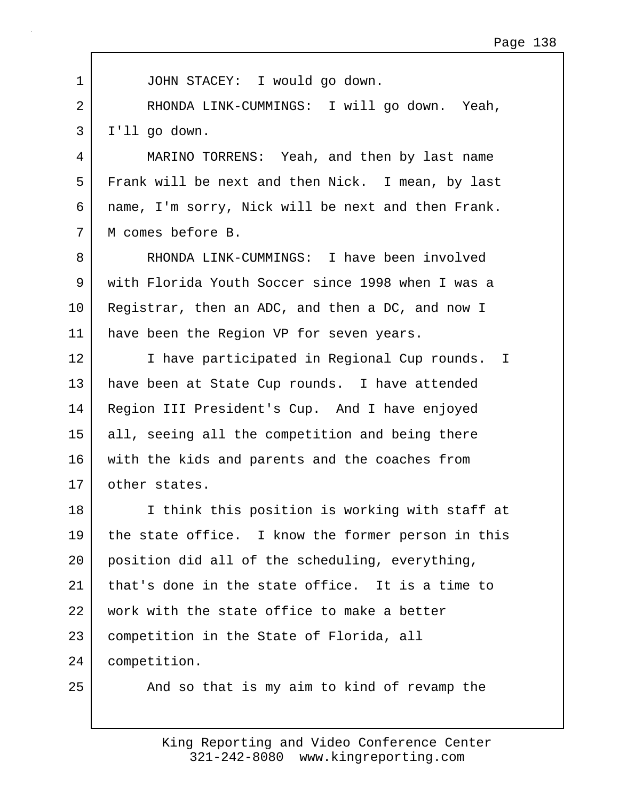| $\mathbf 1$ | JOHN STACEY: I would go down.                      |
|-------------|----------------------------------------------------|
| 2           | RHONDA LINK-CUMMINGS: I will go down. Yeah,        |
| 3           | I'll go down.                                      |
| 4           | MARINO TORRENS: Yeah, and then by last name        |
| 5           | Frank will be next and then Nick. I mean, by last  |
| 6           | name, I'm sorry, Nick will be next and then Frank. |
| 7           | M comes before B.                                  |
| 8           | RHONDA LINK-CUMMINGS: I have been involved         |
| 9           | with Florida Youth Soccer since 1998 when I was a  |
| 10          | Registrar, then an ADC, and then a DC, and now I   |
| 11          | have been the Region VP for seven years.           |
| 12          | I have participated in Regional Cup rounds. I      |
| 13          | have been at State Cup rounds. I have attended     |
| 14          | Region III President's Cup. And I have enjoyed     |
| 15          | all, seeing all the competition and being there    |
| 16          | with the kids and parents and the coaches from     |
| 17          | other states.                                      |
| 18          | I think this position is working with staff at     |
| 19          | the state office. I know the former person in this |
| 20          | position did all of the scheduling, everything,    |
| 21          | that's done in the state office. It is a time to   |
| 22          | work with the state office to make a better        |
| 23          | competition in the State of Florida, all           |
| 24          | competition.                                       |
| 25          | And so that is my aim to kind of revamp the        |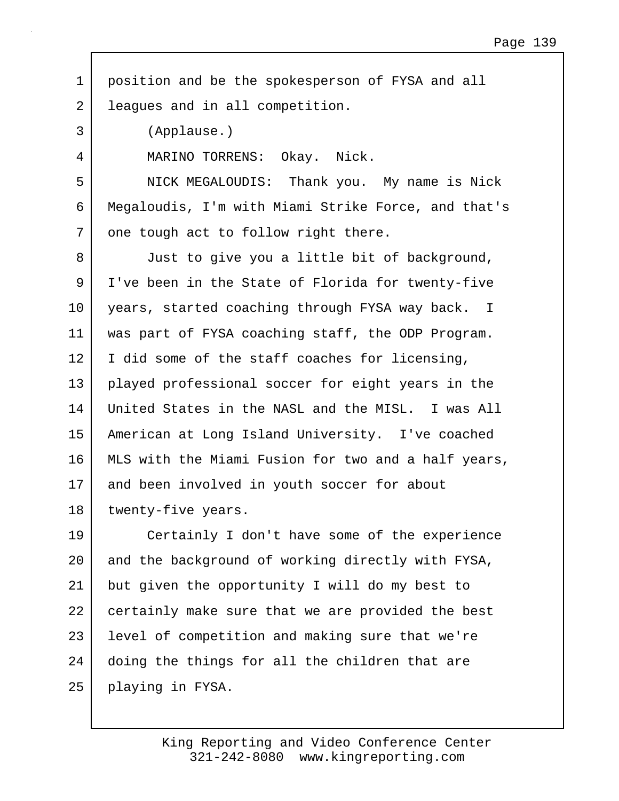| position and be the spokesperson of FYSA and all    |
|-----------------------------------------------------|
| leagues and in all competition.                     |
| (Applause.)                                         |
| MARINO TORRENS: Okay. Nick.                         |
| NICK MEGALOUDIS: Thank you. My name is Nick         |
| Megaloudis, I'm with Miami Strike Force, and that's |
| one tough act to follow right there.                |
| Just to give you a little bit of background,        |
| I've been in the State of Florida for twenty-five   |
| years, started coaching through FYSA way back. I    |
| was part of FYSA coaching staff, the ODP Program.   |
| I did some of the staff coaches for licensing,      |
| played professional soccer for eight years in the   |
| United States in the NASL and the MISL. I was All   |
| American at Long Island University. I've coached    |
| MLS with the Miami Fusion for two and a half years, |
| and been involved in youth soccer for about         |
| twenty-five years.                                  |
| Certainly I don't have some of the experience       |
| and the background of working directly with FYSA,   |
| but given the opportunity I will do my best to      |
| certainly make sure that we are provided the best   |
| level of competition and making sure that we're     |
| doing the things for all the children that are      |
| playing in FYSA.                                    |
|                                                     |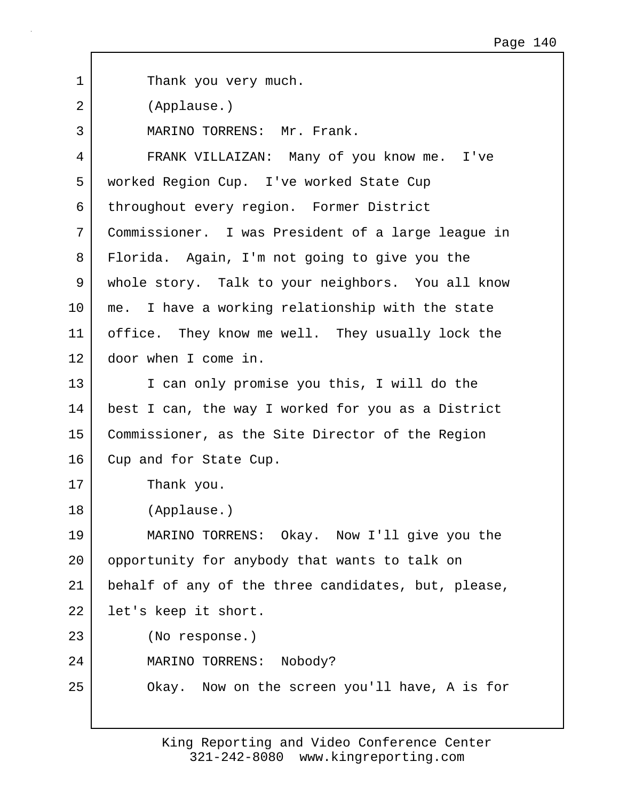1 Thank you very much. 2 (Applause.) 3 MARINO TORRENS: Mr. Frank. 4 FRANK VILLAIZAN: Many of you know me. I've 5 worked Region Cup. I've worked State Cup 6 throughout every region. Former District 7 Commissioner. I was President of a large league in 8 Florida. Again, I'm not going to give you the 9 whole story. Talk to your neighbors. You all know 10 me. I have a working relationship with the state 11 office. They know me well. They usually lock the 12 door when I come in. 13 I can only promise you this, I will do the 14 best I can, the way I worked for you as a District 15 Commissioner, as the Site Director of the Region 16 Cup and for State Cup. 17 Thank you. 18 (Applause.) 19 MARINO TORRENS: Okay. Now I'll give you the 20 | opportunity for anybody that wants to talk on 21 behalf of any of the three candidates, but, please, 22 | let's keep it short. 23 (No response.) 24 MARINO TORRENS: Nobody? 25 Okay. Now on the screen you'll have, A is for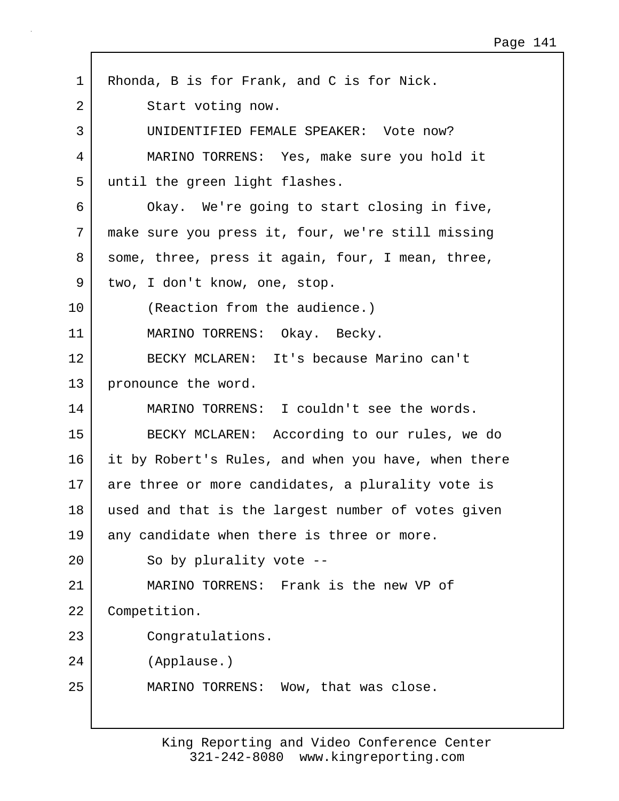| 1  | Rhonda, B is for Frank, and C is for Nick.          |
|----|-----------------------------------------------------|
| 2  | Start voting now.                                   |
| 3  | UNIDENTIFIED FEMALE SPEAKER: Vote now?              |
| 4  | MARINO TORRENS: Yes, make sure you hold it          |
| 5  | until the green light flashes.                      |
| 6  | Okay. We're going to start closing in five,         |
| 7  | make sure you press it, four, we're still missing   |
| 8  | some, three, press it again, four, I mean, three,   |
| 9  | two, I don't know, one, stop.                       |
| 10 | (Reaction from the audience.)                       |
| 11 | MARINO TORRENS: Okay. Becky.                        |
| 12 | BECKY MCLAREN: It's because Marino can't            |
| 13 | pronounce the word.                                 |
| 14 | MARINO TORRENS: I couldn't see the words.           |
| 15 | BECKY MCLAREN: According to our rules, we do        |
| 16 | it by Robert's Rules, and when you have, when there |
| 17 | are three or more candidates, a plurality vote is   |
| 18 | used and that is the largest number of votes given  |
| 19 | any candidate when there is three or more.          |
| 20 | So by plurality vote --                             |
| 21 | MARINO TORRENS: Frank is the new VP of              |
| 22 | Competition.                                        |
| 23 | Congratulations.                                    |
| 24 | (Applause.)                                         |
| 25 | MARINO TORRENS: Wow, that was close.                |
|    |                                                     |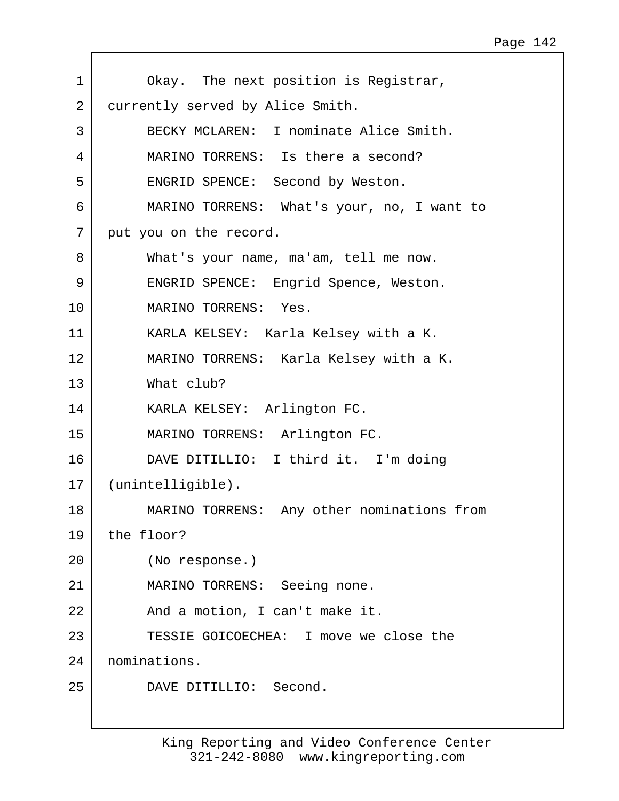1 Okay. The next position is Registrar, 2 currently served by Alice Smith. 3 BECKY MCLAREN: I nominate Alice Smith. 4 MARINO TORRENS: Is there a second? 5 ENGRID SPENCE: Second by Weston. 6 MARINO TORRENS: What's your, no, I want to 7 put you on the record. 8 What's your name, ma'am, tell me now. 9 ENGRID SPENCE: Engrid Spence, Weston. 10 MARINO TORRENS: Yes. 11 KARLA KELSEY: Karla Kelsey with a K. 12 MARINO TORRENS: Karla Kelsey with a K. 13 What club? 14 KARLA KELSEY: Arlington FC. 15 MARINO TORRENS: Arlington FC. 16 DAVE DITILLIO: I third it. I'm doing 17 (unintelligible). 18 MARINO TORRENS: Any other nominations from 19 the floor? 20 (No response.) 21 MARINO TORRENS: Seeing none. 22 And a motion, I can't make it. 23 TESSIE GOICOECHEA: I move we close the 24 nominations. 25 DAVE DITILLIO: Second.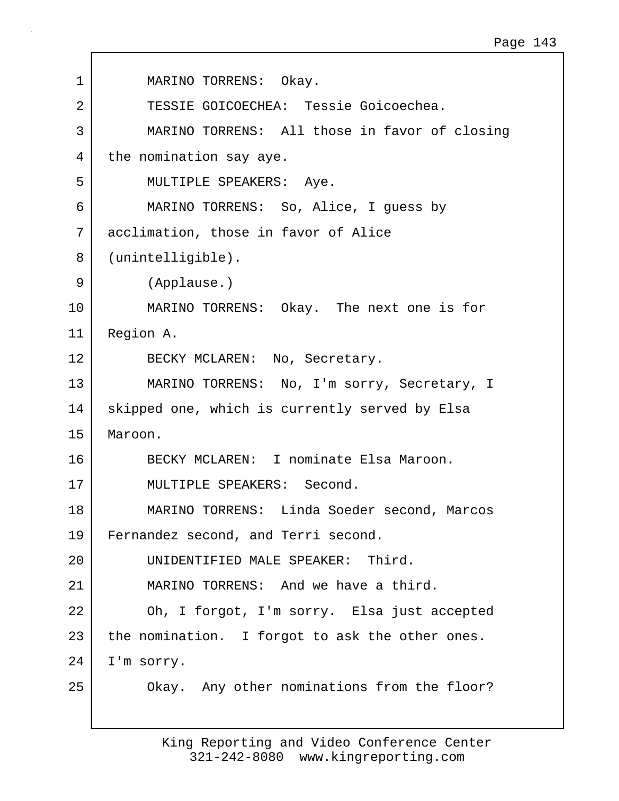| 1              | MARINO TORRENS: Okay.                           |
|----------------|-------------------------------------------------|
| $\overline{2}$ | TESSIE GOICOECHEA: Tessie Goicoechea.           |
| 3              | MARINO TORRENS: All those in favor of closing   |
| 4              | the nomination say aye.                         |
| 5              | MULTIPLE SPEAKERS: Aye.                         |
| 6              | MARINO TORRENS: So, Alice, I guess by           |
| 7              | acclimation, those in favor of Alice            |
| 8              | (unintelligible).                               |
| 9              | (Applause.)                                     |
| 10             | MARINO TORRENS: Okay. The next one is for       |
| 11             | Region A.                                       |
| 12             | BECKY MCLAREN: No, Secretary.                   |
| 13             | MARINO TORRENS: No, I'm sorry, Secretary, I     |
| 14             | skipped one, which is currently served by Elsa  |
| 15             | Maroon.                                         |
| 16             | BECKY MCLAREN: I nominate Elsa Maroon.          |
| 17             | MULTIPLE SPEAKERS: Second.                      |
| 18             | MARINO TORRENS: Linda Soeder second, Marcos     |
| 19             | Fernandez second, and Terri second.             |
| 20             | UNIDENTIFIED MALE SPEAKER: Third.               |
| 21             | MARINO TORRENS: And we have a third.            |
| 22             | Oh, I forgot, I'm sorry. Elsa just accepted     |
| 23             | the nomination. I forgot to ask the other ones. |
| 24             | I'm sorry.                                      |
| 25             | Okay. Any other nominations from the floor?     |
|                |                                                 |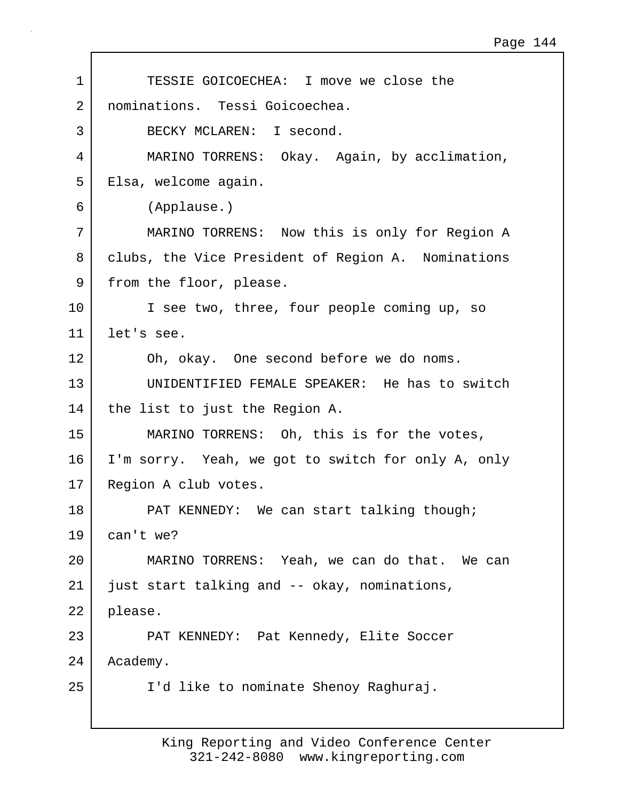| TESSIE GOICOECHEA: I move we close the             |
|----------------------------------------------------|
|                                                    |
| nominations. Tessi Goicoechea.                     |
| BECKY MCLAREN: I second.                           |
| MARINO TORRENS: Okay. Again, by acclimation,       |
| Elsa, welcome again.                               |
| (Applause.)                                        |
| MARINO TORRENS: Now this is only for Region A      |
| clubs, the Vice President of Region A. Nominations |
| from the floor, please.                            |
| I see two, three, four people coming up, so        |
| let's see.                                         |
| Oh, okay. One second before we do noms.            |
| UNIDENTIFIED FEMALE SPEAKER: He has to switch      |
| the list to just the Region A.                     |
| MARINO TORRENS: Oh, this is for the votes,         |
| I'm sorry. Yeah, we got to switch for only A, only |
| Region A club votes.                               |
| PAT KENNEDY: We can start talking though;          |
| can't we?                                          |
| MARINO TORRENS: Yeah, we can do that. We can       |
| just start talking and -- okay, nominations,       |
| please.                                            |
| PAT KENNEDY: Pat Kennedy, Elite Soccer             |
| Academy.                                           |
| I'd like to nominate Shenoy Raghuraj.              |
|                                                    |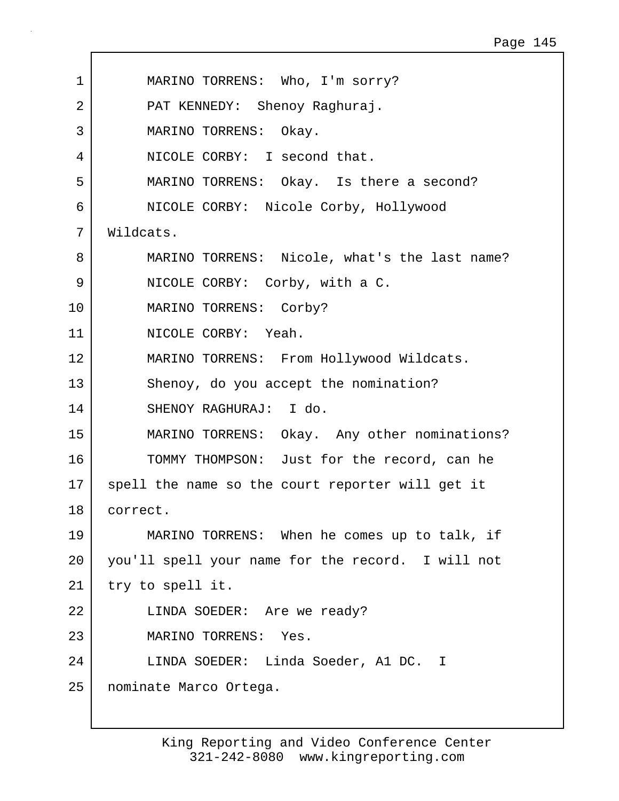| $\mathbf 1$     | MARINO TORRENS: Who, I'm sorry?                   |
|-----------------|---------------------------------------------------|
| 2               | PAT KENNEDY: Shenoy Raghuraj.                     |
| 3               | MARINO TORRENS: Okay.                             |
| 4               | NICOLE CORBY: I second that.                      |
| 5               | MARINO TORRENS: Okay. Is there a second?          |
| 6               | NICOLE CORBY: Nicole Corby, Hollywood             |
| 7               | Wildcats.                                         |
| 8               | MARINO TORRENS: Nicole, what's the last name?     |
| 9               | NICOLE CORBY: Corby, with a C.                    |
| 10              | MARINO TORRENS: Corby?                            |
| 11              | NICOLE CORBY: Yeah.                               |
| 12              | MARINO TORRENS: From Hollywood Wildcats.          |
| 13              | Shenoy, do you accept the nomination?             |
| 14              | SHENOY RAGHURAJ: I do.                            |
| 15              | MARINO TORRENS: Okay. Any other nominations?      |
| 16              | TOMMY THOMPSON: Just for the record, can he       |
| 17 <sub>1</sub> | spell the name so the court reporter will get it  |
| 18              | correct.                                          |
| 19              | MARINO TORRENS: When he comes up to talk, if      |
| 20              | you'll spell your name for the record. I will not |
| 21              | try to spell it.                                  |
| 22              | LINDA SOEDER: Are we ready?                       |
| 23              | MARINO TORRENS: Yes.                              |
| 24              | LINDA SOEDER: Linda Soeder, A1 DC. I              |
| 25              | nominate Marco Ortega.                            |

 $\Gamma$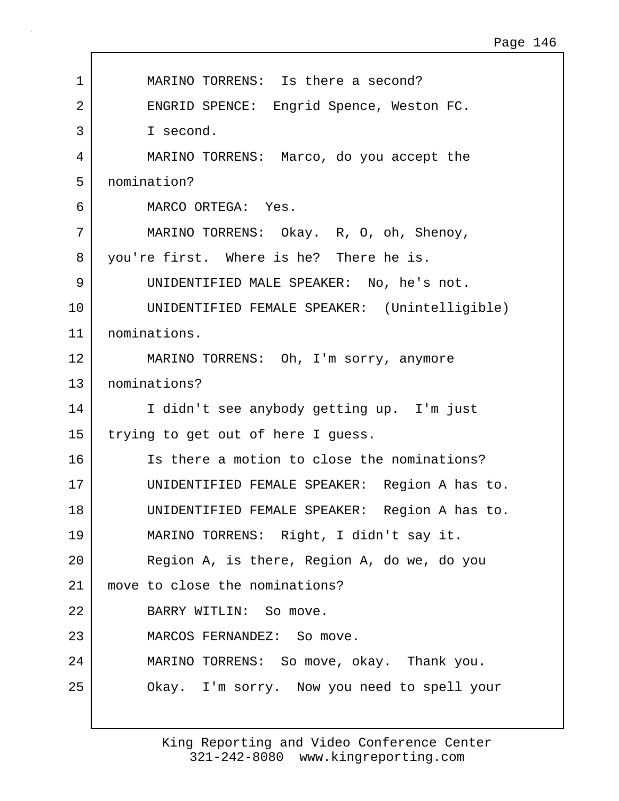| $\mathbf 1$ | MARINO TORRENS: Is there a second?            |
|-------------|-----------------------------------------------|
| 2           | ENGRID SPENCE: Engrid Spence, Weston FC.      |
| 3           | I second.                                     |
| 4           | MARINO TORRENS: Marco, do you accept the      |
| 5           | nomination?                                   |
| 6           | MARCO ORTEGA: Yes.                            |
| 7           | MARINO TORRENS: Okay. R, O, oh, Shenoy,       |
| 8           | you're first. Where is he? There he is.       |
| 9           | UNIDENTIFIED MALE SPEAKER: No, he's not.      |
| 10          | UNIDENTIFIED FEMALE SPEAKER: (Unintelligible) |
| 11          | nominations.                                  |
| 12          | MARINO TORRENS: Oh, I'm sorry, anymore        |
| 13          | nominations?                                  |
| 14          | I didn't see anybody getting up. I'm just     |
| 15          | trying to get out of here I guess.            |
| 16          | Is there a motion to close the nominations?   |
| 17          | UNIDENTIFIED FEMALE SPEAKER: Region A has to. |
| 18          | UNIDENTIFIED FEMALE SPEAKER: Region A has to. |
| 19          | MARINO TORRENS: Right, I didn't say it.       |
| 20          | Region A, is there, Region A, do we, do you   |
| 21          | move to close the nominations?                |
| 22          | BARRY WITLIN: So move.                        |
| 23          | MARCOS FERNANDEZ: So move.                    |
| 24          | MARINO TORRENS: So move, okay. Thank you.     |
| 25          | Okay. I'm sorry. Now you need to spell your   |
|             |                                               |

 $\mathbf{I}$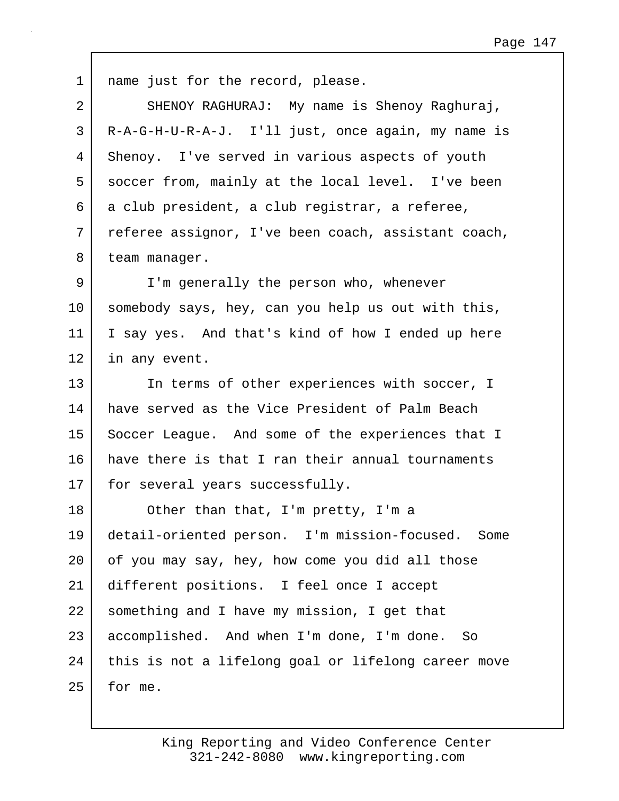| $\mathbf 1$ | name just for the record, please.                   |
|-------------|-----------------------------------------------------|
| 2           | SHENOY RAGHURAJ: My name is Shenoy Raghuraj,        |
| 3           | R-A-G-H-U-R-A-J. I'll just, once again, my name is  |
| 4           | Shenoy. I've served in various aspects of youth     |
| 5           | soccer from, mainly at the local level. I've been   |
| 6           | a club president, a club registrar, a referee,      |
| 7           | referee assignor, I've been coach, assistant coach, |
| 8           | team manager.                                       |
| 9           | I'm generally the person who, whenever              |
| 10          | somebody says, hey, can you help us out with this,  |
| 11          | I say yes. And that's kind of how I ended up here   |
| 12          | in any event.                                       |
| 13          | In terms of other experiences with soccer, I        |
| 14          | have served as the Vice President of Palm Beach     |
| 15          | Soccer League. And some of the experiences that I   |
| 16          | have there is that I ran their annual tournaments   |
| 17          | for several years successfully.                     |
| 18          | Other than that, I'm pretty, I'm a                  |
| 19          | detail-oriented person. I'm mission-focused. Some   |
| 20          | of you may say, hey, how come you did all those     |
| 21          | different positions. I feel once I accept           |
| 22          | something and I have my mission, I get that         |
| 23          | accomplished. And when I'm done, I'm done. So       |
| 24          | this is not a lifelong goal or lifelong career move |
| 25          | for me.                                             |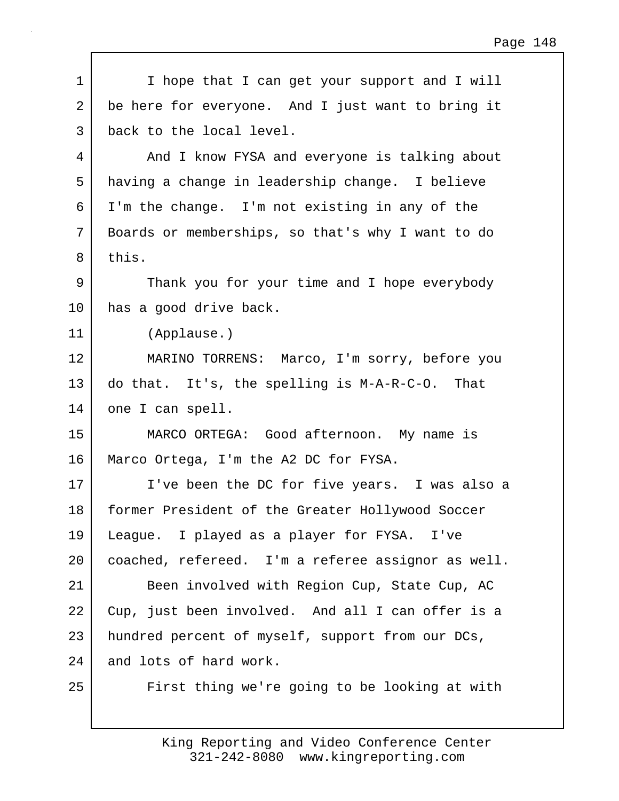| $\mathbf 1$ | I hope that I can get your support and I will      |
|-------------|----------------------------------------------------|
| 2           | be here for everyone. And I just want to bring it  |
| 3           | back to the local level.                           |
| 4           | And I know FYSA and everyone is talking about      |
| 5           | having a change in leadership change. I believe    |
| 6           | I'm the change. I'm not existing in any of the     |
| 7           | Boards or memberships, so that's why I want to do  |
| 8           | this.                                              |
| 9           | Thank you for your time and I hope everybody       |
| 10          | has a good drive back.                             |
| 11          | (Applause.)                                        |
| 12          | MARINO TORRENS: Marco, I'm sorry, before you       |
| 13          | do that. It's, the spelling is M-A-R-C-O. That     |
| 14          | one I can spell.                                   |
| 15          | MARCO ORTEGA: Good afternoon. My name is           |
| 16          | Marco Ortega, I'm the A2 DC for FYSA.              |
| 17          | I've been the DC for five years. I was also a      |
| 18          | former President of the Greater Hollywood Soccer   |
| 19          | League. I played as a player for FYSA. I've        |
| 20          | coached, refereed. I'm a referee assignor as well. |
| 21          | Been involved with Region Cup, State Cup, AC       |
| 22          | Cup, just been involved. And all I can offer is a  |
| 23          | hundred percent of myself, support from our DCs,   |
| 24          | and lots of hard work.                             |
| 25          | First thing we're going to be looking at with      |

 $\mathbf{I}$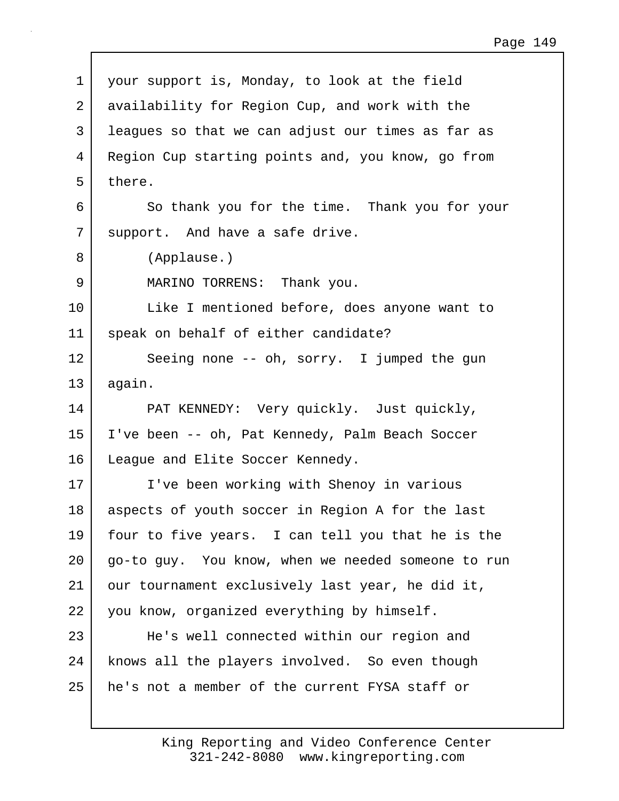1 your support is, Monday, to look at the field 2 availability for Region Cup, and work with the 3 leagues so that we can adjust our times as far as 4 Region Cup starting points and, you know, go from  $5$  there. 6 So thank you for the time. Thank you for your 7 | support. And have a safe drive. 8 (Applause.) 9 MARINO TORRENS: Thank you. 10 Like I mentioned before, does anyone want to 11 speak on behalf of either candidate? 12 Seeing none -- oh, sorry. I jumped the gun 13 again. 14 PAT KENNEDY: Very quickly. Just quickly, 15 I've been -- oh, Pat Kennedy, Palm Beach Soccer 16 | League and Elite Soccer Kennedy. 17 I've been working with Shenoy in various 18 aspects of youth soccer in Region A for the last 19 four to five years. I can tell you that he is the 20 go-to guy. You know, when we needed someone to run 21 | our tournament exclusively last year, he did it, 22 you know, organized everything by himself. 23 He's well connected within our region and 24 | knows all the players involved. So even though 25 he's not a member of the current FYSA staff or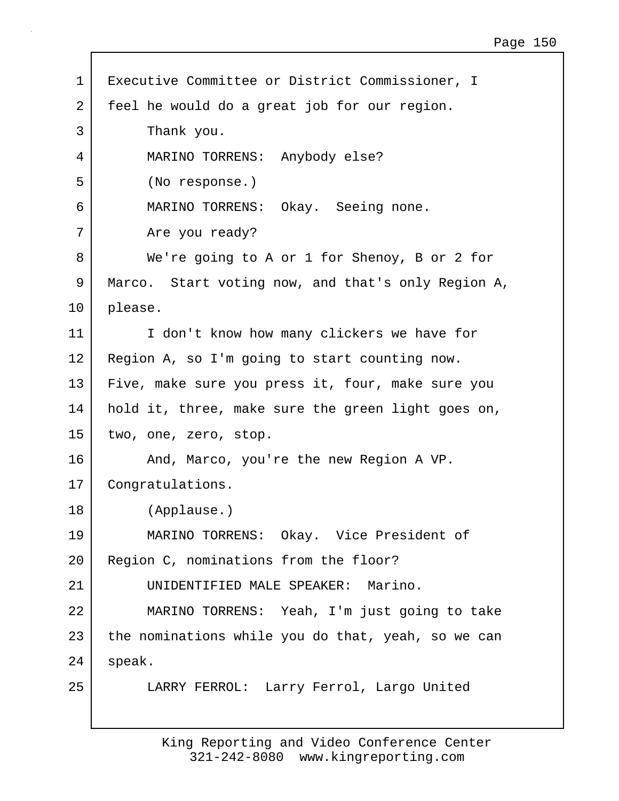| $\mathbf 1$ | Executive Committee or District Commissioner, I    |
|-------------|----------------------------------------------------|
| 2           | feel he would do a great job for our region.       |
| 3           | Thank you.                                         |
| 4           | MARINO TORRENS: Anybody else?                      |
| 5           | (No response.)                                     |
| 6           | MARINO TORRENS: Okay. Seeing none.                 |
| 7           | Are you ready?                                     |
| 8           | We're going to A or 1 for Shenoy, B or 2 for       |
| 9           | Marco. Start voting now, and that's only Region A, |
| 10          | please.                                            |
| 11          | I don't know how many clickers we have for         |
| 12          | Region A, so I'm going to start counting now.      |
| 13          | Five, make sure you press it, four, make sure you  |
| 14          | hold it, three, make sure the green light goes on, |
| 15          | two, one, zero, stop.                              |
| 16          | And, Marco, you're the new Region A VP.            |
| 17          | Congratulations.                                   |
| 18          | (Applause.)                                        |
| 19          | MARINO TORRENS: Okay. Vice President of            |
| 20          | Region C, nominations from the floor?              |
| 21          | UNIDENTIFIED MALE SPEAKER: Marino.                 |
| 22          | MARINO TORRENS: Yeah, I'm just going to take       |
| 23          | the nominations while you do that, yeah, so we can |
| 24          | speak.                                             |
| 25          | LARRY FERROL: Larry Ferrol, Largo United           |

 $\mathbf{I}$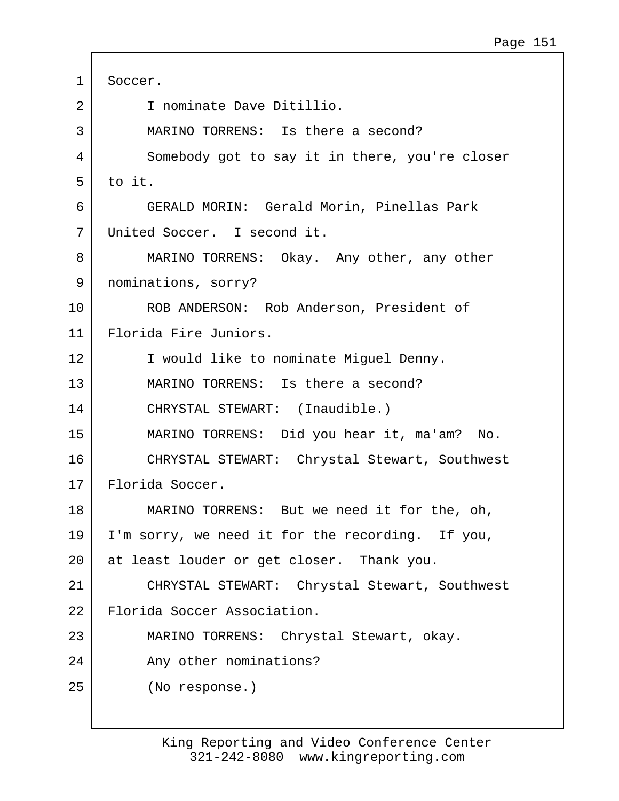| $\mathbf{1}$   | Soccer.                                          |
|----------------|--------------------------------------------------|
| $\overline{2}$ | I nominate Dave Ditillio.                        |
| 3              | MARINO TORRENS: Is there a second?               |
| 4              | Somebody got to say it in there, you're closer   |
| 5              | to it.                                           |
| 6              | GERALD MORIN: Gerald Morin, Pinellas Park        |
| 7              | United Soccer. I second it.                      |
| 8              | MARINO TORRENS: Okay. Any other, any other       |
| 9              | nominations, sorry?                              |
| 10             | ROB ANDERSON: Rob Anderson, President of         |
| 11             | Florida Fire Juniors.                            |
| 12             | I would like to nominate Miguel Denny.           |
| 13             | MARINO TORRENS: Is there a second?               |
| 14             | CHRYSTAL STEWART: (Inaudible.)                   |
| 15             | MARINO TORRENS: Did you hear it, ma'am? No.      |
| 16             | CHRYSTAL STEWART: Chrystal Stewart, Southwest    |
| 17             | Florida Soccer.                                  |
| 18             | MARINO TORRENS: But we need it for the, oh,      |
| 19             | I'm sorry, we need it for the recording. If you, |
| 20             | at least louder or get closer. Thank you.        |
| 21             | CHRYSTAL STEWART: Chrystal Stewart, Southwest    |
| 22             | Florida Soccer Association.                      |
| 23             | MARINO TORRENS: Chrystal Stewart, okay.          |
| 24             | Any other nominations?                           |
| 25             | (No response.)                                   |
|                |                                                  |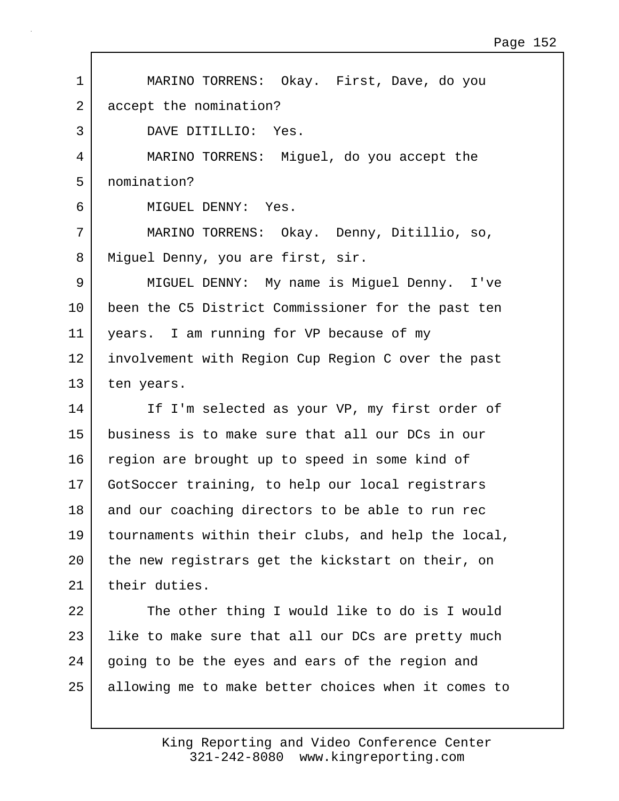1 MARINO TORRENS: Okay. First, Dave, do you 2 accept the nomination? 3 DAVE DITILLIO: Yes. 4 MARINO TORRENS: Miguel, do you accept the 5 nomination? 6 MIGUEL DENNY: Yes. 7 MARINO TORRENS: Okay. Denny, Ditillio, so, 8 | Miquel Denny, you are first, sir. 9 MIGUEL DENNY: My name is Miguel Denny. I've 10 been the C5 District Commissioner for the past ten 11 years. I am running for VP because of my 12 involvement with Region Cup Region C over the past 13 ten years. 14 If I'm selected as your VP, my first order of 15 business is to make sure that all our DCs in our 16 region are brought up to speed in some kind of 17 GotSoccer training, to help our local registrars 18 and our coaching directors to be able to run rec 19 tournaments within their clubs, and help the local, 20 the new registrars get the kickstart on their, on 21 their duties. 22 The other thing I would like to do is I would 23 | like to make sure that all our DCs are pretty much 24 going to be the eyes and ears of the region and 25 allowing me to make better choices when it comes to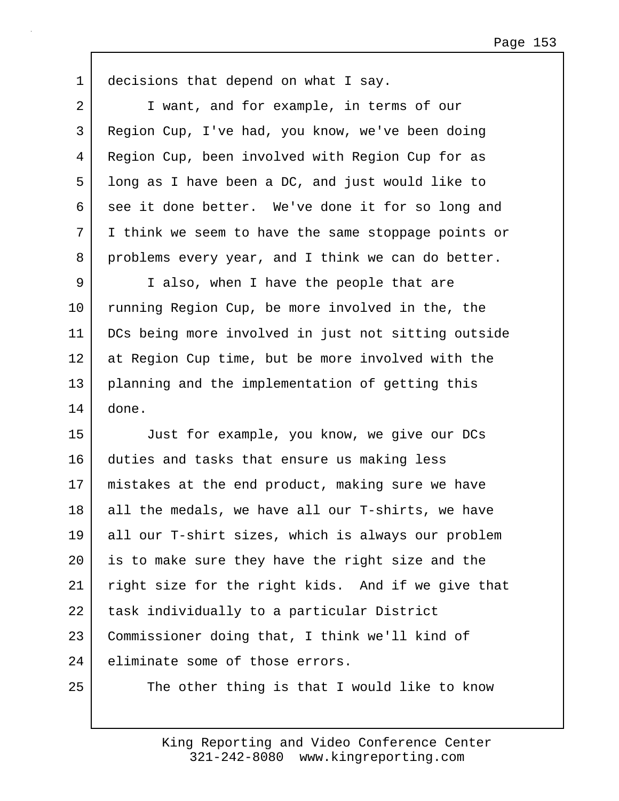1 decisions that depend on what I say. 2 I want, and for example, in terms of our 3 Region Cup, I've had, you know, we've been doing 4 Region Cup, been involved with Region Cup for as 5 long as I have been a DC, and just would like to 6 see it done better. We've done it for so long and 7 I think we seem to have the same stoppage points or 8 problems every year, and I think we can do better. 9 I also, when I have the people that are 10 running Region Cup, be more involved in the, the 11 DCs being more involved in just not sitting outside 12 at Region Cup time, but be more involved with the 13 planning and the implementation of getting this 14 done. 15 Just for example, you know, we give our DCs 16 duties and tasks that ensure us making less 17 mistakes at the end product, making sure we have  $18$  all the medals, we have all our T-shirts, we have 19 all our T-shirt sizes, which is always our problem 20 | is to make sure they have the right size and the 21 right size for the right kids. And if we give that 22 | task individually to a particular District 23 Commissioner doing that, I think we'll kind of 24 eliminate some of those errors. 25 The other thing is that I would like to know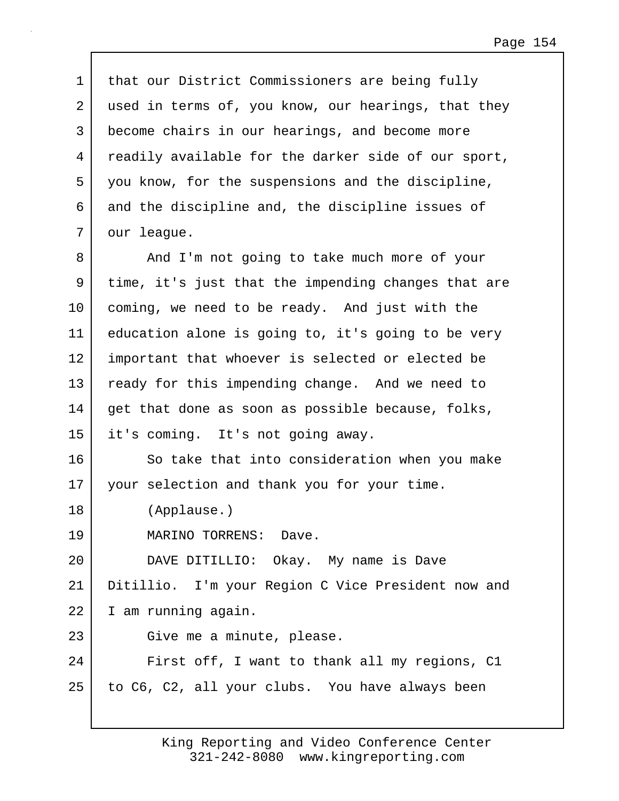1 that our District Commissioners are being fully 2 used in terms of, you know, our hearings, that they 3 become chairs in our hearings, and become more 4 readily available for the darker side of our sport, 5 you know, for the suspensions and the discipline, 6 and the discipline and, the discipline issues of 7 our league. 8 And I'm not going to take much more of your 9 time, it's just that the impending changes that are 10 coming, we need to be ready. And just with the 11 education alone is going to, it's going to be very 12 important that whoever is selected or elected be 13 ready for this impending change. And we need to 14 get that done as soon as possible because, folks, 15 it's coming. It's not going away. 16 So take that into consideration when you make 17 your selection and thank you for your time. 18 (Applause.) 19 MARINO TORRENS: Dave. 20 DAVE DITILLIO: Okay. My name is Dave 21 Ditillio. I'm your Region C Vice President now and 22 I am running again. 23 Give me a minute, please. 24 First off, I want to thank all my regions, C1 25 to C6, C2, all your clubs. You have always been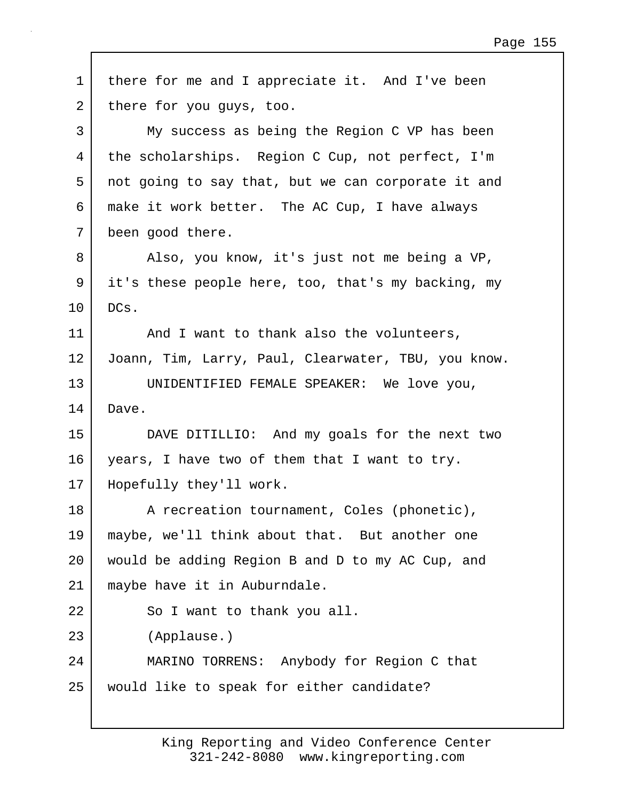| $\mathbf 1$ | there for me and I appreciate it. And I've been     |
|-------------|-----------------------------------------------------|
| 2           | there for you guys, too.                            |
| 3           | My success as being the Region C VP has been        |
| 4           | the scholarships. Region C Cup, not perfect, I'm    |
| 5           | not going to say that, but we can corporate it and  |
| 6           | make it work better. The AC Cup, I have always      |
| 7           | been good there.                                    |
| 8           | Also, you know, it's just not me being a VP,        |
| 9           | it's these people here, too, that's my backing, my  |
| 10          | DCs.                                                |
| 11          | And I want to thank also the volunteers,            |
| 12          | Joann, Tim, Larry, Paul, Clearwater, TBU, you know. |
| 13          | UNIDENTIFIED FEMALE SPEAKER: We love you,           |
| 14          | Dave.                                               |
| 15          | DAVE DITILLIO: And my goals for the next two        |
| 16          | years, I have two of them that I want to try.       |
| 17          | Hopefully they'll work.                             |
| 18          | A recreation tournament, Coles (phonetic),          |
| 19          | maybe, we'll think about that. But another one      |
| 20          | would be adding Region B and D to my AC Cup, and    |
| 21          | maybe have it in Auburndale.                        |
| 22          | So I want to thank you all.                         |
| 23          | (Applause.)                                         |
| 24          | MARINO TORRENS: Anybody for Region C that           |
| 25          | would like to speak for either candidate?           |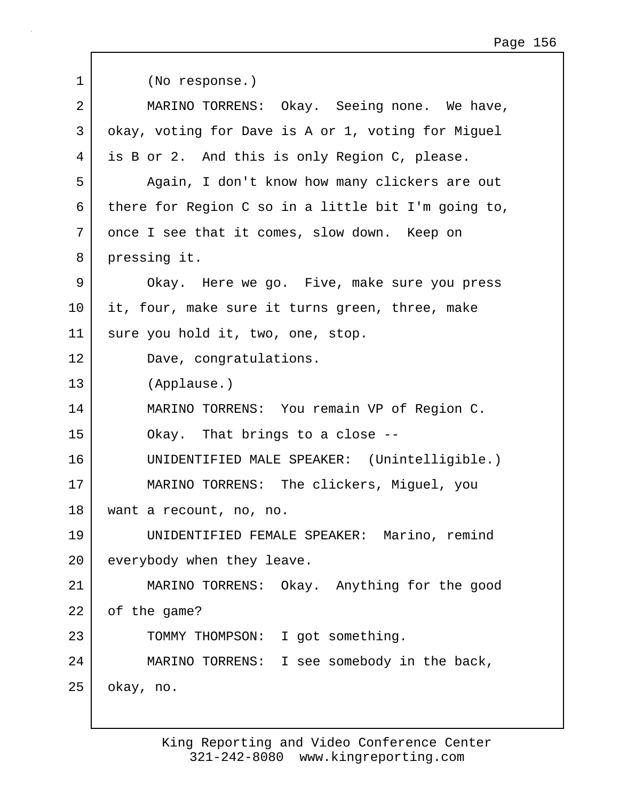| 1  | (No response.)                                      |
|----|-----------------------------------------------------|
| 2  | MARINO TORRENS: Okay. Seeing none. We have,         |
| 3  | okay, voting for Dave is A or 1, voting for Miguel  |
| 4  | is B or 2. And this is only Region C, please.       |
| 5  | Again, I don't know how many clickers are out       |
| 6  | there for Region C so in a little bit I'm going to, |
| 7  | once I see that it comes, slow down. Keep on        |
| 8  | pressing it.                                        |
| 9  | Okay. Here we go. Five, make sure you press         |
| 10 | it, four, make sure it turns green, three, make     |
| 11 | sure you hold it, two, one, stop.                   |
| 12 | Dave, congratulations.                              |
| 13 | (Applause.)                                         |
| 14 | MARINO TORRENS: You remain VP of Region C.          |
| 15 | Okay. That brings to a close --                     |
| 16 | UNIDENTIFIED MALE SPEAKER: (Unintelligible.)        |
| 17 | MARINO TORRENS: The clickers, Miguel, you           |
| 18 | want a recount, no, no.                             |
| 19 | UNIDENTIFIED FEMALE SPEAKER: Marino, remind         |
| 20 | everybody when they leave.                          |
| 21 | MARINO TORRENS: Okay. Anything for the good         |
| 22 | of the game?                                        |
|    |                                                     |
| 23 | TOMMY THOMPSON: I got something.                    |
| 24 | MARINO TORRENS: I see somebody in the back,         |

 $\Gamma$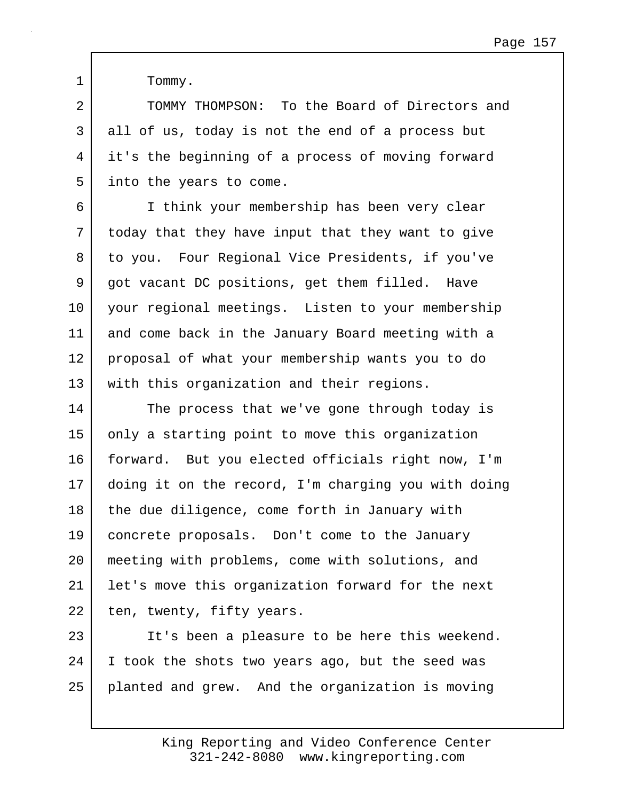1 Tommy.

2 TOMMY THOMPSON: To the Board of Directors and 3 all of us, today is not the end of a process but 4 it's the beginning of a process of moving forward 5 | into the years to come.

6 I think your membership has been very clear 7 today that they have input that they want to give 8 to you. Four Regional Vice Presidents, if you've 9 got vacant DC positions, get them filled. Have 10 your regional meetings. Listen to your membership 11 and come back in the January Board meeting with a 12 proposal of what your membership wants you to do 13 | with this organization and their regions.

14 The process that we've gone through today is 15 only a starting point to move this organization 16 forward. But you elected officials right now, I'm 17 doing it on the record, I'm charging you with doing 18 the due diligence, come forth in January with 19 concrete proposals. Don't come to the January 20 meeting with problems, come with solutions, and 21 let's move this organization forward for the next 22 ten, twenty, fifty years.

23 It's been a pleasure to be here this weekend. 24 I took the shots two years ago, but the seed was 25 planted and grew. And the organization is moving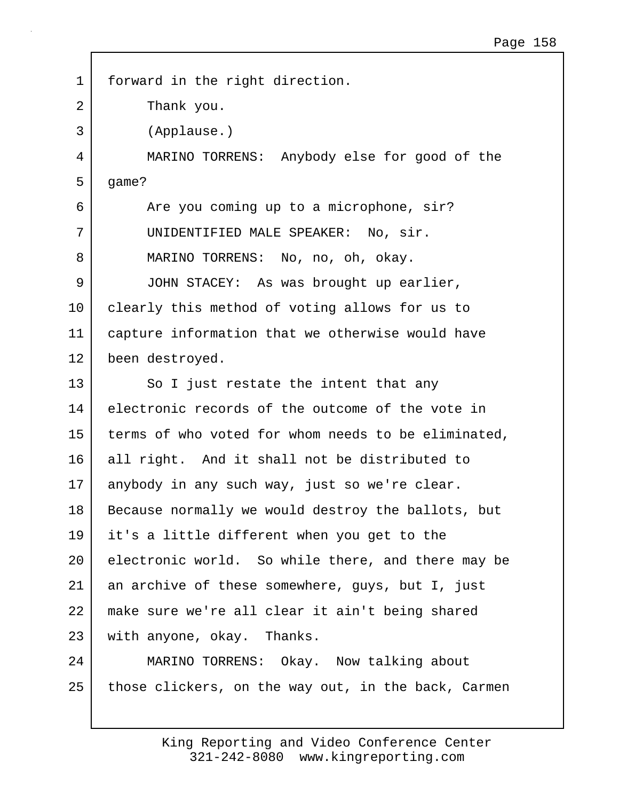1 forward in the right direction. 2 Thank you. 3 (Applause.) 4 MARINO TORRENS: Anybody else for good of the  $5$  qame? 6 Are you coming up to a microphone, sir? 7 UNIDENTIFIED MALE SPEAKER: No, sir. 8 MARINO TORRENS: No, no, oh, okay. 9 JOHN STACEY: As was brought up earlier, 10 clearly this method of voting allows for us to 11 capture information that we otherwise would have 12 been destroyed. 13 So I just restate the intent that any 14 electronic records of the outcome of the vote in 15 terms of who voted for whom needs to be eliminated, 16 all right. And it shall not be distributed to 17 anybody in any such way, just so we're clear. 18 | Because normally we would destroy the ballots, but 19 it's a little different when you get to the 20 electronic world. So while there, and there may be 21 an archive of these somewhere, guys, but I, just 22 make sure we're all clear it ain't being shared 23 with anyone, okay. Thanks. 24 MARINO TORRENS: Okay. Now talking about 25 those clickers, on the way out, in the back, Carmen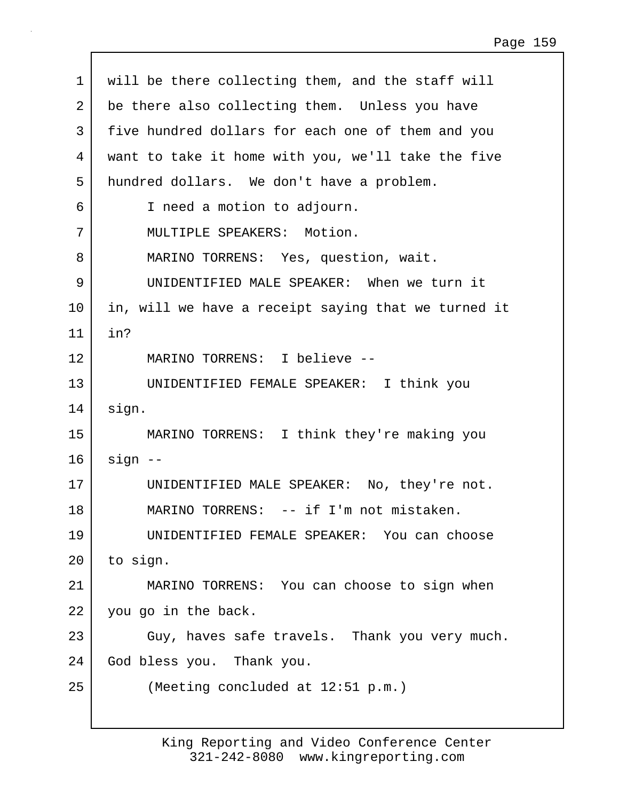| $\mathbf 1$    | will be there collecting them, and the staff will   |
|----------------|-----------------------------------------------------|
| $\overline{2}$ | be there also collecting them. Unless you have      |
| 3              | five hundred dollars for each one of them and you   |
| 4              | want to take it home with you, we'll take the five  |
| 5              | hundred dollars. We don't have a problem.           |
| 6              | I need a motion to adjourn.                         |
| 7              | MULTIPLE SPEAKERS: Motion.                          |
| 8              | MARINO TORRENS: Yes, question, wait.                |
| 9              | UNIDENTIFIED MALE SPEAKER: When we turn it          |
| 10             | in, will we have a receipt saying that we turned it |
| 11             | in?                                                 |
| 12             | MARINO TORRENS: I believe --                        |
| 13             | UNIDENTIFIED FEMALE SPEAKER: I think you            |
| 14             | sign.                                               |
| 15             | MARINO TORRENS: I think they're making you          |
| 16             | $sign$ --                                           |
| 17             | UNIDENTIFIED MALE SPEAKER: No, they're not.         |
| 18             | MARINO TORRENS: -- if I'm not mistaken.             |
| 19             | UNIDENTIFIED FEMALE SPEAKER: You can choose         |
| $20 \,$        | to sign.                                            |
| 21             | MARINO TORRENS: You can choose to sign when         |
| 22             | you go in the back.                                 |
| 23             | Guy, haves safe travels. Thank you very much.       |
| 24             | God bless you. Thank you.                           |
| 25             | (Meeting concluded at 12:51 p.m.)                   |
|                |                                                     |